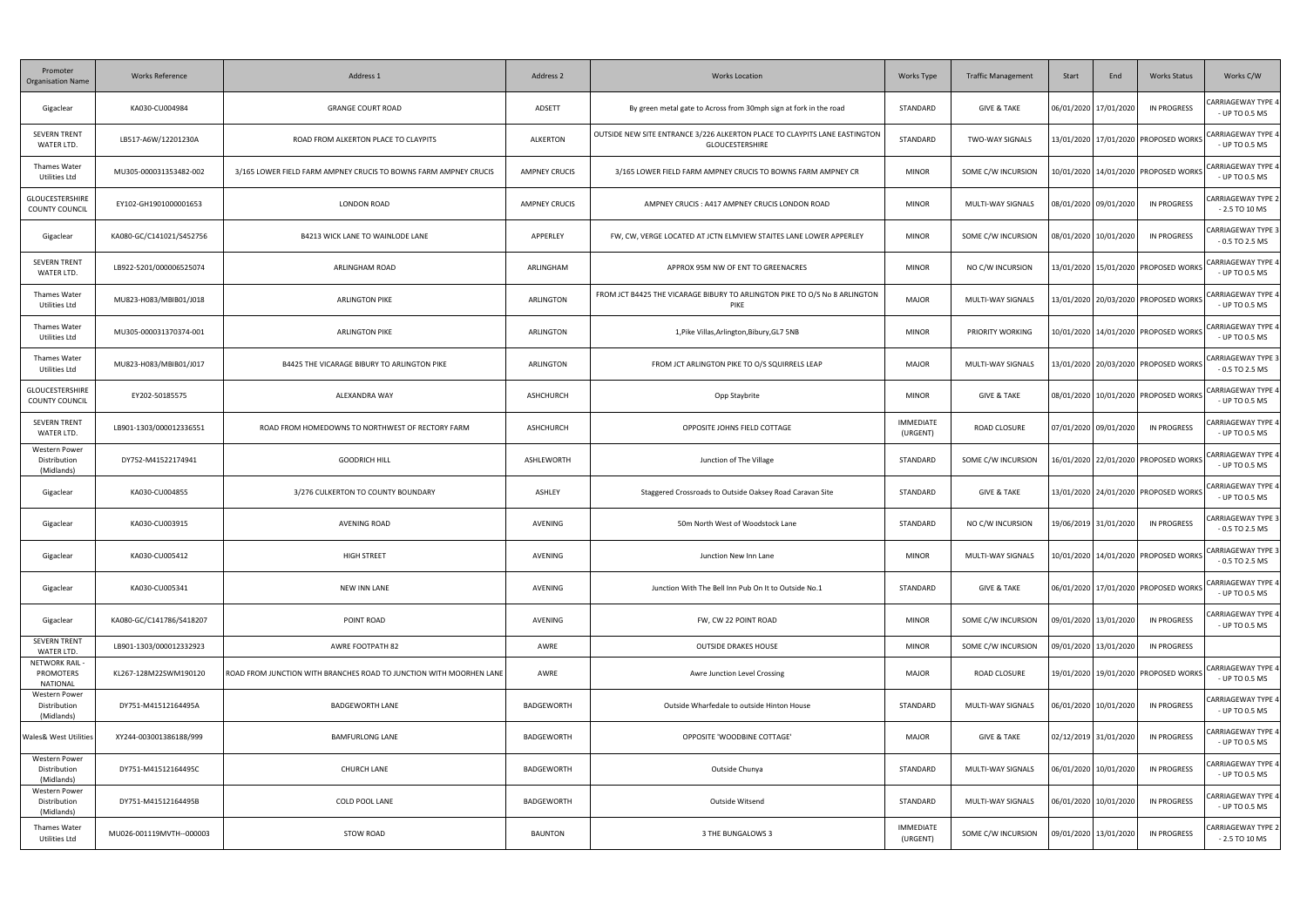| Promoter<br><b>Organisation Name</b>               | <b>Works Reference</b>   | Address 1                                                           | Address 2            | <b>Works Location</b>                                                                                | Works Type                   | <b>Traffic Management</b> | Start | End                   | <b>Works Status</b>                      | Works C/W                                     |
|----------------------------------------------------|--------------------------|---------------------------------------------------------------------|----------------------|------------------------------------------------------------------------------------------------------|------------------------------|---------------------------|-------|-----------------------|------------------------------------------|-----------------------------------------------|
| Gigaclear                                          | KA030-CU004984           | <b>GRANGE COURT ROAD</b>                                            | ADSETT               | By green metal gate to Across from 30mph sign at fork in the road                                    | STANDARD                     | <b>GIVE &amp; TAKE</b>    |       | 06/01/2020 17/01/2020 | IN PROGRESS                              | <b>CARRIAGEWAY TYPE 4</b><br>- UP TO 0.5 MS   |
| <b>SEVERN TRENT</b><br>WATER LTD.                  | LB517-A6W/12201230A      | ROAD FROM ALKERTON PLACE TO CLAYPITS                                | ALKERTON             | OUTSIDE NEW SITE ENTRANCE 3/226 ALKERTON PLACE TO CLAYPITS LANE EASTINGTON<br><b>GLOUCESTERSHIRE</b> | STANDARD                     | <b>TWO-WAY SIGNALS</b>    |       |                       | 13/01/2020 17/01/2020 PROPOSED WORKS     | CARRIAGEWAY TYPE 4<br>- UP TO 0.5 MS          |
| <b>Thames Water</b><br>Utilities Ltd               | MU305-000031353482-002   | 3/165 LOWER FIELD FARM AMPNEY CRUCIS TO BOWNS FARM AMPNEY CRUCIS    | <b>AMPNEY CRUCIS</b> | 3/165 LOWER FIELD FARM AMPNEY CRUCIS TO BOWNS FARM AMPNEY CR                                         | <b>MINOR</b>                 | SOME C/W INCURSION        |       |                       | 0/01/2020   14/01/2020   PROPOSED WORKS  | CARRIAGEWAY TYPE 4<br>- UP TO 0.5 MS          |
| <b>GLOUCESTERSHIRE</b><br><b>COUNTY COUNCIL</b>    | EY102-GH1901000001653    | <b>LONDON ROAD</b>                                                  | <b>AMPNEY CRUCIS</b> | AMPNEY CRUCIS: A417 AMPNEY CRUCIS LONDON ROAD                                                        | <b>MINOR</b>                 | MULTI-WAY SIGNALS         |       | 08/01/2020 09/01/2020 | <b>IN PROGRESS</b>                       | ARRIAGEWAY TYPE 2<br>$-2.5$ TO 10 MS          |
| Gigaclear                                          | KA080-GC/C141021/S452756 | B4213 WICK LANE TO WAINLODE LANE                                    | APPERLEY             | FW, CW, VERGE LOCATED AT JCTN ELMVIEW STAITES LANE LOWER APPERLEY                                    | <b>MINOR</b>                 | SOME C/W INCURSION        |       | 08/01/2020 10/01/2020 | IN PROGRESS                              | <b>CARRIAGEWAY TYPE 3</b><br>$-0.5$ TO 2.5 MS |
| <b>SEVERN TRENT</b><br>WATER LTD.                  | LB922-5201/000006525074  | ARLINGHAM ROAD                                                      | ARLINGHAM            | APPROX 95M NW OF ENT TO GREENACRES                                                                   | <b>MINOR</b>                 | NO C/W INCURSION          |       |                       | 13/01/2020 15/01/2020 PROPOSED WORKS     | CARRIAGEWAY TYPE 4<br>- UP TO 0.5 MS          |
| <b>Thames Water</b><br>Utilities Ltd               | MU823-H083/MBIB01/J018   | <b>ARLINGTON PIKE</b>                                               | ARLINGTON            | FROM JCT B4425 THE VICARAGE BIBURY TO ARLINGTON PIKE TO O/S No 8 ARLINGTON<br>PIKE                   | <b>MAJOR</b>                 | MULTI-WAY SIGNALS         |       |                       | 13/01/2020 20/03/2020 PROPOSED WORKS     | CARRIAGEWAY TYPE 4<br>- UP TO 0.5 MS          |
| <b>Thames Water</b><br>Utilities Ltd               | MU305-000031370374-001   | <b>ARLINGTON PIKE</b>                                               | ARLINGTON            | 1, Pike Villas, Arlington, Bibury, GL7 5NB                                                           | <b>MINOR</b>                 | <b>PRIORITY WORKING</b>   |       |                       | 10/01/2020 14/01/2020 PROPOSED WORKS     | CARRIAGEWAY TYPE 4<br>- UP TO 0.5 MS          |
| <b>Thames Water</b><br>Utilities Ltd               | MU823-H083/MBIB01/J017   | B4425 THE VICARAGE BIBURY TO ARLINGTON PIKE                         | ARLINGTON            | FROM JCT ARLINGTON PIKE TO O/S SQUIRRELS LEAP                                                        | MAJOR                        | MULTI-WAY SIGNALS         |       |                       | 13/01/2020   20/03/2020   PROPOSED WORKS | CARRIAGEWAY TYPE 3<br>$-0.5$ TO 2.5 MS        |
| GLOUCESTERSHIRE<br><b>COUNTY COUNCIL</b>           | EY202-50185575           | ALEXANDRA WAY                                                       | ASHCHURCH            | Opp Staybrite                                                                                        | <b>MINOR</b>                 | <b>GIVE &amp; TAKE</b>    |       |                       | 08/01/2020   10/01/2020   PROPOSED WORKS | CARRIAGEWAY TYPE 4<br>- UP TO 0.5 MS          |
| <b>SEVERN TRENT</b><br>WATER LTD.                  | LB901-1303/000012336551  | ROAD FROM HOMEDOWNS TO NORTHWEST OF RECTORY FARM                    | ASHCHURCH            | OPPOSITE JOHNS FIELD COTTAGE                                                                         | <b>IMMEDIATE</b><br>(URGENT) | ROAD CLOSURE              |       | 07/01/2020 09/01/2020 | IN PROGRESS                              | <b>CARRIAGEWAY TYPE 4</b><br>- UP TO 0.5 MS   |
| Western Power<br>Distribution<br>(Midlands)        | DY752-M41522174941       | <b>GOODRICH HILL</b>                                                | ASHLEWORTH           | Junction of The Village                                                                              | STANDARD                     | SOME C/W INCURSION        |       |                       | 16/01/2020   22/01/2020   PROPOSED WORKS | CARRIAGEWAY TYPE 4<br>- UP TO 0.5 MS          |
| Gigaclear                                          | KA030-CU004855           | 3/276 CULKERTON TO COUNTY BOUNDARY                                  | ASHLEY               | Staggered Crossroads to Outside Oaksey Road Caravan Site                                             | STANDARD                     | <b>GIVE &amp; TAKE</b>    |       |                       | 13/01/2020 24/01/2020 PROPOSED WORKS     | CARRIAGEWAY TYPE 4<br>- UP TO 0.5 MS          |
| Gigaclear                                          | KA030-CU003915           | <b>AVENING ROAD</b>                                                 | AVENING              | 50m North West of Woodstock Lane                                                                     | STANDARD                     | NO C/W INCURSION          |       | 19/06/2019 31/01/2020 | <b>IN PROGRESS</b>                       | <b>CARRIAGEWAY TYPE 3</b><br>$-0.5$ TO 2.5 MS |
| Gigaclear                                          | KA030-CU005412           | HIGH STREET                                                         | AVENING              | Junction New Inn Lane                                                                                | <b>MINOR</b>                 | MULTI-WAY SIGNALS         |       |                       | 10/01/2020 14/01/2020 PROPOSED WORKS     | CARRIAGEWAY TYPE 3<br>$-0.5$ TO 2.5 MS        |
| Gigaclear                                          | KA030-CU005341           | NEW INN LANE                                                        | AVENING              | Junction With The Bell Inn Pub On It to Outside No.1                                                 | STANDARD                     | <b>GIVE &amp; TAKE</b>    |       |                       | 06/01/2020   17/01/2020   PROPOSED WORKS | CARRIAGEWAY TYPE 4<br>- UP TO 0.5 MS          |
| Gigaclear                                          | KA080-GC/C141786/S418207 | POINT ROAD                                                          | AVENING              | FW, CW 22 POINT ROAD                                                                                 | <b>MINOR</b>                 | SOME C/W INCURSION        |       | 09/01/2020 13/01/2020 | <b>IN PROGRESS</b>                       | ARRIAGEWAY TYPE 4<br>- UP TO 0.5 MS           |
| <b>SEVERN TRENT</b><br>WATER LTD.                  | LB901-1303/000012332923  | AWRE FOOTPATH 82                                                    | AWRE                 | <b>OUTSIDE DRAKES HOUSE</b>                                                                          | <b>MINOR</b>                 | SOME C/W INCURSION        |       | 09/01/2020 13/01/2020 | IN PROGRESS                              |                                               |
| NETWORK RAIL -<br>PROMOTERS<br><b>NATIONAL</b>     | KL267-128M22SWM190120    | ROAD FROM JUNCTION WITH BRANCHES ROAD TO JUNCTION WITH MOORHEN LANE | AWRE                 | Awre Junction Level Crossing                                                                         | MAJOR                        | ROAD CLOSURE              |       |                       | 19/01/2020 19/01/2020 PROPOSED WORKS     | CARRIAGEWAY TYPE 4<br>- UP TO 0.5 MS          |
| <b>Western Power</b><br>Distribution<br>(Midlands) | DY751-M41512164495A      | <b>BADGEWORTH LANE</b>                                              | <b>BADGEWORTH</b>    | Outside Wharfedale to outside Hinton House                                                           | STANDARD                     | MULTI-WAY SIGNALS         |       | 06/01/2020 10/01/2020 | <b>IN PROGRESS</b>                       | ARRIAGEWAY TYPE 4:<br>- UP TO 0.5 MS          |
| <b>Wales&amp; West Utilities</b>                   | XY244-003001386188/999   | <b>BAMFURLONG LANE</b>                                              | BADGEWORTH           | OPPOSITE 'WOODBINE COTTAGE'                                                                          | <b>MAJOR</b>                 | <b>GIVE &amp; TAKE</b>    |       | 02/12/2019 31/01/2020 | <b>IN PROGRESS</b>                       | ARRIAGEWAY TYPE 4:<br>- UP TO 0.5 MS          |
| <b>Western Power</b><br>Distribution<br>(Midlands) | DY751-M41512164495C      | <b>CHURCH LANE</b>                                                  | BADGEWORTH           | Outside Chunya                                                                                       | STANDARD                     | MULTI-WAY SIGNALS         |       | 06/01/2020 10/01/2020 | IN PROGRESS                              | CARRIAGEWAY TYPE 4<br>- UP TO 0.5 MS          |
| <b>Western Power</b><br>Distribution<br>(Midlands) | DY751-M41512164495B      | COLD POOL LANE                                                      | BADGEWORTH           | Outside Witsend                                                                                      | STANDARD                     | MULTI-WAY SIGNALS         |       | 06/01/2020 10/01/2020 | <b>IN PROGRESS</b>                       | <b>CARRIAGEWAY TYPE 4</b><br>- UP TO 0.5 MS   |
| <b>Thames Water</b><br>Utilities Ltd               | MU026-001119MVTH--000003 | STOW ROAD                                                           | <b>BAUNTON</b>       | 3 THE BUNGALOWS 3                                                                                    | <b>IMMEDIATE</b><br>(URGENT) | SOME C/W INCURSION        |       | 09/01/2020 13/01/2020 | <b>IN PROGRESS</b>                       | ARRIAGEWAY TYPE 2<br>- 2.5 TO 10 MS           |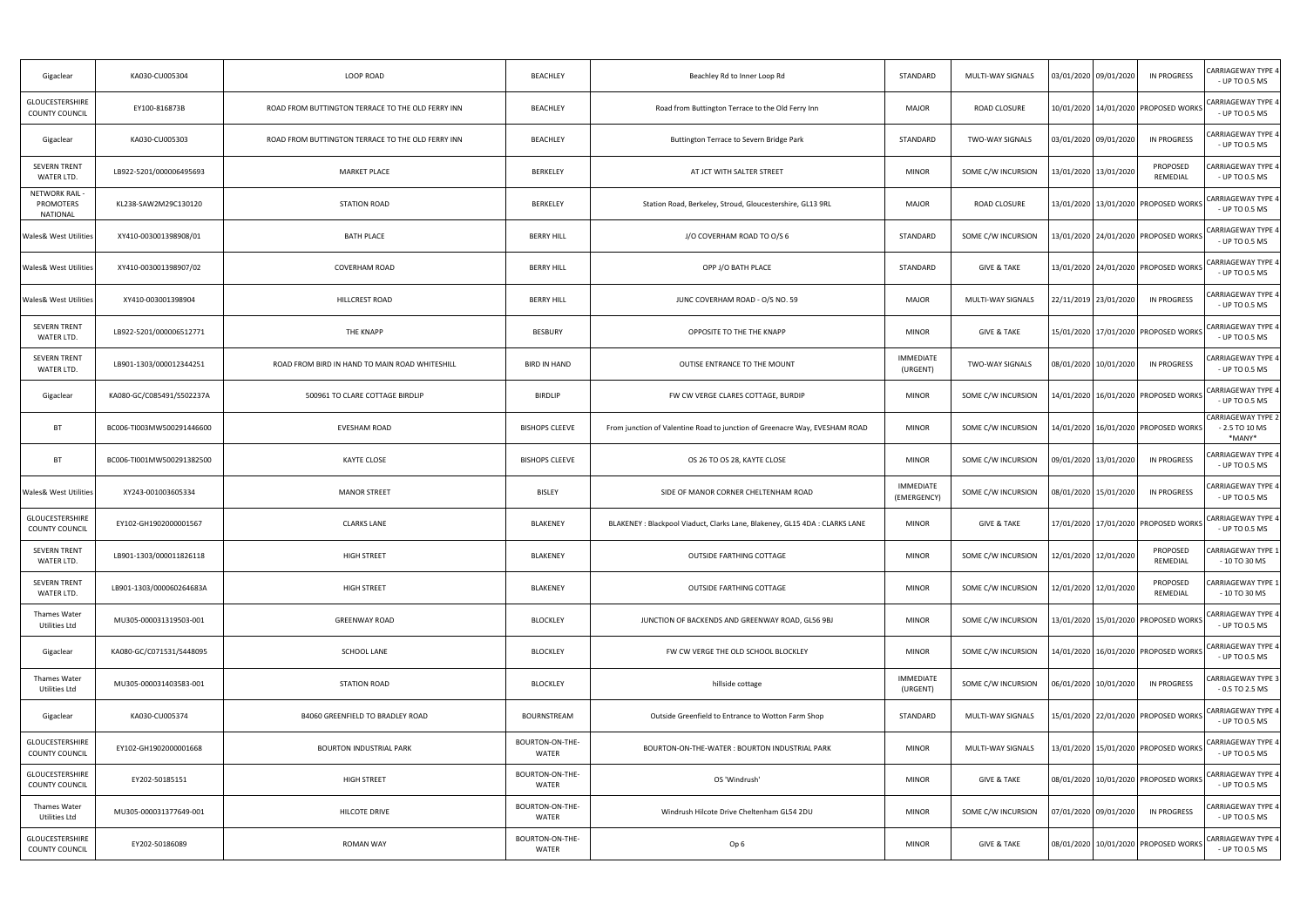| Gigaclear                                      | KA030-CU005304            | LOOP ROAD                                         | <b>BEACHLEY</b>          | Beachley Rd to Inner Loop Rd                                                | STANDARD                        | MULTI-WAY SIGNALS      | 03/01/2020 09/01/2020                    | IN PROGRESS          | CARRIAGEWAY TYPE 4<br>- UP TO 0.5 MS                  |
|------------------------------------------------|---------------------------|---------------------------------------------------|--------------------------|-----------------------------------------------------------------------------|---------------------------------|------------------------|------------------------------------------|----------------------|-------------------------------------------------------|
| <b>GLOUCESTERSHIRE</b><br>COUNTY COUNCIL       | EY100-816873B             | ROAD FROM BUTTINGTON TERRACE TO THE OLD FERRY INN | <b>BEACHLEY</b>          | Road from Buttington Terrace to the Old Ferry Inn                           | <b>MAJOR</b>                    | ROAD CLOSURE           | 10/01/2020 14/01/2020 PROPOSED WORKS     |                      | <b>CARRIAGEWAY TYPE 4</b><br>- UP TO 0.5 MS           |
| Gigaclear                                      | KA030-CU005303            | ROAD FROM BUTTINGTON TERRACE TO THE OLD FERRY INN | <b>BEACHLEY</b>          | Buttington Terrace to Severn Bridge Park                                    | STANDARD                        | <b>TWO-WAY SIGNALS</b> | 03/01/2020 09/01/2020                    | IN PROGRESS          | CARRIAGEWAY TYPE 4<br>- UP TO 0.5 MS                  |
| <b>SEVERN TRENT</b><br>WATER LTD.              | LB922-5201/000006495693   | <b>MARKET PLACE</b>                               | BERKELEY                 | AT JCT WITH SALTER STREET                                                   | <b>MINOR</b>                    | SOME C/W INCURSION     | 13/01/2020 13/01/2020                    | PROPOSED<br>REMEDIAL | CARRIAGEWAY TYPE 4<br>- UP TO 0.5 MS                  |
| NETWORK RAIL -<br>PROMOTERS<br><b>NATIONAL</b> | KL238-SAW2M29C130120      | <b>STATION ROAD</b>                               | BERKELEY                 | Station Road, Berkeley, Stroud, Gloucestershire, GL13 9RL                   | <b>MAJOR</b>                    | ROAD CLOSURE           | 13/01/2020 13/01/2020 PROPOSED WORKS     |                      | CARRIAGEWAY TYPE 4<br>- UP TO 0.5 MS                  |
| <b>Wales&amp; West Utilities</b>               | XY410-003001398908/01     | <b>BATH PLACE</b>                                 | <b>BERRY HILL</b>        | J/O COVERHAM ROAD TO O/S 6                                                  | STANDARD                        | SOME C/W INCURSION     | 13/01/2020 24/01/2020 PROPOSED WORKS     |                      | CARRIAGEWAY TYPE 4<br>- UP TO 0.5 MS                  |
| <b>Wales&amp; West Utilities</b>               | XY410-003001398907/02     | <b>COVERHAM ROAD</b>                              | <b>BERRY HILL</b>        | OPP J/O BATH PLACE                                                          | STANDARD                        | <b>GIVE &amp; TAKE</b> | 13/01/2020 24/01/2020 PROPOSED WORKS     |                      | CARRIAGEWAY TYPE 4<br>- UP TO 0.5 MS                  |
| <b>Wales&amp; West Utilities</b>               | XY410-003001398904        | HILLCREST ROAD                                    | <b>BERRY HILL</b>        | JUNC COVERHAM ROAD - O/S NO. 59                                             | <b>MAJOR</b>                    | MULTI-WAY SIGNALS      | 22/11/2019   23/01/2020                  | <b>IN PROGRESS</b>   | CARRIAGEWAY TYPE 4<br>- UP TO 0.5 MS                  |
| <b>SEVERN TRENT</b><br>WATER LTD.              | LB922-5201/000006512771   | THE KNAPP                                         | BESBURY                  | OPPOSITE TO THE THE KNAPP                                                   | <b>MINOR</b>                    | <b>GIVE &amp; TAKE</b> | 15/01/2020 17/01/2020 PROPOSED WORKS     |                      | <b>CARRIAGEWAY TYPE 4</b><br>- UP TO 0.5 MS           |
| SEVERN TRENT<br>WATER LTD.                     | LB901-1303/000012344251   | ROAD FROM BIRD IN HAND TO MAIN ROAD WHITESHILL    | <b>BIRD IN HAND</b>      | OUTISE ENTRANCE TO THE MOUNT                                                | <b>IMMEDIATE</b><br>(URGENT)    | <b>TWO-WAY SIGNALS</b> | 08/01/2020 10/01/2020                    | <b>IN PROGRESS</b>   | CARRIAGEWAY TYPE 4<br>- UP TO 0.5 MS                  |
| Gigaclear                                      | KA080-GC/C085491/S502237A | 500961 TO CLARE COTTAGE BIRDLIP                   | <b>BIRDLIP</b>           | FW CW VERGE CLARES COTTAGE, BURDIP                                          | <b>MINOR</b>                    | SOME C/W INCURSION     | 14/01/2020 16/01/2020 PROPOSED WORKS     |                      | <b>CARRIAGEWAY TYPE 4</b><br>- UP TO 0.5 MS           |
| <b>BT</b>                                      | BC006-TI003MW500291446600 | EVESHAM ROAD                                      | <b>BISHOPS CLEEVE</b>    | From junction of Valentine Road to junction of Greenacre Way, EVESHAM ROAD  | <b>MINOR</b>                    | SOME C/W INCURSION     | .4/01/2020   16/01/2020   PROPOSED WORKS |                      | <b>CARRIAGEWAY TYPE 2</b><br>- 2.5 TO 10 MS<br>*MANY* |
| <b>BT</b>                                      | BC006-TI001MW500291382500 | <b>KAYTE CLOSE</b>                                | <b>BISHOPS CLEEVE</b>    | OS 26 TO OS 28, KAYTE CLOSE                                                 | <b>MINOR</b>                    | SOME C/W INCURSION     | 09/01/2020 13/01/2020                    | IN PROGRESS          | CARRIAGEWAY TYPE 4<br>- UP TO 0.5 MS                  |
| <b>Wales&amp; West Utilities</b>               | XY243-001003605334        | <b>MANOR STREET</b>                               | BISLEY                   | SIDE OF MANOR CORNER CHELTENHAM ROAD                                        | <b>IMMEDIATE</b><br>(EMERGENCY) | SOME C/W INCURSION     | 08/01/2020 15/01/2020                    | IN PROGRESS          | CARRIAGEWAY TYPE 4<br>- UP TO 0.5 MS                  |
| GLOUCESTERSHIRE<br>COUNTY COUNCIL              | EY102-GH1902000001567     | <b>CLARKS LANE</b>                                | BLAKENEY                 | BLAKENEY : Blackpool Viaduct, Clarks Lane, Blakeney, GL15 4DA : CLARKS LANE | <b>MINOR</b>                    | <b>GIVE &amp; TAKE</b> | 17/01/2020 17/01/2020 PROPOSED WORKS     |                      | <b>CARRIAGEWAY TYPE 4</b><br>- UP TO 0.5 MS           |
| <b>SEVERN TRENT</b><br>WATER LTD.              | LB901-1303/000011826118   | HIGH STREET                                       | <b>BLAKENEY</b>          | OUTSIDE FARTHING COTTAGE                                                    | <b>MINOR</b>                    | SOME C/W INCURSION     | 12/01/2020 12/01/2020                    | PROPOSED<br>REMEDIAL | CARRIAGEWAY TYPE 1<br>$-10$ TO 30 MS                  |
| SEVERN TRENT<br>WATER LTD.                     | LB901-1303/000060264683A  | <b>HIGH STREET</b>                                | BLAKENEY                 | OUTSIDE FARTHING COTTAGE                                                    | <b>MINOR</b>                    | SOME C/W INCURSION     | 12/01/2020 12/01/2020                    | PROPOSED<br>REMEDIAL | CARRIAGEWAY TYPE 1<br>- 10 TO 30 MS                   |
| Thames Water<br>Utilities Ltd                  | MU305-000031319503-001    | <b>GREENWAY ROAD</b>                              | <b>BLOCKLEY</b>          | JUNCTION OF BACKENDS AND GREENWAY ROAD, GL56 9BJ                            | <b>MINOR</b>                    | SOME C/W INCURSION     | 13/01/2020 15/01/2020 PROPOSED WORKS     |                      | <b>CARRIAGEWAY TYPE 4</b><br>- UP TO 0.5 MS           |
| Gigaclear                                      | KA080-GC/C071531/S448095  | SCHOOL LANE                                       | <b>BLOCKLEY</b>          | FW CW VERGE THE OLD SCHOOL BLOCKLEY                                         | <b>MINOR</b>                    | SOME C/W INCURSION     | 14/01/2020 16/01/2020 PROPOSED WORKS     |                      | <b>CARRIAGEWAY TYPE 4</b><br>- UP TO 0.5 MS           |
| Thames Water<br>Utilities Ltd                  | MU305-000031403583-001    | <b>STATION ROAD</b>                               | <b>BLOCKLEY</b>          | hillside cottage                                                            | <b>IMMEDIATE</b><br>(URGENT)    | SOME C/W INCURSION     | 06/01/2020 10/01/2020                    | IN PROGRESS          | CARRIAGEWAY TYPE 3<br>$-0.5$ TO 2.5 MS                |
| Gigaclear                                      | KA030-CU005374            | B4060 GREENFIELD TO BRADLEY ROAD                  | <b>BOURNSTREAM</b>       | Outside Greenfield to Entrance to Wotton Farm Shop                          | STANDARD                        | MULTI-WAY SIGNALS      | 15/01/2020 22/01/2020 PROPOSED WORKS     |                      | CARRIAGEWAY TYPE 4<br>- UP TO 0.5 MS                  |
| GLOUCESTERSHIRE<br><b>COUNTY COUNCIL</b>       | EY102-GH1902000001668     | <b>BOURTON INDUSTRIAL PARK</b>                    | BOURTON-ON-THE-<br>WATER | BOURTON-ON-THE-WATER: BOURTON INDUSTRIAL PARK                               | <b>MINOR</b>                    | MULTI-WAY SIGNALS      | 13/01/2020 15/01/2020 PROPOSED WORKS     |                      | CARRIAGEWAY TYPE 4<br>- UP TO 0.5 MS                  |
| GLOUCESTERSHIRE<br><b>COUNTY COUNCIL</b>       | EY202-50185151            | HIGH STREET                                       | BOURTON-ON-THE-<br>WATER | OS 'Windrush'                                                               | <b>MINOR</b>                    | <b>GIVE &amp; TAKE</b> | 08/01/2020 10/01/2020 PROPOSED WORKS     |                      | <b>CARRIAGEWAY TYPE 4</b><br>- UP TO 0.5 MS           |
| Thames Water<br>Utilities Ltd                  | MU305-000031377649-001    | HILCOTE DRIVE                                     | BOURTON-ON-THE-<br>WATER | Windrush Hilcote Drive Cheltenham GL54 2DU                                  | <b>MINOR</b>                    | SOME C/W INCURSION     | 07/01/2020 09/01/2020                    | <b>IN PROGRESS</b>   | CARRIAGEWAY TYPE 4<br>- UP TO 0.5 MS                  |
| GLOUCESTERSHIRE<br><b>COUNTY COUNCIL</b>       | EY202-50186089            | <b>ROMAN WAY</b>                                  | BOURTON-ON-THE-<br>WATER | Op 6                                                                        | <b>MINOR</b>                    | <b>GIVE &amp; TAKE</b> | 08/01/2020 10/01/2020 PROPOSED WORKS     |                      | <b>CARRIAGEWAY TYPE 4</b><br>- UP TO 0.5 MS           |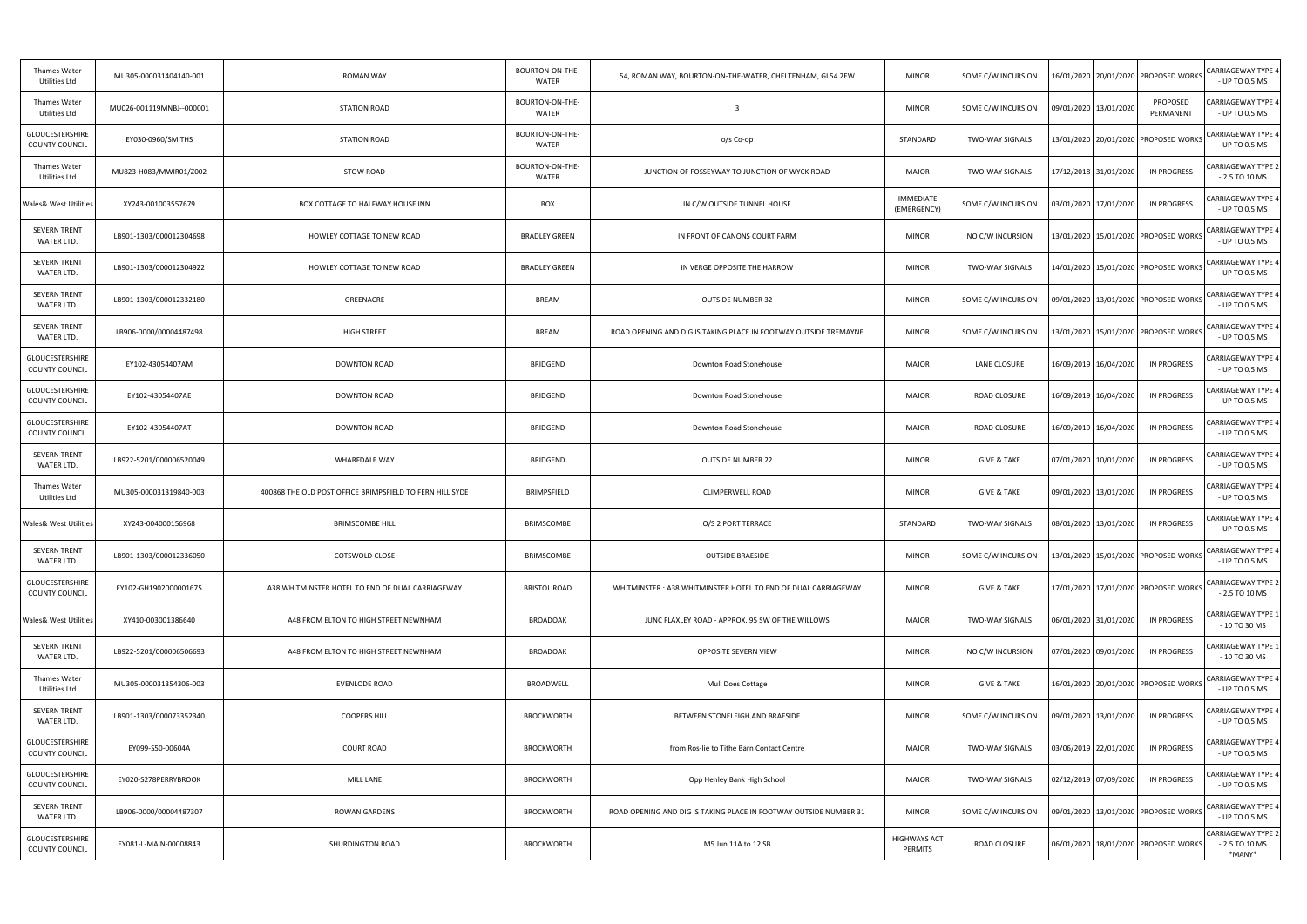| <b>Thames Water</b><br>Utilities Ltd            | MU305-000031404140-001   | <b>ROMAN WAY</b>                                         | BOURTON-ON-THE-<br>WATER | 54, ROMAN WAY, BOURTON-ON-THE-WATER, CHELTENHAM, GL54 2EW         | <b>MINOR</b>                    | SOME C/W INCURSION     | 16/01/2020   20/01/2020   PROPOSED WORKS |                       | <b>CARRIAGEWAY TYPE 4</b><br>- UP TO 0.5 MS            |
|-------------------------------------------------|--------------------------|----------------------------------------------------------|--------------------------|-------------------------------------------------------------------|---------------------------------|------------------------|------------------------------------------|-----------------------|--------------------------------------------------------|
| Thames Water<br>Utilities Ltd                   | MU026-001119MNBJ--000001 | <b>STATION ROAD</b>                                      | BOURTON-ON-THE-<br>WATER | $\overline{\mathbf{3}}$                                           | <b>MINOR</b>                    | SOME C/W INCURSION     | 09/01/2020 13/01/2020                    | PROPOSED<br>PERMANENT | CARRIAGEWAY TYPE 4<br>- UP TO 0.5 MS                   |
| GLOUCESTERSHIRE<br><b>COUNTY COUNCIL</b>        | EY030-0960/SMITHS        | <b>STATION ROAD</b>                                      | BOURTON-ON-THE-<br>WATER | o/s Co-op                                                         | STANDARD                        | TWO-WAY SIGNALS        | 13/01/2020 20/01/2020 PROPOSED WORKS     |                       | <b>CARRIAGEWAY TYPE 4</b><br>- UP TO 0.5 MS            |
| Thames Water<br>Utilities Ltd                   | MU823-H083/MWIR01/Z002   | STOW ROAD                                                | BOURTON-ON-THE-<br>WATER | JUNCTION OF FOSSEYWAY TO JUNCTION OF WYCK ROAD                    | <b>MAJOR</b>                    | <b>TWO-WAY SIGNALS</b> | 17/12/2018 31/01/2020                    | <b>IN PROGRESS</b>    | <b>CARRIAGEWAY TYPE 2</b><br>$-2.5$ TO 10 MS           |
| <b>Wales&amp; West Utilities</b>                | XY243-001003557679       | BOX COTTAGE TO HALFWAY HOUSE INN                         | <b>BOX</b>               | IN C/W OUTSIDE TUNNEL HOUSE                                       | <b>IMMEDIATE</b><br>(EMERGENCY) | SOME C/W INCURSION     | 03/01/2020   17/01/2020                  | IN PROGRESS           | CARRIAGEWAY TYPE 4<br>- UP TO 0.5 MS                   |
| <b>SEVERN TRENT</b><br>WATER LTD.               | LB901-1303/000012304698  | HOWLEY COTTAGE TO NEW ROAD                               | <b>BRADLEY GREEN</b>     | IN FRONT OF CANONS COURT FARM                                     | <b>MINOR</b>                    | NO C/W INCURSION       | 13/01/2020   15/01/2020   PROPOSED WORKS |                       | CARRIAGEWAY TYPE 4<br>- UP TO 0.5 MS                   |
| SEVERN TRENT<br>WATER LTD.                      | LB901-1303/000012304922  | HOWLEY COTTAGE TO NEW ROAD                               | <b>BRADLEY GREEN</b>     | IN VERGE OPPOSITE THE HARROW                                      | <b>MINOR</b>                    | TWO-WAY SIGNALS        | 14/01/2020 15/01/2020 PROPOSED WORKS     |                       | CARRIAGEWAY TYPE 4<br>- UP TO 0.5 MS                   |
| <b>SEVERN TRENT</b><br>WATER LTD.               | LB901-1303/000012332180  | GREENACRE                                                | BREAM                    | <b>OUTSIDE NUMBER 32</b>                                          | <b>MINOR</b>                    | SOME C/W INCURSION     | 09/01/2020   13/01/2020   PROPOSED WORKS |                       | <b>CARRIAGEWAY TYPE 4</b><br>- UP TO 0.5 MS            |
| <b>SEVERN TRENT</b><br>WATER LTD.               | LB906-0000/00004487498   | HIGH STREET                                              | BREAM                    | ROAD OPENING AND DIG IS TAKING PLACE IN FOOTWAY OUTSIDE TREMAYNE  | <b>MINOR</b>                    | SOME C/W INCURSION     | 13/01/2020   15/01/2020   PROPOSED WORKS |                       | <b>CARRIAGEWAY TYPE 4</b><br>- UP TO 0.5 MS            |
| GLOUCESTERSHIRE<br><b>COUNTY COUNCIL</b>        | EY102-43054407AM         | <b>DOWNTON ROAD</b>                                      | <b>BRIDGEND</b>          | Downton Road Stonehouse                                           | <b>MAJOR</b>                    | LANE CLOSURE           | 16/09/2019 16/04/2020                    | IN PROGRESS           | CARRIAGEWAY TYPE 4<br>- UP TO 0.5 MS                   |
| GLOUCESTERSHIRE<br><b>COUNTY COUNCIL</b>        | EY102-43054407AE         | <b>DOWNTON ROAD</b>                                      | <b>BRIDGEND</b>          | Downton Road Stonehouse                                           | <b>MAJOR</b>                    | ROAD CLOSURE           | 16/09/2019 16/04/2020                    | IN PROGRESS           | CARRIAGEWAY TYPE 4<br>- UP TO 0.5 MS                   |
| GLOUCESTERSHIRE<br><b>COUNTY COUNCIL</b>        | EY102-43054407AT         | <b>DOWNTON ROAD</b>                                      | <b>BRIDGEND</b>          | Downton Road Stonehouse                                           | <b>MAJOR</b>                    | ROAD CLOSURE           | 16/09/2019 16/04/2020                    | IN PROGRESS           | CARRIAGEWAY TYPE 4<br>- UP TO 0.5 MS                   |
| <b>SEVERN TRENT</b><br>WATER LTD.               | LB922-5201/000006520049  | WHARFDALE WAY                                            | <b>BRIDGEND</b>          | <b>OUTSIDE NUMBER 22</b>                                          | <b>MINOR</b>                    | <b>GIVE &amp; TAKE</b> | 07/01/2020 10/01/2020                    | IN PROGRESS           | CARRIAGEWAY TYPE 4<br>- UP TO 0.5 MS                   |
| Thames Water<br>Utilities Ltd                   | MU305-000031319840-003   | 400868 THE OLD POST OFFICE BRIMPSFIELD TO FERN HILL SYDE | BRIMPSFIELD              | <b>CLIMPERWELL ROAD</b>                                           | <b>MINOR</b>                    | <b>GIVE &amp; TAKE</b> | 09/01/2020 13/01/2020                    | IN PROGRESS           | CARRIAGEWAY TYPE 4<br>- UP TO 0.5 MS                   |
| Wales& West Utilities                           | XY243-004000156968       | <b>BRIMSCOMBE HILL</b>                                   | <b>BRIMSCOMBE</b>        | O/S 2 PORT TERRACE                                                | STANDARD                        | TWO-WAY SIGNALS        | 08/01/2020 13/01/2020                    | <b>IN PROGRESS</b>    | CARRIAGEWAY TYPE 4<br>- UP TO 0.5 MS                   |
| <b>SEVERN TRENT</b><br>WATER LTD.               | LB901-1303/000012336050  | COTSWOLD CLOSE                                           | <b>BRIMSCOMBE</b>        | <b>OUTSIDE BRAESIDE</b>                                           | <b>MINOR</b>                    | SOME C/W INCURSION     | 13/01/2020 15/01/2020 PROPOSED WORKS     |                       | CARRIAGEWAY TYPE 4<br>- UP TO 0.5 MS                   |
| <b>GLOUCESTERSHIRE</b><br><b>COUNTY COUNCIL</b> | EY102-GH1902000001675    | A38 WHITMINSTER HOTEL TO END OF DUAL CARRIAGEWAY         | <b>BRISTOL ROAD</b>      | WHITMINSTER: A38 WHITMINSTER HOTEL TO END OF DUAL CARRIAGEWAY     | <b>MINOR</b>                    | <b>GIVE &amp; TAKE</b> | 17/01/2020 17/01/2020 PROPOSED WORKS     |                       | <b>CARRIAGEWAY TYPE 2</b><br>$-2.5$ TO 10 MS           |
| Wales& West Utilities                           | XY410-003001386640       | A48 FROM ELTON TO HIGH STREET NEWNHAM                    | <b>BROADOAK</b>          | JUNC FLAXLEY ROAD - APPROX. 95 SW OF THE WILLOWS                  | <b>MAJOR</b>                    | TWO-WAY SIGNALS        | 06/01/2020 31/01/2020                    | IN PROGRESS           | CARRIAGEWAY TYPE 1<br>- 10 TO 30 MS                    |
| <b>SEVERN TRENT</b><br>WATER LTD.               | LB922-5201/000006506693  | A48 FROM ELTON TO HIGH STREET NEWNHAM                    | <b>BROADOAK</b>          | OPPOSITE SEVERN VIEW                                              | <b>MINOR</b>                    | NO C/W INCURSION       | 07/01/2020 09/01/2020                    | <b>IN PROGRESS</b>    | CARRIAGEWAY TYPE 1<br>- 10 TO 30 MS                    |
| Thames Water<br>Utilities Ltd                   | MU305-000031354306-003   | EVENLODE ROAD                                            | BROADWELL                | Mull Does Cottage                                                 | <b>MINOR</b>                    | <b>GIVE &amp; TAKE</b> | 16/01/2020 20/01/2020 PROPOSED WORKS     |                       | CARRIAGEWAY TYPE 4<br>- UP TO 0.5 MS                   |
| SEVERN TRENT<br>WATER LTD.                      | LB901-1303/000073352340  | <b>COOPERS HILL</b>                                      | <b>BROCKWORTH</b>        | BETWEEN STONELEIGH AND BRAESIDE                                   | <b>MINOR</b>                    | SOME C/W INCURSION     | 09/01/2020 13/01/2020                    | IN PROGRESS           | CARRIAGEWAY TYPE 4<br>- UP TO 0.5 MS                   |
| GLOUCESTERSHIRE<br>COUNTY COUNCIL               | EY099-S50-00604A         | <b>COURT ROAD</b>                                        | <b>BROCKWORTH</b>        | from Ros-lie to Tithe Barn Contact Centre                         | <b>MAJOR</b>                    | TWO-WAY SIGNALS        | 03/06/2019 22/01/2020                    | <b>IN PROGRESS</b>    | CARRIAGEWAY TYPE 4<br>- UP TO 0.5 MS                   |
| GLOUCESTERSHIRE<br>COUNTY COUNCIL               | EY020-S278PERRYBROOK     | <b>MILL LANE</b>                                         | <b>BROCKWORTH</b>        | Opp Henley Bank High School                                       | MAJOR                           | TWO-WAY SIGNALS        | 02/12/2019 07/09/2020                    | IN PROGRESS           | CARRIAGEWAY TYPE 4<br>- UP TO 0.5 MS                   |
| <b>SEVERN TRENT</b><br>WATER LTD.               | LB906-0000/00004487307   | ROWAN GARDENS                                            | <b>BROCKWORTH</b>        | ROAD OPENING AND DIG IS TAKING PLACE IN FOOTWAY OUTSIDE NUMBER 31 | <b>MINOR</b>                    | SOME C/W INCURSION     | 09/01/2020 13/01/2020 PROPOSED WORKS     |                       | <b>CARRIAGEWAY TYPE 4</b><br>- UP TO 0.5 MS            |
| GLOUCESTERSHIRE<br><b>COUNTY COUNCIL</b>        | EY081-L-MAIN-00008843    | SHURDINGTON ROAD                                         | <b>BROCKWORTH</b>        | M5 Jun 11A to 12 SB                                               | <b>HIGHWAYS ACT</b><br>PERMITS  | ROAD CLOSURE           | 06/01/2020 18/01/2020 PROPOSED WORKS     |                       | <b>CARRIAGEWAY TYPE 2</b><br>$-2.5$ TO 10 MS<br>*MANY* |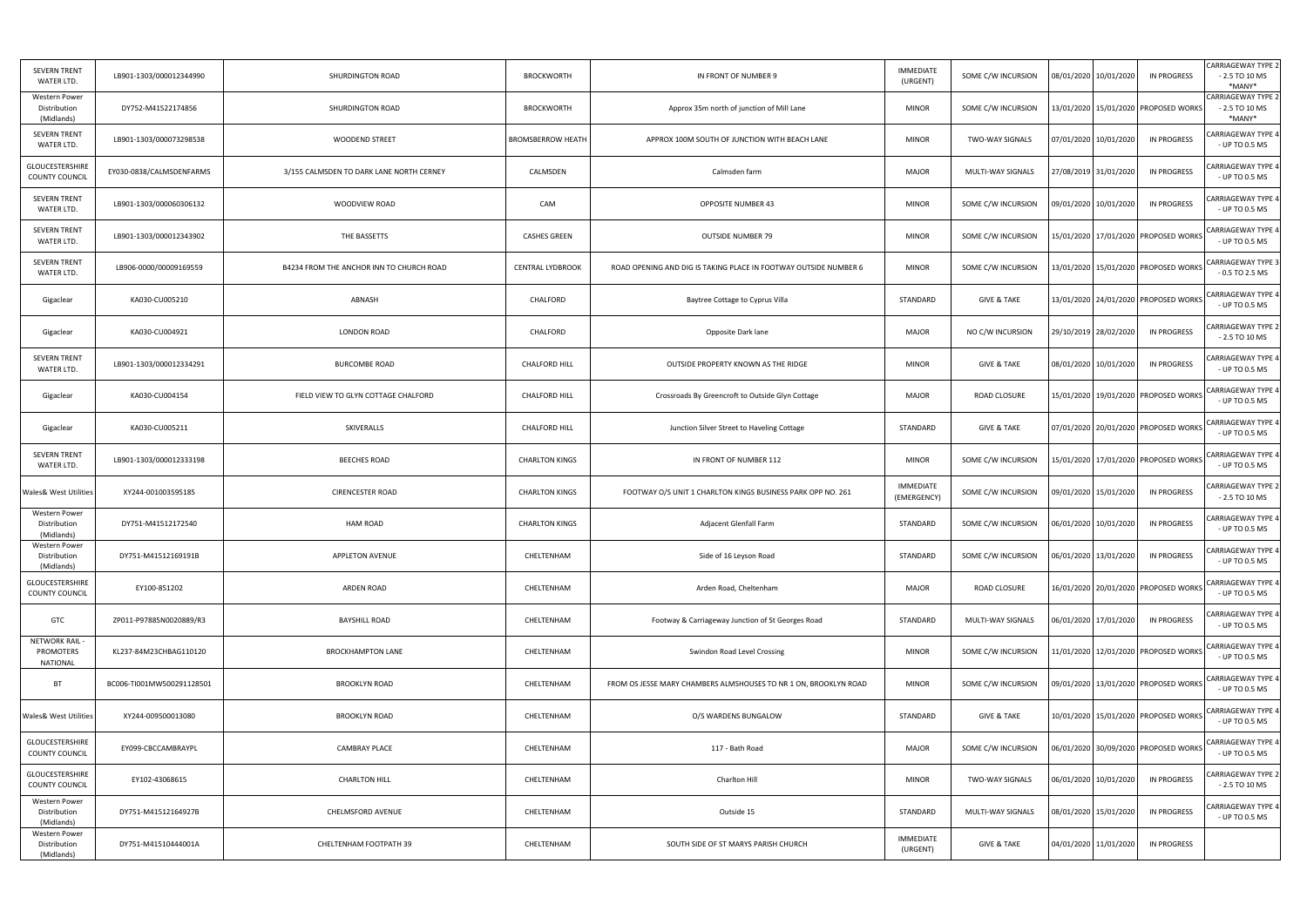| <b>SEVERN TRENT</b><br>WATER LTD.            | LB901-1303/000012344990   | SHURDINGTON ROAD                         | <b>BROCKWORTH</b>        | IN FRONT OF NUMBER 9                                             | <b>IMMEDIATE</b><br>(URGENT)    | SOME C/W INCURSION     | 08/01/2020 10/01/2020<br><b>IN PROGRESS</b> | <b>CARRIAGEWAY TYPE 2</b><br>$-2.5$ TO 10 MS<br>*MANY* |
|----------------------------------------------|---------------------------|------------------------------------------|--------------------------|------------------------------------------------------------------|---------------------------------|------------------------|---------------------------------------------|--------------------------------------------------------|
| Western Power<br>Distribution<br>(Midlands)  | DY752-M41522174856        | SHURDINGTON ROAD                         | <b>BROCKWORTH</b>        | Approx 35m north of junction of Mill Lane                        | <b>MINOR</b>                    | SOME C/W INCURSION     | 13/01/2020 15/01/2020 PROPOSED WORKS        | <b>CARRIAGEWAY TYPE 2</b><br>$-2.5$ TO 10 MS<br>*MANY* |
| <b>SEVERN TRENT</b><br>WATER LTD.            | LB901-1303/000073298538   | <b>WOODEND STREET</b>                    | <b>BROMSBERROW HEATH</b> | APPROX 100M SOUTH OF JUNCTION WITH BEACH LANE                    | <b>MINOR</b>                    | <b>TWO-WAY SIGNALS</b> | 07/01/2020 10/01/2020<br>IN PROGRESS        | CARRIAGEWAY TYPE 4<br>- UP TO 0.5 MS                   |
| GLOUCESTERSHIRE<br>COUNTY COUNCIL            | EY030-0838/CALMSDENFARMS  | 3/155 CALMSDEN TO DARK LANE NORTH CERNEY | CALMSDEN                 | Calmsden farm                                                    | <b>MAJOR</b>                    | MULTI-WAY SIGNALS      | 27/08/2019 31/01/2020<br><b>IN PROGRESS</b> | <b>CARRIAGEWAY TYPE 4</b><br>- UP TO 0.5 MS            |
| <b>SEVERN TRENT</b><br>WATER LTD.            | LB901-1303/000060306132   | WOODVIEW ROAD                            | CAM                      | <b>OPPOSITE NUMBER 43</b>                                        | <b>MINOR</b>                    | SOME C/W INCURSION     | <b>IN PROGRESS</b><br>09/01/2020 10/01/2020 | CARRIAGEWAY TYPE 4<br>- UP TO 0.5 MS                   |
| <b>SEVERN TRENT</b><br>WATER LTD.            | LB901-1303/000012343902   | THE BASSETTS                             | <b>CASHES GREEN</b>      | <b>OUTSIDE NUMBER 79</b>                                         | <b>MINOR</b>                    | SOME C/W INCURSION     | L5/01/2020   17/01/2020   PROPOSED WORKS    | CARRIAGEWAY TYPE 4<br>- UP TO 0.5 MS                   |
| <b>SEVERN TRENT</b><br>WATER LTD.            | LB906-0000/00009169559    | B4234 FROM THE ANCHOR INN TO CHURCH ROAD | <b>CENTRAL LYDBROOK</b>  | ROAD OPENING AND DIG IS TAKING PLACE IN FOOTWAY OUTSIDE NUMBER 6 | <b>MINOR</b>                    | SOME C/W INCURSION     | 13/01/2020   15/01/2020   PROPOSED WORKS    | CARRIAGEWAY TYPE 3<br>$-0.5$ TO 2.5 MS                 |
| Gigaclear                                    | KA030-CU005210            | ABNASH                                   | CHALFORD                 | Baytree Cottage to Cyprus Villa                                  | STANDARD                        | <b>GIVE &amp; TAKE</b> | 13/01/2020 24/01/2020 PROPOSED WORKS        | <b>CARRIAGEWAY TYPE 4</b><br>- UP TO 0.5 MS            |
| Gigaclear                                    | KA030-CU004921            | <b>LONDON ROAD</b>                       | CHALFORD                 | Opposite Dark lane                                               | <b>MAJOR</b>                    | NO C/W INCURSION       | 29/10/2019 28/02/2020<br>IN PROGRESS        | CARRIAGEWAY TYPE 2<br>$-2.5$ TO 10 MS                  |
| <b>SEVERN TRENT</b><br>WATER LTD.            | LB901-1303/000012334291   | <b>BURCOMBE ROAD</b>                     | <b>CHALFORD HILL</b>     | OUTSIDE PROPERTY KNOWN AS THE RIDGE                              | <b>MINOR</b>                    | <b>GIVE &amp; TAKE</b> | IN PROGRESS<br>08/01/2020 10/01/2020        | CARRIAGEWAY TYPE 4<br>- UP TO 0.5 MS                   |
| Gigaclear                                    | KA030-CU004154            | FIELD VIEW TO GLYN COTTAGE CHALFORD      | <b>CHALFORD HILL</b>     | Crossroads By Greencroft to Outside Glyn Cottage                 | <b>MAJOR</b>                    | ROAD CLOSURE           | 15/01/2020 19/01/2020 PROPOSED WORKS        | <b>CARRIAGEWAY TYPE 4</b><br>- UP TO 0.5 MS            |
| Gigaclear                                    | KA030-CU005211            | SKIVERALLS                               | <b>CHALFORD HILL</b>     | Junction Silver Street to Haveling Cottage                       | STANDARD                        | <b>GIVE &amp; TAKE</b> | 07/01/2020 20/01/2020 PROPOSED WORKS        | <b>CARRIAGEWAY TYPE 4</b><br>- UP TO 0.5 MS            |
| <b>SEVERN TRENT</b><br>WATER LTD.            | LB901-1303/000012333198   | <b>BEECHES ROAD</b>                      | <b>CHARLTON KINGS</b>    | IN FRONT OF NUMBER 112                                           | <b>MINOR</b>                    | SOME C/W INCURSION     | 15/01/2020   17/01/2020   PROPOSED WORKS    | CARRIAGEWAY TYPE 4<br>- UP TO 0.5 MS                   |
| <b>Wales&amp; West Utilities</b>             | XY244-001003595185        | <b>CIRENCESTER ROAD</b>                  | <b>CHARLTON KINGS</b>    | FOOTWAY O/S UNIT 1 CHARLTON KINGS BUSINESS PARK OPP NO. 261      | <b>IMMEDIATE</b><br>(EMERGENCY) | SOME C/W INCURSION     | IN PROGRESS<br>09/01/2020 15/01/2020        | CARRIAGEWAY TYPE 2<br>$-2.5$ TO 10 MS                  |
| Western Power<br>Distribution<br>(Midlands)  | DY751-M41512172540        | HAM ROAD                                 | <b>CHARLTON KINGS</b>    | Adjacent Glenfall Farm                                           | STANDARD                        | SOME C/W INCURSION     | <b>IN PROGRESS</b><br>06/01/2020 10/01/2020 | CARRIAGEWAY TYPE 4<br>- UP TO 0.5 MS                   |
| Western Power<br>Distribution<br>(Midlands)  | DY751-M41512169191B       | <b>APPLETON AVENUE</b>                   | CHELTENHAM               | Side of 16 Leyson Road                                           | STANDARD                        | SOME C/W INCURSION     | 06/01/2020 13/01/2020<br>IN PROGRESS        | ARRIAGEWAY TYPE 4<br>- UP TO 0.5 MS                    |
| GLOUCESTERSHIRE<br>COUNTY COUNCIL            | EY100-851202              | ARDEN ROAD                               | CHELTENHAM               | Arden Road, Cheltenham                                           | <b>MAJOR</b>                    | ROAD CLOSURE           | 16/01/2020 20/01/2020 PROPOSED WORKS        | <b>CARRIAGEWAY TYPE 4</b><br>- UP TO 0.5 MS            |
| <b>GTC</b>                                   | ZP011-P97885N0020889/R3   | <b>BAYSHILL ROAD</b>                     | CHELTENHAM               | Footway & Carriageway Junction of St Georges Road                | STANDARD                        | MULTI-WAY SIGNALS      | <b>IN PROGRESS</b><br>06/01/2020 17/01/2020 | <b>CARRIAGEWAY TYPE 4</b><br>- UP TO 0.5 MS            |
| <b>NETWORK RAIL</b><br>PROMOTERS<br>NATIONAL | KL237-84M23CHBAG110120    | <b>BROCKHAMPTON LANE</b>                 | CHELTENHAM               | Swindon Road Level Crossing                                      | <b>MINOR</b>                    | SOME C/W INCURSION     | 11/01/2020 12/01/2020 PROPOSED WORKS        | <b>CARRIAGEWAY TYPE 4</b><br>- UP TO 0.5 MS            |
| <b>BT</b>                                    | BC006-TI001MW500291128501 | <b>BROOKLYN ROAD</b>                     | CHELTENHAM               | FROM OS JESSE MARY CHAMBERS ALMSHOUSES TO NR 1 ON, BROOKLYN ROAD | <b>MINOR</b>                    | SOME C/W INCURSION     | 09/01/2020 13/01/2020 PROPOSED WORKS        | CARRIAGEWAY TYPE 4<br>- UP TO 0.5 MS                   |
| <b>Wales&amp; West Utilities</b>             | XY244-009500013080        | <b>BROOKLYN ROAD</b>                     | CHELTENHAM               | O/S WARDENS BUNGALOW                                             | STANDARD                        | <b>GIVE &amp; TAKE</b> | 10/01/2020 15/01/2020 PROPOSED WORKS        | CARRIAGEWAY TYPE 4<br>- UP TO 0.5 MS                   |
| GLOUCESTERSHIRE<br>COUNTY COUNCIL            | EY099-CBCCAMBRAYPL        | <b>CAMBRAY PLACE</b>                     | CHELTENHAM               | 117 - Bath Road                                                  | <b>MAJOR</b>                    | SOME C/W INCURSION     | 06/01/2020 30/09/2020 PROPOSED WORKS        | <b>CARRIAGEWAY TYPE 4</b><br>- UP TO 0.5 MS            |
| GLOUCESTERSHIRE<br>COUNTY COUNCIL            | EY102-43068615            | <b>CHARLTON HILL</b>                     | CHELTENHAM               | Charlton Hill                                                    | <b>MINOR</b>                    | <b>TWO-WAY SIGNALS</b> | <b>IN PROGRESS</b><br>06/01/2020 10/01/2020 | CARRIAGEWAY TYPE 2<br>$-2.5$ TO 10 MS                  |
| Western Power<br>Distribution<br>(Midlands)  | DY751-M41512164927B       | CHELMSFORD AVENUE                        | CHELTENHAM               | Outside 15                                                       | STANDARD                        | MULTI-WAY SIGNALS      | 08/01/2020 15/01/2020<br><b>IN PROGRESS</b> | CARRIAGEWAY TYPE 4<br>- UP TO 0.5 MS                   |
| Western Power<br>Distribution<br>(Midlands)  | DY751-M41510444001A       | CHELTENHAM FOOTPATH 39                   | CHELTENHAM               | SOUTH SIDE OF ST MARYS PARISH CHURCH                             | IMMEDIATE<br>(URGENT)           | <b>GIVE &amp; TAKE</b> | 04/01/2020 11/01/2020<br><b>IN PROGRESS</b> |                                                        |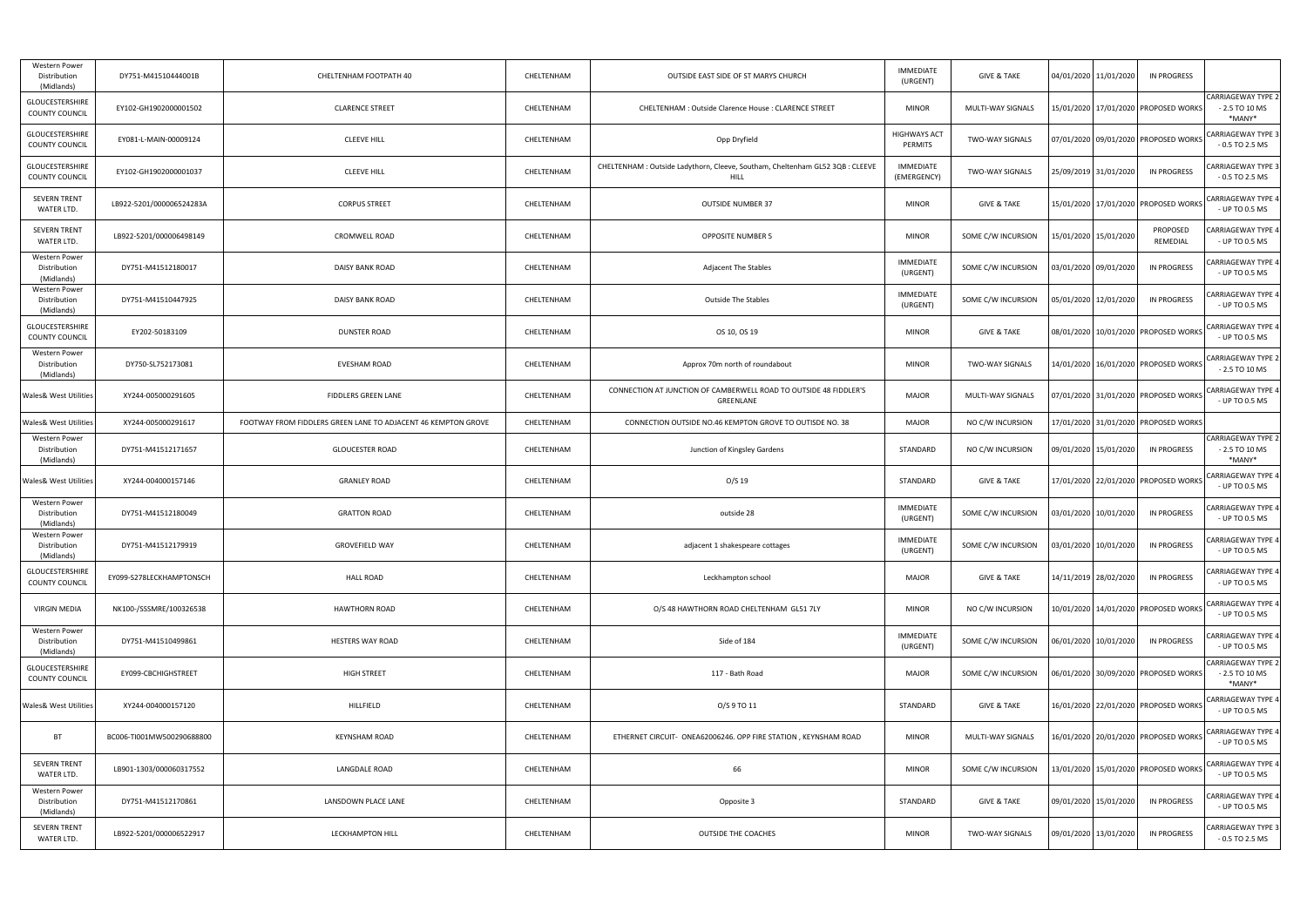| Western Power<br>Distribution<br>(Midlands) | DY751-M41510444001B       | CHELTENHAM FOOTPATH 40                                        | CHELTENHAM | OUTSIDE EAST SIDE OF ST MARYS CHURCH                                                | <b>IMMEDIATE</b><br>(URGENT)    | <b>GIVE &amp; TAKE</b> | 04/01/2020 11/01/2020   | IN PROGRESS                              |                                                        |
|---------------------------------------------|---------------------------|---------------------------------------------------------------|------------|-------------------------------------------------------------------------------------|---------------------------------|------------------------|-------------------------|------------------------------------------|--------------------------------------------------------|
| GLOUCESTERSHIRE<br>COUNTY COUNCIL           | EY102-GH1902000001502     | <b>CLARENCE STREET</b>                                        | CHELTENHAM | CHELTENHAM : Outside Clarence House : CLARENCE STREET                               | <b>MINOR</b>                    | MULTI-WAY SIGNALS      |                         | 15/01/2020   17/01/2020   PROPOSED WORKS | <b>CARRIAGEWAY TYPE 2</b><br>$-2.5$ TO 10 MS<br>*MANY* |
| GLOUCESTERSHIRE<br>COUNTY COUNCIL           | EY081-L-MAIN-00009124     | <b>CLEEVE HILL</b>                                            | CHELTENHAM | Opp Dryfield                                                                        | <b>HIGHWAYS ACT</b><br>PERMITS  | TWO-WAY SIGNALS        |                         | 07/01/2020 09/01/2020 PROPOSED WORKS     | <b>CARRIAGEWAY TYPE 3</b><br>$-0.5$ TO 2.5 MS          |
| GLOUCESTERSHIRE<br>COUNTY COUNCIL           | EY102-GH1902000001037     | <b>CLEEVE HILL</b>                                            | CHELTENHAM | CHELTENHAM: Outside Ladythorn, Cleeve, Southam, Cheltenham GL52 3QB: CLEEVE<br>HILL | <b>IMMEDIATE</b><br>(EMERGENCY) | TWO-WAY SIGNALS        | 25/09/2019 31/01/2020   | <b>IN PROGRESS</b>                       | CARRIAGEWAY TYPE 3<br>$-0.5$ TO 2.5 MS                 |
| <b>SEVERN TRENT</b><br>WATER LTD.           | LB922-5201/000006524283A  | <b>CORPUS STREET</b>                                          | CHELTENHAM | <b>OUTSIDE NUMBER 37</b>                                                            | <b>MINOR</b>                    | <b>GIVE &amp; TAKE</b> |                         | 15/01/2020 17/01/2020 PROPOSED WORKS     | CARRIAGEWAY TYPE 4<br>- UP TO 0.5 MS                   |
| SEVERN TRENT<br>WATER LTD.                  | LB922-5201/000006498149   | CROMWELL ROAD                                                 | CHELTENHAM | <b>OPPOSITE NUMBER 5</b>                                                            | <b>MINOR</b>                    | SOME C/W INCURSION     | 15/01/2020 15/01/2020   | PROPOSED<br>REMEDIAL                     | CARRIAGEWAY TYPE 4<br>- UP TO 0.5 MS                   |
| Western Power<br>Distribution<br>(Midlands) | DY751-M41512180017        | DAISY BANK ROAD                                               | CHELTENHAM | Adjacent The Stables                                                                | <b>IMMEDIATE</b><br>(URGENT)    | SOME C/W INCURSION     | 03/01/2020 09/01/2020   | <b>IN PROGRESS</b>                       | CARRIAGEWAY TYPE 4<br>- UP TO 0.5 MS                   |
| Western Power<br>Distribution<br>(Midlands) | DY751-M41510447925        | DAISY BANK ROAD                                               | CHELTENHAM | <b>Outside The Stables</b>                                                          | <b>IMMEDIATE</b><br>(URGENT)    | SOME C/W INCURSION     | 05/01/2020 12/01/2020   | IN PROGRESS                              | CARRIAGEWAY TYPE 4<br>- UP TO 0.5 MS                   |
| GLOUCESTERSHIRE<br>COUNTY COUNCIL           | EY202-50183109            | DUNSTER ROAD                                                  | CHELTENHAM | OS 10, OS 19                                                                        | <b>MINOR</b>                    | <b>GIVE &amp; TAKE</b> |                         | 08/01/2020 10/01/2020 PROPOSED WORKS     | CARRIAGEWAY TYPE 4<br>- UP TO 0.5 MS                   |
| Western Power<br>Distribution<br>(Midlands) | DY750-SL752173081         | EVESHAM ROAD                                                  | CHELTENHAM | Approx 70m north of roundabout                                                      | <b>MINOR</b>                    | TWO-WAY SIGNALS        |                         | 14/01/2020 16/01/2020 PROPOSED WORKS     | <b>CARRIAGEWAY TYPE 2</b><br>$-2.5$ TO 10 MS           |
| Wales& West Utilities                       | XY244-005000291605        | FIDDLERS GREEN LANE                                           | CHELTENHAM | CONNECTION AT JUNCTION OF CAMBERWELL ROAD TO OUTSIDE 48 FIDDLER'S<br>GREENLANE      | <b>MAJOR</b>                    | MULTI-WAY SIGNALS      |                         | 07/01/2020 31/01/2020 PROPOSED WORKS     | CARRIAGEWAY TYPE 4<br>- UP TO 0.5 MS                   |
| Wales& West Utilities                       | XY244-005000291617        | FOOTWAY FROM FIDDLERS GREEN LANE TO ADJACENT 46 KEMPTON GROVE | CHELTENHAM | CONNECTION OUTSIDE NO.46 KEMPTON GROVE TO OUTISDE NO. 38                            | <b>MAJOR</b>                    | NO C/W INCURSION       |                         | 17/01/2020 31/01/2020 PROPOSED WORKS     |                                                        |
| Western Power<br>Distribution<br>(Midlands) | DY751-M41512171657        | <b>GLOUCESTER ROAD</b>                                        | CHELTENHAM | Junction of Kingsley Gardens                                                        | STANDARD                        | NO C/W INCURSION       | 09/01/2020   15/01/2020 | <b>IN PROGRESS</b>                       | <b>CARRIAGEWAY TYPE 2</b><br>$-2.5$ TO 10 MS<br>*MANY* |
| Wales& West Utilities                       | XY244-004000157146        | <b>GRANLEY ROAD</b>                                           | CHELTENHAM | $O/S$ 19                                                                            | STANDARD                        | <b>GIVE &amp; TAKE</b> |                         | 17/01/2020 22/01/2020 PROPOSED WORKS     | <b>CARRIAGEWAY TYPE 4</b><br>- UP TO 0.5 MS            |
| Western Power<br>Distribution<br>(Midlands) | DY751-M41512180049        | <b>GRATTON ROAD</b>                                           | CHELTENHAM | outside 28                                                                          | <b>IMMEDIATE</b><br>(URGENT)    | SOME C/W INCURSION     | 03/01/2020   10/01/2020 | IN PROGRESS                              | CARRIAGEWAY TYPE 4<br>- UP TO 0.5 MS                   |
| Western Power<br>Distribution<br>(Midlands) | DY751-M41512179919        | <b>GROVEFIELD WAY</b>                                         | CHELTENHAM | adjacent 1 shakespeare cottages                                                     | IMMEDIATE<br>(URGENT)           | SOME C/W INCURSION     | 03/01/2020 10/01/2020   | IN PROGRESS                              | <b>CARRIAGEWAY TYPE 4</b><br>- UP TO 0.5 MS            |
| GLOUCESTERSHIRE<br>COUNTY COUNCIL           | EY099-S278LECKHAMPTONSCH  | <b>HALL ROAD</b>                                              | CHELTENHAM | Leckhampton school                                                                  | <b>MAJOR</b>                    | <b>GIVE &amp; TAKE</b> | 14/11/2019 28/02/2020   | <b>IN PROGRESS</b>                       | CARRIAGEWAY TYPE 4<br>- UP TO 0.5 MS                   |
| VIRGIN MEDIA                                | NK100-/SSSMRE/100326538   | <b>HAWTHORN ROAD</b>                                          | CHELTENHAM | O/S 48 HAWTHORN ROAD CHELTENHAM GL51 7LY                                            | <b>MINOR</b>                    | NO C/W INCURSION       |                         | 10/01/2020 14/01/2020 PROPOSED WORKS     | <b>CARRIAGEWAY TYPE 4</b><br>- UP TO 0.5 MS            |
| Western Power<br>Distribution<br>(Midlands) | DY751-M41510499861        | <b>HESTERS WAY ROAD</b>                                       | CHELTENHAM | Side of 184                                                                         | IMMEDIATE<br>(URGENT)           | SOME C/W INCURSION     | 06/01/2020 10/01/2020   | <b>IN PROGRESS</b>                       | CARRIAGEWAY TYPE 4<br>- UP TO 0.5 MS                   |
| GLOUCESTERSHIRE<br>COUNTY COUNCIL           | EY099-CBCHIGHSTREET       | <b>HIGH STREET</b>                                            | CHELTENHAM | 117 - Bath Road                                                                     | <b>MAJOR</b>                    | SOME C/W INCURSION     |                         | 06/01/2020 30/09/2020 PROPOSED WORKS     | <b>CARRIAGEWAY TYPE 2</b><br>$-2.5$ TO 10 MS<br>*MANY* |
| <b>Wales&amp; West Utilities</b>            | XY244-004000157120        | HILLFIELD                                                     | CHELTENHAM | O/S 9 TO 11                                                                         | STANDARD                        | <b>GIVE &amp; TAKE</b> |                         | 16/01/2020 22/01/2020 PROPOSED WORKS     | <b>CARRIAGEWAY TYPE 4</b><br>- UP TO 0.5 MS            |
| <b>BT</b>                                   | BC006-TI001MW500290688800 | KEYNSHAM ROAD                                                 | CHELTENHAM | ETHERNET CIRCUIT- ONEA62006246. OPP FIRE STATION, KEYNSHAM ROAD                     | <b>MINOR</b>                    | MULTI-WAY SIGNALS      |                         | L6/01/2020   20/01/2020   PROPOSED WORKS | CARRIAGEWAY TYPE 4<br>- UP TO 0.5 MS                   |
| <b>SEVERN TRENT</b><br>WATER LTD.           | LB901-1303/000060317552   | <b>LANGDALE ROAD</b>                                          | CHELTENHAM | 66                                                                                  | <b>MINOR</b>                    | SOME C/W INCURSION     |                         | 13/01/2020 15/01/2020 PROPOSED WORKS     | CARRIAGEWAY TYPE 4<br>- UP TO 0.5 MS                   |
| Western Power<br>Distribution<br>(Midlands) | DY751-M41512170861        | LANSDOWN PLACE LANE                                           | CHELTENHAM | Opposite 3                                                                          | STANDARD                        | <b>GIVE &amp; TAKE</b> | 09/01/2020 15/01/2020   | <b>IN PROGRESS</b>                       | CARRIAGEWAY TYPE 4<br>- UP TO 0.5 MS                   |
| <b>SEVERN TRENT</b><br>WATER LTD.           | LB922-5201/000006522917   | LECKHAMPTON HILL                                              | CHELTENHAM | OUTSIDE THE COACHES                                                                 | <b>MINOR</b>                    | TWO-WAY SIGNALS        | 09/01/2020 13/01/2020   | <b>IN PROGRESS</b>                       | CARRIAGEWAY TYPE 3<br>$-0.5$ TO 2.5 MS                 |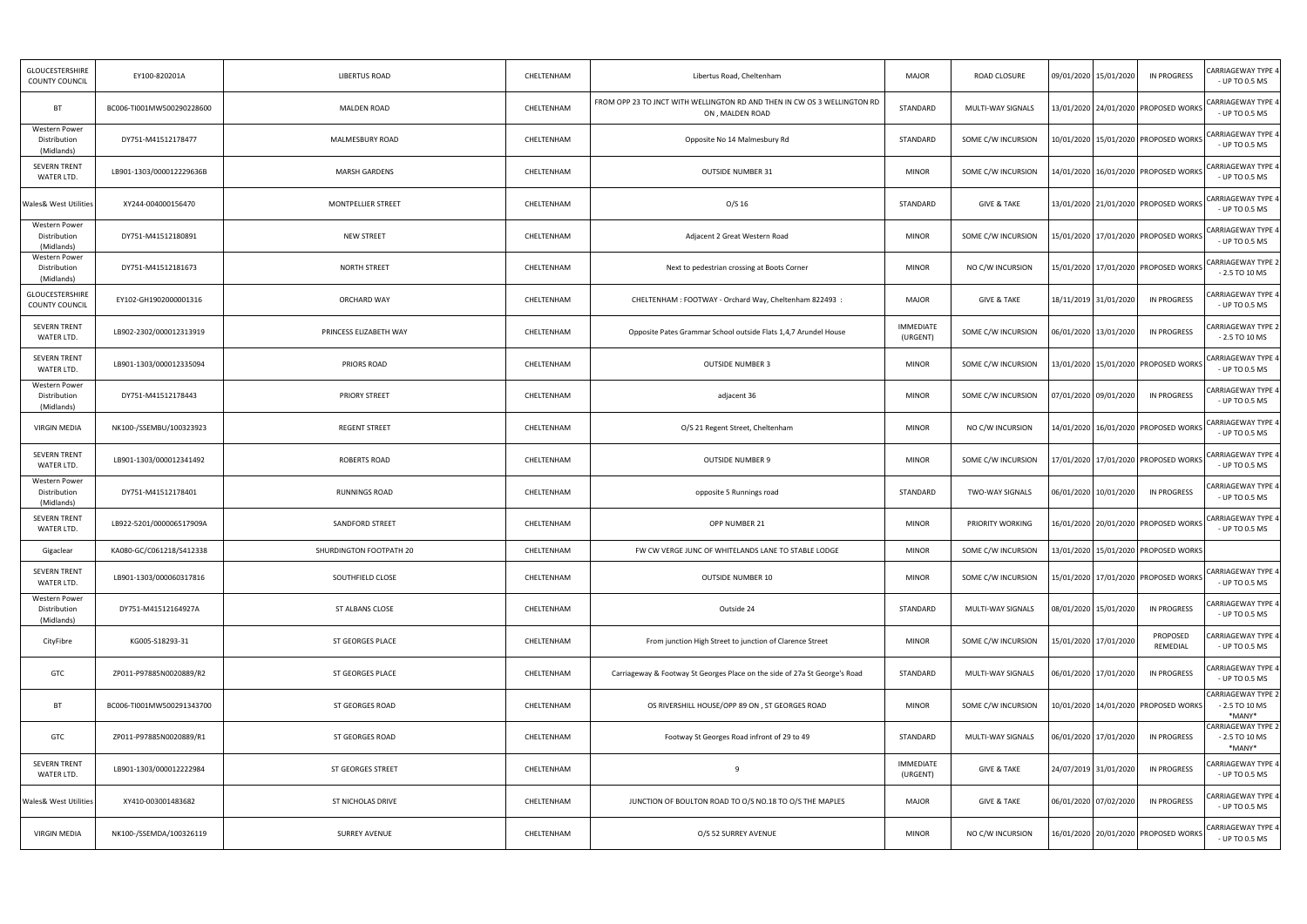| GLOUCESTERSHIRE<br><b>COUNTY COUNCIL</b>           | EY100-820201A             | <b>LIBERTUS ROAD</b>    | CHELTENHAM | Libertus Road, Cheltenham                                                                   | <b>MAJOR</b>                 | ROAD CLOSURE           | 09/01/2020 15/01/2020                | IN PROGRESS                              | CARRIAGEWAY TYPE 4<br>- UP TO 0.5 MS                   |
|----------------------------------------------------|---------------------------|-------------------------|------------|---------------------------------------------------------------------------------------------|------------------------------|------------------------|--------------------------------------|------------------------------------------|--------------------------------------------------------|
| BT                                                 | BC006-TI001MW500290228600 | <b>MALDEN ROAD</b>      | CHELTENHAM | FROM OPP 23 TO JNCT WITH WELLINGTON RD AND THEN IN CW OS 3 WELLINGTON RD<br>ON, MALDEN ROAD | STANDARD                     | MULTI-WAY SIGNALS      |                                      | 13/01/2020   24/01/2020   PROPOSED WORKS | CARRIAGEWAY TYPE 4<br>- UP TO 0.5 MS                   |
| Western Power<br>Distribution<br>(Midlands)        | DY751-M41512178477        | MALMESBURY ROAD         | CHELTENHAM | Opposite No 14 Malmesbury Rd                                                                | STANDARD                     | SOME C/W INCURSION     |                                      | 10/01/2020 15/01/2020 PROPOSED WORKS     | <b>CARRIAGEWAY TYPE 4</b><br>- UP TO 0.5 MS            |
| <b>SEVERN TRENT</b><br>WATER LTD.                  | LB901-1303/000012229636B  | MARSH GARDENS           | CHELTENHAM | <b>OUTSIDE NUMBER 31</b>                                                                    | <b>MINOR</b>                 | SOME C/W INCURSION     |                                      | 14/01/2020   16/01/2020   PROPOSED WORKS | CARRIAGEWAY TYPE 4<br>- UP TO 0.5 MS                   |
| <b>Wales&amp; West Utilities</b>                   | XY244-004000156470        | MONTPELLIER STREET      | CHELTENHAM | $O/S$ 16                                                                                    | STANDARD                     | <b>GIVE &amp; TAKE</b> |                                      | 13/01/2020 21/01/2020 PROPOSED WORKS     | CARRIAGEWAY TYPE 4<br>- UP TO 0.5 MS                   |
| <b>Western Power</b><br>Distribution<br>(Midlands) | DY751-M41512180891        | <b>NEW STREET</b>       | CHELTENHAM | Adjacent 2 Great Western Road                                                               | <b>MINOR</b>                 | SOME C/W INCURSION     |                                      | 15/01/2020   17/01/2020   PROPOSED WORKS | <b>CARRIAGEWAY TYPE 4</b><br>- UP TO 0.5 MS            |
| Western Power<br>Distribution<br>(Midlands)        | DY751-M41512181673        | <b>NORTH STREET</b>     | CHELTENHAM | Next to pedestrian crossing at Boots Corner                                                 | <b>MINOR</b>                 | NO C/W INCURSION       | 15/01/2020 17/01/2020 PROPOSED WORKS |                                          | <b>CARRIAGEWAY TYPE 2</b><br>$-2.5$ TO 10 MS           |
| GLOUCESTERSHIRE<br><b>COUNTY COUNCIL</b>           | EY102-GH1902000001316     | ORCHARD WAY             | CHELTENHAM | CHELTENHAM : FOOTWAY - Orchard Way, Cheltenham 822493 :                                     | <b>MAJOR</b>                 | <b>GIVE &amp; TAKE</b> | 18/11/2019 31/01/2020                | IN PROGRESS                              | CARRIAGEWAY TYPE 4<br>- UP TO 0.5 MS                   |
| <b>SEVERN TRENT</b><br>WATER LTD.                  | LB902-2302/000012313919   | PRINCESS ELIZABETH WAY  | CHELTENHAM | Opposite Pates Grammar School outside Flats 1,4,7 Arundel House                             | <b>IMMEDIATE</b><br>(URGENT) | SOME C/W INCURSION     | 06/01/2020 13/01/2020                | <b>IN PROGRESS</b>                       | CARRIAGEWAY TYPE 2<br>$-2.5$ TO 10 MS                  |
| <b>SEVERN TRENT</b><br>WATER LTD.                  | LB901-1303/000012335094   | PRIORS ROAD             | CHELTENHAM | <b>OUTSIDE NUMBER 3</b>                                                                     | <b>MINOR</b>                 | SOME C/W INCURSION     |                                      | 13/01/2020   15/01/2020   PROPOSED WORKS | <b>CARRIAGEWAY TYPE 4</b><br>- UP TO 0.5 MS            |
| Western Power<br>Distribution<br>(Midlands)        | DY751-M41512178443        | <b>PRIORY STREET</b>    | CHELTENHAM | adjacent 36                                                                                 | <b>MINOR</b>                 | SOME C/W INCURSION     | 07/01/2020 09/01/2020                | IN PROGRESS                              | CARRIAGEWAY TYPE 4<br>- UP TO 0.5 MS                   |
| <b>VIRGIN MEDIA</b>                                | NK100-/SSEMBU/100323923   | <b>REGENT STREET</b>    | CHELTENHAM | O/S 21 Regent Street, Cheltenham                                                            | <b>MINOR</b>                 | NO C/W INCURSION       |                                      | 14/01/2020   16/01/2020   PROPOSED WORKS | CARRIAGEWAY TYPE 4<br>- UP TO 0.5 MS                   |
| SEVERN TRENT<br>WATER LTD.                         | LB901-1303/000012341492   | ROBERTS ROAD            | CHELTENHAM | <b>OUTSIDE NUMBER 9</b>                                                                     | <b>MINOR</b>                 | SOME C/W INCURSION     |                                      | 17/01/2020 17/01/2020 PROPOSED WORKS     | <b>CARRIAGEWAY TYPE 4</b><br>- UP TO 0.5 MS            |
| Western Power<br>Distribution<br>(Midlands)        | DY751-M41512178401        | RUNNINGS ROAD           | CHELTENHAM | opposite 5 Runnings road                                                                    | STANDARD                     | TWO-WAY SIGNALS        | 06/01/2020 10/01/2020                | <b>IN PROGRESS</b>                       | CARRIAGEWAY TYPE 4<br>- UP TO 0.5 MS                   |
| <b>SEVERN TRENT</b><br>WATER LTD.                  | LB922-5201/000006517909A  | SANDFORD STREET         | CHELTENHAM | OPP NUMBER 21                                                                               | <b>MINOR</b>                 | PRIORITY WORKING       |                                      | 16/01/2020   20/01/2020   PROPOSED WORKS | <b>CARRIAGEWAY TYPE 4</b><br>- UP TO 0.5 MS            |
| Gigaclear                                          | KA080-GC/C061218/S412338  | SHURDINGTON FOOTPATH 20 | CHELTENHAM | FW CW VERGE JUNC OF WHITELANDS LANE TO STABLE LODGE                                         | <b>MINOR</b>                 | SOME C/W INCURSION     | 13/01/2020 15/01/2020 PROPOSED WORKS |                                          |                                                        |
| <b>SEVERN TRENT</b><br>WATER LTD.                  | LB901-1303/000060317816   | SOUTHFIELD CLOSE        | CHELTENHAM | <b>OUTSIDE NUMBER 10</b>                                                                    | <b>MINOR</b>                 | SOME C/W INCURSION     | 15/01/2020 17/01/2020 PROPOSED WORKS |                                          | CARRIAGEWAY TYPE 4<br>- UP TO 0.5 MS                   |
| Western Power<br>Distribution<br>(Midlands)        | DY751-M41512164927A       | ST ALBANS CLOSE         | CHELTENHAM | Outside 24                                                                                  | STANDARD                     | MULTI-WAY SIGNALS      | 08/01/2020 15/01/2020                | <b>IN PROGRESS</b>                       | CARRIAGEWAY TYPE 4<br>- UP TO 0.5 MS                   |
| CityFibre                                          | KG005-S18293-31           | <b>ST GEORGES PLACE</b> | CHELTENHAM | From junction High Street to junction of Clarence Street                                    | <b>MINOR</b>                 | SOME C/W INCURSION     | 15/01/2020 17/01/2020                | PROPOSED<br>REMEDIAL                     | CARRIAGEWAY TYPE 4<br>- UP TO 0.5 MS                   |
| GTC                                                | ZP011-P97885N0020889/R2   | ST GEORGES PLACE        | CHELTENHAM | Carriageway & Footway St Georges Place on the side of 27a St George's Road                  | STANDARD                     | MULTI-WAY SIGNALS      | 06/01/2020 17/01/2020                | IN PROGRESS                              | CARRIAGEWAY TYPE 4<br>- UP TO 0.5 MS                   |
| <b>BT</b>                                          | BC006-TI001MW500291343700 | ST GEORGES ROAD         | CHELTENHAM | OS RIVERSHILL HOUSE/OPP 89 ON, ST GEORGES ROAD                                              | <b>MINOR</b>                 | SOME C/W INCURSION     |                                      | 10/01/2020   14/01/2020   PROPOSED WORKS | <b>CARRIAGEWAY TYPE 2</b><br>$-2.5$ TO 10 MS<br>*MANY* |
| GTC                                                | ZP011-P97885N0020889/R1   | ST GEORGES ROAD         | CHELTENHAM | Footway St Georges Road infront of 29 to 49                                                 | STANDARD                     | MULTI-WAY SIGNALS      | 06/01/2020   17/01/2020              | <b>IN PROGRESS</b>                       | <b>CARRIAGEWAY TYPE 2</b><br>$-2.5$ TO 10 MS<br>*MANY* |
| SEVERN TRENT<br>WATER LTD.                         | LB901-1303/000012222984   | ST GEORGES STREET       | CHELTENHAM | 9                                                                                           | <b>IMMEDIATE</b><br>(URGENT) | <b>GIVE &amp; TAKE</b> | 24/07/2019 31/01/2020                | IN PROGRESS                              | CARRIAGEWAY TYPE 4<br>- UP TO 0.5 MS                   |
| Wales& West Utilities                              | XY410-003001483682        | ST NICHOLAS DRIVE       | CHELTENHAM | JUNCTION OF BOULTON ROAD TO O/S NO.18 TO O/S THE MAPLES                                     | <b>MAJOR</b>                 | <b>GIVE &amp; TAKE</b> | 06/01/2020 07/02/2020                | <b>IN PROGRESS</b>                       | CARRIAGEWAY TYPE 4<br>- UP TO 0.5 MS                   |
| <b>VIRGIN MEDIA</b>                                | NK100-/SSEMDA/100326119   | <b>SURREY AVENUE</b>    | CHELTENHAM | O/S 52 SURREY AVENUE                                                                        | <b>MINOR</b>                 | NO C/W INCURSION       | 16/01/2020 20/01/2020 PROPOSED WORKS |                                          | <b>CARRIAGEWAY TYPE 4</b><br>- UP TO 0.5 MS            |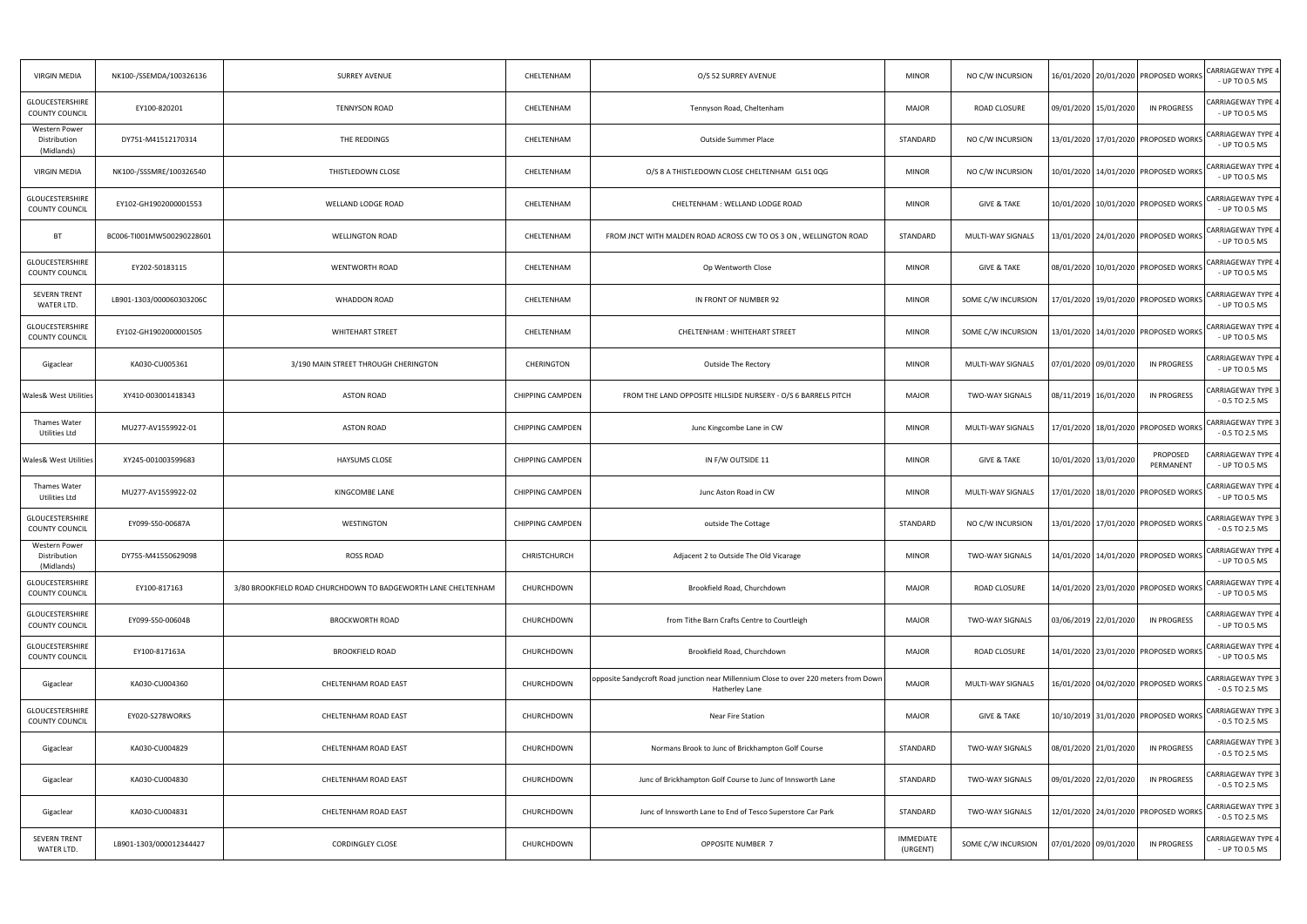| <b>VIRGIN MEDIA</b>                             | NK100-/SSEMDA/100326136   | <b>SURREY AVENUE</b>                                          | CHELTENHAM              | O/S 52 SURREY AVENUE                                                                                   | <b>MINOR</b>                 | NO C/W INCURSION       | 16/01/2020 20/01/2020 PROPOSED WORKS           | <b>CARRIAGEWAY TYPE 4</b><br>- UP TO 0.5 MS   |
|-------------------------------------------------|---------------------------|---------------------------------------------------------------|-------------------------|--------------------------------------------------------------------------------------------------------|------------------------------|------------------------|------------------------------------------------|-----------------------------------------------|
| GLOUCESTERSHIRE<br><b>COUNTY COUNCIL</b>        | EY100-820201              | <b>TENNYSON ROAD</b>                                          | CHELTENHAM              | Tennyson Road, Cheltenham                                                                              | <b>MAJOR</b>                 | ROAD CLOSURE           | <b>IN PROGRESS</b><br>09/01/2020 15/01/2020    | CARRIAGEWAY TYPE 4<br>- UP TO 0.5 MS          |
| Western Power<br>Distribution<br>(Midlands)     | DY751-M41512170314        | THE REDDINGS                                                  | CHELTENHAM              | Outside Summer Place                                                                                   | STANDARD                     | NO C/W INCURSION       | 13/01/2020 17/01/2020 PROPOSED WORKS           | <b>CARRIAGEWAY TYPE 4</b><br>- UP TO 0.5 MS   |
| <b>VIRGIN MEDIA</b>                             | NK100-/SSSMRE/100326540   | THISTLEDOWN CLOSE                                             | CHELTENHAM              | O/S 8 A THISTLEDOWN CLOSE CHELTENHAM GL51 0QG                                                          | <b>MINOR</b>                 | NO C/W INCURSION       | 10/01/2020   14/01/2020   PROPOSED WORKS       | <b>CARRIAGEWAY TYPE 4</b><br>- UP TO 0.5 MS   |
| GLOUCESTERSHIRE<br>COUNTY COUNCIL               | EY102-GH1902000001553     | WELLAND LODGE ROAD                                            | CHELTENHAM              | CHELTENHAM : WELLAND LODGE ROAD                                                                        | <b>MINOR</b>                 | <b>GIVE &amp; TAKE</b> | 10/01/2020 10/01/2020 PROPOSED WORKS           | CARRIAGEWAY TYPE 4<br>- UP TO 0.5 MS          |
| BT                                              | BC006-TI001MW500290228601 | <b>WELLINGTON ROAD</b>                                        | CHELTENHAM              | FROM JNCT WITH MALDEN ROAD ACROSS CW TO OS 3 ON, WELLINGTON ROAD                                       | STANDARD                     | MULTI-WAY SIGNALS      | 13/01/2020 24/01/2020 PROPOSED WORKS           | CARRIAGEWAY TYPE 4<br>- UP TO 0.5 MS          |
| GLOUCESTERSHIRE<br>COUNTY COUNCIL               | EY202-50183115            | WENTWORTH ROAD                                                | CHELTENHAM              | Op Wentworth Close                                                                                     | <b>MINOR</b>                 | <b>GIVE &amp; TAKE</b> | 08/01/2020 10/01/2020 PROPOSED WORKS           | <b>CARRIAGEWAY TYPE 4</b><br>- UP TO 0.5 MS   |
| <b>SEVERN TRENT</b><br>WATER LTD.               | LB901-1303/000060303206C  | WHADDON ROAD                                                  | CHELTENHAM              | IN FRONT OF NUMBER 92                                                                                  | <b>MINOR</b>                 | SOME C/W INCURSION     | 17/01/2020   19/01/2020   PROPOSED WORKS       | <b>CARRIAGEWAY TYPE 4</b><br>- UP TO 0.5 MS   |
| GLOUCESTERSHIRE<br><b>COUNTY COUNCIL</b>        | EY102-GH1902000001505     | <b>WHITEHART STREET</b>                                       | CHELTENHAM              | CHELTENHAM: WHITEHART STREET                                                                           | <b>MINOR</b>                 | SOME C/W INCURSION     | 13/01/2020 14/01/2020 PROPOSED WORKS           | <b>CARRIAGEWAY TYPE 4</b><br>- UP TO 0.5 MS   |
| Gigaclear                                       | KA030-CU005361            | 3/190 MAIN STREET THROUGH CHERINGTON                          | CHERINGTON              | <b>Outside The Rectory</b>                                                                             | <b>MINOR</b>                 | MULTI-WAY SIGNALS      | 07/01/2020 09/01/2020<br>IN PROGRESS           | CARRIAGEWAY TYPE 4<br>- UP TO 0.5 MS          |
| <b>Wales&amp; West Utilities</b>                | XY410-003001418343        | <b>ASTON ROAD</b>                                             | <b>CHIPPING CAMPDEN</b> | FROM THE LAND OPPOSITE HILLSIDE NURSERY - O/S 6 BARRELS PITCH                                          | <b>MAJOR</b>                 | TWO-WAY SIGNALS        | <b>IN PROGRESS</b><br>08/11/2019 16/01/2020    | CARRIAGEWAY TYPE 3<br>$-0.5$ TO 2.5 MS        |
| Thames Water<br>Utilities Ltd                   | MU277-AV1559922-01        | ASTON ROAD                                                    | <b>CHIPPING CAMPDEN</b> | Junc Kingcombe Lane in CW                                                                              | <b>MINOR</b>                 | MULTI-WAY SIGNALS      | 17/01/2020   18/01/2020   PROPOSED WORKS       | CARRIAGEWAY TYPE 3<br>$-0.5$ TO 2.5 MS        |
| <b>Wales&amp; West Utilities</b>                | XY245-001003599683        | <b>HAYSUMS CLOSE</b>                                          | <b>CHIPPING CAMPDEN</b> | IN F/W OUTSIDE 11                                                                                      | <b>MINOR</b>                 | <b>GIVE &amp; TAKE</b> | PROPOSED<br>10/01/2020 13/01/2020<br>PERMANENT | CARRIAGEWAY TYPE 4<br>- UP TO 0.5 MS          |
| Thames Water<br>Utilities Ltd                   | MU277-AV1559922-02        | KINGCOMBE LANE                                                | <b>CHIPPING CAMPDEN</b> | Junc Aston Road in CW                                                                                  | <b>MINOR</b>                 | MULTI-WAY SIGNALS      | 17/01/2020   18/01/2020   PROPOSED WORKS       | <b>CARRIAGEWAY TYPE 4</b><br>- UP TO 0.5 MS   |
| <b>GLOUCESTERSHIRE</b><br><b>COUNTY COUNCIL</b> | EY099-S50-00687A          | WESTINGTON                                                    | <b>CHIPPING CAMPDEN</b> | outside The Cottage                                                                                    | STANDARD                     | NO C/W INCURSION       | 13/01/2020 17/01/2020 PROPOSED WORKS           | <b>CARRIAGEWAY TYPE 3</b><br>$-0.5$ TO 2.5 MS |
| Western Power<br>Distribution<br>(Midlands)     | DY755-M41550629098        | <b>ROSS ROAD</b>                                              | CHRISTCHURCH            | Adjacent 2 to Outside The Old Vicarage                                                                 | <b>MINOR</b>                 | TWO-WAY SIGNALS        | 14/01/2020 14/01/2020 PROPOSED WORKS           | CARRIAGEWAY TYPE 4<br>- UP TO 0.5 MS          |
| GLOUCESTERSHIRE<br><b>COUNTY COUNCIL</b>        | EY100-817163              | 3/80 BROOKFIELD ROAD CHURCHDOWN TO BADGEWORTH LANE CHELTENHAM | CHURCHDOWN              | Brookfield Road, Churchdown                                                                            | <b>MAJOR</b>                 | <b>ROAD CLOSURE</b>    | 14/01/2020 23/01/2020 PROPOSED WORKS           | <b>CARRIAGEWAY TYPE 4</b><br>- UP TO 0.5 MS   |
| GLOUCESTERSHIRE<br>COUNTY COUNCIL               | EY099-S50-00604B          | <b>BROCKWORTH ROAD</b>                                        | CHURCHDOWN              | from Tithe Barn Crafts Centre to Courtleigh                                                            | <b>MAJOR</b>                 | <b>TWO-WAY SIGNALS</b> | <b>IN PROGRESS</b><br>03/06/2019 22/01/2020    | CARRIAGEWAY TYPE 4<br>- UP TO 0.5 MS          |
| GLOUCESTERSHIRE<br>COUNTY COUNCIL               | EY100-817163A             | <b>BROOKFIELD ROAD</b>                                        | CHURCHDOWN              | Brookfield Road, Churchdown                                                                            | <b>MAJOR</b>                 | ROAD CLOSURE           | 14/01/2020 23/01/2020 PROPOSED WORKS           | <b>CARRIAGEWAY TYPE 4</b><br>- UP TO 0.5 MS   |
| Gigaclear                                       | KA030-CU004360            | CHELTENHAM ROAD EAST                                          | CHURCHDOWN              | opposite Sandycroft Road junction near Millennium Close to over 220 meters from Down<br>Hatherley Lane | <b>MAJOR</b>                 | MULTI-WAY SIGNALS      | 16/01/2020 04/02/2020 PROPOSED WORKS           | CARRIAGEWAY TYPE 3<br>$-0.5$ TO 2.5 MS        |
| GLOUCESTERSHIRE<br>COUNTY COUNCIL               | EY020-S278WORKS           | CHELTENHAM ROAD EAST                                          | CHURCHDOWN              | <b>Near Fire Station</b>                                                                               | <b>MAJOR</b>                 | <b>GIVE &amp; TAKE</b> | 10/10/2019 31/01/2020 PROPOSED WORKS           | <b>CARRIAGEWAY TYPE 3</b><br>$-0.5$ TO 2.5 MS |
| Gigaclear                                       | KA030-CU004829            | CHELTENHAM ROAD EAST                                          | CHURCHDOWN              | Normans Brook to Junc of Brickhampton Golf Course                                                      | STANDARD                     | <b>TWO-WAY SIGNALS</b> | <b>IN PROGRESS</b><br>08/01/2020 21/01/2020    | CARRIAGEWAY TYPE 3<br>$-0.5$ TO 2.5 MS        |
| Gigaclear                                       | KA030-CU004830            | CHELTENHAM ROAD EAST                                          | CHURCHDOWN              | Junc of Brickhampton Golf Course to Junc of Innsworth Lane                                             | STANDARD                     | TWO-WAY SIGNALS        | 09/01/2020 22/01/2020<br>IN PROGRESS           | CARRIAGEWAY TYPE 3<br>$-0.5$ TO 2.5 MS        |
| Gigaclear                                       | KA030-CU004831            | CHELTENHAM ROAD EAST                                          | CHURCHDOWN              | Junc of Innsworth Lane to End of Tesco Superstore Car Park                                             | STANDARD                     | <b>TWO-WAY SIGNALS</b> | 12/01/2020 24/01/2020 PROPOSED WORKS           | CARRIAGEWAY TYPE 3<br>$-0.5$ TO 2.5 MS        |
| <b>SEVERN TRENT</b><br>WATER LTD.               | LB901-1303/000012344427   | <b>CORDINGLEY CLOSE</b>                                       | CHURCHDOWN              | OPPOSITE NUMBER 7                                                                                      | <b>IMMEDIATE</b><br>(URGENT) | SOME C/W INCURSION     | 07/01/2020 09/01/2020<br>IN PROGRESS           | CARRIAGEWAY TYPE 4<br>- UP TO 0.5 MS          |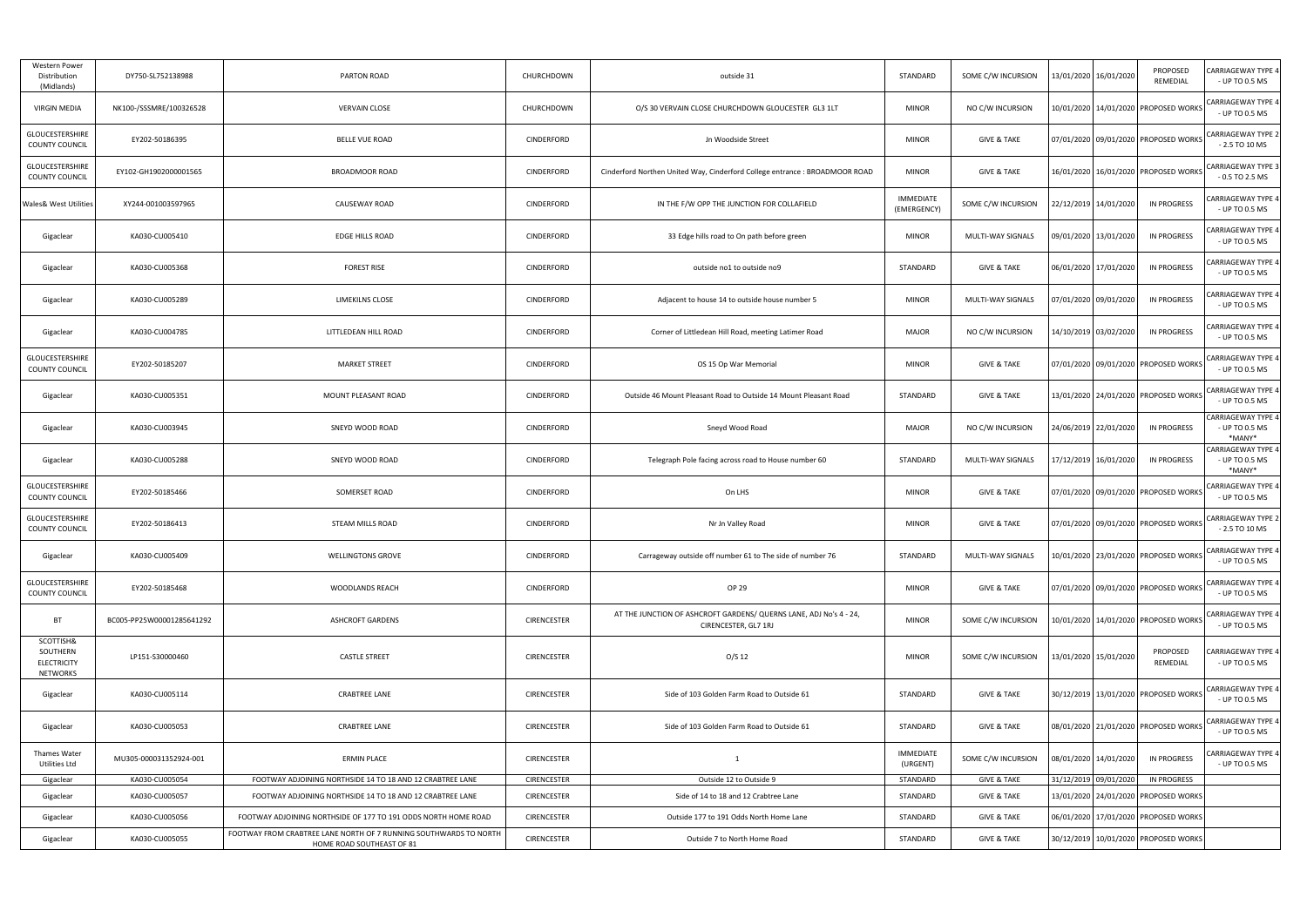| <b>Western Power</b><br>Distribution<br>(Midlands)      | DY750-SL752138988         | PARTON ROAD                                                                                    | CHURCHDOWN         | outside 31                                                                                 | STANDARD                        | SOME C/W INCURSION       | 13/01/2020 16/01/2020                | PROPOSED<br>REMEDIAL                 | <b>CARRIAGEWAY TYPE 4</b><br>- UP TO 0.5 MS           |
|---------------------------------------------------------|---------------------------|------------------------------------------------------------------------------------------------|--------------------|--------------------------------------------------------------------------------------------|---------------------------------|--------------------------|--------------------------------------|--------------------------------------|-------------------------------------------------------|
| <b>VIRGIN MEDIA</b>                                     | NK100-/SSSMRE/100326528   | <b>VERVAIN CLOSE</b>                                                                           | CHURCHDOWN         | O/S 30 VERVAIN CLOSE CHURCHDOWN GLOUCESTER GL3 1LT                                         | <b>MINOR</b>                    | NO C/W INCURSION         |                                      | 10/01/2020 14/01/2020 PROPOSED WORKS | CARRIAGEWAY TYPE 4<br>- UP TO 0.5 MS                  |
| GLOUCESTERSHIRE<br><b>COUNTY COUNCIL</b>                | EY202-50186395            | <b>BELLE VUE ROAD</b>                                                                          | CINDERFORD         | Jn Woodside Street                                                                         | <b>MINOR</b>                    | <b>GIVE &amp; TAKE</b>   | 07/01/2020 09/01/2020 PROPOSED WORKS |                                      | <b>CARRIAGEWAY TYPE 2</b><br>$-2.5$ TO 10 MS          |
| GLOUCESTERSHIRE<br><b>COUNTY COUNCIL</b>                | EY102-GH1902000001565     | <b>BROADMOOR ROAD</b>                                                                          | CINDERFORD         | Cinderford Northen United Way, Cinderford College entrance : BROADMOOR ROAD                | <b>MINOR</b>                    | <b>GIVE &amp; TAKE</b>   |                                      | 16/01/2020 16/01/2020 PROPOSED WORKS | <b>CARRIAGEWAY TYPE 3</b><br>$-0.5$ TO 2.5 MS         |
| <b>Wales&amp; West Utilities</b>                        | XY244-001003597965        | CAUSEWAY ROAD                                                                                  | CINDERFORD         | IN THE F/W OPP THE JUNCTION FOR COLLAFIELD                                                 | <b>IMMEDIATE</b><br>(EMERGENCY) | SOME C/W INCURSION       | 22/12/2019 14/01/2020                | <b>IN PROGRESS</b>                   | CARRIAGEWAY TYPE 4<br>- UP TO 0.5 MS                  |
| Gigaclear                                               | KA030-CU005410            | EDGE HILLS ROAD                                                                                | <b>CINDERFORD</b>  | 33 Edge hills road to On path before green                                                 | <b>MINOR</b>                    | MULTI-WAY SIGNALS        | 09/01/2020 13/01/2020                | <b>IN PROGRESS</b>                   | CARRIAGEWAY TYPE 4<br>- UP TO 0.5 MS                  |
| Gigaclear                                               | KA030-CU005368            | <b>FOREST RISE</b>                                                                             | <b>CINDERFORD</b>  | outside no1 to outside no9                                                                 | STANDARD                        | <b>GIVE &amp; TAKE</b>   | 06/01/2020 17/01/2020                | <b>IN PROGRESS</b>                   | CARRIAGEWAY TYPE 4<br>- UP TO 0.5 MS                  |
| Gigaclear                                               | KA030-CU005289            | LIMEKILNS CLOSE                                                                                | <b>CINDERFORD</b>  | Adjacent to house 14 to outside house number 5                                             | <b>MINOR</b>                    | <b>MULTI-WAY SIGNALS</b> | 07/01/2020 09/01/2020                | IN PROGRESS                          | CARRIAGEWAY TYPE 4<br>- UP TO 0.5 MS                  |
| Gigaclear                                               | KA030-CU004785            | LITTLEDEAN HILL ROAD                                                                           | CINDERFORD         | Corner of Littledean Hill Road, meeting Latimer Road                                       | <b>MAJOR</b>                    | NO C/W INCURSION         | 14/10/2019 03/02/2020                | <b>IN PROGRESS</b>                   | CARRIAGEWAY TYPE 4<br>- UP TO 0.5 MS                  |
| <b>GLOUCESTERSHIRE</b><br><b>COUNTY COUNCIL</b>         | EY202-50185207            | <b>MARKET STREET</b>                                                                           | CINDERFORD         | OS 15 Op War Memorial                                                                      | <b>MINOR</b>                    | <b>GIVE &amp; TAKE</b>   | 07/01/2020 09/01/2020 PROPOSED WORKS |                                      | <b>CARRIAGEWAY TYPE 4</b><br>- UP TO 0.5 MS           |
| Gigaclear                                               | KA030-CU005351            | MOUNT PLEASANT ROAD                                                                            | <b>CINDERFORD</b>  | Outside 46 Mount Pleasant Road to Outside 14 Mount Pleasant Road                           | STANDARD                        | <b>GIVE &amp; TAKE</b>   |                                      | 13/01/2020 24/01/2020 PROPOSED WORKS | <b>CARRIAGEWAY TYPE 4</b><br>- UP TO 0.5 MS           |
| Gigaclear                                               | KA030-CU003945            | SNEYD WOOD ROAD                                                                                | CINDERFORD         | Sneyd Wood Road                                                                            | <b>MAJOR</b>                    | NO C/W INCURSION         | 24/06/2019 22/01/2020                | <b>IN PROGRESS</b>                   | <b>CARRIAGEWAY TYPE 4</b><br>- UP TO 0.5 MS<br>*MANY* |
| Gigaclear                                               | KA030-CU005288            | SNEYD WOOD ROAD                                                                                | <b>CINDERFORD</b>  | Telegraph Pole facing across road to House number 60                                       | STANDARD                        | MULTI-WAY SIGNALS        | 17/12/2019 16/01/2020                | <b>IN PROGRESS</b>                   | <b>CARRIAGEWAY TYPE 4</b><br>- UP TO 0.5 MS<br>*MANY* |
| GLOUCESTERSHIRE<br><b>COUNTY COUNCIL</b>                | EY202-50185466            | SOMERSET ROAD                                                                                  | CINDERFORD         | On LHS                                                                                     | <b>MINOR</b>                    | <b>GIVE &amp; TAKE</b>   | 07/01/2020 09/01/2020 PROPOSED WORKS |                                      | <b>CARRIAGEWAY TYPE 4</b><br>- UP TO 0.5 MS           |
| GLOUCESTERSHIRE<br><b>COUNTY COUNCIL</b>                | EY202-50186413            | STEAM MILLS ROAD                                                                               | CINDERFORD         | Nr Jn Valley Road                                                                          | <b>MINOR</b>                    | <b>GIVE &amp; TAKE</b>   | 07/01/2020 09/01/2020 PROPOSED WORKS |                                      | <b>CARRIAGEWAY TYPE 2</b><br>$-2.5$ TO 10 MS          |
| Gigaclear                                               | KA030-CU005409            | <b>WELLINGTONS GROVE</b>                                                                       | CINDERFORD         | Carrageway outside off number 61 to The side of number 76                                  | STANDARD                        | MULTI-WAY SIGNALS        |                                      | 10/01/2020 23/01/2020 PROPOSED WORKS | CARRIAGEWAY TYPE 4<br>- UP TO 0.5 MS                  |
| GLOUCESTERSHIRE<br><b>COUNTY COUNCIL</b>                | EY202-50185468            | WOODLANDS REACH                                                                                | <b>CINDERFORD</b>  | OP 29                                                                                      | <b>MINOR</b>                    | <b>GIVE &amp; TAKE</b>   | 07/01/2020 09/01/2020 PROPOSED WORKS |                                      | <b>CARRIAGEWAY TYPE 4</b><br>- UP TO 0.5 MS           |
| BT                                                      | BC005-PP25W00001285641292 | <b>ASHCROFT GARDENS</b>                                                                        | CIRENCESTER        | AT THE JUNCTION OF ASHCROFT GARDENS/ QUERNS LANE, ADJ No's 4 - 24,<br>CIRENCESTER, GL7 1RJ | <b>MINOR</b>                    | SOME C/W INCURSION       |                                      | 10/01/2020 14/01/2020 PROPOSED WORKS | <b>CARRIAGEWAY TYPE 4</b><br>- UP TO 0.5 MS           |
| SCOTTISH&<br>SOUTHERN<br><b>ELECTRICITY</b><br>NETWORKS | LP151-S30000460           | <b>CASTLE STREET</b>                                                                           | <b>CIRENCESTER</b> | O/S 12                                                                                     | <b>MINOR</b>                    | SOME C/W INCURSION       | 13/01/2020 15/01/2020                | PROPOSED<br>REMEDIAL                 | CARRIAGEWAY TYPE 4<br>- UP TO 0.5 MS                  |
| Gigaclear                                               | KA030-CU005114            | <b>CRABTREE LANE</b>                                                                           | <b>CIRENCESTER</b> | Side of 103 Golden Farm Road to Outside 61                                                 | STANDARD                        | <b>GIVE &amp; TAKE</b>   | 30/12/2019 13/01/2020 PROPOSED WORKS |                                      | <b>CARRIAGEWAY TYPE 4</b><br>- UP TO 0.5 MS           |
| Gigaclear                                               | KA030-CU005053            | CRABTREE LANE                                                                                  | <b>CIRENCESTER</b> | Side of 103 Golden Farm Road to Outside 61                                                 | STANDARD                        | <b>GIVE &amp; TAKE</b>   | 08/01/2020 21/01/2020 PROPOSED WORKS |                                      | <b>CARRIAGEWAY TYPE 4</b><br>- UP TO 0.5 MS           |
| Thames Water<br>Utilities Ltd                           | MU305-000031352924-001    | <b>ERMIN PLACE</b>                                                                             | <b>CIRENCESTER</b> | 1                                                                                          | IMMEDIATE<br>(URGENT)           | SOME C/W INCURSION       | 08/01/2020 14/01/2020                | <b>IN PROGRESS</b>                   | CARRIAGEWAY TYPE 4<br>- UP TO 0.5 MS                  |
| Gigaclear                                               | KA030-CU005054            | FOOTWAY ADJOINING NORTHSIDE 14 TO 18 AND 12 CRABTREE LANE                                      | <b>CIRENCESTER</b> | Outside 12 to Outside 9                                                                    | STANDARD                        | <b>GIVE &amp; TAKE</b>   | 31/12/2019 09/01/2020                | <b>IN PROGRESS</b>                   |                                                       |
| Gigaclear                                               | KA030-CU005057            | FOOTWAY ADJOINING NORTHSIDE 14 TO 18 AND 12 CRABTREE LANE                                      | <b>CIRENCESTER</b> | Side of 14 to 18 and 12 Crabtree Lane                                                      | STANDARD                        | <b>GIVE &amp; TAKE</b>   |                                      | 13/01/2020 24/01/2020 PROPOSED WORKS |                                                       |
| Gigaclear                                               | KA030-CU005056            | FOOTWAY ADJOINING NORTHSIDE OF 177 TO 191 ODDS NORTH HOME ROAD                                 | CIRENCESTER        | Outside 177 to 191 Odds North Home Lane                                                    | STANDARD                        | <b>GIVE &amp; TAKE</b>   |                                      | 06/01/2020 17/01/2020 PROPOSED WORKS |                                                       |
| Gigaclear                                               | KA030-CU005055            | FOOTWAY FROM CRABTREE LANE NORTH OF 7 RUNNING SOUTHWARDS TO NORTH<br>HOME ROAD SOUTHEAST OF 81 | CIRENCESTER        | Outside 7 to North Home Road                                                               | STANDARD                        | <b>GIVE &amp; TAKE</b>   |                                      | 30/12/2019 10/01/2020 PROPOSED WORKS |                                                       |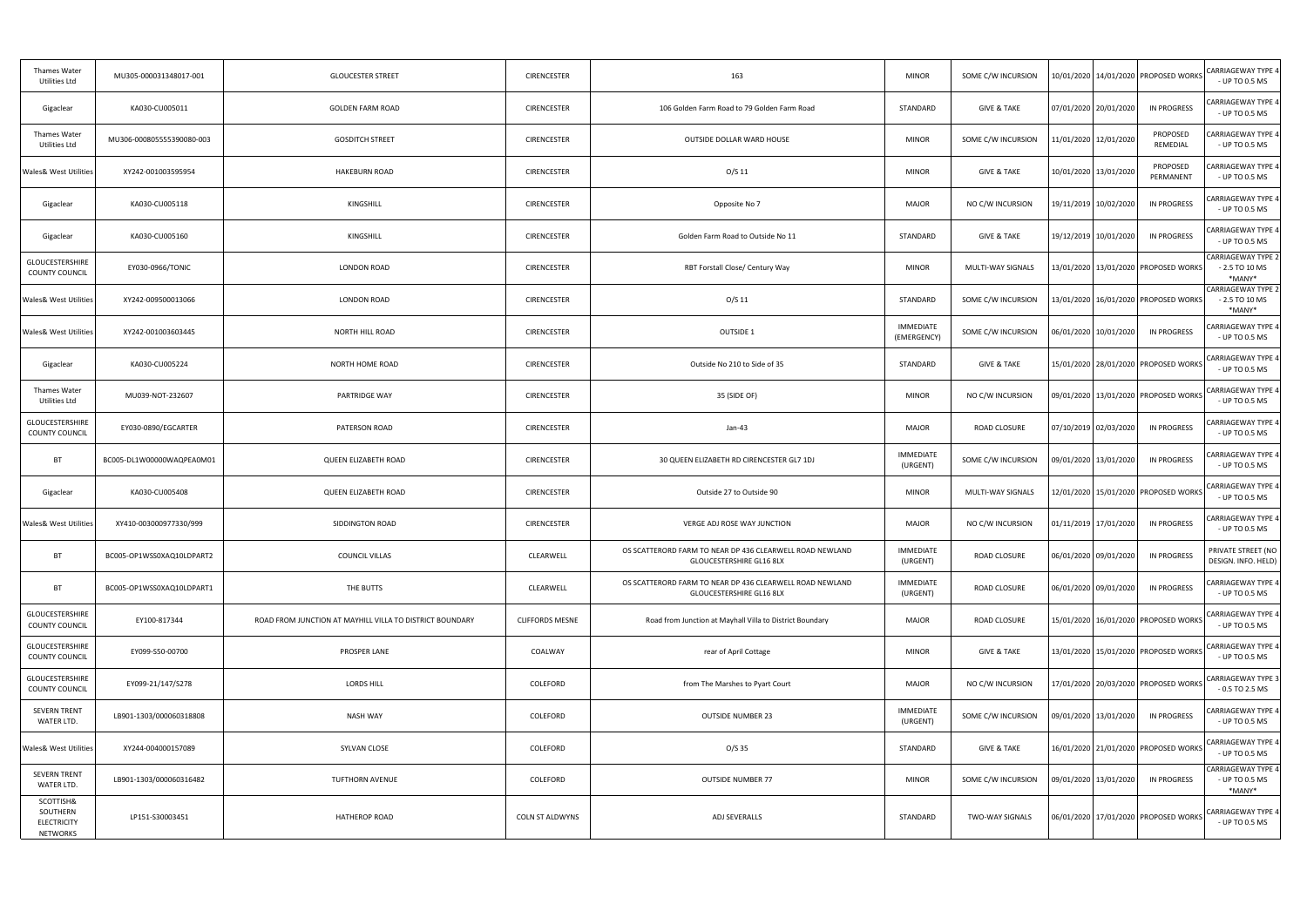| Thames Water<br>Utilities Ltd                           | MU305-000031348017-001    | <b>GLOUCESTER STREET</b>                                 | <b>CIRENCESTER</b>     | 163                                                                                         | <b>MINOR</b>                    | SOME C/W INCURSION     | 10/01/2020   14/01/2020   PROPOSED WORKS |                       | <b>CARRIAGEWAY TYPE 4</b><br>- UP TO 0.5 MS            |
|---------------------------------------------------------|---------------------------|----------------------------------------------------------|------------------------|---------------------------------------------------------------------------------------------|---------------------------------|------------------------|------------------------------------------|-----------------------|--------------------------------------------------------|
| Gigaclear                                               | KA030-CU005011            | <b>GOLDEN FARM ROAD</b>                                  | <b>CIRENCESTER</b>     | 106 Golden Farm Road to 79 Golden Farm Road                                                 | STANDARD                        | <b>GIVE &amp; TAKE</b> | 07/01/2020 20/01/2020                    | <b>IN PROGRESS</b>    | CARRIAGEWAY TYPE 4<br>- UP TO 0.5 MS                   |
| Thames Water<br>Utilities Ltd                           | MU306-000805555390080-003 | <b>GOSDITCH STREET</b>                                   | <b>CIRENCESTER</b>     | OUTSIDE DOLLAR WARD HOUSE                                                                   | <b>MINOR</b>                    | SOME C/W INCURSION     | 11/01/2020 12/01/2020                    | PROPOSED<br>REMEDIAL  | CARRIAGEWAY TYPE 4<br>- UP TO 0.5 MS                   |
| <b>Wales&amp; West Utilities</b>                        | XY242-001003595954        | <b>HAKEBURN ROAD</b>                                     | <b>CIRENCESTER</b>     | $O/S$ 11                                                                                    | <b>MINOR</b>                    | <b>GIVE &amp; TAKE</b> | 10/01/2020 13/01/2020                    | PROPOSED<br>PERMANENT | CARRIAGEWAY TYPE 4<br>- UP TO 0.5 MS                   |
| Gigaclear                                               | KA030-CU005118            | KINGSHILL                                                | CIRENCESTER            | Opposite No 7                                                                               | <b>MAJOR</b>                    | NO C/W INCURSION       | 19/11/2019 10/02/2020                    | IN PROGRESS           | CARRIAGEWAY TYPE 4<br>- UP TO 0.5 MS                   |
| Gigaclear                                               | KA030-CU005160            | KINGSHILL                                                | <b>CIRENCESTER</b>     | Golden Farm Road to Outside No 11                                                           | STANDARD                        | <b>GIVE &amp; TAKE</b> | 19/12/2019 10/01/2020                    | IN PROGRESS           | CARRIAGEWAY TYPE 4<br>- UP TO 0.5 MS                   |
| GLOUCESTERSHIRE<br><b>COUNTY COUNCIL</b>                | EY030-0966/TONIC          | LONDON ROAD                                              | <b>CIRENCESTER</b>     | RBT Forstall Close/ Century Way                                                             | <b>MINOR</b>                    | MULTI-WAY SIGNALS      | 13/01/2020 13/01/2020 PROPOSED WORKS     |                       | <b>CARRIAGEWAY TYPE 2</b><br>$-2.5$ TO 10 MS<br>*MANY* |
| <b>Wales&amp; West Utilities</b>                        | XY242-009500013066        | <b>LONDON ROAD</b>                                       | <b>CIRENCESTER</b>     | $O/S$ 11                                                                                    | STANDARD                        | SOME C/W INCURSION     | 13/01/2020   16/01/2020   PROPOSED WORKS |                       | <b>CARRIAGEWAY TYPE 2</b><br>$-2.5$ TO 10 MS<br>*MANY* |
| <b>Wales&amp; West Utilities</b>                        | XY242-001003603445        | NORTH HILL ROAD                                          | <b>CIRENCESTER</b>     | <b>OUTSIDE 1</b>                                                                            | <b>IMMEDIATE</b><br>(EMERGENCY) | SOME C/W INCURSION     | 06/01/2020   10/01/2020                  | <b>IN PROGRESS</b>    | CARRIAGEWAY TYPE 4<br>- UP TO 0.5 MS                   |
| Gigaclear                                               | KA030-CU005224            | NORTH HOME ROAD                                          | <b>CIRENCESTER</b>     | Outside No 210 to Side of 35                                                                | STANDARD                        | <b>GIVE &amp; TAKE</b> | 15/01/2020 28/01/2020 PROPOSED WORKS     |                       | <b>CARRIAGEWAY TYPE 4</b><br>- UP TO 0.5 MS            |
| Thames Water<br>Utilities Ltd                           | MU039-NOT-232607          | PARTRIDGE WAY                                            | <b>CIRENCESTER</b>     | 35 (SIDE OF)                                                                                | <b>MINOR</b>                    | NO C/W INCURSION       | 09/01/2020 13/01/2020 PROPOSED WORKS     |                       | <b>CARRIAGEWAY TYPE 4</b><br>- UP TO 0.5 MS            |
| GLOUCESTERSHIRE<br><b>COUNTY COUNCIL</b>                | EY030-0890/EGCARTER       | PATERSON ROAD                                            | <b>CIRENCESTER</b>     | Jan-43                                                                                      | <b>MAJOR</b>                    | ROAD CLOSURE           | 07/10/2019 02/03/2020                    | IN PROGRESS           | CARRIAGEWAY TYPE 4<br>- UP TO 0.5 MS                   |
| <b>BT</b>                                               | BC005-DL1W00000WAQPEA0M01 | QUEEN ELIZABETH ROAD                                     | <b>CIRENCESTER</b>     | 30 QUEEN ELIZABETH RD CIRENCESTER GL7 1DJ                                                   | <b>IMMEDIATE</b><br>(URGENT)    | SOME C/W INCURSION     | 09/01/2020 13/01/2020                    | IN PROGRESS           | CARRIAGEWAY TYPE 4<br>- UP TO 0.5 MS                   |
| Gigaclear                                               | KA030-CU005408            | QUEEN ELIZABETH ROAD                                     | CIRENCESTER            | Outside 27 to Outside 90                                                                    | <b>MINOR</b>                    | MULTI-WAY SIGNALS      | 12/01/2020   15/01/2020   PROPOSED WORKS |                       | CARRIAGEWAY TYPE 4<br>- UP TO 0.5 MS                   |
| <b>Wales&amp; West Utilities</b>                        | XY410-003000977330/999    | SIDDINGTON ROAD                                          | CIRENCESTER            | VERGE ADJ ROSE WAY JUNCTION                                                                 | <b>MAJOR</b>                    | NO C/W INCURSION       | 01/11/2019 17/01/2020                    | <b>IN PROGRESS</b>    | CARRIAGEWAY TYPE 4<br>- UP TO 0.5 MS                   |
| <b>BT</b>                                               | BC005-OP1WSS0XAQ10LDPART2 | COUNCIL VILLAS                                           | CLEARWELL              | OS SCATTERORD FARM TO NEAR DP 436 CLEARWELL ROAD NEWLAND<br>GLOUCESTERSHIRE GL16 8LX        | IMMEDIATE<br>(URGENT)           | ROAD CLOSURE           | 06/01/2020 09/01/2020                    | <b>IN PROGRESS</b>    | PRIVATE STREET (NO<br>DESIGN. INFO. HELD)              |
| <b>BT</b>                                               | BC005-OP1WSS0XAQ10LDPART1 | THE BUTTS                                                | CLEARWELL              | OS SCATTERORD FARM TO NEAR DP 436 CLEARWELL ROAD NEWLAND<br><b>GLOUCESTERSHIRE GL16 8LX</b> | <b>IMMEDIATE</b><br>(URGENT)    | ROAD CLOSURE           | 06/01/2020 09/01/2020                    | <b>IN PROGRESS</b>    | CARRIAGEWAY TYPE 4<br>- UP TO 0.5 MS                   |
| GLOUCESTERSHIRE<br><b>COUNTY COUNCIL</b>                | EY100-817344              | ROAD FROM JUNCTION AT MAYHILL VILLA TO DISTRICT BOUNDARY | <b>CLIFFORDS MESNE</b> | Road from Junction at Mayhall Villa to District Boundary                                    | <b>MAJOR</b>                    | ROAD CLOSURE           | 15/01/2020 16/01/2020 PROPOSED WORKS     |                       | <b>CARRIAGEWAY TYPE 4</b><br>- UP TO 0.5 MS            |
| GLOUCESTERSHIRE<br>COUNTY COUNCIL                       | EY099-S50-00700           | PROSPER LANE                                             | COALWAY                | rear of April Cottage                                                                       | <b>MINOR</b>                    | <b>GIVE &amp; TAKE</b> | 13/01/2020 15/01/2020 PROPOSED WORKS     |                       | <b>CARRIAGEWAY TYPE 4</b><br>- UP TO 0.5 MS            |
| GLOUCESTERSHIRE<br>COUNTY COUNCIL                       | EY099-21/147/S278         | <b>LORDS HILL</b>                                        | COLEFORD               | from The Marshes to Pyart Court                                                             | <b>MAJOR</b>                    | NO C/W INCURSION       | 17/01/2020 20/03/2020 PROPOSED WORKS     |                       | CARRIAGEWAY TYPE 3<br>$-0.5$ TO 2.5 MS                 |
| SEVERN TRENT<br>WATER LTD.                              | LB901-1303/000060318808   | <b>NASH WAY</b>                                          | COLEFORD               | <b>OUTSIDE NUMBER 23</b>                                                                    | <b>IMMEDIATE</b><br>(URGENT)    | SOME C/W INCURSION     | 09/01/2020   13/01/2020                  | <b>IN PROGRESS</b>    | CARRIAGEWAY TYPE 4<br>- UP TO 0.5 MS                   |
| <b>Wales&amp; West Utilities</b>                        | XY244-004000157089        | SYLVAN CLOSE                                             | COLEFORD               | $O/S$ 35                                                                                    | STANDARD                        | <b>GIVE &amp; TAKE</b> | 16/01/2020 21/01/2020 PROPOSED WORKS     |                       | <b>CARRIAGEWAY TYPE 4</b><br>- UP TO 0.5 MS            |
| <b>SEVERN TRENT</b><br>WATER LTD.                       | LB901-1303/000060316482   | TUFTHORN AVENUE                                          | COLEFORD               | <b>OUTSIDE NUMBER 77</b>                                                                    | <b>MINOR</b>                    | SOME C/W INCURSION     | 09/01/2020 13/01/2020                    | <b>IN PROGRESS</b>    | <b>CARRIAGEWAY TYPE 4</b><br>- UP TO 0.5 MS<br>*MANY*  |
| SCOTTISH&<br>SOUTHERN<br><b>ELECTRICITY</b><br>NETWORKS | LP151-S30003451           | HATHEROP ROAD                                            | <b>COLN ST ALDWYNS</b> | ADJ SEVERALLS                                                                               | STANDARD                        | <b>TWO-WAY SIGNALS</b> | 06/01/2020 17/01/2020 PROPOSED WORKS     |                       | <b>CARRIAGEWAY TYPE 4</b><br>- UP TO 0.5 MS            |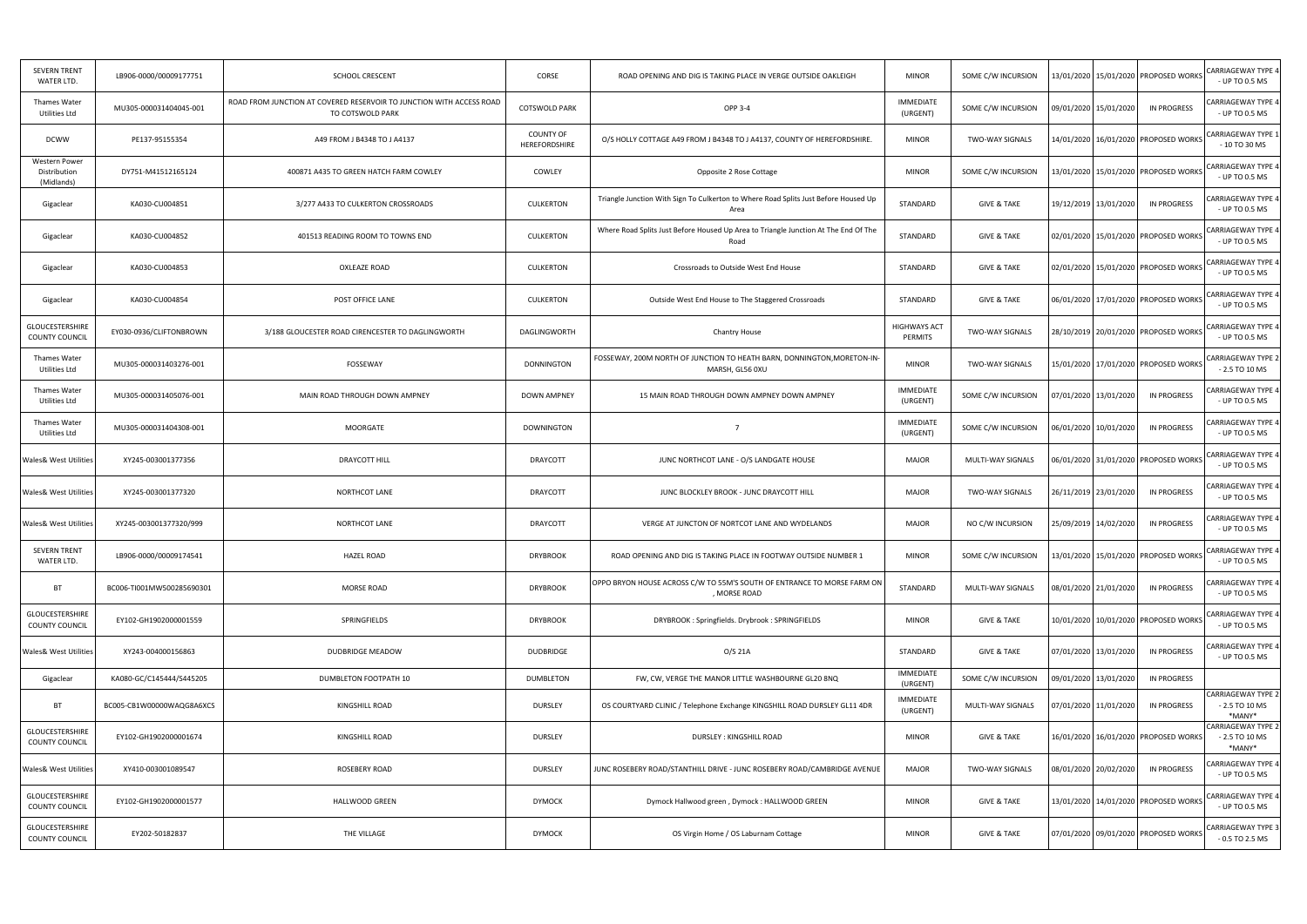| <b>SEVERN TRENT</b><br>WATER LTD.           | LB906-0000/00009177751    | SCHOOL CRESCENT                                                                          | CORSE                      | ROAD OPENING AND DIG IS TAKING PLACE IN VERGE OUTSIDE OAKLEIGH                              | <b>MINOR</b>                   | SOME C/W INCURSION     | 13/01/2020   15/01/2020   PROPOSED WORKS    | <b>CARRIAGEWAY TYPE 4</b><br>- UP TO 0.5 MS           |
|---------------------------------------------|---------------------------|------------------------------------------------------------------------------------------|----------------------------|---------------------------------------------------------------------------------------------|--------------------------------|------------------------|---------------------------------------------|-------------------------------------------------------|
| <b>Thames Water</b><br>Utilities Ltd        | MU305-000031404045-001    | ROAD FROM JUNCTION AT COVERED RESERVOIR TO JUNCTION WITH ACCESS ROAD<br>TO COTSWOLD PARK | <b>COTSWOLD PARK</b>       | <b>OPP 3-4</b>                                                                              | <b>IMMEDIATE</b><br>(URGENT)   | SOME C/W INCURSION     | <b>IN PROGRESS</b><br>09/01/2020 15/01/2020 | CARRIAGEWAY TYPE 4<br>- UP TO 0.5 MS                  |
| <b>DCWW</b>                                 | PE137-95155354            | A49 FROM J B4348 TO J A4137                                                              | COUNTY OF<br>HEREFORDSHIRE | O/S HOLLY COTTAGE A49 FROM J B4348 TO J A4137, COUNTY OF HEREFORDSHIRE                      | <b>MINOR</b>                   | <b>TWO-WAY SIGNALS</b> | 14/01/2020   16/01/2020   PROPOSED WORKS    | <b>CARRIAGEWAY TYPE 1</b><br>$-10$ TO 30 MS           |
| Western Power<br>Distribution<br>(Midlands) | DY751-M41512165124        | 400871 A435 TO GREEN HATCH FARM COWLEY                                                   | COWLEY                     | Opposite 2 Rose Cottage                                                                     | <b>MINOR</b>                   | SOME C/W INCURSION     | 13/01/2020   15/01/2020   PROPOSED WORKS    | <b>CARRIAGEWAY TYPE 4</b><br>- UP TO 0.5 MS           |
| Gigaclear                                   | KA030-CU004851            | 3/277 A433 TO CULKERTON CROSSROADS                                                       | CULKERTON                  | Triangle Junction With Sign To Culkerton to Where Road Splits Just Before Housed Up<br>Area | STANDARD                       | <b>GIVE &amp; TAKE</b> | 19/12/2019 13/01/2020<br>IN PROGRESS        | CARRIAGEWAY TYPE 4<br>- UP TO 0.5 MS                  |
| Gigaclear                                   | KA030-CU004852            | 401513 READING ROOM TO TOWNS END                                                         | CULKERTON                  | Where Road Splits Just Before Housed Up Area to Triangle Junction At The End Of The<br>Road | STANDARD                       | <b>GIVE &amp; TAKE</b> | 02/01/2020 15/01/2020 PROPOSED WORKS        | CARRIAGEWAY TYPE 4<br>- UP TO 0.5 MS                  |
| Gigaclear                                   | KA030-CU004853            | OXLEAZE ROAD                                                                             | CULKERTON                  | Crossroads to Outside West End House                                                        | STANDARD                       | <b>GIVE &amp; TAKE</b> | 02/01/2020 15/01/2020 PROPOSED WORKS        | CARRIAGEWAY TYPE 4<br>- UP TO 0.5 MS                  |
| Gigaclear                                   | KA030-CU004854            | POST OFFICE LANE                                                                         | <b>CULKERTON</b>           | Outside West End House to The Staggered Crossroads                                          | STANDARD                       | <b>GIVE &amp; TAKE</b> | 06/01/2020 17/01/2020 PROPOSED WORKS        | <b>CARRIAGEWAY TYPE 4</b><br>- UP TO 0.5 MS           |
| <b>GLOUCESTERSHIRE</b><br>COUNTY COUNCIL    | EY030-0936/CLIFTONBROWN   | 3/188 GLOUCESTER ROAD CIRENCESTER TO DAGLINGWORTH                                        | DAGLINGWORTH               | <b>Chantry House</b>                                                                        | <b>HIGHWAYS ACT</b><br>PERMITS | <b>TWO-WAY SIGNALS</b> | 28/10/2019 20/01/2020 PROPOSED WORKS        | <b>CARRIAGEWAY TYPE 4</b><br>- UP TO 0.5 MS           |
| Thames Water<br>Utilities Ltd               | MU305-000031403276-001    | FOSSEWAY                                                                                 | <b>DONNINGTON</b>          | FOSSEWAY, 200M NORTH OF JUNCTION TO HEATH BARN, DONNINGTON, MORETON-IN-<br>MARSH, GL56 0XU  | <b>MINOR</b>                   | <b>TWO-WAY SIGNALS</b> | 15/01/2020 17/01/2020 PROPOSED WORKS        | <b>CARRIAGEWAY TYPE 2</b><br>$-2.5$ TO 10 MS          |
| <b>Thames Water</b><br>Utilities Ltd        | MU305-000031405076-001    | MAIN ROAD THROUGH DOWN AMPNEY                                                            | DOWN AMPNEY                | 15 MAIN ROAD THROUGH DOWN AMPNEY DOWN AMPNEY                                                | <b>IMMEDIATE</b><br>(URGENT)   | SOME C/W INCURSION     | 07/01/2020 13/01/2020<br><b>IN PROGRESS</b> | <b>CARRIAGEWAY TYPE 4</b><br>- UP TO 0.5 MS           |
| <b>Thames Water</b><br>Utilities Ltd        | MU305-000031404308-001    | MOORGATE                                                                                 | DOWNINGTON                 | $\overline{7}$                                                                              | <b>IMMEDIATE</b><br>(URGENT)   | SOME C/W INCURSION     | 06/01/2020 10/01/2020<br>IN PROGRESS        | CARRIAGEWAY TYPE 4<br>- UP TO 0.5 MS                  |
| Wales& West Utilities                       | XY245-003001377356        | <b>DRAYCOTT HILL</b>                                                                     | DRAYCOTT                   | JUNC NORTHCOT LANE - O/S LANDGATE HOUSE                                                     | <b>MAJOR</b>                   | MULTI-WAY SIGNALS      | 06/01/2020   31/01/2020   PROPOSED WORKS    | CARRIAGEWAY TYPE 4<br>- UP TO 0.5 MS                  |
| <b>Wales&amp; West Utilities</b>            | XY245-003001377320        | NORTHCOT LANE                                                                            | DRAYCOTT                   | JUNC BLOCKLEY BROOK - JUNC DRAYCOTT HILL                                                    | <b>MAJOR</b>                   | TWO-WAY SIGNALS        | 26/11/2019 23/01/2020<br><b>IN PROGRESS</b> | CARRIAGEWAY TYPE 4<br>- UP TO 0.5 MS                  |
| <b>Wales&amp; West Utilities</b>            | XY245-003001377320/999    | NORTHCOT LANE                                                                            | DRAYCOTT                   | VERGE AT JUNCTON OF NORTCOT LANE AND WYDELANDS                                              | <b>MAJOR</b>                   | NO C/W INCURSION       | <b>IN PROGRESS</b><br>25/09/2019 14/02/2020 | CARRIAGEWAY TYPE 4<br>- UP TO 0.5 MS                  |
| <b>SEVERN TRENT</b><br>WATER LTD.           | LB906-0000/00009174541    | <b>HAZEL ROAD</b>                                                                        | <b>DRYBROOK</b>            | ROAD OPENING AND DIG IS TAKING PLACE IN FOOTWAY OUTSIDE NUMBER 1                            | <b>MINOR</b>                   | SOME C/W INCURSION     | 13/01/2020 15/01/2020 PROPOSED WORKS        | ARRIAGEWAY TYPE 4<br>- UP TO 0.5 MS                   |
| BT                                          | BC006-TI001MW500285690301 | <b>MORSE ROAD</b>                                                                        | <b>DRYBROOK</b>            | OPPO BRYON HOUSE ACROSS C/W TO 55M'S SOUTH OF ENTRANCE TO MORSE FARM ON<br>, MORSE ROAD     | STANDARD                       | MULTI-WAY SIGNALS      | <b>IN PROGRESS</b><br>08/01/2020 21/01/2020 | CARRIAGEWAY TYPE 4<br>- UP TO 0.5 MS                  |
| GLOUCESTERSHIRE<br>COUNTY COUNCIL           | EY102-GH1902000001559     | SPRINGFIELDS                                                                             | <b>DRYBROOK</b>            | DRYBROOK: Springfields. Drybrook: SPRINGFIELDS                                              | <b>MINOR</b>                   | <b>GIVE &amp; TAKE</b> | 10/01/2020 10/01/2020 PROPOSED WORKS        | <b>CARRIAGEWAY TYPE 4</b><br>- UP TO 0.5 MS           |
| <b>Wales&amp; West Utilities</b>            | XY243-004000156863        | <b>DUDBRIDGE MEADOW</b>                                                                  | <b>DUDBRIDGE</b>           | O/S 21A                                                                                     | STANDARD                       | <b>GIVE &amp; TAKE</b> | <b>IN PROGRESS</b><br>07/01/2020 13/01/2020 | CARRIAGEWAY TYPE 4<br>- UP TO 0.5 MS                  |
| Gigaclear                                   | KA080-GC/C145444/S445205  | DUMBLETON FOOTPATH 10                                                                    | <b>DUMBLETON</b>           | FW, CW, VERGE THE MANOR LITTLE WASHBOURNE GL20 8NQ                                          | <b>IMMEDIATE</b><br>(URGENT)   | SOME C/W INCURSION     | 09/01/2020 13/01/2020<br>IN PROGRESS        |                                                       |
| <b>BT</b>                                   | BC005-CB1W00000WAQG8A6XCS | KINGSHILL ROAD                                                                           | DURSLEY                    | OS COURTYARD CLINIC / Telephone Exchange KINGSHILL ROAD DURSLEY GL11 4DR                    | <b>IMMEDIATE</b><br>(URGENT)   | MULTI-WAY SIGNALS      | <b>IN PROGRESS</b><br>07/01/2020 11/01/2020 | CARRIAGEWAY TYPE 2<br>$-2.5$ TO 10 MS<br>*MANY*       |
| GLOUCESTERSHIRE<br><b>COUNTY COUNCIL</b>    | EY102-GH1902000001674     | KINGSHILL ROAD                                                                           | DURSLEY                    | DURSLEY : KINGSHILL ROAD                                                                    | <b>MINOR</b>                   | <b>GIVE &amp; TAKE</b> | 16/01/2020 16/01/2020 PROPOSED WORKS        | <b>CARRIAGEWAY TYPE 2</b><br>- 2.5 TO 10 MS<br>*MANY* |
| <b>Wales&amp; West Utilities</b>            | XY410-003001089547        | ROSEBERY ROAD                                                                            | <b>DURSLEY</b>             | JUNC ROSEBERY ROAD/STANTHILL DRIVE - JUNC ROSEBERY ROAD/CAMBRIDGE AVENUE                    | <b>MAJOR</b>                   | <b>TWO-WAY SIGNALS</b> | <b>IN PROGRESS</b><br>08/01/2020 20/02/2020 | CARRIAGEWAY TYPE 4<br>- UP TO 0.5 MS                  |
| GLOUCESTERSHIRE<br><b>COUNTY COUNCIL</b>    | EY102-GH1902000001577     | <b>HALLWOOD GREEN</b>                                                                    | <b>DYMOCK</b>              | Dymock Hallwood green, Dymock: HALLWOOD GREEN                                               | <b>MINOR</b>                   | <b>GIVE &amp; TAKE</b> | 13/01/2020 14/01/2020 PROPOSED WORKS        | CARRIAGEWAY TYPE 4<br>- UP TO 0.5 MS                  |
| <b>GLOUCESTERSHIRE</b><br>COUNTY COUNCIL    | EY202-50182837            | THE VILLAGE                                                                              | <b>DYMOCK</b>              | OS Virgin Home / OS Laburnam Cottage                                                        | <b>MINOR</b>                   | <b>GIVE &amp; TAKE</b> | 07/01/2020 09/01/2020 PROPOSED WORKS        | <b>CARRIAGEWAY TYPE 3</b><br>$-0.5$ TO 2.5 MS         |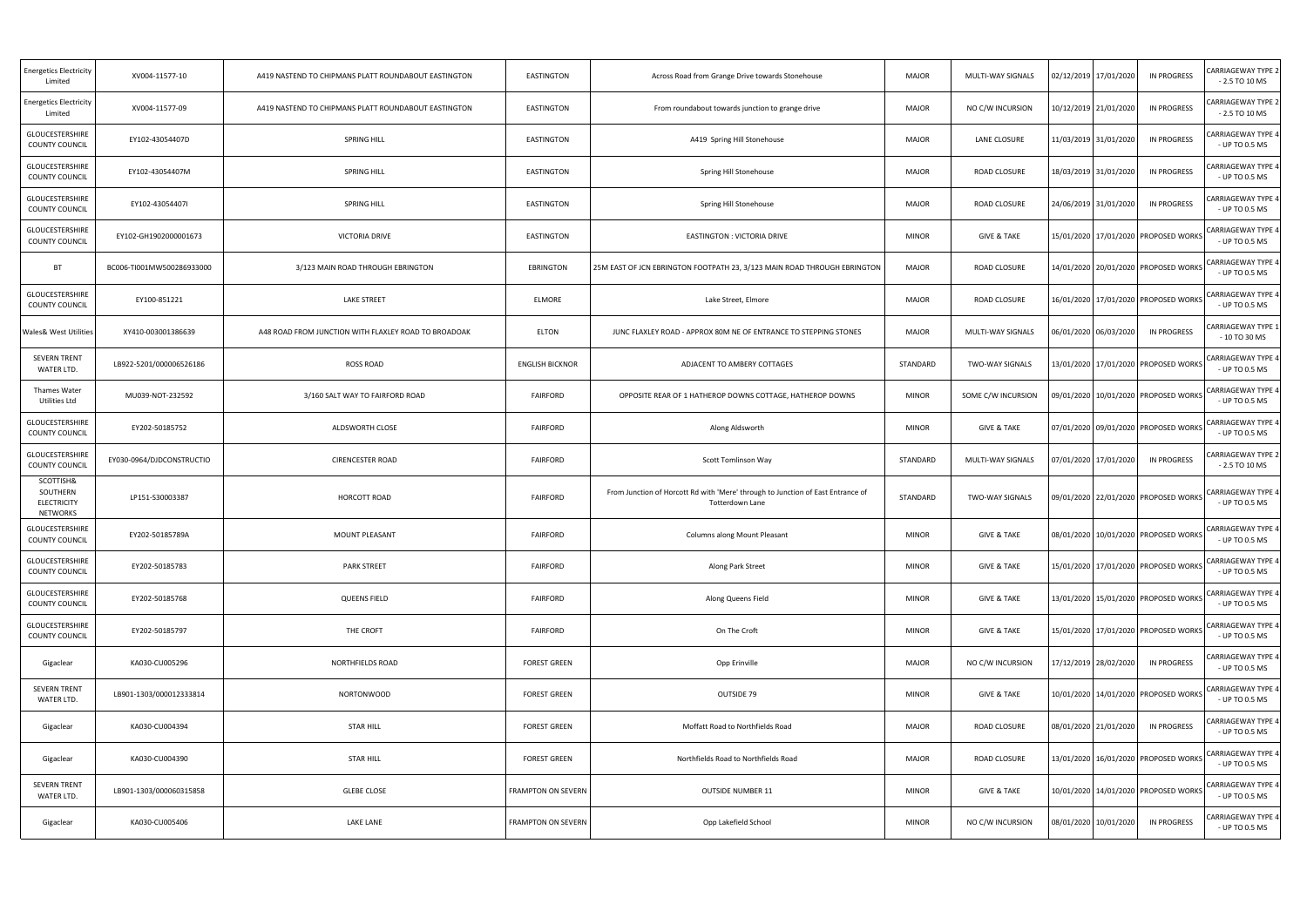| <b>Energetics Electricity</b><br>Limited                       | XV004-11577-10            | A419 NASTEND TO CHIPMANS PLATT ROUNDABOUT EASTINGTON | EASTINGTON                | Across Road from Grange Drive towards Stonehouse                                                          | <b>MAJOR</b> | MULTI-WAY SIGNALS      | 02/12/2019 17/01/2020                    | <b>IN PROGRESS</b> | <b>CARRIAGEWAY TYPE 2</b><br>$-2.5$ TO 10 MS |
|----------------------------------------------------------------|---------------------------|------------------------------------------------------|---------------------------|-----------------------------------------------------------------------------------------------------------|--------------|------------------------|------------------------------------------|--------------------|----------------------------------------------|
| <b>Energetics Electricity</b><br>Limited                       | XV004-11577-09            | A419 NASTEND TO CHIPMANS PLATT ROUNDABOUT EASTINGTON | EASTINGTON                | From roundabout towards junction to grange drive                                                          | <b>MAJOR</b> | NO C/W INCURSION       | 10/12/2019 21/01/2020                    | IN PROGRESS        | CARRIAGEWAY TYPE 2<br>$-2.5$ TO 10 MS        |
| GLOUCESTERSHIRE<br>COUNTY COUNCIL                              | EY102-43054407D           | <b>SPRING HILL</b>                                   | EASTINGTON                | A419 Spring Hill Stonehouse                                                                               | <b>MAJOR</b> | LANE CLOSURE           | 11/03/2019 31/01/2020                    | IN PROGRESS        | CARRIAGEWAY TYPE 4<br>- UP TO 0.5 MS         |
| <b>GLOUCESTERSHIRE</b><br>COUNTY COUNCIL                       | EY102-43054407M           | <b>SPRING HILL</b>                                   | EASTINGTON                | Spring Hill Stonehouse                                                                                    | <b>MAJOR</b> | ROAD CLOSURE           | 18/03/2019 31/01/2020                    | IN PROGRESS        | CARRIAGEWAY TYPE 4<br>- UP TO 0.5 MS         |
| GLOUCESTERSHIRE<br>COUNTY COUNCIL                              | EY102-43054407I           | <b>SPRING HILL</b>                                   | EASTINGTON                | Spring Hill Stonehouse                                                                                    | <b>MAJOR</b> | ROAD CLOSURE           | 24/06/2019 31/01/2020                    | IN PROGRESS        | ARRIAGEWAY TYPE 4<br>- UP TO 0.5 MS          |
| <b>GLOUCESTERSHIRE</b><br>COUNTY COUNCIL                       | EY102-GH1902000001673     | <b>VICTORIA DRIVE</b>                                | EASTINGTON                | EASTINGTON : VICTORIA DRIVE                                                                               | <b>MINOR</b> | <b>GIVE &amp; TAKE</b> | 15/01/2020   17/01/2020   PROPOSED WORKS |                    | CARRIAGEWAY TYPE 4<br>- UP TO 0.5 MS         |
| <b>BT</b>                                                      | BC006-TI001MW500286933000 | 3/123 MAIN ROAD THROUGH EBRINGTON                    | EBRINGTON                 | 25M EAST OF JCN EBRINGTON FOOTPATH 23, 3/123 MAIN ROAD THROUGH EBRINGTON                                  | <b>MAJOR</b> | <b>ROAD CLOSURE</b>    | 14/01/2020 20/01/2020 PROPOSED WORKS     |                    | <b>CARRIAGEWAY TYPE 4</b><br>- UP TO 0.5 MS  |
| <b>GLOUCESTERSHIRE</b><br>COUNTY COUNCIL                       | EY100-851221              | <b>LAKE STREET</b>                                   | ELMORE                    | Lake Street, Elmore                                                                                       | <b>MAJOR</b> | ROAD CLOSURE           | 16/01/2020 17/01/2020 PROPOSED WORKS     |                    | <b>CARRIAGEWAY TYPE 4</b><br>- UP TO 0.5 MS  |
| <b>Wales&amp; West Utilities</b>                               | XY410-003001386639        | A48 ROAD FROM JUNCTION WITH FLAXLEY ROAD TO BROADOAK | ELTON                     | JUNC FLAXLEY ROAD - APPROX 80M NE OF ENTRANCE TO STEPPING STONES                                          | <b>MAJOR</b> | MULTI-WAY SIGNALS      | 06/01/2020 06/03/2020                    | IN PROGRESS        | CARRIAGEWAY TYPE 1<br>$-10$ TO 30 MS         |
| <b>SEVERN TRENT</b><br>WATER LTD.                              | LB922-5201/000006526186   | <b>ROSS ROAD</b>                                     | <b>ENGLISH BICKNOR</b>    | ADJACENT TO AMBERY COTTAGES                                                                               | STANDARD     | TWO-WAY SIGNALS        | 13/01/2020 17/01/2020 PROPOSED WORKS     |                    | <b>CARRIAGEWAY TYPE 4</b><br>- UP TO 0.5 MS  |
| <b>Thames Water</b><br>Utilities Ltd                           | MU039-NOT-232592          | 3/160 SALT WAY TO FAIRFORD ROAD                      | <b>FAIRFORD</b>           | OPPOSITE REAR OF 1 HATHEROP DOWNS COTTAGE, HATHEROP DOWNS                                                 | <b>MINOR</b> | SOME C/W INCURSION     | 09/01/2020   10/01/2020   PROPOSED WORKS |                    | <b>CARRIAGEWAY TYPE 4</b><br>- UP TO 0.5 MS  |
| GLOUCESTERSHIRE<br>COUNTY COUNCIL                              | EY202-50185752            | ALDSWORTH CLOSE                                      | <b>FAIRFORD</b>           | Along Aldsworth                                                                                           | <b>MINOR</b> | <b>GIVE &amp; TAKE</b> | 07/01/2020 09/01/2020 PROPOSED WORKS     |                    | CARRIAGEWAY TYPE 4<br>- UP TO 0.5 MS         |
| GLOUCESTERSHIRE<br>COUNTY COUNCIL                              | EY030-0964/DJDCONSTRUCTIO | <b>CIRENCESTER ROAD</b>                              | <b>FAIRFORD</b>           | Scott Tomlinson Way                                                                                       | STANDARD     | MULTI-WAY SIGNALS      | 07/01/2020 17/01/2020                    | IN PROGRESS        | CARRIAGEWAY TYPE 2<br>$-2.5$ TO 10 MS        |
| SCOTTISH&<br>SOUTHERN<br><b>ELECTRICITY</b><br><b>NETWORKS</b> | LP151-S30003387           | HORCOTT ROAD                                         | <b>FAIRFORD</b>           | From Junction of Horcott Rd with 'Mere' through to Junction of East Entrance of<br><b>Totterdown Lane</b> | STANDARD     | TWO-WAY SIGNALS        | 09/01/2020 22/01/2020 PROPOSED WORKS     |                    | <b>CARRIAGEWAY TYPE 4</b><br>- UP TO 0.5 MS  |
| <b>GLOUCESTERSHIRE</b><br>COUNTY COUNCIL                       | EY202-50185789A           | MOUNT PLEASANT                                       | <b>FAIRFORD</b>           | Columns along Mount Pleasant                                                                              | <b>MINOR</b> | <b>GIVE &amp; TAKE</b> | 08/01/2020 10/01/2020 PROPOSED WORKS     |                    | CARRIAGEWAY TYPE 4<br>- UP TO 0.5 MS         |
| GLOUCESTERSHIRE<br>COUNTY COUNCIL                              | EY202-50185783            | <b>PARK STREET</b>                                   | <b>FAIRFORD</b>           | Along Park Street                                                                                         | <b>MINOR</b> | <b>GIVE &amp; TAKE</b> | 15/01/2020 17/01/2020 PROPOSED WORKS     |                    | <b>CARRIAGEWAY TYPE 4</b><br>- UP TO 0.5 MS  |
| GLOUCESTERSHIRE<br>COUNTY COUNCIL                              | EY202-50185768            | <b>QUEENS FIELD</b>                                  | <b>FAIRFORD</b>           | Along Queens Field                                                                                        | <b>MINOR</b> | <b>GIVE &amp; TAKE</b> | 13/01/2020 15/01/2020 PROPOSED WORKS     |                    | CARRIAGEWAY TYPE 4<br>- UP TO 0.5 MS         |
| GLOUCESTERSHIRE<br>COUNTY COUNCIL                              | EY202-50185797            | THE CROFT                                            | <b>FAIRFORD</b>           | On The Croft                                                                                              | <b>MINOR</b> | <b>GIVE &amp; TAKE</b> | 15/01/2020 17/01/2020 PROPOSED WORKS     |                    | CARRIAGEWAY TYPE 4<br>- UP TO 0.5 MS         |
| Gigaclear                                                      | KA030-CU005296            | NORTHFIELDS ROAD                                     | <b>FOREST GREEN</b>       | Opp Erinville                                                                                             | <b>MAJOR</b> | NO C/W INCURSION       | 17/12/2019 28/02/2020                    | <b>IN PROGRESS</b> | <b>CARRIAGEWAY TYPE 4</b><br>- UP TO 0.5 MS  |
| <b>SEVERN TRENT</b><br>WATER LTD.                              | LB901-1303/000012333814   | <b>NORTONWOOD</b>                                    | <b>FOREST GREEN</b>       | OUTSIDE 79                                                                                                | <b>MINOR</b> | <b>GIVE &amp; TAKE</b> | 10/01/2020 14/01/2020 PROPOSED WORKS     |                    | CARRIAGEWAY TYPE 4<br>- UP TO 0.5 MS         |
| Gigaclear                                                      | KA030-CU004394            | <b>STAR HILL</b>                                     | <b>FOREST GREEN</b>       | Moffatt Road to Northfields Road                                                                          | <b>MAJOR</b> | ROAD CLOSURE           | 08/01/2020 21/01/2020                    | <b>IN PROGRESS</b> | CARRIAGEWAY TYPE 4<br>- UP TO 0.5 MS         |
| Gigaclear                                                      | KA030-CU004390            | <b>STAR HILL</b>                                     | <b>FOREST GREEN</b>       | Northfields Road to Northfields Road                                                                      | <b>MAJOR</b> | ROAD CLOSURE           | 13/01/2020 16/01/2020 PROPOSED WORKS     |                    | <b>CARRIAGEWAY TYPE 4</b><br>- UP TO 0.5 MS  |
| <b>SEVERN TRENT</b><br>WATER LTD.                              | LB901-1303/000060315858   | <b>GLEBE CLOSE</b>                                   | <b>FRAMPTON ON SEVERN</b> | <b>OUTSIDE NUMBER 11</b>                                                                                  | <b>MINOR</b> | <b>GIVE &amp; TAKE</b> | 10/01/2020 14/01/2020 PROPOSED WORKS     |                    | <b>CARRIAGEWAY TYPE 4</b><br>- UP TO 0.5 MS  |
| Gigaclear                                                      | KA030-CU005406            | LAKE LANE                                            | FRAMPTON ON SEVERN        | Opp Lakefield School                                                                                      | <b>MINOR</b> | NO C/W INCURSION       | 08/01/2020 10/01/2020                    | <b>IN PROGRESS</b> | CARRIAGEWAY TYPE 4<br>- UP TO 0.5 MS         |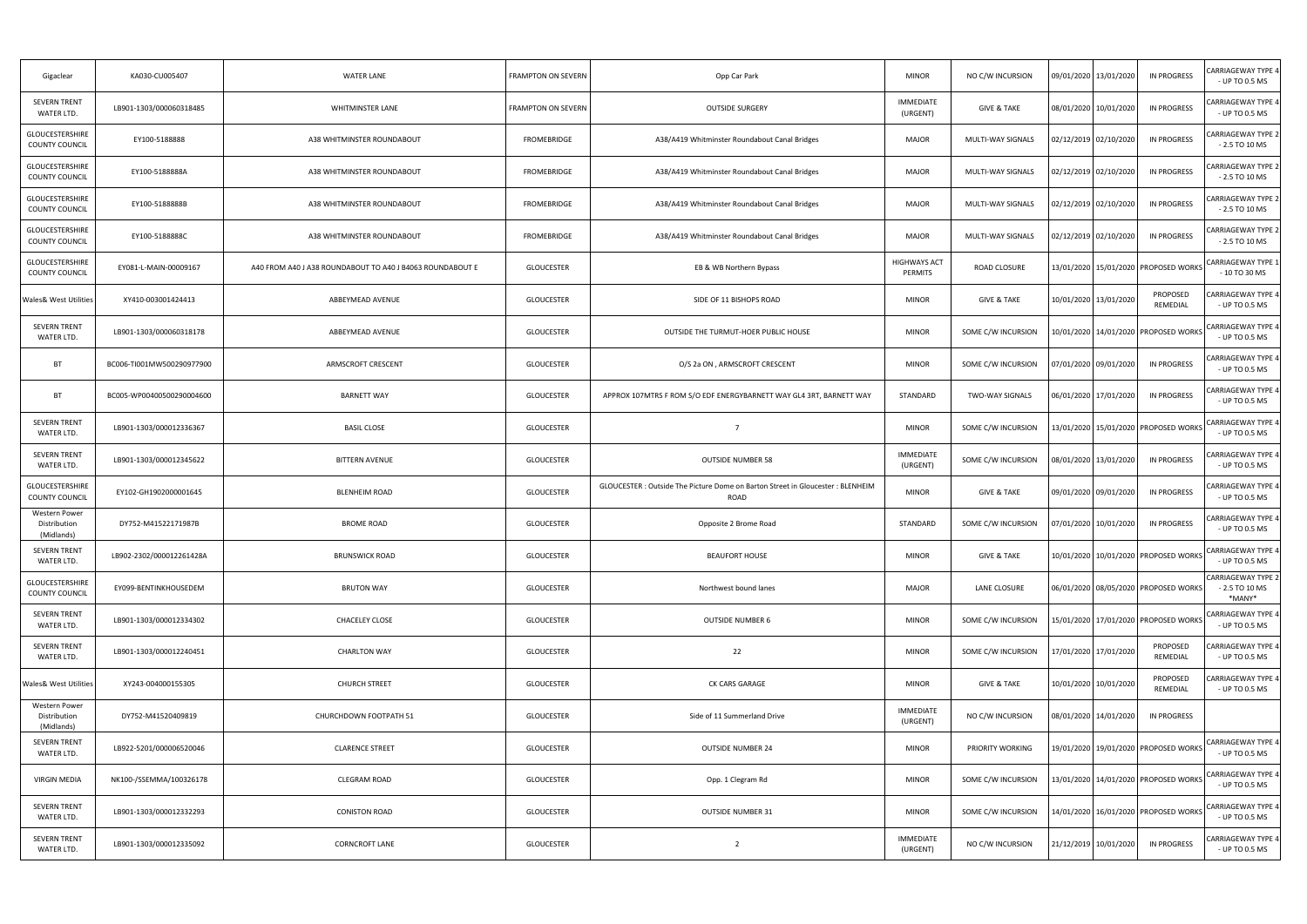| Gigaclear                                   | KA030-CU005407            | <b>WATER LANE</b>                                         | <b>FRAMPTON ON SEVERN</b> | Opp Car Park                                                                            | <b>MINOR</b>                   | NO C/W INCURSION        | 09/01/2020   13/01/2020                  | IN PROGRESS          | CARRIAGEWAY TYPE 4<br>- UP TO 0.5 MS                   |
|---------------------------------------------|---------------------------|-----------------------------------------------------------|---------------------------|-----------------------------------------------------------------------------------------|--------------------------------|-------------------------|------------------------------------------|----------------------|--------------------------------------------------------|
| <b>SEVERN TRENT</b><br>WATER LTD.           | LB901-1303/000060318485   | <b>WHITMINSTER LANE</b>                                   | FRAMPTON ON SEVERN        | <b>OUTSIDE SURGERY</b>                                                                  | <b>IMMEDIATE</b><br>(URGENT)   | <b>GIVE &amp; TAKE</b>  | 08/01/2020 10/01/2020                    | <b>IN PROGRESS</b>   | CARRIAGEWAY TYPE 4<br>- UP TO 0.5 MS                   |
| <b>GLOUCESTERSHIRE</b><br>COUNTY COUNCIL    | EY100-5188888             | A38 WHITMINSTER ROUNDABOUT                                | FROMEBRIDGE               | A38/A419 Whitminster Roundabout Canal Bridges                                           | <b>MAJOR</b>                   | MULTI-WAY SIGNALS       | 02/12/2019 02/10/2020                    | IN PROGRESS          | <b>CARRIAGEWAY TYPE 2</b><br>$-2.5$ TO 10 MS           |
| <b>GLOUCESTERSHIRE</b><br>COUNTY COUNCIL    | EY100-5188888A            | A38 WHITMINSTER ROUNDABOUT                                | FROMEBRIDGE               | A38/A419 Whitminster Roundabout Canal Bridges                                           | <b>MAJOR</b>                   | MULTI-WAY SIGNALS       | 02/12/2019 02/10/2020                    | IN PROGRESS          | CARRIAGEWAY TYPE 2<br>$-2.5$ TO 10 MS                  |
| GLOUCESTERSHIRE<br>COUNTY COUNCIL           | EY100-5188888B            | A38 WHITMINSTER ROUNDABOUT                                | FROMEBRIDGE               | A38/A419 Whitminster Roundabout Canal Bridges                                           | <b>MAJOR</b>                   | MULTI-WAY SIGNALS       | 02/12/2019 02/10/2020                    | IN PROGRESS          | CARRIAGEWAY TYPE 2<br>$-2.5$ TO 10 MS                  |
| <b>GLOUCESTERSHIRE</b><br>COUNTY COUNCIL    | EY100-5188888C            | A38 WHITMINSTER ROUNDABOUT                                | FROMEBRIDGE               | A38/A419 Whitminster Roundabout Canal Bridges                                           | <b>MAJOR</b>                   | MULTI-WAY SIGNALS       | 02/12/2019 02/10/2020                    | <b>IN PROGRESS</b>   | CARRIAGEWAY TYPE 2<br>$-2.5$ TO 10 MS                  |
| GLOUCESTERSHIRE<br>COUNTY COUNCIL           | EY081-L-MAIN-00009167     | A40 FROM A40 J A38 ROUNDABOUT TO A40 J B4063 ROUNDABOUT E | <b>GLOUCESTER</b>         | EB & WB Northern Bypass                                                                 | <b>HIGHWAYS ACT</b><br>PERMITS | <b>ROAD CLOSURE</b>     | 13/01/2020 15/01/2020 PROPOSED WORKS     |                      | <b>CARRIAGEWAY TYPE 1</b><br>- 10 TO 30 MS             |
| <b>Wales&amp; West Utilities</b>            | XY410-003001424413        | ABBEYMEAD AVENUE                                          | <b>GLOUCESTER</b>         | SIDE OF 11 BISHOPS ROAD                                                                 | <b>MINOR</b>                   | <b>GIVE &amp; TAKE</b>  | 10/01/2020 13/01/2020                    | PROPOSED<br>REMEDIAL | CARRIAGEWAY TYPE 4<br>- UP TO 0.5 MS                   |
| <b>SEVERN TRENT</b><br>WATER LTD.           | LB901-1303/000060318178   | ABBEYMEAD AVENUE                                          | <b>GLOUCESTER</b>         | OUTSIDE THE TURMUT-HOER PUBLIC HOUSE                                                    | <b>MINOR</b>                   | SOME C/W INCURSION      | 10/01/2020 14/01/2020 PROPOSED WORKS     |                      | <b>CARRIAGEWAY TYPE 4</b><br>- UP TO 0.5 MS            |
| <b>BT</b>                                   | BC006-TI001MW500290977900 | ARMSCROFT CRESCENT                                        | <b>GLOUCESTER</b>         | O/S 2a ON, ARMSCROFT CRESCENT                                                           | <b>MINOR</b>                   | SOME C/W INCURSION      | 07/01/2020 09/01/2020                    | IN PROGRESS          | CARRIAGEWAY TYPE 4<br>- UP TO 0.5 MS                   |
| BT                                          | BC005-WP00400500290004600 | <b>BARNETT WAY</b>                                        | <b>GLOUCESTER</b>         | APPROX 107MTRS F ROM S/O EDF ENERGYBARNETT WAY GL4 3RT, BARNETT WAY                     | STANDARD                       | TWO-WAY SIGNALS         | 06/01/2020 17/01/2020                    | <b>IN PROGRESS</b>   | CARRIAGEWAY TYPE 4<br>- UP TO 0.5 MS                   |
| <b>SEVERN TRENT</b><br>WATER LTD.           | LB901-1303/000012336367   | <b>BASIL CLOSE</b>                                        | <b>GLOUCESTER</b>         | $\overline{7}$                                                                          | <b>MINOR</b>                   | SOME C/W INCURSION      | .3/01/2020   15/01/2020   PROPOSED WORKS |                      | CARRIAGEWAY TYPE 4<br>- UP TO 0.5 MS                   |
| <b>SEVERN TRENT</b><br>WATER LTD.           | LB901-1303/000012345622   | <b>BITTERN AVENUE</b>                                     | <b>GLOUCESTER</b>         | <b>OUTSIDE NUMBER 58</b>                                                                | <b>IMMEDIATE</b><br>(URGENT)   | SOME C/W INCURSION      | 08/01/2020 13/01/2020                    | IN PROGRESS          | CARRIAGEWAY TYPE 4<br>- UP TO 0.5 MS                   |
| GLOUCESTERSHIRE<br>COUNTY COUNCIL           | EY102-GH1902000001645     | <b>BLENHEIM ROAD</b>                                      | <b>GLOUCESTER</b>         | GLOUCESTER : Outside The Picture Dome on Barton Street in Gloucester : BLENHEIM<br>ROAD | <b>MINOR</b>                   | <b>GIVE &amp; TAKE</b>  | 09/01/2020 09/01/2020                    | IN PROGRESS          | CARRIAGEWAY TYPE 4<br>- UP TO 0.5 MS                   |
| Western Power<br>Distribution<br>(Midlands) | DY752-M41522171987B       | <b>BROME ROAD</b>                                         | <b>GLOUCESTER</b>         | Opposite 2 Brome Road                                                                   | STANDARD                       | SOME C/W INCURSION      | 07/01/2020 10/01/2020                    | <b>IN PROGRESS</b>   | CARRIAGEWAY TYPE 4<br>- UP TO 0.5 MS                   |
| SEVERN TRENT<br>WATER LTD.                  | LB902-2302/000012261428A  | <b>BRUNSWICK ROAD</b>                                     | <b>GLOUCESTER</b>         | <b>BEAUFORT HOUSE</b>                                                                   | <b>MINOR</b>                   | <b>GIVE &amp; TAKE</b>  | 10/01/2020 10/01/2020 PROPOSED WORKS     |                      | CARRIAGEWAY TYPE 4<br>- UP TO 0.5 MS                   |
| GLOUCESTERSHIRE<br><b>COUNTY COUNCIL</b>    | EY099-BENTINKHOUSEDEM     | <b>BRUTON WAY</b>                                         | <b>GLOUCESTER</b>         | Northwest bound lanes                                                                   | <b>MAJOR</b>                   | LANE CLOSURE            | 06/01/2020 08/05/2020 PROPOSED WORKS     |                      | <b>CARRIAGEWAY TYPE 2</b><br>$-2.5$ TO 10 MS<br>*MANY* |
| <b>SEVERN TRENT</b><br>WATER LTD.           | LB901-1303/000012334302   | CHACELEY CLOSE                                            | <b>GLOUCESTER</b>         | <b>OUTSIDE NUMBER 6</b>                                                                 | <b>MINOR</b>                   | SOME C/W INCURSION      | 15/01/2020 17/01/2020 PROPOSED WORKS     |                      | CARRIAGEWAY TYPE 4<br>- UP TO 0.5 MS                   |
| SEVERN TRENT<br>WATER LTD.                  | LB901-1303/000012240451   | <b>CHARLTON WAY</b>                                       | <b>GLOUCESTER</b>         | 22                                                                                      | <b>MINOR</b>                   | SOME C/W INCURSION      | 17/01/2020 17/01/2020                    | PROPOSED<br>REMEDIAL | CARRIAGEWAY TYPE 4<br>- UP TO 0.5 MS                   |
| <b>Wales&amp; West Utilities</b>            | XY243-004000155305        | <b>CHURCH STREET</b>                                      | <b>GLOUCESTER</b>         | CK CARS GARAGE                                                                          | <b>MINOR</b>                   | <b>GIVE &amp; TAKE</b>  | 10/01/2020 10/01/2020                    | PROPOSED<br>REMEDIAL | ARRIAGEWAY TYPE 4<br>- UP TO 0.5 MS                    |
| Western Power<br>Distribution<br>(Midlands) | DY752-M41520409819        | CHURCHDOWN FOOTPATH 51                                    | <b>GLOUCESTER</b>         | Side of 11 Summerland Drive                                                             | <b>IMMEDIATE</b><br>(URGENT)   | NO C/W INCURSION        | 08/01/2020 14/01/2020                    | IN PROGRESS          |                                                        |
| <b>SEVERN TRENT</b><br>WATER LTD.           | LB922-5201/000006520046   | <b>CLARENCE STREET</b>                                    | <b>GLOUCESTER</b>         | <b>OUTSIDE NUMBER 24</b>                                                                | <b>MINOR</b>                   | <b>PRIORITY WORKING</b> | 19/01/2020 19/01/2020 PROPOSED WORKS     |                      | <b>CARRIAGEWAY TYPE 4</b><br>- UP TO 0.5 MS            |
| VIRGIN MEDIA                                | NK100-/SSEMMA/100326178   | <b>CLEGRAM ROAD</b>                                       | <b>GLOUCESTER</b>         | Opp. 1 Clegram Rd                                                                       | <b>MINOR</b>                   | SOME C/W INCURSION      | 13/01/2020   14/01/2020   PROPOSED WORKS |                      | <b>CARRIAGEWAY TYPE 4</b><br>- UP TO 0.5 MS            |
| SEVERN TRENT<br>WATER LTD.                  | LB901-1303/000012332293   | <b>CONISTON ROAD</b>                                      | <b>GLOUCESTER</b>         | <b>OUTSIDE NUMBER 31</b>                                                                | <b>MINOR</b>                   | SOME C/W INCURSION      | 14/01/2020   16/01/2020   PROPOSED WORKS |                      | <b>CARRIAGEWAY TYPE 4</b><br>- UP TO 0.5 MS            |
| <b>SEVERN TRENT</b><br>WATER LTD.           | LB901-1303/000012335092   | <b>CORNCROFT LANE</b>                                     | <b>GLOUCESTER</b>         | $\overline{2}$                                                                          | <b>IMMEDIATE</b><br>(URGENT)   | NO C/W INCURSION        | 21/12/2019 10/01/2020                    | IN PROGRESS          | CARRIAGEWAY TYPE 4<br>- UP TO 0.5 MS                   |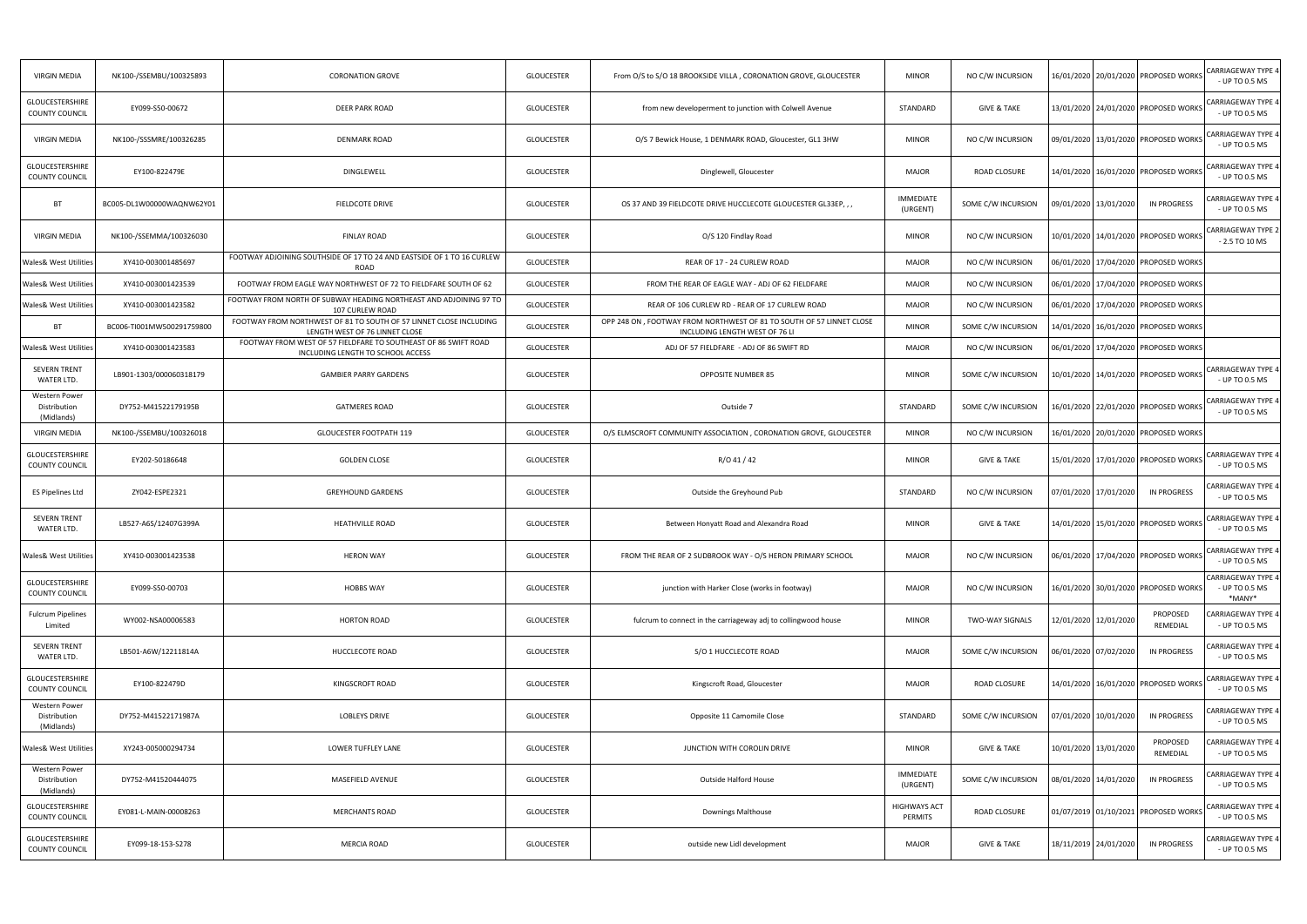| <b>VIRGIN MEDIA</b>                             | NK100-/SSEMBU/100325893   | <b>CORONATION GROVE</b>                                                                              | <b>GLOUCESTER</b> | From O/S to S/O 18 BROOKSIDE VILLA, CORONATION GROVE, GLOUCESTER                                       | <b>MINOR</b>                 | NO C/W INCURSION       |                       |                       | 16/01/2020 20/01/2020 PROPOSED WORKS     | CARRIAGEWAY TYPE 4<br>- UP TO 0.5 MS                  |
|-------------------------------------------------|---------------------------|------------------------------------------------------------------------------------------------------|-------------------|--------------------------------------------------------------------------------------------------------|------------------------------|------------------------|-----------------------|-----------------------|------------------------------------------|-------------------------------------------------------|
| <b>GLOUCESTERSHIRE</b><br><b>COUNTY COUNCIL</b> | EY099-S50-00672           | <b>DEER PARK ROAD</b>                                                                                | <b>GLOUCESTER</b> | from new developerment to junction with Colwell Avenue                                                 | STANDARD                     | <b>GIVE &amp; TAKE</b> |                       |                       | 13/01/2020 24/01/2020 PROPOSED WORKS     | CARRIAGEWAY TYPE 4<br>- UP TO 0.5 MS                  |
| <b>VIRGIN MEDIA</b>                             | NK100-/SSSMRE/100326285   | <b>DENMARK ROAD</b>                                                                                  | <b>GLOUCESTER</b> | O/S 7 Bewick House, 1 DENMARK ROAD, Gloucester, GL1 3HW                                                | <b>MINOR</b>                 | NO C/W INCURSION       |                       |                       | 09/01/2020 13/01/2020 PROPOSED WORKS     | CARRIAGEWAY TYPE 4<br>- UP TO 0.5 MS                  |
| <b>GLOUCESTERSHIRE</b><br><b>COUNTY COUNCIL</b> | EY100-822479E             | <b>DINGLEWELL</b>                                                                                    | <b>GLOUCESTER</b> | Dinglewell, Gloucester                                                                                 | <b>MAJOR</b>                 | <b>ROAD CLOSURE</b>    |                       |                       | 14/01/2020 16/01/2020 PROPOSED WORKS     | <b>CARRIAGEWAY TYPE 4</b><br>- UP TO 0.5 MS           |
| <b>BT</b>                                       | BC005-DL1W00000WAQNW62Y01 | FIELDCOTE DRIVE                                                                                      | <b>GLOUCESTER</b> | OS 37 AND 39 FIELDCOTE DRIVE HUCCLECOTE GLOUCESTER GL33EP,,,                                           | <b>IMMEDIATE</b><br>(URGENT) | SOME C/W INCURSION     |                       | 09/01/2020 13/01/2020 | <b>IN PROGRESS</b>                       | <b>CARRIAGEWAY TYPE 4</b><br>- UP TO 0.5 MS           |
| <b>VIRGIN MEDIA</b>                             | NK100-/SSEMMA/100326030   | <b>FINLAY ROAD</b>                                                                                   | <b>GLOUCESTER</b> | O/S 120 Findlay Road                                                                                   | <b>MINOR</b>                 | NO C/W INCURSION       |                       |                       | 10/01/2020 14/01/2020 PROPOSED WORKS     | CARRIAGEWAY TYPE 2<br>$-2.5$ TO 10 MS                 |
| <b>Wales&amp; West Utilities</b>                | XY410-003001485697        | FOOTWAY ADJOINING SOUTHSIDE OF 17 TO 24 AND EASTSIDE OF 1 TO 16 CURLEW<br>ROAD                       | <b>GLOUCESTER</b> | REAR OF 17 - 24 CURLEW ROAD                                                                            | <b>MAJOR</b>                 | NO C/W INCURSION       |                       |                       | 06/01/2020 17/04/2020 PROPOSED WORKS     |                                                       |
| <b>Wales&amp; West Utilities</b>                | XY410-003001423539        | FOOTWAY FROM EAGLE WAY NORTHWEST OF 72 TO FIELDFARE SOUTH OF 62                                      | <b>GLOUCESTER</b> | FROM THE REAR OF EAGLE WAY - ADJ OF 62 FIELDFARE                                                       | <b>MAJOR</b>                 | NO C/W INCURSION       |                       |                       | 06/01/2020   17/04/2020   PROPOSED WORKS |                                                       |
| <b>Wales&amp; West Utilities</b>                | XY410-003001423582        | FOOTWAY FROM NORTH OF SUBWAY HEADING NORTHEAST AND ADJOINING 97 TO<br>107 CURLEW ROAD                | <b>GLOUCESTER</b> | REAR OF 106 CURLEW RD - REAR OF 17 CURLEW ROAD                                                         | <b>MAJOR</b>                 | NO C/W INCURSION       |                       |                       | 06/01/2020 17/04/2020 PROPOSED WORKS     |                                                       |
| <b>BT</b>                                       | BC006-TI001MW500291759800 | FOOTWAY FROM NORTHWEST OF 81 TO SOUTH OF 57 LINNET CLOSE INCLUDING<br>LENGTH WEST OF 76 LINNET CLOSE | <b>GLOUCESTER</b> | OPP 248 ON, FOOTWAY FROM NORTHWEST OF 81 TO SOUTH OF 57 LINNET CLOSE<br>INCLUDING LENGTH WEST OF 76 LI | <b>MINOR</b>                 | SOME C/W INCURSION     |                       |                       | 14/01/2020 16/01/2020 PROPOSED WORKS     |                                                       |
| <b>Wales&amp; West Utilities</b>                | XY410-003001423583        | FOOTWAY FROM WEST OF 57 FIELDFARE TO SOUTHEAST OF 86 SWIFT ROAD<br>INCLUDING LENGTH TO SCHOOL ACCESS | <b>GLOUCESTER</b> | ADJ OF 57 FIELDFARE - ADJ OF 86 SWIFT RD                                                               | <b>MAJOR</b>                 | NO C/W INCURSION       |                       |                       | 06/01/2020   17/04/2020   PROPOSED WORKS |                                                       |
| <b>SEVERN TRENT</b><br>WATER LTD.               | LB901-1303/000060318179   | <b>GAMBIER PARRY GARDENS</b>                                                                         | <b>GLOUCESTER</b> | <b>OPPOSITE NUMBER 85</b>                                                                              | <b>MINOR</b>                 | SOME C/W INCURSION     |                       |                       | 0/01/2020   14/01/2020   PROPOSED WORKS  | CARRIAGEWAY TYPE 4<br>- UP TO 0.5 MS                  |
| Western Power<br>Distribution<br>(Midlands)     | DY752-M41522179195B       | <b>GATMERES ROAD</b>                                                                                 | <b>GLOUCESTER</b> | Outside 7                                                                                              | STANDARD                     | SOME C/W INCURSION     |                       |                       | 16/01/2020 22/01/2020 PROPOSED WORKS     | CARRIAGEWAY TYPE 4<br>- UP TO 0.5 MS                  |
| <b>VIRGIN MEDIA</b>                             | NK100-/SSEMBU/100326018   | GLOUCESTER FOOTPATH 119                                                                              | <b>GLOUCESTER</b> | O/S ELMSCROFT COMMUNITY ASSOCIATION, CORONATION GROVE, GLOUCESTER                                      | <b>MINOR</b>                 | NO C/W INCURSION       |                       |                       | 16/01/2020 20/01/2020 PROPOSED WORKS     |                                                       |
| <b>GLOUCESTERSHIRE</b><br><b>COUNTY COUNCIL</b> | EY202-50186648            | <b>GOLDEN CLOSE</b>                                                                                  | <b>GLOUCESTER</b> | R/O 41 / 42                                                                                            | <b>MINOR</b>                 | <b>GIVE &amp; TAKE</b> |                       |                       | 15/01/2020   17/01/2020   PROPOSED WORKS | CARRIAGEWAY TYPE 4<br>- UP TO 0.5 MS                  |
| ES Pipelines Ltd                                | ZY042-ESPE2321            | <b>GREYHOUND GARDENS</b>                                                                             | <b>GLOUCESTER</b> | Outside the Greyhound Pub                                                                              | STANDARD                     | NO C/W INCURSION       |                       | 07/01/2020 17/01/2020 | <b>IN PROGRESS</b>                       | <b>CARRIAGEWAY TYPE 4</b><br>- UP TO 0.5 MS           |
| <b>SEVERN TRENT</b><br>WATER LTD.               | LB527-A6S/12407G399A      | <b>HEATHVILLE ROAD</b>                                                                               | <b>GLOUCESTER</b> | Between Honyatt Road and Alexandra Road                                                                | <b>MINOR</b>                 | <b>GIVE &amp; TAKE</b> |                       |                       | 14/01/2020 15/01/2020 PROPOSED WORKS     | <b>CARRIAGEWAY TYPE 4</b><br>- UP TO 0.5 MS           |
| Wales& West Utilities                           | XY410-003001423538        | <b>HERON WAY</b>                                                                                     | <b>GLOUCESTER</b> | FROM THE REAR OF 2 SUDBROOK WAY - O/S HERON PRIMARY SCHOOL                                             | <b>MAJOR</b>                 | NO C/W INCURSION       |                       |                       | 06/01/2020 17/04/2020 PROPOSED WORKS     | ARRIAGEWAY TYPE 4<br>- UP TO 0.5 MS                   |
| <b>GLOUCESTERSHIRE</b><br><b>COUNTY COUNCIL</b> | EY099-S50-00703           | <b>HOBBS WAY</b>                                                                                     | <b>GLOUCESTER</b> | junction with Harker Close (works in footway)                                                          | <b>MAJOR</b>                 | NO C/W INCURSION       |                       |                       | 16/01/2020   30/01/2020   PROPOSED WORKS | <b>CARRIAGEWAY TYPE 4</b><br>- UP TO 0.5 MS<br>*MANY* |
| <b>Fulcrum Pipelines</b><br>Limited             | WY002-NSA00006583         | <b>HORTON ROAD</b>                                                                                   | <b>GLOUCESTER</b> | fulcrum to connect in the carriageway adj to collingwood house                                         | <b>MINOR</b>                 | <b>TWO-WAY SIGNALS</b> | 12/01/2020 12/01/2020 |                       | PROPOSED<br>REMEDIAL                     | CARRIAGEWAY TYPE 4<br>- UP TO 0.5 MS                  |
| <b>SEVERN TRENT</b><br>WATER LTD.               | LB501-A6W/12211814A       | HUCCLECOTE ROAD                                                                                      | <b>GLOUCESTER</b> | S/O 1 HUCCLECOTE ROAD                                                                                  | <b>MAJOR</b>                 | SOME C/W INCURSION     |                       | 06/01/2020 07/02/2020 | <b>IN PROGRESS</b>                       | <b>CARRIAGEWAY TYPE 4</b><br>- UP TO 0.5 MS           |
| GLOUCESTERSHIRE<br>COUNTY COUNCIL               | EY100-822479D             | KINGSCROFT ROAD                                                                                      | <b>GLOUCESTER</b> | Kingscroft Road, Gloucester                                                                            | <b>MAJOR</b>                 | ROAD CLOSURE           |                       |                       | 14/01/2020   16/01/2020   PROPOSED WORKS | <b>CARRIAGEWAY TYPE 4</b><br>- UP TO 0.5 MS           |
| Western Power<br>Distribution<br>(Midlands)     | DY752-M41522171987A       | <b>LOBLEYS DRIVE</b>                                                                                 | <b>GLOUCESTER</b> | Opposite 11 Camomile Close                                                                             | STANDARD                     | SOME C/W INCURSION     |                       | 07/01/2020 10/01/2020 | <b>IN PROGRESS</b>                       | <b>CARRIAGEWAY TYPE 4</b><br>- UP TO 0.5 MS           |
| <b>Wales&amp; West Utilities</b>                | XY243-005000294734        | LOWER TUFFLEY LANE                                                                                   | <b>GLOUCESTER</b> | JUNCTION WITH COROLIN DRIVE                                                                            | <b>MINOR</b>                 | <b>GIVE &amp; TAKE</b> | 10/01/2020 13/01/2020 |                       | PROPOSED<br>REMEDIAL                     | <b>CARRIAGEWAY TYPE 4</b><br>- UP TO 0.5 MS           |
| Western Power<br>Distribution<br>(Midlands)     | DY752-M41520444075        | MASEFIELD AVENUE                                                                                     | <b>GLOUCESTER</b> | Outside Halford House                                                                                  | <b>IMMEDIATE</b><br>(URGENT) | SOME C/W INCURSION     |                       | 08/01/2020 14/01/2020 | <b>IN PROGRESS</b>                       | CARRIAGEWAY TYPE 4<br>- UP TO 0.5 MS                  |
| GLOUCESTERSHIRE<br>COUNTY COUNCIL               | EY081-L-MAIN-00008263     | <b>MERCHANTS ROAD</b>                                                                                | <b>GLOUCESTER</b> | <b>Downings Malthouse</b>                                                                              | HIGHWAYS ACT<br>PERMITS      | ROAD CLOSURE           |                       |                       | 01/07/2019 01/10/2021 PROPOSED WORKS     | CARRIAGEWAY TYPE 4<br>- UP TO 0.5 MS                  |
| GLOUCESTERSHIRE<br><b>COUNTY COUNCIL</b>        | EY099-18-153-S278         | <b>MERCIA ROAD</b>                                                                                   | <b>GLOUCESTER</b> | outside new Lidl development                                                                           | <b>MAJOR</b>                 | <b>GIVE &amp; TAKE</b> | 18/11/2019 24/01/2020 |                       | <b>IN PROGRESS</b>                       | CARRIAGEWAY TYPE 4<br>- UP TO 0.5 MS                  |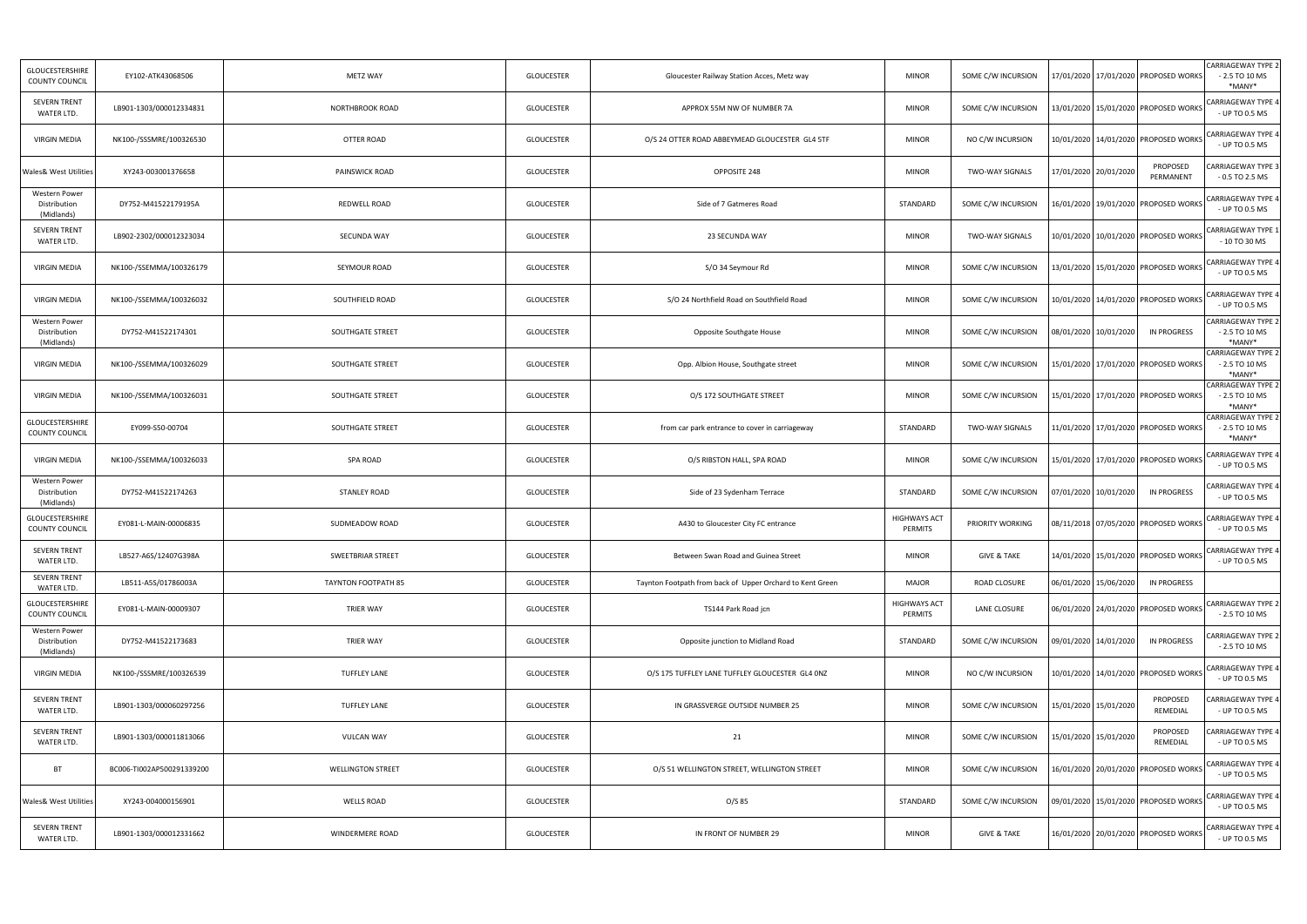| <b>GLOUCESTERSHIRE</b><br><b>COUNTY COUNCIL</b> | EY102-ATK43068506         | METZ WAY                   | <b>GLOUCESTER</b> | Gloucester Railway Station Acces, Metz way                | <b>MINOR</b>                   | SOME C/W INCURSION     | 17/01/2020 17/01/2020 PROPOSED WORKS     |                       | <b>CARRIAGEWAY TYPE 2</b><br>$-2.5$ TO 10 MS<br>*MANY* |
|-------------------------------------------------|---------------------------|----------------------------|-------------------|-----------------------------------------------------------|--------------------------------|------------------------|------------------------------------------|-----------------------|--------------------------------------------------------|
| <b>SEVERN TRENT</b><br>WATER LTD.               | LB901-1303/000012334831   | NORTHBROOK ROAD            | <b>GLOUCESTER</b> | APPROX 55M NW OF NUMBER 7A                                | <b>MINOR</b>                   | SOME C/W INCURSION     | 13/01/2020 15/01/2020 PROPOSED WORKS     |                       | CARRIAGEWAY TYPE 4<br>- UP TO 0.5 MS                   |
| <b>VIRGIN MEDIA</b>                             | NK100-/SSSMRE/100326530   | OTTER ROAD                 | <b>GLOUCESTER</b> | O/S 24 OTTER ROAD ABBEYMEAD GLOUCESTER GL4 5TF            | <b>MINOR</b>                   | NO C/W INCURSION       | 10/01/2020 14/01/2020 PROPOSED WORKS     |                       | CARRIAGEWAY TYPE 4<br>- UP TO 0.5 MS                   |
| <b>Wales&amp; West Utilities</b>                | XY243-003001376658        | PAINSWICK ROAD             | <b>GLOUCESTER</b> | OPPOSITE 248                                              | <b>MINOR</b>                   | <b>TWO-WAY SIGNALS</b> | 17/01/2020 20/01/2020                    | PROPOSED<br>PERMANENT | CARRIAGEWAY TYPE 3<br>$-0.5$ TO 2.5 MS                 |
| Western Power<br>Distribution<br>(Midlands)     | DY752-M41522179195A       | REDWELL ROAD               | <b>GLOUCESTER</b> | Side of 7 Gatmeres Road                                   | STANDARD                       | SOME C/W INCURSION     | 16/01/2020 19/01/2020 PROPOSED WORKS     |                       | CARRIAGEWAY TYPE 4<br>- UP TO 0.5 MS                   |
| <b>SEVERN TRENT</b><br>WATER LTD.               | LB902-2302/000012323034   | SECUNDA WAY                | <b>GLOUCESTER</b> | 23 SECUNDA WAY                                            | <b>MINOR</b>                   | <b>TWO-WAY SIGNALS</b> | 10/01/2020   10/01/2020   PROPOSED WORKS |                       | CARRIAGEWAY TYPE 1<br>- 10 TO 30 MS                    |
| <b>VIRGIN MEDIA</b>                             | NK100-/SSEMMA/100326179   | SEYMOUR ROAD               | <b>GLOUCESTER</b> | S/O 34 Seymour Rd                                         | <b>MINOR</b>                   | SOME C/W INCURSION     | 13/01/2020   15/01/2020   PROPOSED WORKS |                       | CARRIAGEWAY TYPE 4<br>- UP TO 0.5 MS                   |
| <b>VIRGIN MEDIA</b>                             | NK100-/SSEMMA/100326032   | SOUTHFIELD ROAD            | <b>GLOUCESTER</b> | S/O 24 Northfield Road on Southfield Road                 | <b>MINOR</b>                   | SOME C/W INCURSION     | 10/01/2020   14/01/2020   PROPOSED WORKS |                       | <b>CARRIAGEWAY TYPE 4</b><br>- UP TO 0.5 MS            |
| Western Power<br>Distribution<br>(Midlands)     | DY752-M41522174301        | SOUTHGATE STREET           | <b>GLOUCESTER</b> | Opposite Southgate House                                  | <b>MINOR</b>                   | SOME C/W INCURSION     | 08/01/2020 10/01/2020                    | <b>IN PROGRESS</b>    | <b>CARRIAGEWAY TYPE 2</b><br>$-2.5$ TO 10 MS<br>*MANY* |
| <b>VIRGIN MEDIA</b>                             | NK100-/SSEMMA/100326029   | SOUTHGATE STREET           | <b>GLOUCESTER</b> | Opp. Albion House, Southgate street                       | <b>MINOR</b>                   | SOME C/W INCURSION     | 15/01/2020   17/01/2020   PROPOSED WORKS |                       | <b>CARRIAGEWAY TYPE 2</b><br>$-2.5$ TO 10 MS<br>*MANY* |
| <b>VIRGIN MEDIA</b>                             | NK100-/SSEMMA/100326031   | SOUTHGATE STREET           | <b>GLOUCESTER</b> | O/S 172 SOUTHGATE STREET                                  | <b>MINOR</b>                   | SOME C/W INCURSION     | 15/01/2020 17/01/2020 PROPOSED WORKS     |                       | <b>CARRIAGEWAY TYPE 2</b><br>$-2.5$ TO 10 MS<br>*MANY* |
| <b>GLOUCESTERSHIRE</b><br>COUNTY COUNCIL        | EY099-S50-00704           | SOUTHGATE STREET           | <b>GLOUCESTER</b> | from car park entrance to cover in carriageway            | STANDARD                       | <b>TWO-WAY SIGNALS</b> | 11/01/2020 17/01/2020 PROPOSED WORKS     |                       | <b>CARRIAGEWAY TYPE 2</b><br>$-2.5$ TO 10 MS<br>*MANY* |
| <b>VIRGIN MEDIA</b>                             | NK100-/SSEMMA/100326033   | SPA ROAD                   | <b>GLOUCESTER</b> | O/S RIBSTON HALL, SPA ROAD                                | <b>MINOR</b>                   | SOME C/W INCURSION     | 15/01/2020 17/01/2020 PROPOSED WORKS     |                       | CARRIAGEWAY TYPE 4<br>- UP TO 0.5 MS                   |
| Western Power<br>Distribution<br>(Midlands)     | DY752-M41522174263        | <b>STANLEY ROAD</b>        | <b>GLOUCESTER</b> | Side of 23 Sydenham Terrace                               | STANDARD                       | SOME C/W INCURSION     | 07/01/2020 10/01/2020                    | <b>IN PROGRESS</b>    | <b>CARRIAGEWAY TYPE 4</b><br>- UP TO 0.5 MS            |
| GLOUCESTERSHIRE<br>COUNTY COUNCIL               | EY081-L-MAIN-00006835     | SUDMEADOW ROAD             | <b>GLOUCESTER</b> | A430 to Gloucester City FC entrance                       | <b>HIGHWAYS ACT</b><br>PERMITS | PRIORITY WORKING       | 08/11/2018 07/05/2020 PROPOSED WORKS     |                       | CARRIAGEWAY TYPE 4<br>- UP TO 0.5 MS                   |
| <b>SEVERN TRENT</b><br>WATER LTD.               | LB527-A6S/12407G398A      | SWEETBRIAR STREET          | <b>GLOUCESTER</b> | Between Swan Road and Guinea Street                       | <b>MINOR</b>                   | <b>GIVE &amp; TAKE</b> | 14/01/2020 15/01/2020 PROPOSED WORKS     |                       | CARRIAGEWAY TYPE 4<br>- UP TO 0.5 MS                   |
| <b>SEVERN TRENT</b><br>WATER LTD.               | LB511-A5S/01786003A       | <b>TAYNTON FOOTPATH 85</b> | <b>GLOUCESTER</b> | Taynton Footpath from back of Upper Orchard to Kent Green | MAJOR                          | ROAD CLOSURE           | 06/01/2020 15/06/2020                    | <b>IN PROGRESS</b>    |                                                        |
| GLOUCESTERSHIRE<br>COUNTY COUNCIL               | EY081-L-MAIN-00009307     | <b>TRIER WAY</b>           | <b>GLOUCESTER</b> | TS144 Park Road jcn                                       | <b>HIGHWAYS ACT</b><br>PERMITS | LANE CLOSURE           | 06/01/2020 24/01/2020 PROPOSED WORKS     |                       | <b>CARRIAGEWAY TYPE 2</b><br>$-2.5$ TO 10 MS           |
| Western Power<br>Distribution<br>(Midlands)     | DY752-M41522173683        | TRIER WAY                  | <b>GLOUCESTER</b> | Opposite junction to Midland Road                         | STANDARD                       | SOME C/W INCURSION     | 09/01/2020 14/01/2020                    | <b>IN PROGRESS</b>    | <b>CARRIAGEWAY TYPE 2</b><br>$-2.5$ TO 10 MS           |
| <b>VIRGIN MEDIA</b>                             | NK100-/SSSMRE/100326539   | <b>TUFFLEY LANE</b>        | <b>GLOUCESTER</b> | O/S 175 TUFFLEY LANE TUFFLEY GLOUCESTER GL4 ONZ           | <b>MINOR</b>                   | NO C/W INCURSION       | 10/01/2020 14/01/2020 PROPOSED WORKS     |                       | CARRIAGEWAY TYPE 4<br>- UP TO 0.5 MS                   |
| <b>SEVERN TRENT</b><br>WATER LTD.               | LB901-1303/000060297256   | <b>TUFFLEY LANE</b>        | <b>GLOUCESTER</b> | IN GRASSVERGE OUTSIDE NUMBER 25                           | <b>MINOR</b>                   | SOME C/W INCURSION     | 15/01/2020 15/01/2020                    | PROPOSED<br>REMEDIAL  | CARRIAGEWAY TYPE 4<br>- UP TO 0.5 MS                   |
| <b>SEVERN TRENT</b><br>WATER LTD.               | LB901-1303/000011813066   | <b>VULCAN WAY</b>          | GLOUCESTER        | 21                                                        | <b>MINOR</b>                   | SOME C/W INCURSION     | 15/01/2020 15/01/2020                    | PROPOSED<br>REMEDIAL  | <b>CARRIAGEWAY TYPE 4</b><br>- UP TO 0.5 MS            |
| <b>BT</b>                                       | BC006-TI002AP500291339200 | <b>WELLINGTON STREET</b>   | <b>GLOUCESTER</b> | O/S 51 WELLINGTON STREET, WELLINGTON STREET               | <b>MINOR</b>                   | SOME C/W INCURSION     | 16/01/2020 20/01/2020 PROPOSED WORKS     |                       | CARRIAGEWAY TYPE 4<br>- UP TO 0.5 MS                   |
| <b>Wales&amp; West Utilities</b>                | XY243-004000156901        | <b>WELLS ROAD</b>          | <b>GLOUCESTER</b> | $O/S$ 85                                                  | STANDARD                       | SOME C/W INCURSION     | 09/01/2020 15/01/2020 PROPOSED WORKS     |                       | CARRIAGEWAY TYPE 4<br>- UP TO 0.5 MS                   |
| SEVERN TRENT<br>WATER LTD.                      | LB901-1303/000012331662   | WINDERMERE ROAD            | <b>GLOUCESTER</b> | IN FRONT OF NUMBER 29                                     | <b>MINOR</b>                   | <b>GIVE &amp; TAKE</b> | 16/01/2020 20/01/2020 PROPOSED WORKS     |                       | <b>CARRIAGEWAY TYPE 4</b><br>- UP TO 0.5 MS            |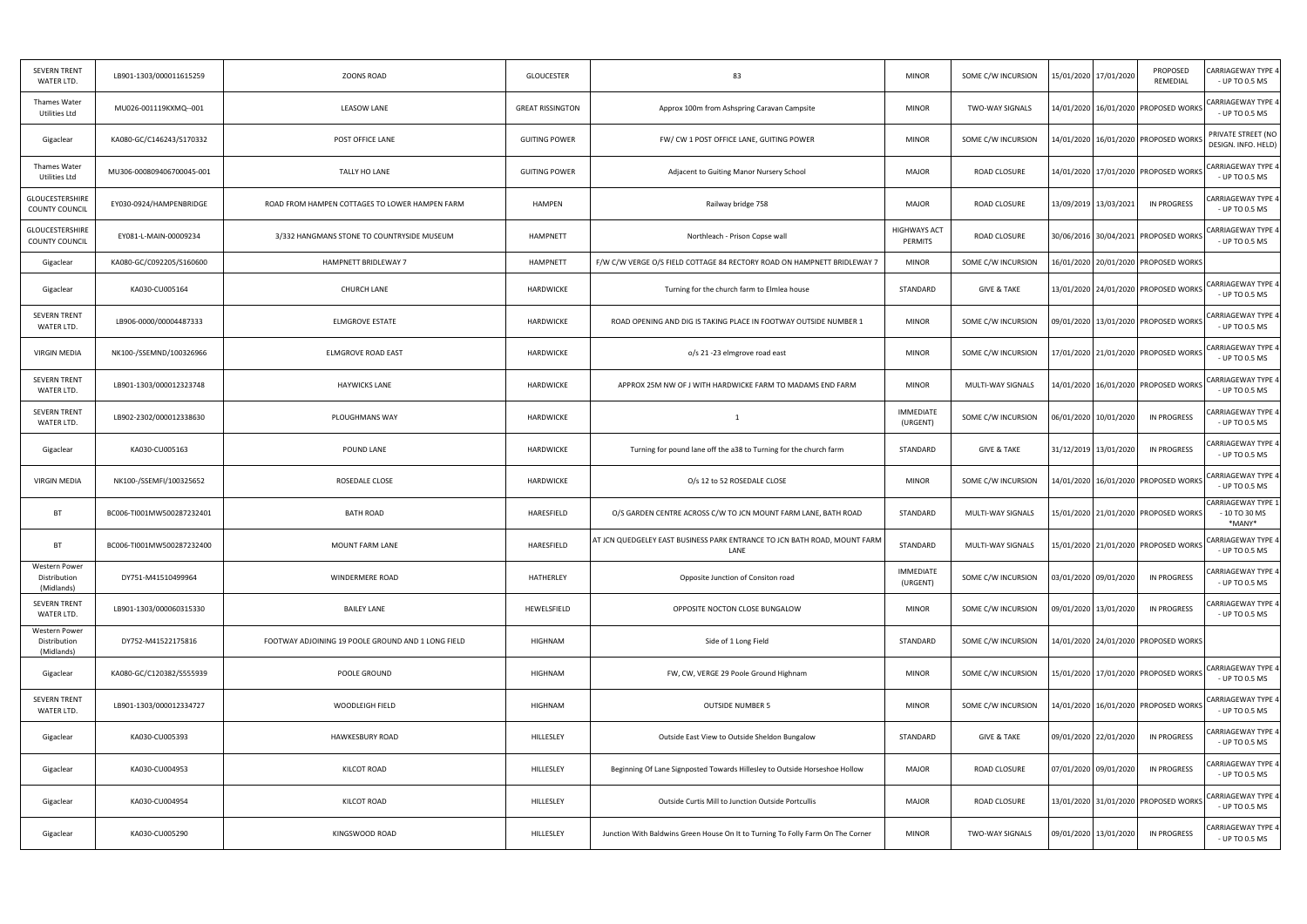| <b>SEVERN TRENT</b><br>WATER LTD.           | LB901-1303/000011615259   | ZOONS ROAD                                         | <b>GLOUCESTER</b>       | 83                                                                                | <b>MINOR</b>                 | SOME C/W INCURSION     | 15/01/2020 17/01/2020 | PROPOSED<br>REMEDIAL                     | <b>CARRIAGEWAY TYPE 4</b><br>- UP TO 0.5 MS           |
|---------------------------------------------|---------------------------|----------------------------------------------------|-------------------------|-----------------------------------------------------------------------------------|------------------------------|------------------------|-----------------------|------------------------------------------|-------------------------------------------------------|
| Thames Water<br>Utilities Ltd               | MU026-001119KXMQ--001     | LEASOW LANE                                        | <b>GREAT RISSINGTON</b> | Approx 100m from Ashspring Caravan Campsite                                       | <b>MINOR</b>                 | <b>TWO-WAY SIGNALS</b> |                       | 14/01/2020 16/01/2020 PROPOSED WORKS     | CARRIAGEWAY TYPE 4<br>- UP TO 0.5 MS                  |
| Gigaclear                                   | KA080-GC/C146243/S170332  | POST OFFICE LANE                                   | <b>GUITING POWER</b>    | FW/ CW 1 POST OFFICE LANE, GUITING POWER                                          | <b>MINOR</b>                 | SOME C/W INCURSION     |                       | 14/01/2020 16/01/2020 PROPOSED WORK:     | PRIVATE STREET (NO<br>DESIGN. INFO. HELD)             |
| Thames Water<br>Utilities Ltd               | MU306-000809406700045-001 | TALLY HO LANE                                      | <b>GUITING POWER</b>    | Adjacent to Guiting Manor Nursery School                                          | <b>MAJOR</b>                 | ROAD CLOSURE           |                       | 14/01/2020 17/01/2020 PROPOSED WORKS     | <b>CARRIAGEWAY TYPE 4</b><br>- UP TO 0.5 MS           |
| GLOUCESTERSHIRE<br>COUNTY COUNCIL           | EY030-0924/HAMPENBRIDGE   | ROAD FROM HAMPEN COTTAGES TO LOWER HAMPEN FARM     | HAMPEN                  | Railway bridge 758                                                                | <b>MAJOR</b>                 | ROAD CLOSURE           | 13/09/2019 13/03/2021 | IN PROGRESS                              | CARRIAGEWAY TYPE 4<br>- UP TO 0.5 MS                  |
| GLOUCESTERSHIRE<br>COUNTY COUNCIL           | EY081-L-MAIN-00009234     | 3/332 HANGMANS STONE TO COUNTRYSIDE MUSEUM         | <b>HAMPNETT</b>         | Northleach - Prison Copse wall                                                    | HIGHWAYS ACT<br>PERMITS      | ROAD CLOSURE           |                       | 30/06/2016 30/04/2021 PROPOSED WORKS     | CARRIAGEWAY TYPE 4<br>- UP TO 0.5 MS                  |
| Gigaclear                                   | KA080-GC/C092205/S160600  | HAMPNETT BRIDLEWAY 7                               | HAMPNETT                | F/W C/W VERGE O/S FIELD COTTAGE 84 RECTORY ROAD ON HAMPNETT BRIDLEWAY 7           | <b>MINOR</b>                 | SOME C/W INCURSION     |                       | 16/01/2020   20/01/2020   PROPOSED WORKS |                                                       |
| Gigaclear                                   | KA030-CU005164            | <b>CHURCH LANE</b>                                 | HARDWICKE               | Turning for the church farm to Elmlea house                                       | STANDARD                     | <b>GIVE &amp; TAKE</b> |                       | 13/01/2020 24/01/2020 PROPOSED WORKS     | <b>CARRIAGEWAY TYPE 4</b><br>- UP TO 0.5 MS           |
| <b>SEVERN TRENT</b><br>WATER LTD.           | LB906-0000/00004487333    | ELMGROVE ESTATE                                    | HARDWICKE               | ROAD OPENING AND DIG IS TAKING PLACE IN FOOTWAY OUTSIDE NUMBER 1                  | <b>MINOR</b>                 | SOME C/W INCURSION     |                       | 09/01/2020 13/01/2020 PROPOSED WORKS     | CARRIAGEWAY TYPE 4<br>- UP TO 0.5 MS                  |
| VIRGIN MEDIA                                | NK100-/SSEMND/100326966   | ELMGROVE ROAD EAST                                 | HARDWICKE               | o/s 21 -23 elmgrove road east                                                     | <b>MINOR</b>                 | SOME C/W INCURSION     |                       | 17/01/2020 21/01/2020 PROPOSED WORKS     | <b>CARRIAGEWAY TYPE 4</b><br>- UP TO 0.5 MS           |
| SEVERN TRENT<br>WATER LTD.                  | LB901-1303/000012323748   | <b>HAYWICKS LANE</b>                               | HARDWICKE               | APPROX 25M NW OF J WITH HARDWICKE FARM TO MADAMS END FARM                         | <b>MINOR</b>                 | MULTI-WAY SIGNALS      |                       | 14/01/2020   16/01/2020   PROPOSED WORKS | <b>CARRIAGEWAY TYPE 4</b><br>- UP TO 0.5 MS           |
| <b>SEVERN TRENT</b><br>WATER LTD.           | LB902-2302/000012338630   | PLOUGHMANS WAY                                     | HARDWICKE               | 1                                                                                 | <b>IMMEDIATE</b><br>(URGENT) | SOME C/W INCURSION     | 06/01/2020 10/01/2020 | IN PROGRESS                              | CARRIAGEWAY TYPE 4<br>- UP TO 0.5 MS                  |
| Gigaclear                                   | KA030-CU005163            | POUND LANE                                         | HARDWICKE               | Turning for pound lane off the a38 to Turning for the church farm                 | STANDARD                     | <b>GIVE &amp; TAKE</b> | 31/12/2019 13/01/2020 | <b>IN PROGRESS</b>                       | CARRIAGEWAY TYPE 4<br>- UP TO 0.5 MS                  |
| VIRGIN MEDIA                                | NK100-/SSEMFI/100325652   | ROSEDALE CLOSE                                     | HARDWICKE               | O/s 12 to 52 ROSEDALE CLOSE                                                       | <b>MINOR</b>                 | SOME C/W INCURSION     |                       | L4/01/2020   16/01/2020   PROPOSED WORKS | CARRIAGEWAY TYPE 4<br>- UP TO 0.5 MS                  |
| <b>BT</b>                                   | BC006-TI001MW500287232401 | <b>BATH ROAD</b>                                   | HARESFIELD              | O/S GARDEN CENTRE ACROSS C/W TO JCN MOUNT FARM LANE, BATH ROAD                    | STANDARD                     | MULTI-WAY SIGNALS      |                       | 15/01/2020 21/01/2020 PROPOSED WORKS     | <b>CARRIAGEWAY TYPE 1</b><br>$-10$ TO 30 MS<br>*MANY* |
| BT                                          | BC006-TI001MW500287232400 | <b>MOUNT FARM LANE</b>                             | HARESFIELD              | AT JCN QUEDGELEY EAST BUSINESS PARK ENTRANCE TO JCN BATH ROAD, MOUNT FARM<br>LANE | STANDARD                     | MULTI-WAY SIGNALS      |                       | 15/01/2020 21/01/2020 PROPOSED WORKS     | <b>CARRIAGEWAY TYPE 4</b><br>UP TO 0.5 MS             |
| Western Power<br>Distribution<br>(Midlands) | DY751-M41510499964        | WINDERMERE ROAD                                    | HATHERLEY               | Opposite Junction of Consiton road                                                | IMMEDIATE<br>(URGENT)        | SOME C/W INCURSION     | 03/01/2020 09/01/2020 | <b>IN PROGRESS</b>                       | CARRIAGEWAY TYPE 4<br>- UP TO 0.5 MS                  |
| <b>SEVERN TRENT</b><br>WATER LTD.           | LB901-1303/000060315330   | <b>BAILEY LANE</b>                                 | HEWELSFIELD             | OPPOSITE NOCTON CLOSE BUNGALOW                                                    | <b>MINOR</b>                 | SOME C/W INCURSION     | 09/01/2020 13/01/2020 | <b>IN PROGRESS</b>                       | CARRIAGEWAY TYPE 4<br>- UP TO 0.5 MS                  |
| Western Power<br>Distribution<br>(Midlands) | DY752-M41522175816        | FOOTWAY ADJOINING 19 POOLE GROUND AND 1 LONG FIELD | HIGHNAM                 | Side of 1 Long Field                                                              | STANDARD                     | SOME C/W INCURSION     |                       | 14/01/2020 24/01/2020 PROPOSED WORKS     |                                                       |
| Gigaclear                                   | KA080-GC/C120382/S555939  | POOLE GROUND                                       | HIGHNAM                 | FW, CW, VERGE 29 Poole Ground Highnam                                             | <b>MINOR</b>                 | SOME C/W INCURSION     |                       | 15/01/2020 17/01/2020 PROPOSED WORKS     | <b>CARRIAGEWAY TYPE 4</b><br>- UP TO 0.5 MS           |
| SEVERN TRENT<br>WATER LTD.                  | LB901-1303/000012334727   | WOODLEIGH FIELD                                    | HIGHNAM                 | <b>OUTSIDE NUMBER 5</b>                                                           | <b>MINOR</b>                 | SOME C/W INCURSION     |                       | L4/01/2020   16/01/2020   PROPOSED WORKS | CARRIAGEWAY TYPE 4<br>- UP TO 0.5 MS                  |
| Gigaclear                                   | KA030-CU005393            | <b>HAWKESBURY ROAD</b>                             | HILLESLEY               | Outside East View to Outside Sheldon Bungalow                                     | STANDARD                     | <b>GIVE &amp; TAKE</b> | 09/01/2020 22/01/2020 | <b>IN PROGRESS</b>                       | <b>CARRIAGEWAY TYPE 4</b><br>- UP TO 0.5 MS           |
| Gigaclear                                   | KA030-CU004953            | KILCOT ROAD                                        | HILLESLEY               | Beginning Of Lane Signposted Towards Hillesley to Outside Horseshoe Hollow        | <b>MAJOR</b>                 | ROAD CLOSURE           | 07/01/2020 09/01/2020 | IN PROGRESS                              | CARRIAGEWAY TYPE 4<br>- UP TO 0.5 MS                  |
| Gigaclear                                   | KA030-CU004954            | KILCOT ROAD                                        | HILLESLEY               | Outside Curtis Mill to Junction Outside Portcullis                                | <b>MAJOR</b>                 | ROAD CLOSURE           |                       | 13/01/2020 31/01/2020 PROPOSED WORKS     | CARRIAGEWAY TYPE 4<br>- UP TO 0.5 MS                  |
| Gigaclear                                   | KA030-CU005290            | KINGSWOOD ROAD                                     | HILLESLEY               | Junction With Baldwins Green House On It to Turning To Folly Farm On The Corner   | <b>MINOR</b>                 | <b>TWO-WAY SIGNALS</b> | 09/01/2020 13/01/2020 | <b>IN PROGRESS</b>                       | CARRIAGEWAY TYPE 4<br>- UP TO 0.5 MS                  |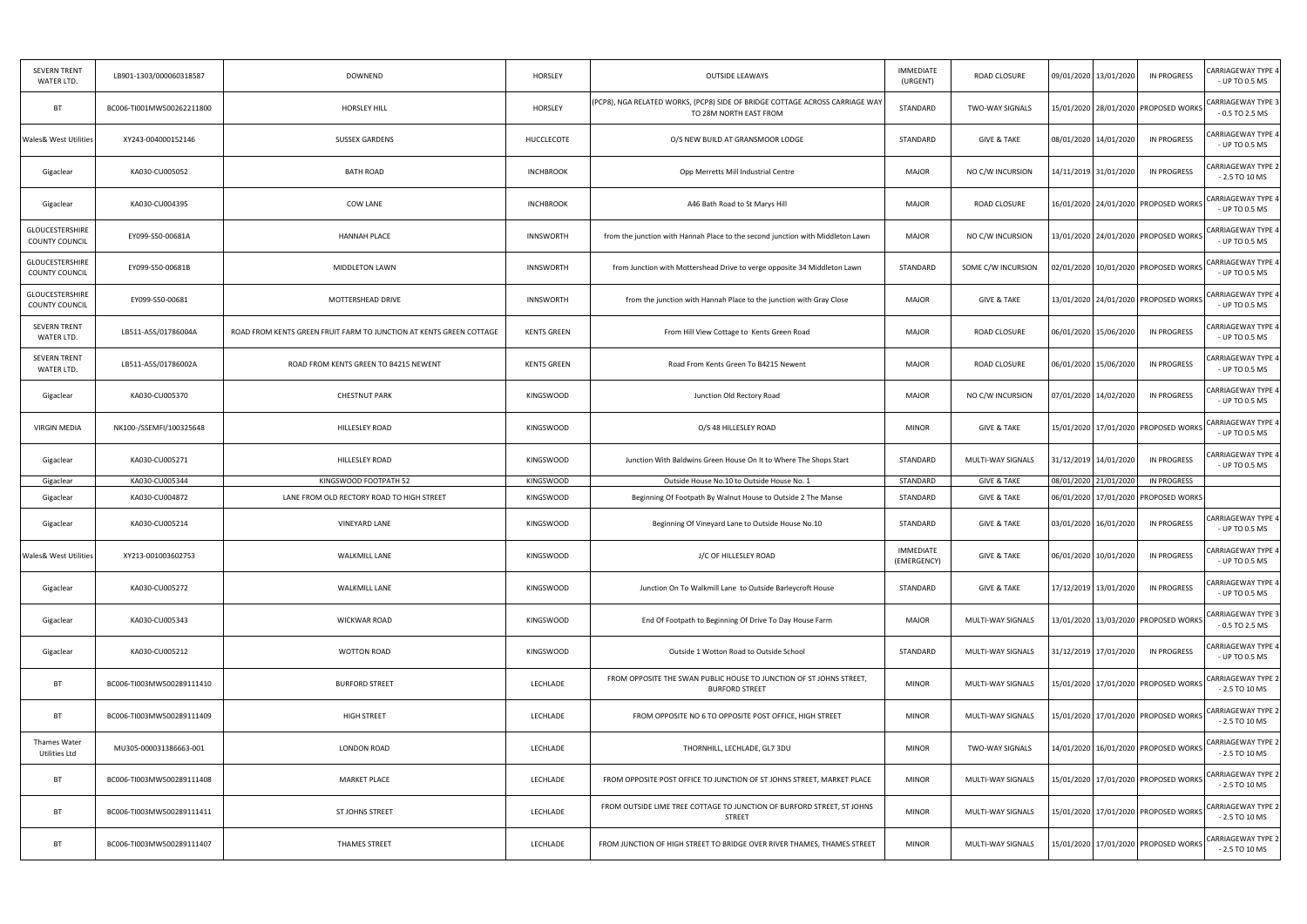| <b>SEVERN TRENT</b><br>WATER LTD.        | LB901-1303/000060318587   | <b>DOWNEND</b>                                                      | HORSLEY            | <b>OUTSIDE LEAWAYS</b>                                                                                 | <b>IMMEDIATE</b><br>(URGENT) | ROAD CLOSURE           | 09/01/2020 13/01/2020                    | <b>IN PROGRESS</b> | CARRIAGEWAY TYPE 4<br>- UP TO 0.5 MS                                                                                                               |
|------------------------------------------|---------------------------|---------------------------------------------------------------------|--------------------|--------------------------------------------------------------------------------------------------------|------------------------------|------------------------|------------------------------------------|--------------------|----------------------------------------------------------------------------------------------------------------------------------------------------|
| BT                                       | BC006-TI001MW500262211800 | <b>HORSLEY HILL</b>                                                 | HORSLEY            | (PCP8), NGA RELATED WORKS, (PCP8) SIDE OF BRIDGE COTTAGE ACROSS CARRIAGE WAY<br>TO 28M NORTH EAST FROM | STANDARD                     | <b>TWO-WAY SIGNALS</b> | 15/01/2020 28/01/2020 PROPOSED WORKS     |                    | CARRIAGEWAY TYPE 3<br>$-0.5$ TO 2.5 MS                                                                                                             |
| <b>Wales&amp; West Utilities</b>         | XY243-004000152146        | <b>SUSSEX GARDENS</b>                                               | HUCCLECOTE         | O/S NEW BUILD AT GRANSMOOR LODGE                                                                       | STANDARD                     | <b>GIVE &amp; TAKE</b> | 08/01/2020 14/01/2020                    | IN PROGRESS        | CARRIAGEWAY TYPE 4<br>- UP TO 0.5 MS                                                                                                               |
| Gigaclear                                | KA030-CU005052            | <b>BATH ROAD</b>                                                    | <b>INCHBROOK</b>   | Opp Merretts Mill Industrial Centre                                                                    | <b>MAJOR</b>                 | NO C/W INCURSION       | 14/11/2019 31/01/2020                    | IN PROGRESS        | CARRIAGEWAY TYPE 2<br>$-2.5$ TO 10 MS                                                                                                              |
| Gigaclear                                | KA030-CU004395            | COW LANE                                                            | <b>INCHBROOK</b>   | A46 Bath Road to St Marys Hill                                                                         | <b>MAJOR</b>                 | ROAD CLOSURE           | 16/01/2020 24/01/2020 PROPOSED WORKS     |                    | CARRIAGEWAY TYPE 4<br>- UP TO 0.5 MS                                                                                                               |
| <b>GLOUCESTERSHIRE</b><br>COUNTY COUNCIL | EY099-S50-00681A          | <b>HANNAH PLACE</b>                                                 | <b>INNSWORTH</b>   | from the junction with Hannah Place to the second junction with Middleton Lawn                         | <b>MAJOR</b>                 | NO C/W INCURSION       | 13/01/2020 24/01/2020 PROPOSED WORKS     |                    | CARRIAGEWAY TYPE 4<br>- UP TO 0.5 MS                                                                                                               |
| GLOUCESTERSHIRE<br><b>COUNTY COUNCIL</b> | EY099-S50-00681B          | MIDDLETON LAWN                                                      | <b>INNSWORTH</b>   | from Junction with Mottershead Drive to verge opposite 34 Middleton Lawn                               | STANDARD                     | SOME C/W INCURSION     | 02/01/2020 10/01/2020 PROPOSED WORKS     |                    | <b>CARRIAGEWAY TYPE 4</b><br>- UP TO 0.5 MS                                                                                                        |
| GLOUCESTERSHIRE<br><b>COUNTY COUNCIL</b> | EY099-S50-00681           | MOTTERSHEAD DRIVE                                                   | <b>INNSWORTH</b>   | from the junction with Hannah Place to the junction with Gray Close                                    | MAJOR                        | <b>GIVE &amp; TAKE</b> | 13/01/2020 24/01/2020 PROPOSED WORKS     |                    | CARRIAGEWAY TYPE 4<br>- UP TO 0.5 MS                                                                                                               |
| SEVERN TRENT<br>WATER LTD.               | LB511-A5S/01786004A       | ROAD FROM KENTS GREEN FRUIT FARM TO JUNCTION AT KENTS GREEN COTTAGE | <b>KENTS GREEN</b> | From Hill View Cottage to Kents Green Road                                                             | <b>MAJOR</b>                 | <b>ROAD CLOSURE</b>    | 06/01/2020 15/06/2020                    | IN PROGRESS        | CARRIAGEWAY TYPE 4<br>- UP TO 0.5 MS                                                                                                               |
| SEVERN TRENT<br>WATER LTD.               | LB511-A5S/01786002A       | ROAD FROM KENTS GREEN TO B4215 NEWENT                               | <b>KENTS GREEN</b> | Road From Kents Green To B4215 Newent                                                                  | <b>MAJOR</b>                 | ROAD CLOSURE           | 06/01/2020 15/06/2020                    | IN PROGRESS        | CARRIAGEWAY TYPE 4<br>- UP TO 0.5 MS                                                                                                               |
| Gigaclear                                | KA030-CU005370            | <b>CHESTNUT PARK</b>                                                | <b>KINGSWOOD</b>   | Junction Old Rectory Road                                                                              | <b>MAJOR</b>                 | NO C/W INCURSION       | 07/01/2020 14/02/2020                    | <b>IN PROGRESS</b> | CARRIAGEWAY TYPE 4<br>- UP TO 0.5 MS                                                                                                               |
| <b>VIRGIN MEDIA</b>                      | NK100-/SSEMFI/100325648   | HILLESLEY ROAD                                                      | <b>KINGSWOOD</b>   | O/S 48 HILLESLEY ROAD                                                                                  | <b>MINOR</b>                 | <b>GIVE &amp; TAKE</b> | 15/01/2020 17/01/2020 PROPOSED WORKS     |                    | CARRIAGEWAY TYPE 4<br>- UP TO 0.5 MS                                                                                                               |
|                                          |                           |                                                                     |                    |                                                                                                        |                              |                        |                                          |                    | CARRIAGEWAY TYPE 4                                                                                                                                 |
| Gigaclear                                | KA030-CU005271            | <b>HILLESLEY ROAD</b>                                               | <b>KINGSWOOD</b>   | Junction With Baldwins Green House On It to Where The Shops Start                                      | STANDARD                     | MULTI-WAY SIGNALS      | 31/12/2019 14/01/2020                    | <b>IN PROGRESS</b> | - UP TO 0.5 MS                                                                                                                                     |
| Gigaclear                                | KA030-CU005344            | KINGSWOOD FOOTPATH 52                                               | <b>KINGSWOOD</b>   | Outside House No.10 to Outside House No. 1                                                             | STANDARD                     | <b>GIVE &amp; TAKE</b> | 08/01/2020 21/01/2020                    | <b>IN PROGRESS</b> |                                                                                                                                                    |
| Gigaclear                                | KA030-CU004872            | LANE FROM OLD RECTORY ROAD TO HIGH STREET                           | <b>KINGSWOOD</b>   | Beginning Of Footpath By Walnut House to Outside 2 The Manse                                           | STANDARD                     | <b>GIVE &amp; TAKE</b> | 06/01/2020 17/01/2020 PROPOSED WORKS     |                    |                                                                                                                                                    |
| Gigaclear                                | KA030-CU005214            | <b>VINEYARD LANE</b>                                                | <b>KINGSWOOD</b>   | Beginning Of Vineyard Lane to Outside House No.10                                                      | STANDARD                     | <b>GIVE &amp; TAKE</b> | 03/01/2020   16/01/2020                  | <b>IN PROGRESS</b> | - UP TO 0.5 MS                                                                                                                                     |
| Wales& West Utilities                    | XY213-001003602753        | <b>WALKMILL LANE</b>                                                | <b>KINGSWOOD</b>   | J/C OF HILLESLEY ROAD                                                                                  | IMMEDIATE<br>(EMERGENCY)     | <b>GIVE &amp; TAKE</b> | 06/01/2020 10/01/2020                    | IN PROGRESS        | - UP TO 0.5 MS                                                                                                                                     |
| Gigaclear                                | KA030-CU005272            | <b>WALKMILL LANE</b>                                                | <b>KINGSWOOD</b>   | Junction On To Walkmill Lane to Outside Barleycroft House                                              | STANDARD                     | <b>GIVE &amp; TAKE</b> | 17/12/2019 13/01/2020                    | <b>IN PROGRESS</b> | CARRIAGEWAY TYPE 4<br>ARRIAGEWAY TYPE 4<br>CARRIAGEWAY TYPE 4<br>- UP TO 0.5 MS                                                                    |
| Gigaclear                                | KA030-CU005343            | <b>WICKWAR ROAD</b>                                                 | KINGSWOOD          | End Of Footpath to Beginning Of Drive To Day House Farm                                                | <b>MAJOR</b>                 | MULTI-WAY SIGNALS      | 13/01/2020 13/03/2020 PROPOSED WORKS     |                    | CARRIAGEWAY TYPE 3<br>- 0.5 TO 2.5 MS                                                                                                              |
| Gigaclear                                | KA030-CU005212            | <b>WOTTON ROAD</b>                                                  | <b>KINGSWOOD</b>   | Outside 1 Wotton Road to Outside School                                                                | STANDARD                     | MULTI-WAY SIGNALS      | 31/12/2019   17/01/2020                  | IN PROGRESS        | - UP TO 0.5 MS                                                                                                                                     |
| BT                                       | BC006-TI003MW500289111410 | <b>BURFORD STREET</b>                                               | LECHLADE           | FROM OPPOSITE THE SWAN PUBLIC HOUSE TO JUNCTION OF ST JOHNS STREET,<br><b>BURFORD STREET</b>           | <b>MINOR</b>                 | MULTI-WAY SIGNALS      | 15/01/2020   17/01/2020   PROPOSED WORKS |                    | - 2.5 TO 10 MS                                                                                                                                     |
| BT                                       | BC006-TI003MW500289111409 | <b>HIGH STREET</b>                                                  | LECHLADE           | FROM OPPOSITE NO 6 TO OPPOSITE POST OFFICE, HIGH STREET                                                | <b>MINOR</b>                 | MULTI-WAY SIGNALS      | 15/01/2020   17/01/2020   PROPOSED WORKS |                    | - 2.5 TO 10 MS                                                                                                                                     |
| Thames Water<br>Utilities Ltd            | MU305-000031386663-001    | <b>LONDON ROAD</b>                                                  | LECHLADE           | THORNHILL, LECHLADE, GL7 3DU                                                                           | <b>MINOR</b>                 | TWO-WAY SIGNALS        | 14/01/2020   16/01/2020   PROPOSED WORKS |                    | $-2.5$ TO 10 MS                                                                                                                                    |
| BT                                       | BC006-TI003MW500289111408 | <b>MARKET PLACE</b>                                                 | LECHLADE           | FROM OPPOSITE POST OFFICE TO JUNCTION OF ST JOHNS STREET, MARKET PLACE                                 | <b>MINOR</b>                 | MULTI-WAY SIGNALS      | 15/01/2020   17/01/2020   PROPOSED WORKS |                    | CARRIAGEWAY TYPE 4<br>CARRIAGEWAY TYPE 2<br><b>CARRIAGEWAY TYPE 2</b><br><b>CARRIAGEWAY TYPE 2</b><br><b>CARRIAGEWAY TYPE 2</b><br>$-2.5$ TO 10 MS |
| BT                                       | BC006-TI003MW500289111411 | ST JOHNS STREET                                                     | LECHLADE           | FROM OUTSIDE LIME TREE COTTAGE TO JUNCTION OF BURFORD STREET, ST JOHNS<br><b>STREET</b>                | <b>MINOR</b>                 | MULTI-WAY SIGNALS      | 15/01/2020 17/01/2020 PROPOSED WORKS     |                    | CARRIAGEWAY TYPE 2<br>- 2.5 TO 10 MS                                                                                                               |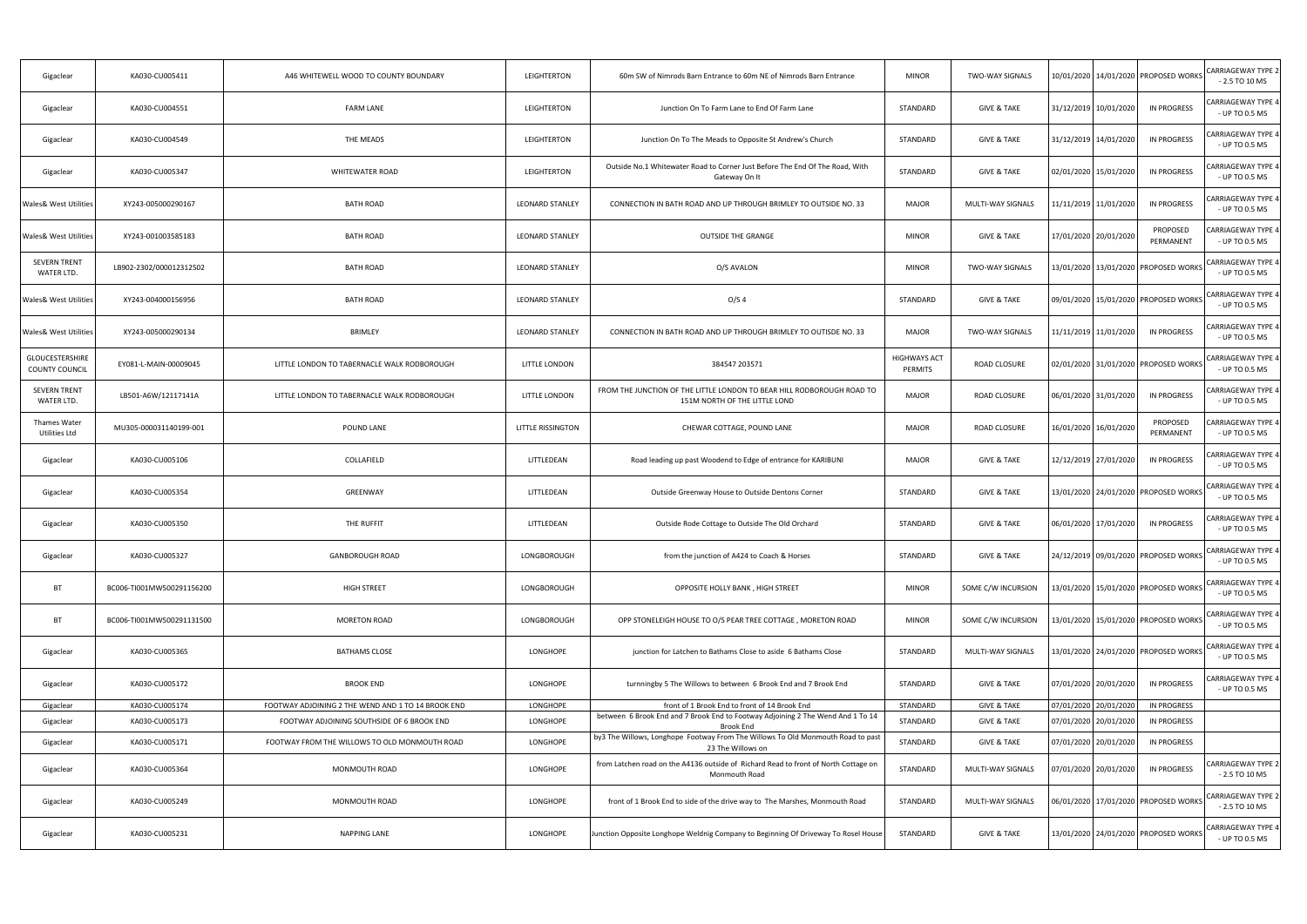| Gigaclear                                | KA030-CU005411            | A46 WHITEWELL WOOD TO COUNTY BOUNDARY              | LEIGHTERTON            | 60m SW of Nimrods Barn Entrance to 60m NE of Nimrods Barn Entrance                                                       | <b>MINOR</b>                   | <b>TWO-WAY SIGNALS</b> | 10/01/2020   14/01/2020   PROPOSED WORKS |                       | <b>CARRIAGEWAY TYPE 2</b><br>$-2.5$ TO 10 MS |
|------------------------------------------|---------------------------|----------------------------------------------------|------------------------|--------------------------------------------------------------------------------------------------------------------------|--------------------------------|------------------------|------------------------------------------|-----------------------|----------------------------------------------|
| Gigaclear                                | KA030-CU004551            | <b>FARM LANE</b>                                   | LEIGHTERTON            | Junction On To Farm Lane to End Of Farm Lane                                                                             | STANDARD                       | <b>GIVE &amp; TAKE</b> | 31/12/2019 10/01/2020                    | <b>IN PROGRESS</b>    | CARRIAGEWAY TYPE 4<br>- UP TO 0.5 MS         |
| Gigaclear                                | KA030-CU004549            | THE MEADS                                          | LEIGHTERTON            | Junction On To The Meads to Opposite St Andrew's Church                                                                  | STANDARD                       | <b>GIVE &amp; TAKE</b> | 31/12/2019 14/01/2020                    | IN PROGRESS           | <b>CARRIAGEWAY TYPE 4</b><br>- UP TO 0.5 MS  |
| Gigaclear                                | KA030-CU005347            | WHITEWATER ROAD                                    | LEIGHTERTON            | Outside No.1 Whitewater Road to Corner Just Before The End Of The Road, With<br>Gateway On It                            | STANDARD                       | <b>GIVE &amp; TAKE</b> | 02/01/2020 15/01/2020                    | IN PROGRESS           | CARRIAGEWAY TYPE 4<br>- UP TO 0.5 MS         |
| Wales& West Utilities                    | XY243-005000290167        | <b>BATH ROAD</b>                                   | <b>LEONARD STANLEY</b> | CONNECTION IN BATH ROAD AND UP THROUGH BRIMLEY TO OUTSIDE NO. 33                                                         | <b>MAJOR</b>                   | MULTI-WAY SIGNALS      | 1/11/2019 11/01/2020                     | <b>IN PROGRESS</b>    | <b>CARRIAGEWAY TYPE 4</b><br>- UP TO 0.5 MS  |
| Wales& West Utilities                    | XY243-001003585183        | <b>BATH ROAD</b>                                   | <b>LEONARD STANLEY</b> | <b>OUTSIDE THE GRANGE</b>                                                                                                | <b>MINOR</b>                   | <b>GIVE &amp; TAKE</b> | 17/01/2020 20/01/2020                    | PROPOSED<br>PERMANENT | CARRIAGEWAY TYPE 4<br>- UP TO 0.5 MS         |
| SEVERN TRENT<br>WATER LTD.               | LB902-2302/000012312502   | <b>BATH ROAD</b>                                   | <b>LEONARD STANLEY</b> | O/S AVALON                                                                                                               | <b>MINOR</b>                   | <b>TWO-WAY SIGNALS</b> | 13/01/2020 13/01/2020 PROPOSED WORKS     |                       | <b>CARRIAGEWAY TYPE 4</b><br>- UP TO 0.5 MS  |
| Wales& West Utilities                    | XY243-004000156956        | <b>BATH ROAD</b>                                   | <b>LEONARD STANLEY</b> | O/S <sub>4</sub>                                                                                                         | STANDARD                       | <b>GIVE &amp; TAKE</b> | 09/01/2020 15/01/2020 PROPOSED WORKS     |                       | <b>CARRIAGEWAY TYPE 4</b><br>- UP TO 0.5 MS  |
| <b>Wales&amp; West Utilities</b>         | XY243-005000290134        | <b>BRIMLEY</b>                                     | <b>LEONARD STANLEY</b> | CONNECTION IN BATH ROAD AND UP THROUGH BRIMLEY TO OUTISDE NO. 33                                                         | <b>MAJOR</b>                   | <b>TWO-WAY SIGNALS</b> | 11/11/2019 11/01/2020                    | IN PROGRESS           | CARRIAGEWAY TYPE 4<br>- UP TO 0.5 MS         |
| <b>GLOUCESTERSHIRE</b><br>COUNTY COUNCIL | EY081-L-MAIN-00009045     | LITTLE LONDON TO TABERNACLE WALK RODBOROUGH        | LITTLE LONDON          | 384547 203571                                                                                                            | <b>HIGHWAYS ACT</b><br>PERMITS | ROAD CLOSURE           | 02/01/2020 31/01/2020 PROPOSED WORKS     |                       | <b>CARRIAGEWAY TYPE 4</b><br>- UP TO 0.5 MS  |
| <b>SEVERN TRENT</b><br>WATER LTD.        | LB501-A6W/12117141A       | LITTLE LONDON TO TABERNACLE WALK RODBOROUGH        | LITTLE LONDON          | FROM THE JUNCTION OF THE LITTLE LONDON TO BEAR HILL RODBOROUGH ROAD TO<br>151M NORTH OF THE LITTLE LOND                  | <b>MAJOR</b>                   | ROAD CLOSURE           | 06/01/2020 31/01/2020                    | <b>IN PROGRESS</b>    | CARRIAGEWAY TYPE 4<br>- UP TO 0.5 MS         |
| Thames Water<br>Utilities Ltd            | MU305-000031140199-001    | POUND LANE                                         | LITTLE RISSINGTON      | CHEWAR COTTAGE, POUND LANE                                                                                               | <b>MAJOR</b>                   | ROAD CLOSURE           | 16/01/2020 16/01/2020                    | PROPOSED<br>PERMANENT | CARRIAGEWAY TYPE 4<br>- UP TO 0.5 MS         |
| Gigaclear                                | KA030-CU005106            | COLLAFIELD                                         | LITTLEDEAN             | Road leading up past Woodend to Edge of entrance for KARIBUNI                                                            | <b>MAJOR</b>                   | <b>GIVE &amp; TAKE</b> | 12/12/2019 27/01/2020                    | <b>IN PROGRESS</b>    | CARRIAGEWAY TYPE 4<br>- UP TO 0.5 MS         |
| Gigaclear                                | KA030-CU005354            | GREENWAY                                           | LITTLEDEAN             | Outside Greenway House to Outside Dentons Corner                                                                         | STANDARD                       | <b>GIVE &amp; TAKE</b> | 13/01/2020 24/01/2020 PROPOSED WORKS     |                       | <b>CARRIAGEWAY TYPE 4</b><br>- UP TO 0.5 MS  |
| Gigaclear                                | KA030-CU005350            | THE RUFFIT                                         | LITTLEDEAN             | Outside Rode Cottage to Outside The Old Orchard                                                                          | STANDARD                       | <b>GIVE &amp; TAKE</b> | 06/01/2020 17/01/2020                    | <b>IN PROGRESS</b>    | CARRIAGEWAY TYPE 4<br>- UP TO 0.5 MS         |
| Gigaclear                                | KA030-CU005327            | <b>GANBOROUGH ROAD</b>                             | LONGBOROUGH            | from the junction of A424 to Coach & Horses                                                                              | STANDARD                       | <b>GIVE &amp; TAKE</b> | 24/12/2019 09/01/2020 PROPOSED WORKS     |                       | ARRIAGEWAY TYPE 4<br>- UP TO 0.5 MS          |
| BT                                       | BC006-TI001MW500291156200 | <b>HIGH STREET</b>                                 | LONGBOROUGH            | OPPOSITE HOLLY BANK, HIGH STREET                                                                                         | <b>MINOR</b>                   | SOME C/W INCURSION     | 13/01/2020 15/01/2020 PROPOSED WORKS     |                       | <b>CARRIAGEWAY TYPE 4</b><br>- UP TO 0.5 MS  |
| BT                                       | BC006-TI001MW500291131500 | MORETON ROAD                                       | LONGBOROUGH            | OPP STONELEIGH HOUSE TO O/S PEAR TREE COTTAGE, MORETON ROAD                                                              | <b>MINOR</b>                   | SOME C/W INCURSION     | 13/01/2020 15/01/2020 PROPOSED WORKS     |                       | <b>CARRIAGEWAY TYPE 4</b><br>- UP TO 0.5 MS  |
| Gigaclear                                | KA030-CU005365            | <b>BATHAMS CLOSE</b>                               | LONGHOPE               | junction for Latchen to Bathams Close to aside 6 Bathams Close                                                           | STANDARD                       | MULTI-WAY SIGNALS      | 13/01/2020 24/01/2020 PROPOSED WORKS     |                       | <b>CARRIAGEWAY TYPE 4</b><br>- UP TO 0.5 MS  |
| Gigaclear                                | KA030-CU005172            | <b>BROOK END</b>                                   | LONGHOPE               | turnningby 5 The Willows to between 6 Brook End and 7 Brook End                                                          | STANDARD                       | <b>GIVE &amp; TAKE</b> | 07/01/2020 20/01/2020                    | <b>IN PROGRESS</b>    | CARRIAGEWAY TYPE 4<br>- UP TO 0.5 MS         |
| Gigaclear                                | KA030-CU005174            | FOOTWAY ADJOINING 2 THE WEND AND 1 TO 14 BROOK END | LONGHOPE               | front of 1 Brook End to front of 14 Brook End                                                                            | STANDARD                       | <b>GIVE &amp; TAKE</b> | 07/01/2020 20/01/2020                    | <b>IN PROGRESS</b>    |                                              |
| Gigaclear                                | KA030-CU005173            | FOOTWAY ADJOINING SOUTHSIDE OF 6 BROOK END         | <b>LONGHOPE</b>        | between 6 Brook End and 7 Brook End to Footway Adjoining 2 The Wend And 1 To 14                                          | STANDARD                       | <b>GIVE &amp; TAKE</b> | 07/01/2020 20/01/2020                    | IN PROGRESS           |                                              |
| Gigaclear                                | KA030-CU005171            | FOOTWAY FROM THE WILLOWS TO OLD MONMOUTH ROAD      | LONGHOPE               | <b>Brook End</b><br>by3 The Willows, Longhope Footway From The Willows To Old Monmouth Road to past<br>23 The Willows on | STANDARD                       | <b>GIVE &amp; TAKE</b> | 07/01/2020 20/01/2020                    | IN PROGRESS           |                                              |
| Gigaclear                                | KA030-CU005364            | MONMOUTH ROAD                                      | LONGHOPE               | from Latchen road on the A4136 outside of Richard Read to front of North Cottage on<br>Monmouth Road                     | STANDARD                       | MULTI-WAY SIGNALS      | 07/01/2020 20/01/2020                    | <b>IN PROGRESS</b>    | CARRIAGEWAY TYPE 2<br>- 2.5 TO 10 MS         |
| Gigaclear                                | KA030-CU005249            | MONMOUTH ROAD                                      | LONGHOPE               | front of 1 Brook End to side of the drive way to The Marshes, Monmouth Road                                              | STANDARD                       | MULTI-WAY SIGNALS      | 06/01/2020 17/01/2020 PROPOSED WORKS     |                       | <b>CARRIAGEWAY TYPE 2</b><br>$-2.5$ TO 10 MS |
| Gigaclear                                | KA030-CU005231            | NAPPING LANE                                       | LONGHOPE               | Junction Opposite Longhope Weldnig Company to Beginning Of Driveway To Rosel House                                       | STANDARD                       | <b>GIVE &amp; TAKE</b> | 13/01/2020 24/01/2020 PROPOSED WORKS     |                       | <b>CARRIAGEWAY TYPE 4</b><br>- UP TO 0.5 MS  |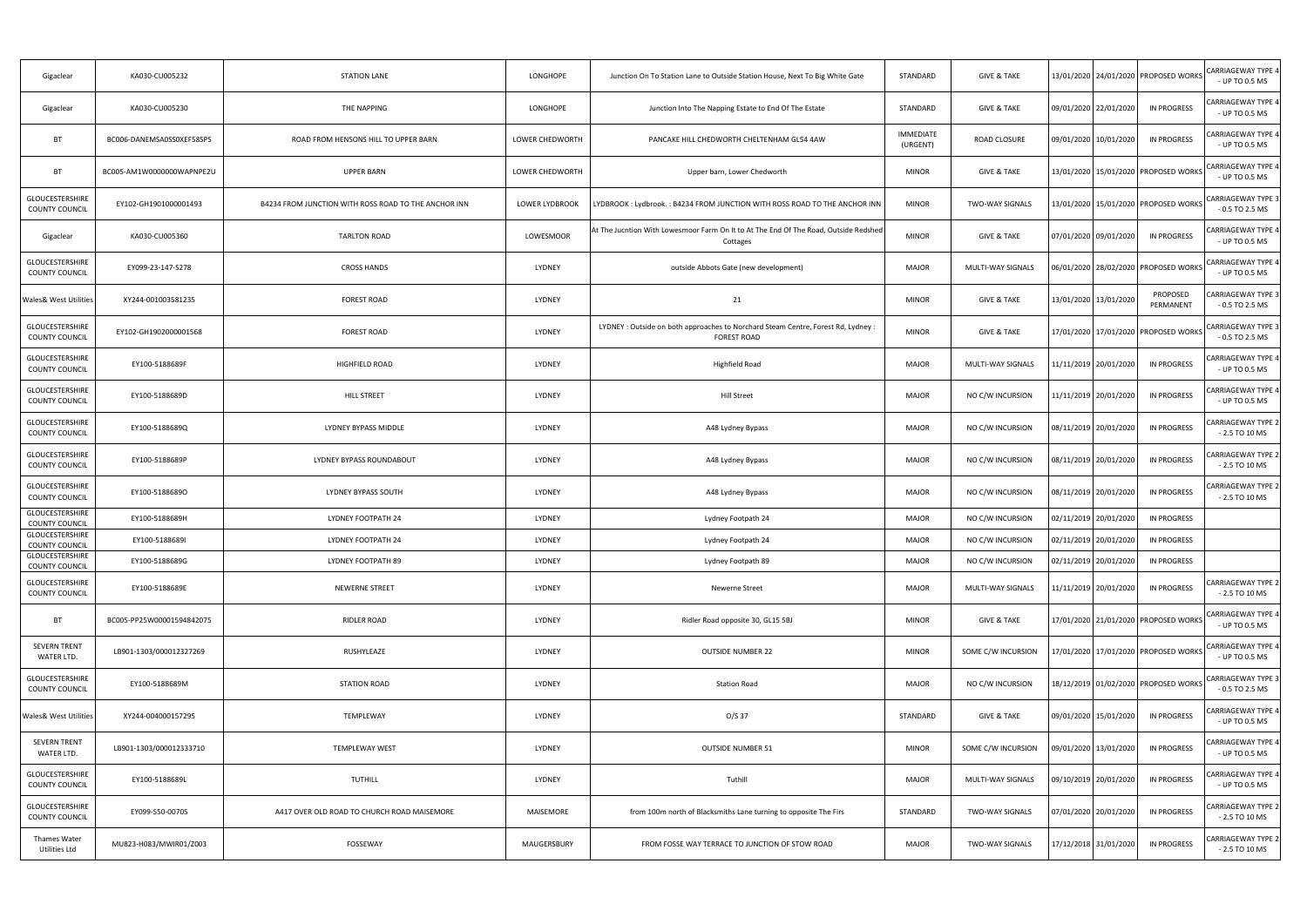| Gigaclear                                       | KA030-CU005232            | <b>STATION LANE</b>                                  | LONGHOPE              | Junction On To Station Lane to Outside Station House, Next To Big White Gate                            | STANDARD                     | <b>GIVE &amp; TAKE</b> | 13/01/2020 24/01/2020 PROPOSED WORKS     |                       | <b>CARRIAGEWAY TYPE 4</b><br>- UP TO 0.5 MS   |
|-------------------------------------------------|---------------------------|------------------------------------------------------|-----------------------|---------------------------------------------------------------------------------------------------------|------------------------------|------------------------|------------------------------------------|-----------------------|-----------------------------------------------|
| Gigaclear                                       | KA030-CU005230            | THE NAPPING                                          | LONGHOPE              | Junction Into The Napping Estate to End Of The Estate                                                   | STANDARD                     | <b>GIVE &amp; TAKE</b> | 09/01/2020 22/01/2020                    | IN PROGRESS           | CARRIAGEWAY TYPE 4<br>- UP TO 0.5 MS          |
| <b>BT</b>                                       | BC006-DANEMSA0SS0XEF58SPS | ROAD FROM HENSONS HILL TO UPPER BARN                 | LOWER CHEDWORTH       | PANCAKE HILL CHEDWORTH CHELTENHAM GL54 4AW                                                              | <b>IMMEDIATE</b><br>(URGENT) | ROAD CLOSURE           | 09/01/2020 10/01/2020                    | IN PROGRESS           | CARRIAGEWAY TYPE 4<br>- UP TO 0.5 MS          |
| <b>BT</b>                                       | BC005-AM1W0000000WAPNPE2U | <b>UPPER BARN</b>                                    | LOWER CHEDWORTH       | Upper barn, Lower Chedworth                                                                             | <b>MINOR</b>                 | <b>GIVE &amp; TAKE</b> | 13/01/2020 15/01/2020 PROPOSED WORKS     |                       | <b>CARRIAGEWAY TYPE 4</b><br>- UP TO 0.5 MS   |
| <b>GLOUCESTERSHIRE</b><br><b>COUNTY COUNCIL</b> | EY102-GH1901000001493     | B4234 FROM JUNCTION WITH ROSS ROAD TO THE ANCHOR INN | <b>LOWER LYDBROOK</b> | LYDBROOK : Lydbrook. : B4234 FROM JUNCTION WITH ROSS ROAD TO THE ANCHOR INN                             | <b>MINOR</b>                 | TWO-WAY SIGNALS        | 13/01/2020   15/01/2020   PROPOSED WORKS |                       | CARRIAGEWAY TYPE 3<br>$-0.5$ TO 2.5 MS        |
| Gigaclear                                       | KA030-CU005360            | <b>TARLTON ROAD</b>                                  | LOWESMOOR             | At The Jucntion With Lowesmoor Farm On It to At The End Of The Road, Outside Redshed<br>Cottages        | <b>MINOR</b>                 | <b>GIVE &amp; TAKE</b> | 07/01/2020 09/01/2020                    | IN PROGRESS           | CARRIAGEWAY TYPE 4<br>- UP TO 0.5 MS          |
| <b>GLOUCESTERSHIRE</b><br><b>COUNTY COUNCIL</b> | EY099-23-147-S278         | <b>CROSS HANDS</b>                                   | LYDNEY                | outside Abbots Gate (new development)                                                                   | <b>MAJOR</b>                 | MULTI-WAY SIGNALS      | 06/01/2020 28/02/2020 PROPOSED WORKS     |                       | CARRIAGEWAY TYPE 4<br>- UP TO 0.5 MS          |
| <b>Wales&amp; West Utilities</b>                | XY244-001003581235        | <b>FOREST ROAD</b>                                   | LYDNEY                | 21                                                                                                      | <b>MINOR</b>                 | <b>GIVE &amp; TAKE</b> | 13/01/2020 13/01/2020                    | PROPOSED<br>PERMANENT | CARRIAGEWAY TYPE 3<br>$-0.5$ TO 2.5 MS        |
| <b>GLOUCESTERSHIRE</b><br><b>COUNTY COUNCIL</b> | EY102-GH1902000001568     | <b>FOREST ROAD</b>                                   | LYDNEY                | LYDNEY : Outside on both approaches to Norchard Steam Centre, Forest Rd, Lydney :<br><b>FOREST ROAD</b> | <b>MINOR</b>                 | <b>GIVE &amp; TAKE</b> | 17/01/2020 17/01/2020 PROPOSED WORKS     |                       | <b>CARRIAGEWAY TYPE 3</b><br>$-0.5$ TO 2.5 MS |
| <b>GLOUCESTERSHIRE</b><br>COUNTY COUNCIL        | EY100-5188689F            | HIGHFIELD ROAD                                       | LYDNEY                | <b>Highfield Road</b>                                                                                   | <b>MAJOR</b>                 | MULTI-WAY SIGNALS      | 11/11/2019 20/01/2020                    | IN PROGRESS           | <b>CARRIAGEWAY TYPE 4</b><br>- UP TO 0.5 MS   |
| <b>GLOUCESTERSHIRE</b><br>COUNTY COUNCIL        | EY100-5188689D            | <b>HILL STREET</b>                                   | LYDNEY                | <b>Hill Street</b>                                                                                      | <b>MAJOR</b>                 | NO C/W INCURSION       | 11/11/2019 20/01/2020                    | <b>IN PROGRESS</b>    | CARRIAGEWAY TYPE 4<br>- UP TO 0.5 MS          |
| <b>GLOUCESTERSHIRE</b><br>COUNTY COUNCIL        | EY100-5188689Q            | LYDNEY BYPASS MIDDLE                                 | LYDNEY                | A48 Lydney Bypass                                                                                       | <b>MAJOR</b>                 | NO C/W INCURSION       | 08/11/2019 20/01/2020                    | IN PROGRESS           | CARRIAGEWAY TYPE 2<br>$-2.5$ TO 10 MS         |
| GLOUCESTERSHIRE<br>COUNTY COUNCIL               | EY100-5188689P            | LYDNEY BYPASS ROUNDABOUT                             | LYDNEY                | A48 Lydney Bypass                                                                                       | <b>MAJOR</b>                 | NO C/W INCURSION       | 08/11/2019 20/01/2020                    | IN PROGRESS           | CARRIAGEWAY TYPE 2<br>$-2.5$ TO 10 MS         |
| GLOUCESTERSHIRE<br>COUNTY COUNCIL               | EY100-51886890            | LYDNEY BYPASS SOUTH                                  | LYDNEY                | A48 Lydney Bypass                                                                                       | <b>MAJOR</b>                 | NO C/W INCURSION       | 08/11/2019 20/01/2020                    | IN PROGRESS           | CARRIAGEWAY TYPE 2<br>$-2.5$ TO 10 MS         |
| GLOUCESTERSHIRE<br>COUNTY COUNCIL               | EY100-5188689H            | LYDNEY FOOTPATH 24                                   | LYDNEY                | Lydney Footpath 24                                                                                      | <b>MAJOR</b>                 | NO C/W INCURSION       | 02/11/2019 20/01/2020                    | IN PROGRESS           |                                               |
| <b>GLOUCESTERSHIRE</b><br>COUNTY COUNCIL        | EY100-5188689I            | LYDNEY FOOTPATH 24                                   | LYDNEY                | Lydney Footpath 24                                                                                      | <b>MAJOR</b>                 | NO C/W INCURSION       | 02/11/2019 20/01/2020                    | IN PROGRESS           |                                               |
| GLOUCESTERSHIRE<br>COUNTY COUNCIL               | EY100-5188689G            | LYDNEY FOOTPATH 89                                   | LYDNEY                | Lydney Footpath 89                                                                                      | <b>MAJOR</b>                 | NO C/W INCURSION       | 02/11/2019 20/01/2020                    | <b>IN PROGRESS</b>    |                                               |
| <b>GLOUCESTERSHIRE</b><br><b>COUNTY COUNCIL</b> | EY100-5188689E            | NEWERNE STREET                                       | LYDNEY                | <b>Newerne Street</b>                                                                                   | <b>MAJOR</b>                 | MULTI-WAY SIGNALS      | 11/11/2019 20/01/2020                    | <b>IN PROGRESS</b>    | <b>CARRIAGEWAY TYPE 2</b><br>$-2.5$ TO 10 MS  |
| <b>BT</b>                                       | BC005-PP25W00001594842075 | RIDLER ROAD                                          | LYDNEY                | Ridler Road opposite 30, GL15 5BJ                                                                       | <b>MINOR</b>                 | <b>GIVE &amp; TAKE</b> | 17/01/2020 21/01/2020 PROPOSED WORKS     |                       | <b>CARRIAGEWAY TYPE 4</b><br>- UP TO 0.5 MS   |
| <b>SEVERN TRENT</b><br>WATER LTD.               | LB901-1303/000012327269   | RUSHYLEAZE                                           | LYDNEY                | <b>OUTSIDE NUMBER 22</b>                                                                                | <b>MINOR</b>                 | SOME C/W INCURSION     | 17/01/2020   17/01/2020   PROPOSED WORKS |                       | <b>CARRIAGEWAY TYPE 4</b><br>- UP TO 0.5 MS   |
| GLOUCESTERSHIRE<br>COUNTY COUNCIL               | EY100-5188689M            | STATION ROAD                                         | LYDNEY                | <b>Station Road</b>                                                                                     | <b>MAJOR</b>                 | NO C/W INCURSION       | 18/12/2019   01/02/2020   PROPOSED WORKS |                       | <b>CARRIAGEWAY TYPE 3</b><br>$-0.5$ TO 2.5 MS |
| <b>Wales&amp; West Utilities</b>                | XY244-004000157295        | TEMPLEWAY                                            | LYDNEY                | $O/S$ 37                                                                                                | STANDARD                     | <b>GIVE &amp; TAKE</b> | 09/01/2020 15/01/2020                    | <b>IN PROGRESS</b>    | CARRIAGEWAY TYPE 4<br>- UP TO 0.5 MS          |
| <b>SEVERN TRENT</b><br>WATER LTD.               | LB901-1303/000012333710   | <b>TEMPLEWAY WEST</b>                                | LYDNEY                | <b>OUTSIDE NUMBER 51</b>                                                                                | <b>MINOR</b>                 | SOME C/W INCURSION     | 09/01/2020 13/01/2020                    | <b>IN PROGRESS</b>    | CARRIAGEWAY TYPE 4<br>- UP TO 0.5 MS          |
| GLOUCESTERSHIRE<br><b>COUNTY COUNCIL</b>        | EY100-5188689L            | TUTHILL                                              | LYDNEY                | Tuthill                                                                                                 | <b>MAJOR</b>                 | MULTI-WAY SIGNALS      | 09/10/2019 20/01/2020                    | IN PROGRESS           | CARRIAGEWAY TYPE 4<br>- UP TO 0.5 MS          |
| <b>GLOUCESTERSHIRE</b><br>COUNTY COUNCIL        | EY099-S50-00705           | A417 OVER OLD ROAD TO CHURCH ROAD MAISEMORE          | MAISEMORE             | from 100m north of Blacksmiths Lane turning to opposite The Firs                                        | STANDARD                     | TWO-WAY SIGNALS        | 07/01/2020 20/01/2020                    | <b>IN PROGRESS</b>    | CARRIAGEWAY TYPE 2<br>$-2.5$ TO 10 MS         |
| Thames Water<br><b>Utilities Ltd</b>            | MU823-H083/MWIR01/Z003    | FOSSEWAY                                             | MAUGERSBURY           | FROM FOSSE WAY TERRACE TO JUNCTION OF STOW ROAD                                                         | <b>MAJOR</b>                 | <b>TWO-WAY SIGNALS</b> | 17/12/2018 31/01/2020                    | <b>IN PROGRESS</b>    | CARRIAGEWAY TYPE 2<br>$-2.5$ TO 10 MS         |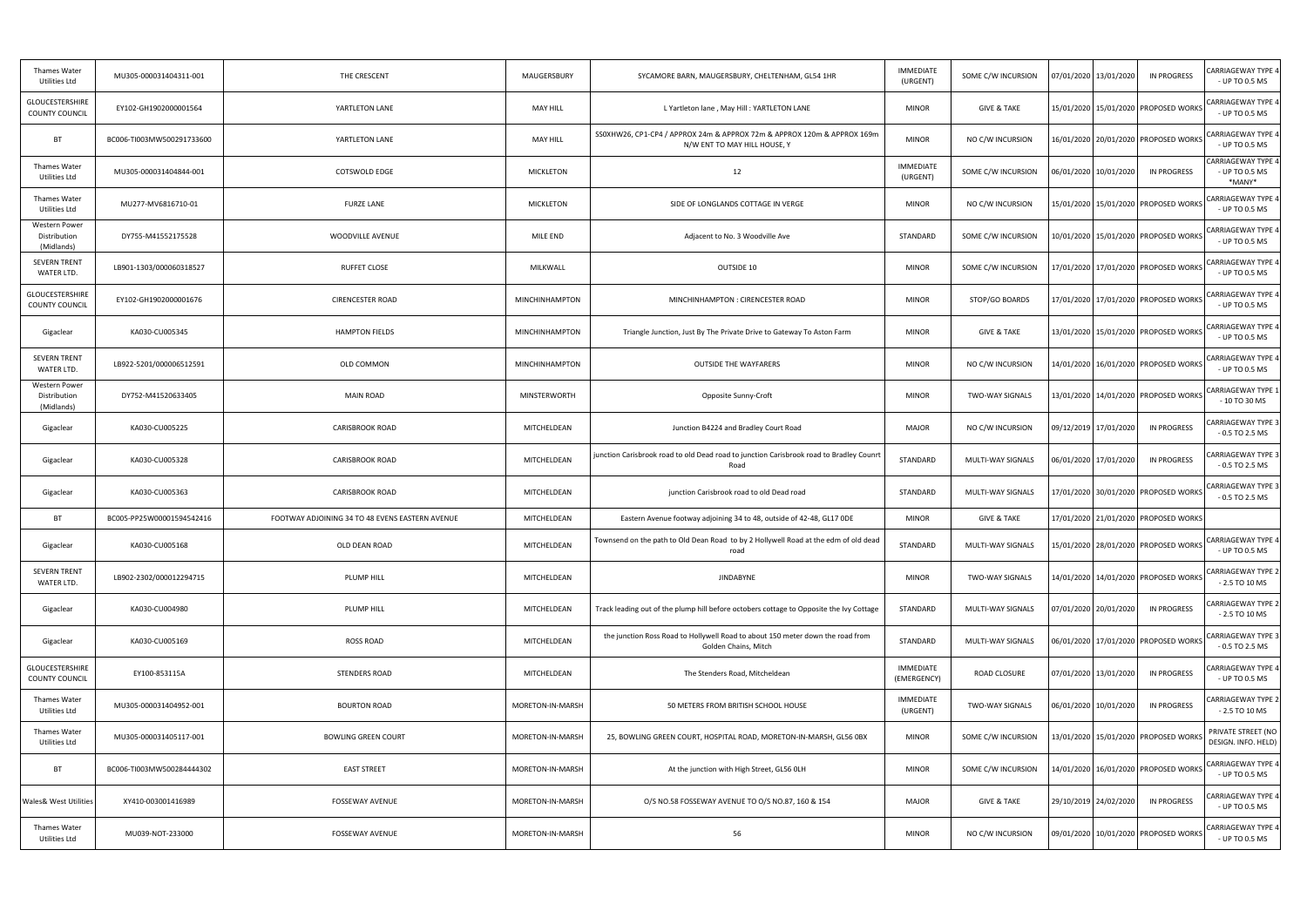| <b>Thames Water</b><br>Utilities Ltd            | MU305-000031404311-001    | THE CRESCENT                                    | MAUGERSBURY           | SYCAMORE BARN, MAUGERSBURY, CHELTENHAM, GL54 1HR                                                        | <b>IMMEDIATE</b><br>(URGENT)    | SOME C/W INCURSION     | <b>IN PROGRESS</b><br>07/01/2020 13/01/2020 | CARRIAGEWAY TYPE 4<br>- UP TO 0.5 MS                  |
|-------------------------------------------------|---------------------------|-------------------------------------------------|-----------------------|---------------------------------------------------------------------------------------------------------|---------------------------------|------------------------|---------------------------------------------|-------------------------------------------------------|
| GLOUCESTERSHIRE<br><b>COUNTY COUNCIL</b>        | EY102-GH1902000001564     | YARTLETON LANE                                  | <b>MAY HILL</b>       | L Yartleton lane, May Hill: YARTLETON LANE                                                              | <b>MINOR</b>                    | <b>GIVE &amp; TAKE</b> | 15/01/2020 15/01/2020 PROPOSED WORKS        | CARRIAGEWAY TYPE 4<br>- UP TO 0.5 MS                  |
| BT                                              | BC006-TI003MW500291733600 | YARTLETON LANE                                  | <b>MAY HILL</b>       | SS0XHW26, CP1-CP4 / APPROX 24m & APPROX 72m & APPROX 120m & APPROX 169m<br>N/W ENT TO MAY HILL HOUSE, Y | <b>MINOR</b>                    | NO C/W INCURSION       | 16/01/2020 20/01/2020 PROPOSED WORKS        | <b>CARRIAGEWAY TYPE 4</b><br>- UP TO 0.5 MS           |
| Thames Water<br>Utilities Ltd                   | MU305-000031404844-001    | <b>COTSWOLD EDGE</b>                            | <b>MICKLETON</b>      | 12                                                                                                      | <b>IMMEDIATE</b><br>(URGENT)    | SOME C/W INCURSION     | <b>IN PROGRESS</b><br>06/01/2020 10/01/2020 | <b>CARRIAGEWAY TYPE 4</b><br>- UP TO 0.5 MS<br>*MANY* |
| Thames Water<br>Utilities Ltd                   | MU277-MV6816710-01        | <b>FURZE LANE</b>                               | <b>MICKLETON</b>      | SIDE OF LONGLANDS COTTAGE IN VERGE                                                                      | <b>MINOR</b>                    | NO C/W INCURSION       | 15/01/2020   15/01/2020   PROPOSED WORKS    | CARRIAGEWAY TYPE 4<br>- UP TO 0.5 MS                  |
| Western Power<br>Distribution<br>(Midlands)     | DY755-M41552175528        | WOODVILLE AVENUE                                | MILE END              | Adjacent to No. 3 Woodville Ave                                                                         | STANDARD                        | SOME C/W INCURSION     | 10/01/2020   15/01/2020   PROPOSED WORKS    | CARRIAGEWAY TYPE 4<br>- UP TO 0.5 MS                  |
| <b>SEVERN TRENT</b><br>WATER LTD.               | LB901-1303/000060318527   | <b>RUFFET CLOSE</b>                             | MILKWALL              | OUTSIDE 10                                                                                              | <b>MINOR</b>                    | SOME C/W INCURSION     | 17/01/2020 17/01/2020 PROPOSED WORKS        | <b>CARRIAGEWAY TYPE 4</b><br>- UP TO 0.5 MS           |
| GLOUCESTERSHIRE<br><b>COUNTY COUNCIL</b>        | EY102-GH1902000001676     | <b>CIRENCESTER ROAD</b>                         | <b>MINCHINHAMPTON</b> | MINCHINHAMPTON : CIRENCESTER ROAD                                                                       | <b>MINOR</b>                    | STOP/GO BOARDS         | 17/01/2020   17/01/2020   PROPOSED WORKS    | <b>CARRIAGEWAY TYPE 4</b><br>- UP TO 0.5 MS           |
| Gigaclear                                       | KA030-CU005345            | <b>HAMPTON FIELDS</b>                           | MINCHINHAMPTON        | Triangle Junction, Just By The Private Drive to Gateway To Aston Farm                                   | <b>MINOR</b>                    | <b>GIVE &amp; TAKE</b> | 13/01/2020 15/01/2020 PROPOSED WORKS        | <b>CARRIAGEWAY TYPE 4</b><br>- UP TO 0.5 MS           |
| <b>SEVERN TRENT</b><br>WATER LTD.               | LB922-5201/000006512591   | OLD COMMON                                      | MINCHINHAMPTON        | <b>OUTSIDE THE WAYFARERS</b>                                                                            | <b>MINOR</b>                    | NO C/W INCURSION       | 14/01/2020   16/01/2020   PROPOSED WORKS    | <b>CARRIAGEWAY TYPE 4</b><br>- UP TO 0.5 MS           |
| Western Power<br>Distribution<br>(Midlands)     | DY752-M41520633405        | <b>MAIN ROAD</b>                                | MINSTERWORTH          | Opposite Sunny-Croft                                                                                    | <b>MINOR</b>                    | TWO-WAY SIGNALS        | 13/01/2020 14/01/2020 PROPOSED WORKS        | <b>CARRIAGEWAY TYPE 1</b><br>- 10 TO 30 MS            |
| Gigaclear                                       | KA030-CU005225            | CARISBROOK ROAD                                 | MITCHELDEAN           | Junction B4224 and Bradley Court Road                                                                   | MAJOR                           | NO C/W INCURSION       | 09/12/2019 17/01/2020<br>IN PROGRESS        | CARRIAGEWAY TYPE 3<br>$-0.5$ TO 2.5 MS                |
| Gigaclear                                       | KA030-CU005328            | <b>CARISBROOK ROAD</b>                          | MITCHELDEAN           | junction Carisbrook road to old Dead road to junction Carisbrook road to Bradley Counrt<br>Road         | STANDARD                        | MULTI-WAY SIGNALS      | 06/01/2020 17/01/2020<br><b>IN PROGRESS</b> | CARRIAGEWAY TYPE 3<br>$-0.5$ TO 2.5 MS                |
| Gigaclear                                       | KA030-CU005363            | CARISBROOK ROAD                                 | MITCHELDEAN           | junction Carisbrook road to old Dead road                                                               | STANDARD                        | MULTI-WAY SIGNALS      | 17/01/2020 30/01/2020 PROPOSED WORKS        | CARRIAGEWAY TYPE 3<br>$-0.5$ TO 2.5 MS                |
| BT                                              | BC005-PP25W00001594542416 | FOOTWAY ADJOINING 34 TO 48 EVENS EASTERN AVENUE | MITCHELDEAN           | Eastern Avenue footway adjoining 34 to 48, outside of 42-48, GL17 ODE                                   | <b>MINOR</b>                    | <b>GIVE &amp; TAKE</b> | 17/01/2020 21/01/2020 PROPOSED WORKS        |                                                       |
| Gigaclear                                       | KA030-CU005168            | OLD DEAN ROAD                                   | MITCHELDEAN           | Townsend on the path to Old Dean Road to by 2 Hollywell Road at the edm of old dead<br>road             | STANDARD                        | MULTI-WAY SIGNALS      | 15/01/2020 28/01/2020 PROPOSED WORKS        | <b>CARRIAGEWAY TYPE 4</b><br>- UP TO 0.5 MS           |
| <b>SEVERN TRENT</b><br>WATER LTD.               | LB902-2302/000012294715   | PLUMP HILL                                      | MITCHELDEAN           | <b>JINDABYNE</b>                                                                                        | <b>MINOR</b>                    | TWO-WAY SIGNALS        | 14/01/2020 14/01/2020 PROPOSED WORKS        | <b>CARRIAGEWAY TYPE 2</b><br>$-2.5$ TO 10 MS          |
| Gigaclear                                       | KA030-CU004980            | PLUMP HILL                                      | MITCHELDEAN           | Track leading out of the plump hill before octobers cottage to Opposite the Ivy Cottage                 | STANDARD                        | MULTI-WAY SIGNALS      | 07/01/2020 20/01/2020<br>IN PROGRESS        | <b>CARRIAGEWAY TYPE 2</b><br>$-2.5$ TO 10 MS          |
| Gigaclear                                       | KA030-CU005169            | <b>ROSS ROAD</b>                                | MITCHELDEAN           | the junction Ross Road to Hollywell Road to about 150 meter down the road from<br>Golden Chains, Mitch  | STANDARD                        | MULTI-WAY SIGNALS      | 06/01/2020 17/01/2020 PROPOSED WORKS        | <b>CARRIAGEWAY TYPE 3</b><br>$-0.5$ TO 2.5 MS         |
| <b>GLOUCESTERSHIRE</b><br><b>COUNTY COUNCIL</b> | EY100-853115A             | <b>STENDERS ROAD</b>                            | MITCHELDEAN           | The Stenders Road, Mitcheldean                                                                          | <b>IMMEDIATE</b><br>(EMERGENCY) | ROAD CLOSURE           | 07/01/2020 13/01/2020<br>IN PROGRESS        | CARRIAGEWAY TYPE 4<br>- UP TO 0.5 MS                  |
| Thames Water<br>Utilities Ltd                   | MU305-000031404952-001    | <b>BOURTON ROAD</b>                             | MORETON-IN-MARSH      | 50 METERS FROM BRITISH SCHOOL HOUSE                                                                     | IMMEDIATE<br>(URGENT)           | TWO-WAY SIGNALS        | 06/01/2020 10/01/2020<br><b>IN PROGRESS</b> | CARRIAGEWAY TYPE 2<br>$-2.5$ TO 10 MS                 |
| Thames Water<br>Utilities Ltd                   | MU305-000031405117-001    | <b>BOWLING GREEN COURT</b>                      | MORETON-IN-MARSH      | 25, BOWLING GREEN COURT, HOSPITAL ROAD, MORETON-IN-MARSH, GL56 0BX                                      | <b>MINOR</b>                    | SOME C/W INCURSION     | 13/01/2020   15/01/2020   PROPOSED WORKS    | PRIVATE STREET (NO<br>DESIGN. INFO. HELD)             |
| BT                                              | BC006-TI003MW500284444302 | <b>EAST STREET</b>                              | MORETON-IN-MARSH      | At the junction with High Street, GL56 OLH                                                              | <b>MINOR</b>                    | SOME C/W INCURSION     | 14/01/2020   16/01/2020   PROPOSED WORKS    | <b>CARRIAGEWAY TYPE 4</b><br>- UP TO 0.5 MS           |
| Wales& West Utilities                           | XY410-003001416989        | <b>FOSSEWAY AVENUE</b>                          | MORETON-IN-MARSH      | O/S NO.58 FOSSEWAY AVENUE TO O/S NO.87, 160 & 154                                                       | <b>MAJOR</b>                    | <b>GIVE &amp; TAKE</b> | IN PROGRESS<br>29/10/2019 24/02/2020        | CARRIAGEWAY TYPE 4<br>- UP TO 0.5 MS                  |
| Thames Water<br>Utilities Ltd                   | MU039-NOT-233000          | <b>FOSSEWAY AVENUE</b>                          | MORETON-IN-MARSH      | 56                                                                                                      | <b>MINOR</b>                    | NO C/W INCURSION       | 09/01/2020 10/01/2020 PROPOSED WORKS        | <b>CARRIAGEWAY TYPE 4</b><br>- UP TO 0.5 MS           |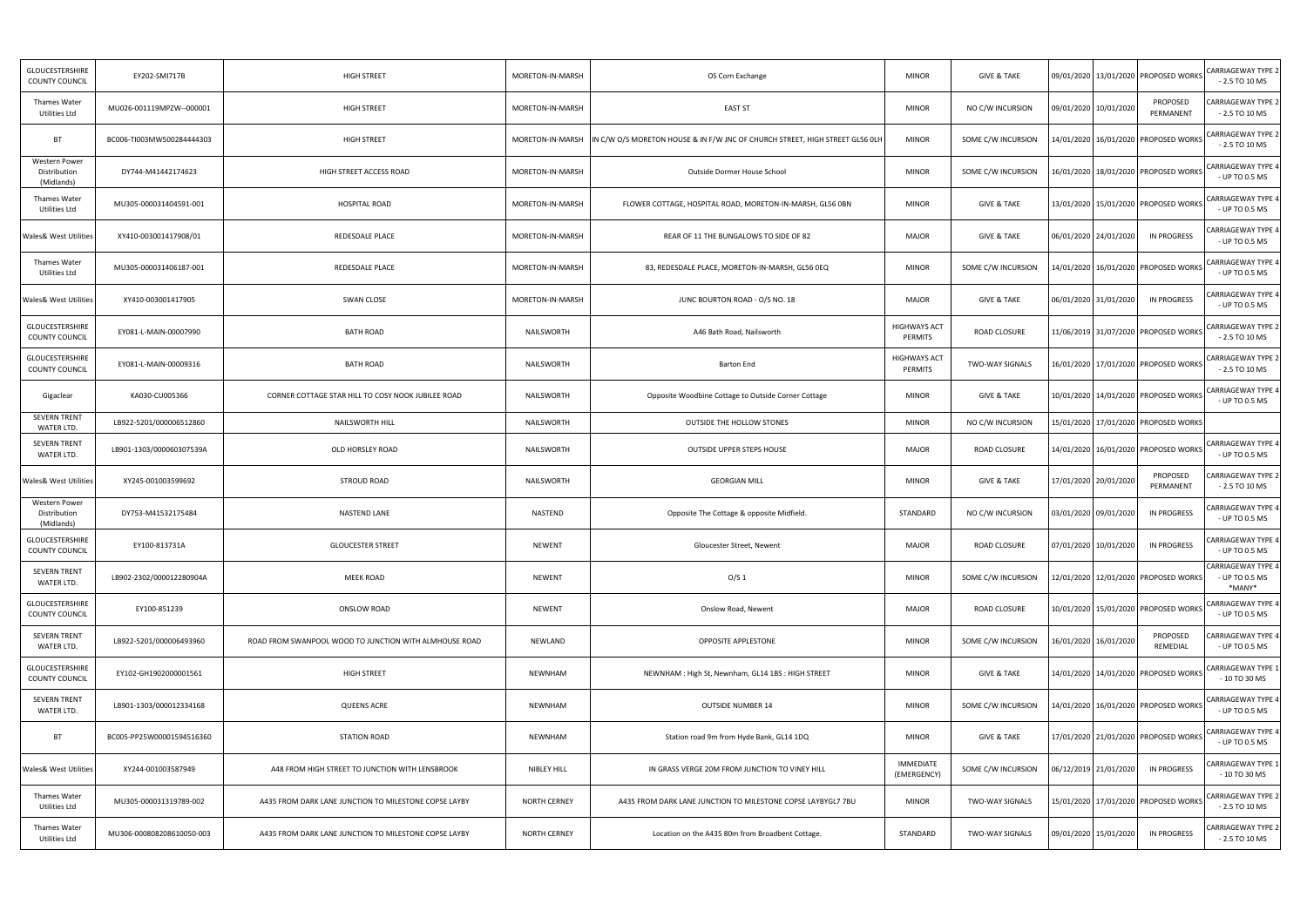| GLOUCESTERSHIRE<br>COUNTY COUNCIL                  | EY202-SMI717B             | <b>HIGH STREET</b>                                     | MORETON-IN-MARSH    | OS Corn Exchange                                                             | <b>MINOR</b>                   | <b>GIVE &amp; TAKE</b> |                       | 09/01/2020   13/01/2020   PROPOSED WORKS | CARRIAGEWAY TYPE 2<br>$-2.5$ TO 10 MS                 |
|----------------------------------------------------|---------------------------|--------------------------------------------------------|---------------------|------------------------------------------------------------------------------|--------------------------------|------------------------|-----------------------|------------------------------------------|-------------------------------------------------------|
| Thames Water<br>Utilities Ltd                      | MU026-001119MPZW--000001  | HIGH STREET                                            | MORETON-IN-MARSH    | <b>EAST ST</b>                                                               | <b>MINOR</b>                   | NO C/W INCURSION       | 09/01/2020 10/01/2020 | PROPOSED<br>PERMANENT                    | CARRIAGEWAY TYPE 2<br>$-2.5$ TO 10 MS                 |
| <b>BT</b>                                          | BC006-TI003MW500284444303 | HIGH STREET                                            | MORETON-IN-MARSH    | IN C/W O/S MORETON HOUSE & IN F/W JNC OF CHURCH STREET, HIGH STREET GL56 OLH | <b>MINOR</b>                   | SOME C/W INCURSION     |                       | 14/01/2020   16/01/2020   PROPOSED WORKS | CARRIAGEWAY TYPE 2<br>$-2.5$ TO 10 MS                 |
| Western Power<br>Distribution<br>(Midlands)        | DY744-M41442174623        | HIGH STREET ACCESS ROAD                                | MORETON-IN-MARSH    | Outside Dormer House School                                                  | <b>MINOR</b>                   | SOME C/W INCURSION     |                       | 16/01/2020   18/01/2020   PROPOSED WORKS | CARRIAGEWAY TYPE 4<br>- UP TO 0.5 MS                  |
| Thames Water<br>Utilities Ltd                      | MU305-000031404591-001    | <b>HOSPITAL ROAD</b>                                   | MORETON-IN-MARSH    | FLOWER COTTAGE, HOSPITAL ROAD, MORETON-IN-MARSH, GL56 OBN                    | <b>MINOR</b>                   | <b>GIVE &amp; TAKE</b> |                       | 13/01/2020 15/01/2020 PROPOSED WORKS     | CARRIAGEWAY TYPE 4<br>- UP TO 0.5 MS                  |
| <b>Wales&amp; West Utilities</b>                   | XY410-003001417908/01     | REDESDALE PLACE                                        | MORETON-IN-MARSH    | REAR OF 11 THE BUNGALOWS TO SIDE OF 82                                       | <b>MAJOR</b>                   | <b>GIVE &amp; TAKE</b> | 06/01/2020 24/01/2020 | IN PROGRESS                              | <b>CARRIAGEWAY TYPE 4</b><br>- UP TO 0.5 MS           |
| Thames Water<br>Utilities Ltd                      | MU305-000031406187-001    | REDESDALE PLACE                                        | MORETON-IN-MARSH    | 83, REDESDALE PLACE, MORETON-IN-MARSH, GL56 0EQ                              | <b>MINOR</b>                   | SOME C/W INCURSION     |                       | 14/01/2020   16/01/2020   PROPOSED WORKS | CARRIAGEWAY TYPE 4<br>- UP TO 0.5 MS                  |
| <b>Wales&amp; West Utilities</b>                   | XY410-003001417905        | SWAN CLOSE                                             | MORETON-IN-MARSH    | JUNC BOURTON ROAD - O/S NO. 18                                               | MAJOR                          | <b>GIVE &amp; TAKE</b> | 06/01/2020 31/01/2020 | IN PROGRESS                              | <b>CARRIAGEWAY TYPE 4</b><br>- UP TO 0.5 MS           |
| <b>GLOUCESTERSHIRE</b><br><b>COUNTY COUNCIL</b>    | EY081-L-MAIN-00007990     | <b>BATH ROAD</b>                                       | NAILSWORTH          | A46 Bath Road, Nailsworth                                                    | <b>HIGHWAYS ACT</b><br>PERMITS | ROAD CLOSURE           |                       | 11/06/2019 31/07/2020 PROPOSED WORKS     | <b>CARRIAGEWAY TYPE 2</b><br>$-2.5$ TO 10 MS          |
| GLOUCESTERSHIRE<br>COUNTY COUNCIL                  | EY081-L-MAIN-00009316     | <b>BATH ROAD</b>                                       | NAILSWORTH          | Barton End                                                                   | <b>HIGHWAYS ACT</b><br>PERMITS | <b>TWO-WAY SIGNALS</b> |                       | 16/01/2020 17/01/2020 PROPOSED WORKS     | CARRIAGEWAY TYPE 2<br>$-2.5$ TO 10 MS                 |
| Gigaclear                                          | KA030-CU005366            | CORNER COTTAGE STAR HILL TO COSY NOOK JUBILEE ROAD     | NAILSWORTH          | Opposite Woodbine Cottage to Outside Corner Cottage                          | <b>MINOR</b>                   | <b>GIVE &amp; TAKE</b> |                       | 10/01/2020   14/01/2020   PROPOSED WORKS | CARRIAGEWAY TYPE 4<br>- UP TO 0.5 MS                  |
| <b>SEVERN TRENT</b><br>WATER LTD.                  | LB922-5201/000006512860   | NAILSWORTH HILL                                        | NAILSWORTH          | <b>OUTSIDE THE HOLLOW STONES</b>                                             | <b>MINOR</b>                   | NO C/W INCURSION       |                       | 15/01/2020 17/01/2020 PROPOSED WORKS     |                                                       |
| <b>SEVERN TRENT</b><br>WATER LTD.                  | LB901-1303/000060307539A  | OLD HORSLEY ROAD                                       | NAILSWORTH          | OUTSIDE UPPER STEPS HOUSE                                                    | <b>MAJOR</b>                   | <b>ROAD CLOSURE</b>    |                       | 14/01/2020 16/01/2020 PROPOSED WORKS     | CARRIAGEWAY TYPE 4<br>- UP TO 0.5 MS                  |
| <b>Wales&amp; West Utilities</b>                   | XY245-001003599692        | STROUD ROAD                                            | NAILSWORTH          | <b>GEORGIAN MILL</b>                                                         | <b>MINOR</b>                   | <b>GIVE &amp; TAKE</b> | 17/01/2020 20/01/2020 | PROPOSED<br>PERMANENT                    | CARRIAGEWAY TYPE 2<br>$-2.5$ TO 10 MS                 |
| <b>Western Power</b><br>Distribution<br>(Midlands) | DY753-M41532175484        | NASTEND LANE                                           | NASTEND             | Opposite The Cottage & opposite Midfield                                     | STANDARD                       | NO C/W INCURSION       | 03/01/2020 09/01/2020 | <b>IN PROGRESS</b>                       | ARRIAGEWAY TYPE 4:<br>- UP TO 0.5 MS                  |
| GLOUCESTERSHIRE<br>COUNTY COUNCIL                  | EY100-813731A             | <b>GLOUCESTER STREET</b>                               | NEWENT              | Gloucester Street, Newent                                                    | <b>MAJOR</b>                   | ROAD CLOSURE           | 07/01/2020 10/01/2020 | IN PROGRESS                              | CARRIAGEWAY TYPE 4<br><b>UP TO 0.5 MS</b>             |
| <b>SEVERN TRENT</b><br>WATER LTD.                  | LB902-2302/000012280904A  | MEEK ROAD                                              | NEWENT              | O/S <sub>1</sub>                                                             | <b>MINOR</b>                   | SOME C/W INCURSION     |                       | 12/01/2020 12/01/2020 PROPOSED WORKS     | <b>CARRIAGEWAY TYPE 4</b><br>- UP TO 0.5 MS<br>*MANY* |
| GLOUCESTERSHIRE<br>COUNTY COUNCIL                  | EY100-851239              | ONSLOW ROAD                                            | NEWENT              | Onslow Road, Newent                                                          | MAJOR                          | ROAD CLOSURE           |                       | 10/01/2020 15/01/2020 PROPOSED WORKS     | CARRIAGEWAY TYPE 4<br>- UP TO 0.5 MS                  |
| SEVERN TRENT<br>WATER LTD.                         | LB922-5201/000006493960   | ROAD FROM SWANPOOL WOOD TO JUNCTION WITH ALMHOUSE ROAD | NEWLAND             | OPPOSITE APPLESTONE                                                          | <b>MINOR</b>                   | SOME C/W INCURSION     | 16/01/2020 16/01/2020 | PROPOSED<br>REMEDIAL                     | CARRIAGEWAY TYPE 4<br>- UP TO 0.5 MS                  |
| GLOUCESTERSHIRE<br>COUNTY COUNCIL                  | EY102-GH1902000001561     | HIGH STREET                                            | NEWNHAM             | NEWNHAM: High St, Newnham, GL14 1BS: HIGH STREET                             | <b>MINOR</b>                   | <b>GIVE &amp; TAKE</b> |                       | 14/01/2020 14/01/2020 PROPOSED WORKS     | CARRIAGEWAY TYPE 1<br>- 10 TO 30 MS                   |
| SEVERN TRENT<br>WATER LTD.                         | LB901-1303/000012334168   | <b>QUEENS ACRE</b>                                     | NEWNHAM             | <b>OUTSIDE NUMBER 14</b>                                                     | <b>MINOR</b>                   | SOME C/W INCURSION     |                       | 14/01/2020   16/01/2020   PROPOSED WORKS | CARRIAGEWAY TYPE 4<br>- UP TO 0.5 MS                  |
| <b>BT</b>                                          | BC005-PP25W00001594516360 | <b>STATION ROAD</b>                                    | NEWNHAM             | Station road 9m from Hyde Bank, GL14 1DQ                                     | <b>MINOR</b>                   | GIVE & TAKE            |                       | 17/01/2020 21/01/2020 PROPOSED WORKS     | CARRIAGEWAY TYPE 4<br>- UP TO 0.5 MS                  |
| <b>Wales&amp; West Utilities</b>                   | XY244-001003587949        | A48 FROM HIGH STREET TO JUNCTION WITH LENSBROOK        | NIBLEY HILL         | IN GRASS VERGE 20M FROM JUNCTION TO VINEY HILL                               | IMMEDIATE<br>(EMERGENCY)       | SOME C/W INCURSION     | 06/12/2019 21/01/2020 | IN PROGRESS                              | CARRIAGEWAY TYPE 1<br>- 10 TO 30 MS                   |
| Thames Water<br>Utilities Ltd                      | MU305-000031319789-002    | A435 FROM DARK LANE JUNCTION TO MILESTONE COPSE LAYBY  | <b>NORTH CERNEY</b> | A435 FROM DARK LANE JUNCTION TO MILESTONE COPSE LAYBYGL7 7BU                 | <b>MINOR</b>                   | TWO-WAY SIGNALS        |                       | 15/01/2020   17/01/2020   PROPOSED WORKS | CARRIAGEWAY TYPE 2<br>- 2.5 TO 10 MS                  |
| Thames Water<br>Utilities Ltd                      | MU306-000808208610050-003 | A435 FROM DARK LANE JUNCTION TO MILESTONE COPSE LAYBY  | <b>NORTH CERNEY</b> | Location on the A435 80m from Broadbent Cottage.                             | STANDARD                       | TWO-WAY SIGNALS        | 09/01/2020 15/01/2020 | IN PROGRESS                              | CARRIAGEWAY TYPE 2<br>$-2.5$ TO 10 MS                 |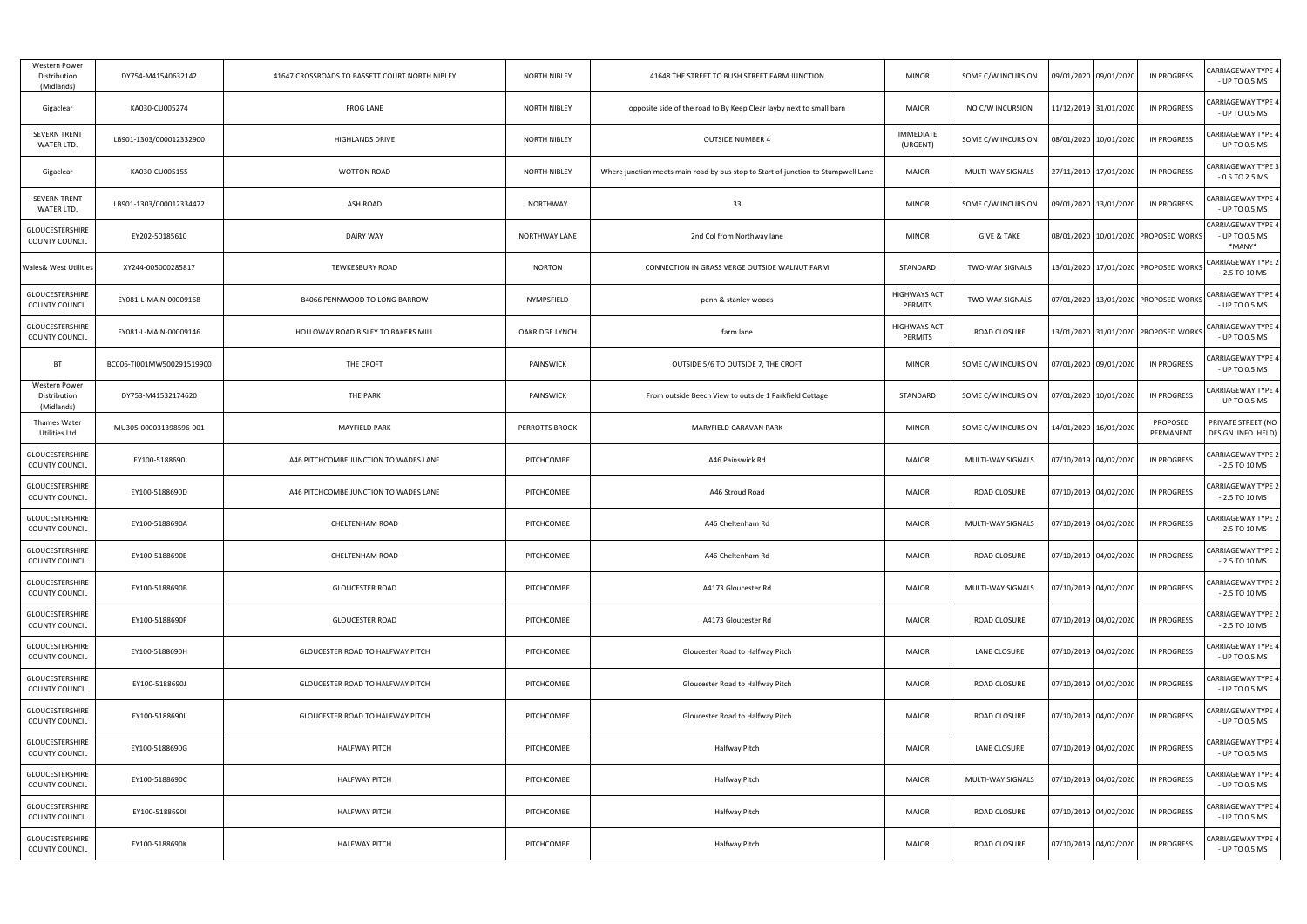| Western Power<br>Distribution<br>(Midlands)     | DY754-M41540632142        | 41647 CROSSROADS TO BASSETT COURT NORTH NIBLEY | <b>NORTH NIBLEY</b>   | 41648 THE STREET TO BUSH STREET FARM JUNCTION                                     | <b>MINOR</b>                   | SOME C/W INCURSION       | 09/01/2020 09/01/2020                    | <b>IN PROGRESS</b>    | CARRIAGEWAY TYPE 4<br>- UP TO 0.5 MS                  |
|-------------------------------------------------|---------------------------|------------------------------------------------|-----------------------|-----------------------------------------------------------------------------------|--------------------------------|--------------------------|------------------------------------------|-----------------------|-------------------------------------------------------|
| Gigaclear                                       | KA030-CU005274            | <b>FROG LANE</b>                               | NORTH NIBLEY          | opposite side of the road to By Keep Clear layby next to small barn               | <b>MAJOR</b>                   | NO C/W INCURSION         | 11/12/2019 31/01/2020                    | <b>IN PROGRESS</b>    | CARRIAGEWAY TYPE 4<br>- UP TO 0.5 MS                  |
| <b>SEVERN TRENT</b><br>WATER LTD.               | LB901-1303/000012332900   | <b>HIGHLANDS DRIVE</b>                         | <b>NORTH NIBLEY</b>   | <b>OUTSIDE NUMBER 4</b>                                                           | <b>IMMEDIATE</b><br>(URGENT)   | SOME C/W INCURSION       | 08/01/2020   10/01/2020                  | IN PROGRESS           | CARRIAGEWAY TYPE 4<br>- UP TO 0.5 MS                  |
| Gigaclear                                       | KA030-CU005155            | <b>WOTTON ROAD</b>                             | <b>NORTH NIBLEY</b>   | Where junction meets main road by bus stop to Start of junction to Stumpwell Lane | <b>MAJOR</b>                   | MULTI-WAY SIGNALS        | !7/11/2019 17/01/2020                    | IN PROGRESS           | CARRIAGEWAY TYPE 3<br>$-0.5$ TO 2.5 MS                |
| <b>SEVERN TRENT</b><br>WATER LTD.               | LB901-1303/000012334472   | ASH ROAD                                       | <b>NORTHWAY</b>       | 33                                                                                | <b>MINOR</b>                   | SOME C/W INCURSION       | 09/01/2020 13/01/2020                    | IN PROGRESS           | CARRIAGEWAY TYPE 4<br>- UP TO 0.5 MS                  |
| <b>GLOUCESTERSHIRE</b><br><b>COUNTY COUNCIL</b> | EY202-50185610            | <b>DAIRY WAY</b>                               | <b>NORTHWAY LANE</b>  | 2nd Col from Northway lane                                                        | <b>MINOR</b>                   | <b>GIVE &amp; TAKE</b>   | 08/01/2020 10/01/2020 PROPOSED WORKS     |                       | <b>CARRIAGEWAY TYPE 4</b><br>- UP TO 0.5 MS<br>*MANY* |
| <b>Wales&amp; West Utilities</b>                | XY244-005000285817        | <b>TEWKESBURY ROAD</b>                         | <b>NORTON</b>         | CONNECTION IN GRASS VERGE OUTSIDE WALNUT FARM                                     | STANDARD                       | TWO-WAY SIGNALS          | 13/01/2020 17/01/2020 PROPOSED WORKS     |                       | <b>CARRIAGEWAY TYPE 2</b><br>$-2.5$ TO 10 MS          |
| GLOUCESTERSHIRE<br>COUNTY COUNCIL               | EY081-L-MAIN-00009168     | B4066 PENNWOOD TO LONG BARROW                  | NYMPSFIELD            | penn & stanley woods                                                              | <b>HIGHWAYS ACT</b><br>PERMITS | TWO-WAY SIGNALS          | 07/01/2020   13/01/2020   PROPOSED WORKS |                       | <b>CARRIAGEWAY TYPE 4</b><br>- UP TO 0.5 MS           |
| GLOUCESTERSHIRE<br>COUNTY COUNCIL               | EY081-L-MAIN-00009146     | HOLLOWAY ROAD BISLEY TO BAKERS MILL            | <b>OAKRIDGE LYNCH</b> | farm lane                                                                         | <b>HIGHWAYS ACT</b><br>PERMITS | <b>ROAD CLOSURE</b>      | 13/01/2020 31/01/2020 PROPOSED WORKS     |                       | <b>CARRIAGEWAY TYPE 4</b><br>- UP TO 0.5 MS           |
| <b>BT</b>                                       | BC006-TI001MW500291519900 | THE CROFT                                      | PAINSWICK             | OUTSIDE 5/6 TO OUTSIDE 7, THE CROFT                                               | <b>MINOR</b>                   | SOME C/W INCURSION       | 07/01/2020 09/01/2020                    | IN PROGRESS           | CARRIAGEWAY TYPE 4<br>- UP TO 0.5 MS                  |
| Western Power<br>Distribution<br>(Midlands)     | DY753-M41532174620        | THE PARK                                       | PAINSWICK             | From outside Beech View to outside 1 Parkfield Cottage                            | STANDARD                       | SOME C/W INCURSION       | 07/01/2020 10/01/2020                    | <b>IN PROGRESS</b>    | CARRIAGEWAY TYPE 4<br>- UP TO 0.5 MS                  |
| <b>Thames Water</b><br>Utilities Ltd            | MU305-000031398596-001    | <b>MAYFIELD PARK</b>                           | PERROTTS BROOK        | MARYFIELD CARAVAN PARK                                                            | <b>MINOR</b>                   | SOME C/W INCURSION       | 4/01/2020 16/01/2020                     | PROPOSED<br>PERMANENT | PRIVATE STREET (NO<br>DESIGN. INFO. HELD)             |
| <b>GLOUCESTERSHIRE</b><br>COUNTY COUNCIL        | EY100-5188690             | A46 PITCHCOMBE JUNCTION TO WADES LANE          | PITCHCOMBE            | A46 Painswick Rd                                                                  | <b>MAJOR</b>                   | MULTI-WAY SIGNALS        | 07/10/2019 04/02/2020                    | <b>IN PROGRESS</b>    | CARRIAGEWAY TYPE 2<br>$-2.5$ TO 10 MS                 |
| GLOUCESTERSHIRE<br>COUNTY COUNCIL               | EY100-5188690D            | A46 PITCHCOMBE JUNCTION TO WADES LANE          | PITCHCOMBE            | A46 Stroud Road                                                                   | <b>MAJOR</b>                   | ROAD CLOSURE             | 07/10/2019 04/02/2020                    | IN PROGRESS           | CARRIAGEWAY TYPE 2<br>$-2.5$ TO 10 MS                 |
| <b>GLOUCESTERSHIRE</b><br>COUNTY COUNCIL        | EY100-5188690A            | <b>CHELTENHAM ROAD</b>                         | PITCHCOMBE            | A46 Cheltenham Rd                                                                 | <b>MAJOR</b>                   | <b>MULTI-WAY SIGNALS</b> | 07/10/2019 04/02/2020                    | <b>IN PROGRESS</b>    | CARRIAGEWAY TYPE 2<br>$-2.5$ TO 10 MS                 |
| GLOUCESTERSHIRE<br>COUNTY COUNCIL               | EY100-5188690E            | CHELTENHAM ROAD                                | PITCHCOMBE            | A46 Cheltenham Rd                                                                 | <b>MAJOR</b>                   | ROAD CLOSURE             | 07/10/2019 04/02/2020                    | IN PROGRESS           | CARRIAGEWAY TYPE 2<br>$-2.5$ TO 10 MS                 |
| GLOUCESTERSHIRE<br>COUNTY COUNCIL               | EY100-5188690B            | <b>GLOUCESTER ROAD</b>                         | PITCHCOMBE            | A4173 Gloucester Rd                                                               | <b>MAJOR</b>                   | <b>MULTI-WAY SIGNALS</b> | 07/10/2019 04/02/2020                    | <b>IN PROGRESS</b>    | CARRIAGEWAY TYPE 2<br>$-2.5$ TO 10 MS                 |
| GLOUCESTERSHIRE<br><b>COUNTY COUNCIL</b>        | EY100-5188690F            | <b>GLOUCESTER ROAD</b>                         | PITCHCOMBE            | A4173 Gloucester Rd                                                               | <b>MAJOR</b>                   | ROAD CLOSURE             | 07/10/2019 04/02/2020                    | IN PROGRESS           | CARRIAGEWAY TYPE 2<br>$-2.5$ TO 10 MS                 |
| GLOUCESTERSHIRE<br>COUNTY COUNCIL               | EY100-5188690H            | GLOUCESTER ROAD TO HALFWAY PITCH               | PITCHCOMBE            | Gloucester Road to Halfway Pitch                                                  | <b>MAJOR</b>                   | LANE CLOSURE             | 07/10/2019 04/02/2020                    | IN PROGRESS           | CARRIAGEWAY TYPE 4<br>- UP TO 0.5 MS                  |
| GLOUCESTERSHIRE<br><b>COUNTY COUNCIL</b>        | EY100-5188690J            | GLOUCESTER ROAD TO HALFWAY PITCH               | PITCHCOMBE            | Gloucester Road to Halfway Pitch                                                  | <b>MAJOR</b>                   | ROAD CLOSURE             | 07/10/2019 04/02/2020                    | <b>IN PROGRESS</b>    | ARRIAGEWAY TYPE 4<br>- UP TO 0.5 MS                   |
| GLOUCESTERSHIRE<br>COUNTY COUNCIL               | EY100-5188690L            | GLOUCESTER ROAD TO HALFWAY PITCH               | PITCHCOMBE            | Gloucester Road to Halfway Pitch                                                  | <b>MAJOR</b>                   | ROAD CLOSURE             | 07/10/2019 04/02/2020                    | IN PROGRESS           | CARRIAGEWAY TYPE 4<br>- UP TO 0.5 MS                  |
| GLOUCESTERSHIRE<br>COUNTY COUNCIL               | EY100-5188690G            | <b>HALFWAY PITCH</b>                           | PITCHCOMBE            | Halfway Pitch                                                                     | <b>MAJOR</b>                   | LANE CLOSURE             | 07/10/2019 04/02/2020                    | <b>IN PROGRESS</b>    | CARRIAGEWAY TYPE 4<br>- UP TO 0.5 MS                  |
| GLOUCESTERSHIRE<br>COUNTY COUNCIL               | EY100-5188690C            | <b>HALFWAY PITCH</b>                           | PITCHCOMBE            | Halfway Pitch                                                                     | MAJOR                          | MULTI-WAY SIGNALS        | 07/10/2019 04/02/2020                    | IN PROGRESS           | CARRIAGEWAY TYPE 4<br>- UP TO 0.5 MS                  |
| GLOUCESTERSHIRE<br>COUNTY COUNCIL               | EY100-5188690I            | <b>HALFWAY PITCH</b>                           | PITCHCOMBE            | Halfway Pitch                                                                     | <b>MAJOR</b>                   | ROAD CLOSURE             | 07/10/2019 04/02/2020                    | <b>IN PROGRESS</b>    | CARRIAGEWAY TYPE 4<br>- UP TO 0.5 MS                  |
| GLOUCESTERSHIRE<br><b>COUNTY COUNCIL</b>        | EY100-5188690K            | <b>HALFWAY PITCH</b>                           | PITCHCOMBE            | Halfway Pitch                                                                     | <b>MAJOR</b>                   | ROAD CLOSURE             | 07/10/2019 04/02/2020                    | <b>IN PROGRESS</b>    | CARRIAGEWAY TYPE 4<br>- UP TO 0.5 MS                  |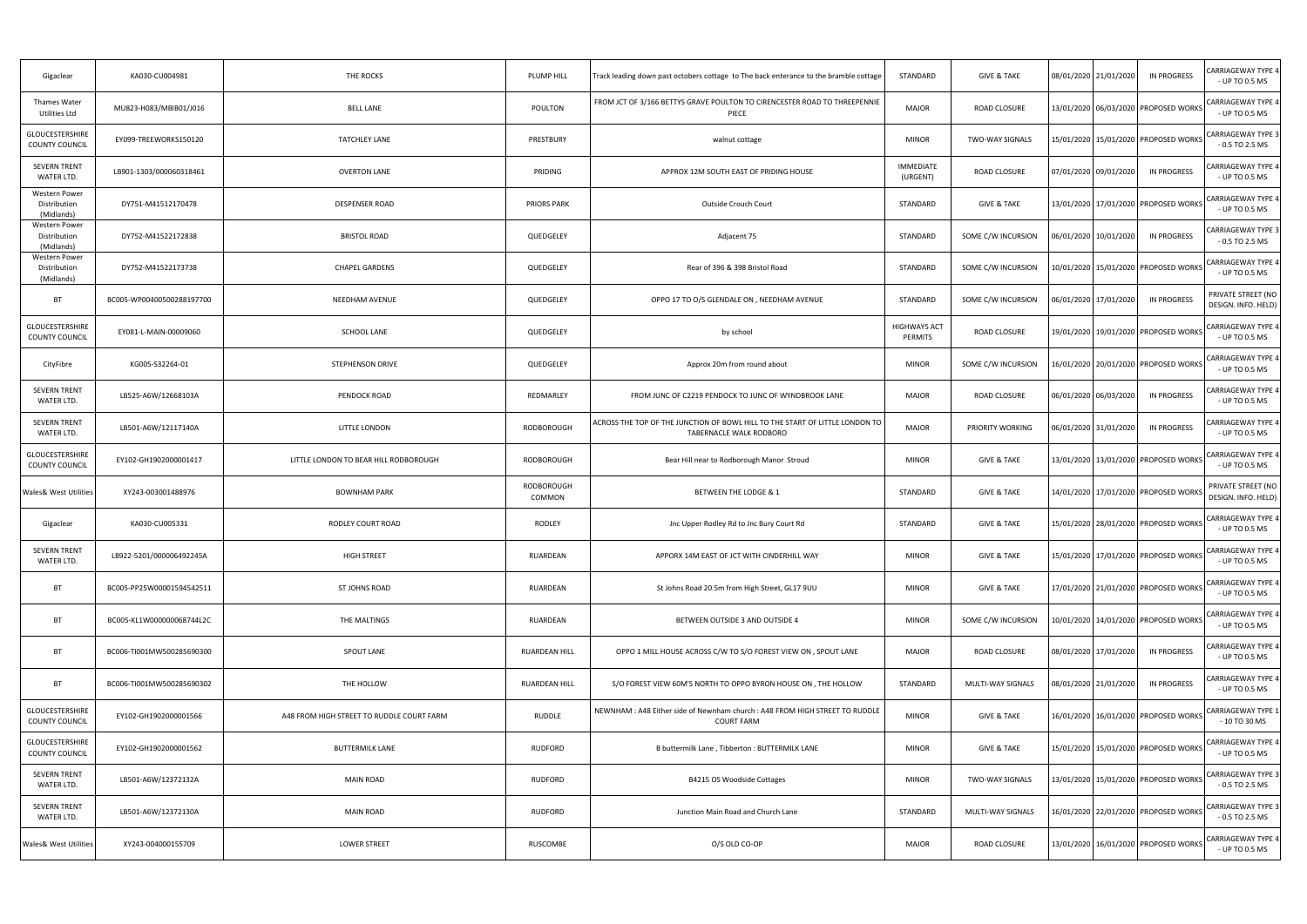| Gigaclear                                          | KA030-CU004981            | THE ROCKS                                 | PLUMP HILL                  | Track leading down past octobers cottage to The back enterance to the bramble cottage                   | STANDARD                     | <b>GIVE &amp; TAKE</b> | 08/01/2020 21/01/2020<br><b>IN PROGRESS</b> | CARRIAGEWAY TYPE 4<br>- UP TO 0.5 MS          |
|----------------------------------------------------|---------------------------|-------------------------------------------|-----------------------------|---------------------------------------------------------------------------------------------------------|------------------------------|------------------------|---------------------------------------------|-----------------------------------------------|
| Thames Water<br>Utilities Ltd                      | MU823-H083/MBIB01/J016    | <b>BELL LANE</b>                          | POULTON                     | FROM JCT OF 3/166 BETTYS GRAVE POULTON TO CIRENCESTER ROAD TO THREEPENNIE<br>PIECE                      | <b>MAJOR</b>                 | ROAD CLOSURE           | 13/01/2020 06/03/2020 PROPOSED WORKS        | <b>CARRIAGEWAY TYPE 4</b><br>- UP TO 0.5 MS   |
| GLOUCESTERSHIRE<br><b>COUNTY COUNCIL</b>           | EY099-TREEWORKS150120     | <b>TATCHLEY LANE</b>                      | PRESTBURY                   | walnut cottage                                                                                          | <b>MINOR</b>                 | <b>TWO-WAY SIGNALS</b> | 15/01/2020   15/01/2020   PROPOSED WORKS    | <b>CARRIAGEWAY TYPE 3</b><br>$-0.5$ TO 2.5 MS |
| <b>SEVERN TRENT</b><br>WATER LTD.                  | LB901-1303/000060318461   | <b>OVERTON LANE</b>                       | PRIDING                     | APPROX 12M SOUTH EAST OF PRIDING HOUSE                                                                  | <b>IMMEDIATE</b><br>(URGENT) | <b>ROAD CLOSURE</b>    | 07/01/2020 09/01/2020<br><b>IN PROGRESS</b> | CARRIAGEWAY TYPE 4<br>- UP TO 0.5 MS          |
| <b>Western Power</b><br>Distribution<br>(Midlands) | DY751-M41512170478        | DESPENSER ROAD                            | PRIORS PARK                 | Outside Crouch Court                                                                                    | STANDARD                     | <b>GIVE &amp; TAKE</b> | 13/01/2020 17/01/2020 PROPOSED WORKS        | <b>CARRIAGEWAY TYPE 4</b><br>- UP TO 0.5 MS   |
| <b>Western Power</b><br>Distribution<br>(Midlands) | DY752-M41522172838        | <b>BRISTOL ROAD</b>                       | QUEDGELEY                   | Adjacent 75                                                                                             | STANDARD                     | SOME C/W INCURSION     | 06/01/2020 10/01/2020<br><b>IN PROGRESS</b> | CARRIAGEWAY TYPE 3<br>$-0.5$ TO 2.5 MS        |
| Western Power<br>Distribution<br>(Midlands)        | DY752-M41522173738        | <b>CHAPEL GARDENS</b>                     | QUEDGELEY                   | Rear of 396 & 398 Bristol Road                                                                          | STANDARD                     | SOME C/W INCURSION     | 10/01/2020   15/01/2020   PROPOSED WORKS    | CARRIAGEWAY TYPE 4<br>- UP TO 0.5 MS          |
| <b>BT</b>                                          | BC005-WP00400500288197700 | <b>NEEDHAM AVENUE</b>                     | QUEDGELEY                   | OPPO 17 TO O/S GLENDALE ON, NEEDHAM AVENUE                                                              | STANDARD                     | SOME C/W INCURSION     | <b>IN PROGRESS</b><br>06/01/2020 17/01/2020 | PRIVATE STREET (NO<br>DESIGN. INFO. HELD)     |
| <b>GLOUCESTERSHIRE</b><br><b>COUNTY COUNCIL</b>    | EY081-L-MAIN-00009060     | <b>SCHOOL LANE</b>                        | QUEDGELEY                   | by school                                                                                               | HIGHWAYS ACT<br>PERMITS      | ROAD CLOSURE           | 19/01/2020 19/01/2020 PROPOSED WORKS        | <b>CARRIAGEWAY TYPE 4</b><br>- UP TO 0.5 MS   |
| CityFibre                                          | KG005-S32264-01           | STEPHENSON DRIVE                          | QUEDGELEY                   | Approx 20m from round about                                                                             | <b>MINOR</b>                 | SOME C/W INCURSION     | 16/01/2020 20/01/2020 PROPOSED WORKS        | <b>CARRIAGEWAY TYPE 4</b><br>- UP TO 0.5 MS   |
| <b>SEVERN TRENT</b><br>WATER LTD.                  | LB525-A6W/12668103A       | PENDOCK ROAD                              | REDMARLEY                   | FROM JUNC OF C2219 PENDOCK TO JUNC OF WYNDBROOK LANE                                                    | <b>MAJOR</b>                 | <b>ROAD CLOSURE</b>    | 06/01/2020 06/03/2020<br><b>IN PROGRESS</b> | CARRIAGEWAY TYPE 4<br>- UP TO 0.5 MS          |
| <b>SEVERN TRENT</b><br>WATER LTD.                  | LB501-A6W/12117140A       | LITTLE LONDON                             | <b>RODBOROUGH</b>           | ACROSS THE TOP OF THE JUNCTION OF BOWL HILL TO THE START OF LITTLE LONDON TO<br>TABERNACLE WALK RODBORO | <b>MAJOR</b>                 | PRIORITY WORKING       | <b>IN PROGRESS</b><br>06/01/2020 31/01/2020 | CARRIAGEWAY TYPE 4<br>- UP TO 0.5 MS          |
| GLOUCESTERSHIRE<br><b>COUNTY COUNCIL</b>           | EY102-GH1902000001417     | LITTLE LONDON TO BEAR HILL RODBOROUGH     | <b>RODBOROUGH</b>           | Bear Hill near to Rodborough Manor Stroud                                                               | <b>MINOR</b>                 | <b>GIVE &amp; TAKE</b> | 13/01/2020 13/01/2020 PROPOSED WORKS        | <b>CARRIAGEWAY TYPE 4</b><br>- UP TO 0.5 MS   |
| <b>Wales&amp; West Utilities</b>                   | XY243-003001488976        | <b>BOWNHAM PARK</b>                       | <b>RODBOROUGH</b><br>COMMON | BETWEEN THE LODGE & 1                                                                                   | STANDARD                     | <b>GIVE &amp; TAKE</b> | 14/01/2020   17/01/2020   PROPOSED WORKS    | PRIVATE STREET (NO<br>DESIGN. INFO. HELD)     |
| Gigaclear                                          | KA030-CU005331            | RODLEY COURT ROAD                         | RODLEY                      | Jnc Upper Rodley Rd to Jnc Bury Court Rd                                                                | STANDARD                     | <b>GIVE &amp; TAKE</b> | 15/01/2020 28/01/2020 PROPOSED WORKS        | CARRIAGEWAY TYPE 4<br>- UP TO 0.5 MS          |
| <b>SEVERN TRENT</b><br>WATER LTD.                  | LB922-5201/000006492245A  | HIGH STREET                               | RUARDEAN                    | APPORX 14M EAST OF JCT WITH CINDERHILL WAY                                                              | <b>MINOR</b>                 | <b>GIVE &amp; TAKE</b> | 15/01/2020 17/01/2020 PROPOSED WORKS        | <b>CARRIAGEWAY TYPE 4</b><br>- UP TO 0.5 MS   |
| BT                                                 | BC005-PP25W00001594542511 | <b>ST JOHNS ROAD</b>                      | RUARDEAN                    | St Johns Road 20.5m from High Street, GL17 9UU                                                          | <b>MINOR</b>                 | <b>GIVE &amp; TAKE</b> | 17/01/2020 21/01/2020 PROPOSED WORKS        | <b>CARRIAGEWAY TYPE 4</b><br>- UP TO 0.5 MS   |
| <b>BT</b>                                          | BC005-KL1W000000068744L2C | THE MALTINGS                              | RUARDEAN                    | BETWEEN OUTSIDE 3 AND OUTSIDE 4                                                                         | <b>MINOR</b>                 | SOME C/W INCURSION     | 10/01/2020   14/01/2020   PROPOSED WORKS    | <b>CARRIAGEWAY TYPE 4</b><br>- UP TO 0.5 MS   |
| BT                                                 | BC006-TI001MW500285690300 | SPOUT LANE                                | RUARDEAN HILL               | OPPO 1 MILL HOUSE ACROSS C/W TO S/O FOREST VIEW ON, SPOUT LANE                                          | <b>MAJOR</b>                 | <b>ROAD CLOSURE</b>    | <b>IN PROGRESS</b><br>08/01/2020 17/01/2020 | <b>CARRIAGEWAY TYPE 4</b><br>- UP TO 0.5 MS   |
| <b>BT</b>                                          | BC006-TI001MW500285690302 | THE HOLLOW                                | RUARDEAN HILL               | S/O FOREST VIEW 60M'S NORTH TO OPPO BYRON HOUSE ON, THE HOLLOW                                          | STANDARD                     | MULTI-WAY SIGNALS      | <b>IN PROGRESS</b><br>08/01/2020 21/01/2020 | CARRIAGEWAY TYPE 4<br>- UP TO 0.5 MS          |
| GLOUCESTERSHIRE<br><b>COUNTY COUNCIL</b>           | EY102-GH1902000001566     | A48 FROM HIGH STREET TO RUDDLE COURT FARM | RUDDLE                      | NEWNHAM: A48 Either side of Newnham church: A48 FROM HIGH STREET TO RUDDLE<br><b>COURT FARM</b>         | <b>MINOR</b>                 | <b>GIVE &amp; TAKE</b> | 16/01/2020 16/01/2020 PROPOSED WORKS        | <b>CARRIAGEWAY TYPE 1</b><br>- 10 TO 30 MS    |
| GLOUCESTERSHIRE<br><b>COUNTY COUNCIL</b>           | EY102-GH1902000001562     | <b>BUTTERMILK LANE</b>                    | <b>RUDFORD</b>              | B buttermilk Lane, Tibberton: BUTTERMILK LANE                                                           | <b>MINOR</b>                 | <b>GIVE &amp; TAKE</b> | 15/01/2020 15/01/2020 PROPOSED WORKS        | CARRIAGEWAY TYPE 4<br>- UP TO 0.5 MS          |
| <b>SEVERN TRENT</b><br>WATER LTD.                  | LB501-A6W/12372132A       | <b>MAIN ROAD</b>                          | <b>RUDFORD</b>              | B4215 OS Woodside Cottages                                                                              | <b>MINOR</b>                 | TWO-WAY SIGNALS        | 13/01/2020 15/01/2020 PROPOSED WORKS        | <b>CARRIAGEWAY TYPE 3</b><br>$-0.5$ TO 2.5 MS |
| <b>SEVERN TRENT</b><br>WATER LTD.                  | LB501-A6W/12372130A       | <b>MAIN ROAD</b>                          | RUDFORD                     | Junction Main Road and Church Lane                                                                      | STANDARD                     | MULTI-WAY SIGNALS      | 16/01/2020   22/01/2020   PROPOSED WORKS    | <b>CARRIAGEWAY TYPE 3</b><br>$-0.5$ TO 2.5 MS |
| Wales& West Utilities                              | XY243-004000155709        | <b>LOWER STREET</b>                       | RUSCOMBE                    | O/S OLD CO-OP                                                                                           | <b>MAJOR</b>                 | ROAD CLOSURE           | 13/01/2020   16/01/2020   PROPOSED WORKS    | <b>CARRIAGEWAY TYPE 4</b><br>- UP TO 0.5 MS   |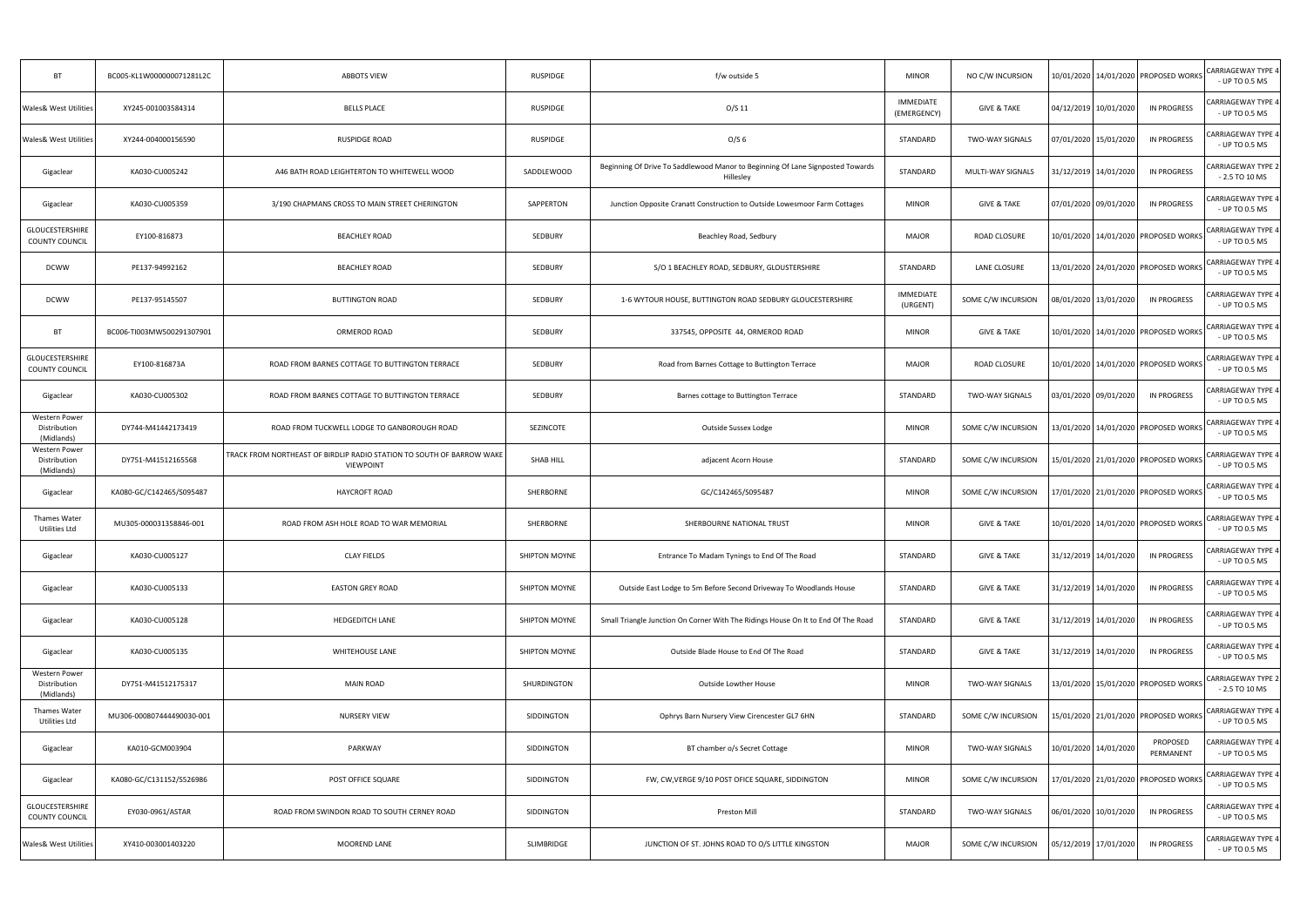| <b>BT</b>                                          | BC005-KL1W000000071281L2C | <b>ABBOTS VIEW</b>                                                                        | RUSPIDGE         | f/w outside 5                                                                               | <b>MINOR</b>                    | NO C/W INCURSION       | 10/01/2020 14/01/2020 PROPOSED WORKS     |                       | <b>CARRIAGEWAY TYPE 4</b><br>- UP TO 0.5 MS |
|----------------------------------------------------|---------------------------|-------------------------------------------------------------------------------------------|------------------|---------------------------------------------------------------------------------------------|---------------------------------|------------------------|------------------------------------------|-----------------------|---------------------------------------------|
| <b>Wales&amp; West Utilities</b>                   | XY245-001003584314        | <b>BELLS PLACE</b>                                                                        | <b>RUSPIDGE</b>  | O/S 11                                                                                      | <b>IMMEDIATE</b><br>(EMERGENCY) | <b>GIVE &amp; TAKE</b> | 04/12/2019 10/01/2020                    | IN PROGRESS           | CARRIAGEWAY TYPE 4<br>- UP TO 0.5 MS        |
| <b>Wales&amp; West Utilities</b>                   | XY244-004000156590        | <b>RUSPIDGE ROAD</b>                                                                      | RUSPIDGE         | O/S <sub>6</sub>                                                                            | STANDARD                        | <b>TWO-WAY SIGNALS</b> | 07/01/2020 15/01/2020                    | IN PROGRESS           | CARRIAGEWAY TYPE 4<br>- UP TO 0.5 MS        |
| Gigaclear                                          | KA030-CU005242            | A46 BATH ROAD LEIGHTERTON TO WHITEWELL WOOD                                               | SADDLEWOOD       | Beginning Of Drive To Saddlewood Manor to Beginning Of Lane Signposted Towards<br>Hillesley | STANDARD                        | MULTI-WAY SIGNALS      | 31/12/2019 14/01/2020                    | IN PROGRESS           | CARRIAGEWAY TYPE 2<br>$-2.5$ TO 10 MS       |
| Gigaclear                                          | KA030-CU005359            | 3/190 CHAPMANS CROSS TO MAIN STREET CHERINGTON                                            | SAPPERTON        | Junction Opposite Cranatt Construction to Outside Lowesmoor Farm Cottages                   | <b>MINOR</b>                    | <b>GIVE &amp; TAKE</b> | 07/01/2020 09/01/2020                    | IN PROGRESS           | CARRIAGEWAY TYPE 4<br>- UP TO 0.5 MS        |
| GLOUCESTERSHIRE<br><b>COUNTY COUNCIL</b>           | EY100-816873              | <b>BEACHLEY ROAD</b>                                                                      | SEDBURY          | Beachley Road, Sedbury                                                                      | <b>MAJOR</b>                    | ROAD CLOSURE           | 10/01/2020 14/01/2020 PROPOSED WORKS     |                       | CARRIAGEWAY TYPE 4<br>- UP TO 0.5 MS        |
| <b>DCWW</b>                                        | PE137-94992162            | <b>BEACHLEY ROAD</b>                                                                      | SEDBURY          | S/O 1 BEACHLEY ROAD, SEDBURY, GLOUSTERSHIRE                                                 | STANDARD                        | LANE CLOSURE           | 13/01/2020 24/01/2020 PROPOSED WORKS     |                       | CARRIAGEWAY TYPE 4<br>- UP TO 0.5 MS        |
| <b>DCWW</b>                                        | PE137-95145507            | <b>BUTTINGTON ROAD</b>                                                                    | SEDBURY          | 1-6 WYTOUR HOUSE, BUTTINGTON ROAD SEDBURY GLOUCESTERSHIRE                                   | <b>IMMEDIATE</b><br>(URGENT)    | SOME C/W INCURSION     | 08/01/2020 13/01/2020                    | IN PROGRESS           | <b>CARRIAGEWAY TYPE 4</b><br>- UP TO 0.5 MS |
| BT                                                 | BC006-TI003MW500291307901 | ORMEROD ROAD                                                                              | SEDBURY          | 337545, OPPOSITE 44, ORMEROD ROAD                                                           | <b>MINOR</b>                    | <b>GIVE &amp; TAKE</b> | 10/01/2020 14/01/2020 PROPOSED WORKS     |                       | <b>CARRIAGEWAY TYPE 4</b><br>- UP TO 0.5 MS |
| GLOUCESTERSHIRE<br><b>COUNTY COUNCIL</b>           | EY100-816873A             | ROAD FROM BARNES COTTAGE TO BUTTINGTON TERRACE                                            | SEDBURY          | Road from Barnes Cottage to Buttington Terrace                                              | <b>MAJOR</b>                    | ROAD CLOSURE           | 10/01/2020 14/01/2020 PROPOSED WORKS     |                       | <b>CARRIAGEWAY TYPE 4</b><br>- UP TO 0.5 MS |
| Gigaclear                                          | KA030-CU005302            | ROAD FROM BARNES COTTAGE TO BUTTINGTON TERRACE                                            | SEDBURY          | Barnes cottage to Buttington Terrace                                                        | STANDARD                        | <b>TWO-WAY SIGNALS</b> | 03/01/2020 09/01/2020                    | <b>IN PROGRESS</b>    | <b>CARRIAGEWAY TYPE 4</b><br>- UP TO 0.5 MS |
| <b>Western Power</b><br>Distribution<br>(Midlands) | DY744-M41442173419        | ROAD FROM TUCKWELL LODGE TO GANBOROUGH ROAD                                               | SEZINCOTE        | Outside Sussex Lodge                                                                        | <b>MINOR</b>                    | SOME C/W INCURSION     | 13/01/2020   14/01/2020   PROPOSED WORKS |                       | CARRIAGEWAY TYPE 4<br>- UP TO 0.5 MS        |
| Western Power<br>Distribution<br>(Midlands)        | DY751-M41512165568        | TRACK FROM NORTHEAST OF BIRDLIP RADIO STATION TO SOUTH OF BARROW WAKE<br><b>VIEWPOINT</b> | <b>SHAB HILL</b> | adjacent Acorn House                                                                        | STANDARD                        | SOME C/W INCURSION     | 15/01/2020 21/01/2020 PROPOSED WORKS     |                       | <b>CARRIAGEWAY TYPE 4</b><br>- UP TO 0.5 MS |
| Gigaclear                                          | KA080-GC/C142465/S095487  | <b>HAYCROFT ROAD</b>                                                                      | SHERBORNE        | GC/C142465/S095487                                                                          | <b>MINOR</b>                    | SOME C/W INCURSION     | 17/01/2020   21/01/2020   PROPOSED WORKS |                       | CARRIAGEWAY TYPE 4<br>- UP TO 0.5 MS        |
| Thames Water<br>Utilities Ltd                      | MU305-000031358846-001    | ROAD FROM ASH HOLE ROAD TO WAR MEMORIAL                                                   | SHERBORNE        | SHERBOURNE NATIONAL TRUST                                                                   | <b>MINOR</b>                    | <b>GIVE &amp; TAKE</b> | 10/01/2020 14/01/2020 PROPOSED WORKS     |                       | <b>CARRIAGEWAY TYPE 4</b><br>- UP TO 0.5 MS |
| Gigaclear                                          | KA030-CU005127            | <b>CLAY FIELDS</b>                                                                        | SHIPTON MOYNE    | Entrance To Madam Tynings to End Of The Road                                                | STANDARD                        | <b>GIVE &amp; TAKE</b> | 31/12/2019 14/01/2020                    | <b>IN PROGRESS</b>    | CARRIAGEWAY TYPE 4<br>- UP TO 0.5 MS        |
| Gigaclear                                          | KA030-CU005133            | <b>EASTON GREY ROAD</b>                                                                   | SHIPTON MOYNE    | Outside East Lodge to 5m Before Second Driveway To Woodlands House                          | STANDARD                        | <b>GIVE &amp; TAKE</b> | 31/12/2019 14/01/2020                    | <b>IN PROGRESS</b>    | CARRIAGEWAY TYPE 4<br>- UP TO 0.5 MS        |
| Gigaclear                                          | KA030-CU005128            | HEDGEDITCH LANE                                                                           | SHIPTON MOYNE    | Small Triangle Junction On Corner With The Ridings House On It to End Of The Road           | STANDARD                        | <b>GIVE &amp; TAKE</b> | 31/12/2019 14/01/2020                    | <b>IN PROGRESS</b>    | CARRIAGEWAY TYPE 4<br>- UP TO 0.5 MS        |
| Gigaclear                                          | KA030-CU005135            | <b>WHITEHOUSE LANE</b>                                                                    | SHIPTON MOYNE    | Outside Blade House to End Of The Road                                                      | STANDARD                        | <b>GIVE &amp; TAKE</b> | 31/12/2019 14/01/2020                    | IN PROGRESS           | CARRIAGEWAY TYPE 4<br>- UP TO 0.5 MS        |
| Western Power<br>Distribution<br>(Midlands)        | DY751-M41512175317        | <b>MAIN ROAD</b>                                                                          | SHURDINGTON      | Outside Lowther House                                                                       | <b>MINOR</b>                    | TWO-WAY SIGNALS        | 13/01/2020   15/01/2020   PROPOSED WORKS |                       | CARRIAGEWAY TYPE 2<br>$-2.5$ TO 10 MS       |
| Thames Water<br>Utilities Ltd                      | MU306-000807444490030-001 | <b>NURSERY VIEW</b>                                                                       | SIDDINGTON       | Ophrys Barn Nursery View Cirencester GL7 6HN                                                | STANDARD                        | SOME C/W INCURSION     | 15/01/2020 21/01/2020 PROPOSED WORKS     |                       | <b>CARRIAGEWAY TYPE 4</b><br>- UP TO 0.5 MS |
| Gigaclear                                          | KA010-GCM003904           | PARKWAY                                                                                   | SIDDINGTON       | BT chamber o/s Secret Cottage                                                               | <b>MINOR</b>                    | TWO-WAY SIGNALS        | 10/01/2020 14/01/2020                    | PROPOSED<br>PERMANENT | CARRIAGEWAY TYPE 4<br>- UP TO 0.5 MS        |
| Gigaclear                                          | KA080-GC/C131152/S526986  | POST OFFICE SQUARE                                                                        | SIDDINGTON       | FW, CW, VERGE 9/10 POST OFICE SQUARE, SIDDINGTON                                            | <b>MINOR</b>                    | SOME C/W INCURSION     | 17/01/2020   21/01/2020   PROPOSED WORKS |                       | <b>CARRIAGEWAY TYPE 4</b><br>- UP TO 0.5 MS |
| <b>GLOUCESTERSHIRE</b><br><b>COUNTY COUNCIL</b>    | EY030-0961/ASTAR          | ROAD FROM SWINDON ROAD TO SOUTH CERNEY ROAD                                               | SIDDINGTON       | Preston Mill                                                                                | STANDARD                        | <b>TWO-WAY SIGNALS</b> | 06/01/2020 10/01/2020                    | <b>IN PROGRESS</b>    | CARRIAGEWAY TYPE 4<br>- UP TO 0.5 MS        |
| Wales& West Utilities                              | XY410-003001403220        | MOOREND LANE                                                                              | SLIMBRIDGE       | JUNCTION OF ST. JOHNS ROAD TO O/S LITTLE KINGSTON                                           | <b>MAJOR</b>                    | SOME C/W INCURSION     | 05/12/2019 17/01/2020                    | <b>IN PROGRESS</b>    | CARRIAGEWAY TYPE 4<br>- UP TO 0.5 MS        |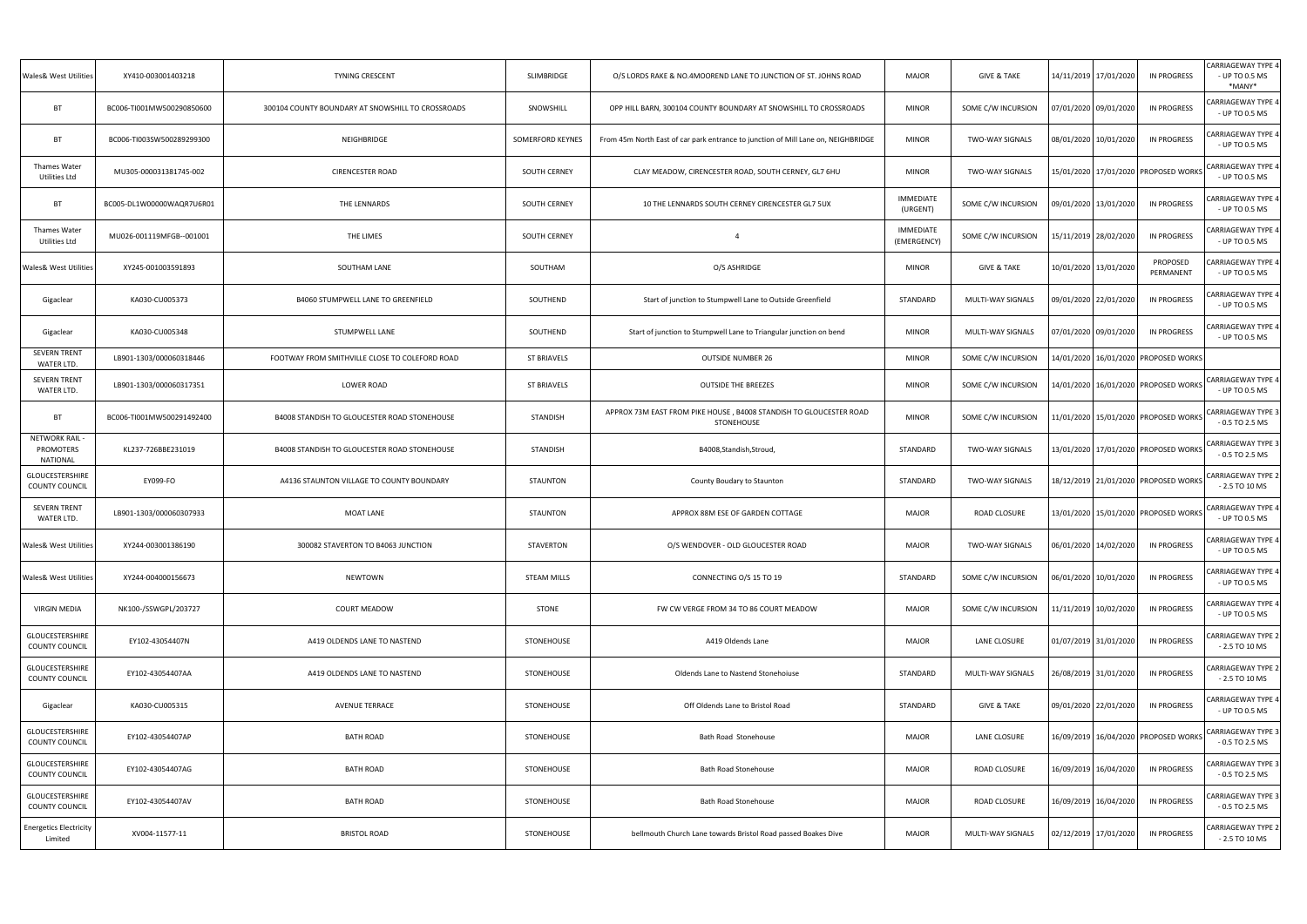| Wales& West Utilities                               | XY410-003001403218        | TYNING CRESCENT                                   | SLIMBRIDGE         | O/S LORDS RAKE & NO.4MOOREND LANE TO JUNCTION OF ST. JOHNS ROAD                   | MAJOR                           | <b>GIVE &amp; TAKE</b> | 14/11/2019 17/01/2020                    | IN PROGRESS           | <b>CARRIAGEWAY TYPE 4</b><br>- UP TO 0.5 MS<br>*MANY* |
|-----------------------------------------------------|---------------------------|---------------------------------------------------|--------------------|-----------------------------------------------------------------------------------|---------------------------------|------------------------|------------------------------------------|-----------------------|-------------------------------------------------------|
| BT                                                  | BC006-TI001MW500290850600 | 300104 COUNTY BOUNDARY AT SNOWSHILL TO CROSSROADS | SNOWSHILL          | OPP HILL BARN, 300104 COUNTY BOUNDARY AT SNOWSHILL TO CROSSROADS                  | <b>MINOR</b>                    | SOME C/W INCURSION     | 07/01/2020 09/01/2020                    | <b>IN PROGRESS</b>    | <b>CARRIAGEWAY TYPE 4</b><br>- UP TO 0.5 MS           |
| BT                                                  | BC006-TI003SW500289299300 | NEIGHBRIDGE                                       | SOMERFORD KEYNES   | From 45m North East of car park entrance to junction of Mill Lane on, NEIGHBRIDGE | <b>MINOR</b>                    | <b>TWO-WAY SIGNALS</b> | 08/01/2020 10/01/2020                    | IN PROGRESS           | CARRIAGEWAY TYPE 4<br>- UP TO 0.5 MS                  |
| Thames Water<br>Utilities Ltd                       | MU305-000031381745-002    | <b>CIRENCESTER ROAD</b>                           | SOUTH CERNEY       | CLAY MEADOW, CIRENCESTER ROAD, SOUTH CERNEY, GL7 6HU                              | <b>MINOR</b>                    | <b>TWO-WAY SIGNALS</b> | 15/01/2020 17/01/2020 PROPOSED WORKS     |                       | <b>CARRIAGEWAY TYPE 4</b><br>- UP TO 0.5 MS           |
| BT                                                  | BC005-DL1W00000WAQR7U6R01 | THE LENNARDS                                      | SOUTH CERNEY       | 10 THE LENNARDS SOUTH CERNEY CIRENCESTER GL7 5UX                                  | <b>IMMEDIATE</b><br>(URGENT)    | SOME C/W INCURSION     | 09/01/2020 13/01/2020                    | IN PROGRESS           | CARRIAGEWAY TYPE 4<br>- UP TO 0.5 MS                  |
| Thames Water<br>Utilities Ltd                       | MU026-001119MFGB--001001  | THE LIMES                                         | SOUTH CERNEY       | $\overline{4}$                                                                    | <b>IMMEDIATE</b><br>(EMERGENCY) | SOME C/W INCURSION     | 15/11/2019 28/02/2020                    | IN PROGRESS           | CARRIAGEWAY TYPE 4<br>- UP TO 0.5 MS                  |
| <b>Wales&amp; West Utilities</b>                    | XY245-001003591893        | SOUTHAM LANE                                      | SOUTHAM            | O/S ASHRIDGE                                                                      | <b>MINOR</b>                    | <b>GIVE &amp; TAKE</b> | 10/01/2020 13/01/2020                    | PROPOSED<br>PERMANENT | CARRIAGEWAY TYPE 4<br>- UP TO 0.5 MS                  |
| Gigaclear                                           | KA030-CU005373            | B4060 STUMPWELL LANE TO GREENFIELD                | SOUTHEND           | Start of junction to Stumpwell Lane to Outside Greenfield                         | STANDARD                        | MULTI-WAY SIGNALS      | 09/01/2020 22/01/2020                    | IN PROGRESS           | CARRIAGEWAY TYPE 4<br>- UP TO 0.5 MS                  |
| Gigaclear                                           | KA030-CU005348            | STUMPWELL LANE                                    | SOUTHEND           | Start of junction to Stumpwell Lane to Triangular junction on bend                | <b>MINOR</b>                    | MULTI-WAY SIGNALS      | 07/01/2020 09/01/2020                    | <b>IN PROGRESS</b>    | ARRIAGEWAY TYPE 4<br>- UP TO 0.5 MS                   |
| <b>SEVERN TRENT</b><br>WATER LTD.                   | LB901-1303/000060318446   | FOOTWAY FROM SMITHVILLE CLOSE TO COLEFORD ROAD    | ST BRIAVELS        | <b>OUTSIDE NUMBER 26</b>                                                          | <b>MINOR</b>                    | SOME C/W INCURSION     | 14/01/2020 16/01/2020 PROPOSED WORKS     |                       |                                                       |
| <b>SEVERN TRENT</b><br>WATER LTD.                   | LB901-1303/000060317351   | <b>LOWER ROAD</b>                                 | <b>ST BRIAVELS</b> | <b>OUTSIDE THE BREEZES</b>                                                        | <b>MINOR</b>                    | SOME C/W INCURSION     | 14/01/2020 16/01/2020 PROPOSED WORKS     |                       | <b>CARRIAGEWAY TYPE 4</b><br>- UP TO 0.5 MS           |
| BT                                                  | BC006-TI001MW500291492400 | B4008 STANDISH TO GLOUCESTER ROAD STONEHOUSE      | <b>STANDISH</b>    | APPROX 73M EAST FROM PIKE HOUSE, B4008 STANDISH TO GLOUCESTER ROAD<br>STONEHOUSE  | <b>MINOR</b>                    | SOME C/W INCURSION     | 11/01/2020   15/01/2020   PROPOSED WORKS |                       | <b>CARRIAGEWAY TYPE 3</b><br>$-0.5$ TO 2.5 MS         |
| <b>NETWORK RAIL</b><br><b>PROMOTERS</b><br>NATIONAL | KL237-726BBE231019        | B4008 STANDISH TO GLOUCESTER ROAD STONEHOUSE      | <b>STANDISH</b>    | B4008, Standish, Stroud,                                                          | STANDARD                        | <b>TWO-WAY SIGNALS</b> | 13/01/2020 17/01/2020 PROPOSED WORKS     |                       | CARRIAGEWAY TYPE 3<br>$-0.5$ TO 2.5 MS                |
| GLOUCESTERSHIRE<br>COUNTY COUNCIL                   | EY099-FO                  | A4136 STAUNTON VILLAGE TO COUNTY BOUNDARY         | <b>STAUNTON</b>    | County Boudary to Staunton                                                        | STANDARD                        | <b>TWO-WAY SIGNALS</b> | 18/12/2019 21/01/2020 PROPOSED WORKS     |                       | <b>CARRIAGEWAY TYPE 2</b><br>$-2.5$ TO 10 MS          |
| <b>SEVERN TRENT</b><br>WATER LTD.                   | LB901-1303/000060307933   | <b>MOAT LANE</b>                                  | STAUNTON           | APPROX 88M ESE OF GARDEN COTTAGE                                                  | <b>MAJOR</b>                    | ROAD CLOSURE           | 13/01/2020 15/01/2020 PROPOSED WORKS     |                       | <b>CARRIAGEWAY TYPE 4</b><br>- UP TO 0.5 MS           |
| Wales& West Utilities                               | XY244-003001386190        | 300082 STAVERTON TO B4063 JUNCTION                | STAVERTON          | O/S WENDOVER - OLD GLOUCESTER ROAD                                                | <b>MAJOR</b>                    | TWO-WAY SIGNALS        | 06/01/2020 14/02/2020 IN PROGRESS        |                       | <b>CARRIAGEWAY TYPE 4</b><br>- UP TO 0.5 MS           |
| <b>Wales&amp; West Utilities</b>                    | XY244-004000156673        | <b>NEWTOWN</b>                                    | <b>STEAM MILLS</b> | CONNECTING O/S 15 TO 19                                                           | STANDARD                        | SOME C/W INCURSION     | 06/01/2020 10/01/2020                    | <b>IN PROGRESS</b>    | CARRIAGEWAY TYPE 4<br>- UP TO 0.5 MS                  |
| <b>VIRGIN MEDIA</b>                                 | NK100-/SSWGPL/203727      | <b>COURT MEADOW</b>                               | STONE              | FW CW VERGE FROM 34 TO 86 COURT MEADOW                                            | <b>MAJOR</b>                    | SOME C/W INCURSION     | 11/11/2019 10/02/2020                    | <b>IN PROGRESS</b>    | CARRIAGEWAY TYPE 4<br>- UP TO 0.5 MS                  |
| GLOUCESTERSHIRE<br>COUNTY COUNCIL                   | EY102-43054407N           | A419 OLDENDS LANE TO NASTEND                      | STONEHOUSE         | A419 Oldends Lane                                                                 | <b>MAJOR</b>                    | LANE CLOSURE           | 01/07/2019 31/01/2020                    | <b>IN PROGRESS</b>    | CARRIAGEWAY TYPE 2<br>$-2.5$ TO 10 MS                 |
| GLOUCESTERSHIRE<br><b>COUNTY COUNCIL</b>            | EY102-43054407AA          | A419 OLDENDS LANE TO NASTEND                      | STONEHOUSE         | Oldends Lane to Nastend Stonehoiuse                                               | STANDARD                        | MULTI-WAY SIGNALS      | 26/08/2019 31/01/2020                    | IN PROGRESS           | CARRIAGEWAY TYPE 2<br>$-2.5$ TO 10 MS                 |
| Gigaclear                                           | KA030-CU005315            | AVENUE TERRACE                                    | STONEHOUSE         | Off Oldends Lane to Bristol Road                                                  | STANDARD                        | <b>GIVE &amp; TAKE</b> | 09/01/2020 22/01/2020                    | <b>IN PROGRESS</b>    | CARRIAGEWAY TYPE 4<br>- UP TO 0.5 MS                  |
| GLOUCESTERSHIRE<br>COUNTY COUNCIL                   | EY102-43054407AP          | <b>BATH ROAD</b>                                  | STONEHOUSE         | Bath Road Stonehouse                                                              | <b>MAJOR</b>                    | LANE CLOSURE           | 16/09/2019 16/04/2020 PROPOSED WORKS     |                       | CARRIAGEWAY TYPE 3<br>$-0.5$ TO 2.5 MS                |
| GLOUCESTERSHIRE<br>COUNTY COUNCIL                   | EY102-43054407AG          | <b>BATH ROAD</b>                                  | STONEHOUSE         | <b>Bath Road Stonehouse</b>                                                       | <b>MAJOR</b>                    | ROAD CLOSURE           | 16/09/2019 16/04/2020                    | IN PROGRESS           | CARRIAGEWAY TYPE 3<br>$-0.5$ TO 2.5 MS                |
| GLOUCESTERSHIRE<br>COUNTY COUNCIL                   | EY102-43054407AV          | <b>BATH ROAD</b>                                  | STONEHOUSE         | <b>Bath Road Stonehouse</b>                                                       | <b>MAJOR</b>                    | ROAD CLOSURE           | 16/09/2019 16/04/2020                    | <b>IN PROGRESS</b>    | CARRIAGEWAY TYPE 3<br>$-0.5$ TO 2.5 MS                |
| <b>Energetics Electricity</b><br>Limited            | XV004-11577-11            | <b>BRISTOL ROAD</b>                               | STONEHOUSE         | bellmouth Church Lane towards Bristol Road passed Boakes Dive                     | <b>MAJOR</b>                    | MULTI-WAY SIGNALS      | 02/12/2019 17/01/2020                    | <b>IN PROGRESS</b>    | CARRIAGEWAY TYPE 2<br>$-2.5$ TO 10 MS                 |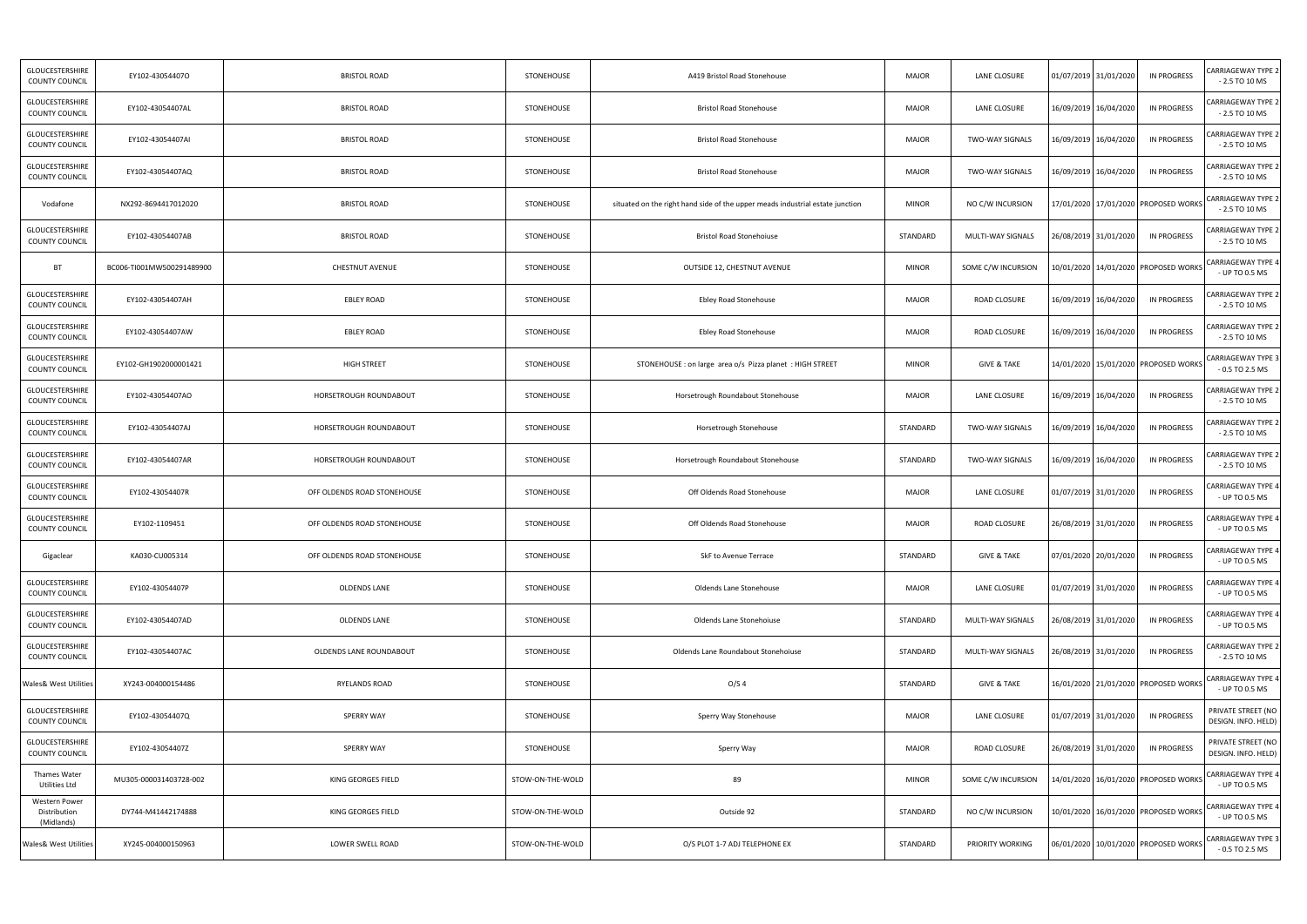| GLOUCESTERSHIRE<br><b>COUNTY COUNCIL</b>    | EY102-43054407O           | <b>BRISTOL ROAD</b>         | STONEHOUSE       | A419 Bristol Road Stonehouse                                                  | <b>MAJOR</b> | LANE CLOSURE           | 01/07/2019 31/01/2020 |                       | IN PROGRESS                              | CARRIAGEWAY TYPE 2<br>$-2.5$ TO 10 MS        |
|---------------------------------------------|---------------------------|-----------------------------|------------------|-------------------------------------------------------------------------------|--------------|------------------------|-----------------------|-----------------------|------------------------------------------|----------------------------------------------|
| GLOUCESTERSHIRE<br><b>COUNTY COUNCIL</b>    | EY102-43054407AL          | <b>BRISTOL ROAD</b>         | STONEHOUSE       | <b>Bristol Road Stonehouse</b>                                                | <b>MAJOR</b> | LANE CLOSURE           | 16/09/2019 16/04/2020 |                       | <b>IN PROGRESS</b>                       | <b>CARRIAGEWAY TYPE 2</b><br>$-2.5$ TO 10 MS |
| GLOUCESTERSHIRE<br>COUNTY COUNCIL           | EY102-43054407AI          | <b>BRISTOL ROAD</b>         | STONEHOUSE       | <b>Bristol Road Stonehouse</b>                                                | <b>MAJOR</b> | <b>TWO-WAY SIGNALS</b> |                       | 16/09/2019 16/04/2020 | <b>IN PROGRESS</b>                       | <b>CARRIAGEWAY TYPE 2</b><br>$-2.5$ TO 10 MS |
| GLOUCESTERSHIRE<br>COUNTY COUNCIL           | EY102-43054407AQ          | <b>BRISTOL ROAD</b>         | STONEHOUSE       | <b>Bristol Road Stonehouse</b>                                                | <b>MAJOR</b> | <b>TWO-WAY SIGNALS</b> |                       | 16/09/2019 16/04/2020 | <b>IN PROGRESS</b>                       | <b>CARRIAGEWAY TYPE 2</b><br>$-2.5$ TO 10 MS |
| Vodafone                                    | NX292-8694417012020       | <b>BRISTOL ROAD</b>         | STONEHOUSE       | situated on the right hand side of the upper meads industrial estate junction | <b>MINOR</b> | NO C/W INCURSION       |                       |                       | 17/01/2020 17/01/2020 PROPOSED WORKS     | CARRIAGEWAY TYPE 2<br>$-2.5$ TO 10 MS        |
| <b>GLOUCESTERSHIRE</b><br>COUNTY COUNCIL    | EY102-43054407AB          | <b>BRISTOL ROAD</b>         | STONEHOUSE       | <b>Bristol Road Stonehoiuse</b>                                               | STANDARD     | MULTI-WAY SIGNALS      |                       | 26/08/2019 31/01/2020 | <b>IN PROGRESS</b>                       | <b>CARRIAGEWAY TYPE 2</b><br>$-2.5$ TO 10 MS |
| <b>BT</b>                                   | BC006-TI001MW500291489900 | CHESTNUT AVENUE             | STONEHOUSE       | OUTSIDE 12, CHESTNUT AVENUE                                                   | <b>MINOR</b> | SOME C/W INCURSION     |                       |                       | 10/01/2020 14/01/2020 PROPOSED WORKS     | CARRIAGEWAY TYPE 4<br>- UP TO 0.5 MS         |
| <b>GLOUCESTERSHIRE</b><br>COUNTY COUNCIL    | EY102-43054407AH          | <b>EBLEY ROAD</b>           | STONEHOUSE       | Ebley Road Stonehouse                                                         | <b>MAJOR</b> | ROAD CLOSURE           |                       | 16/09/2019 16/04/2020 | IN PROGRESS                              | CARRIAGEWAY TYPE 2<br>$-2.5$ TO 10 MS        |
| GLOUCESTERSHIRE<br>COUNTY COUNCIL           | EY102-43054407AW          | <b>EBLEY ROAD</b>           | STONEHOUSE       | <b>Ebley Road Stonehouse</b>                                                  | <b>MAJOR</b> | ROAD CLOSURE           |                       | 16/09/2019 16/04/2020 | <b>IN PROGRESS</b>                       | <b>CARRIAGEWAY TYPE 2</b><br>$-2.5$ TO 10 MS |
| GLOUCESTERSHIRE<br>COUNTY COUNCIL           | EY102-GH1902000001421     | <b>HIGH STREET</b>          | STONEHOUSE       | STONEHOUSE : on large area o/s Pizza planet : HIGH STREET                     | <b>MINOR</b> | <b>GIVE &amp; TAKE</b> |                       |                       | 14/01/2020   15/01/2020   PROPOSED WORKS | CARRIAGEWAY TYPE 3<br>$-0.5$ TO 2.5 MS       |
| GLOUCESTERSHIRE<br>COUNTY COUNCIL           | EY102-43054407AO          | HORSETROUGH ROUNDABOUT      | STONEHOUSE       | Horsetrough Roundabout Stonehouse                                             | <b>MAJOR</b> | LANE CLOSURE           |                       | 16/09/2019 16/04/2020 | <b>IN PROGRESS</b>                       | <b>CARRIAGEWAY TYPE 2</b><br>$-2.5$ TO 10 MS |
| GLOUCESTERSHIRE<br>COUNTY COUNCIL           | EY102-43054407AJ          | HORSETROUGH ROUNDABOUT      | STONEHOUSE       | Horsetrough Stonehouse                                                        | STANDARD     | TWO-WAY SIGNALS        |                       | 16/09/2019 16/04/2020 | <b>IN PROGRESS</b>                       | <b>CARRIAGEWAY TYPE 2</b><br>$-2.5$ TO 10 MS |
| <b>GLOUCESTERSHIRE</b><br>COUNTY COUNCIL    | EY102-43054407AR          | HORSETROUGH ROUNDABOUT      | STONEHOUSE       | Horsetrough Roundabout Stonehouse                                             | STANDARD     | <b>TWO-WAY SIGNALS</b> |                       | 16/09/2019 16/04/2020 | <b>IN PROGRESS</b>                       | ARRIAGEWAY TYPE 2<br>$-2.5$ TO 10 MS         |
| GLOUCESTERSHIRE<br>COUNTY COUNCIL           | EY102-43054407R           | OFF OLDENDS ROAD STONEHOUSE | STONEHOUSE       | Off Oldends Road Stonehouse                                                   | <b>MAJOR</b> | LANE CLOSURE           | 01/07/2019 31/01/2020 |                       | <b>IN PROGRESS</b>                       | <b>CARRIAGEWAY TYPE 4</b><br>- UP TO 0.5 MS  |
| <b>GLOUCESTERSHIRE</b><br>COUNTY COUNCIL    | EY102-1109451             | OFF OLDENDS ROAD STONEHOUSE | STONEHOUSE       | Off Oldends Road Stonehouse                                                   | <b>MAJOR</b> | ROAD CLOSURE           |                       | 26/08/2019 31/01/2020 | <b>IN PROGRESS</b>                       | CARRIAGEWAY TYPE 4<br>- UP TO 0.5 MS         |
| Gigaclear                                   | KA030-CU005314            | OFF OLDENDS ROAD STONEHOUSE | STONEHOUSE       | SkF to Avenue Terrace                                                         | STANDARD     | <b>GIVE &amp; TAKE</b> | 07/01/2020 20/01/2020 |                       | <b>IN PROGRESS</b>                       | CARRIAGEWAY TYPE 4<br>- UP TO 0.5 MS         |
| GLOUCESTERSHIRE<br><b>COUNTY COUNCIL</b>    | EY102-43054407P           | <b>OLDENDS LANE</b>         | STONEHOUSE       | Oldends Lane Stonehouse                                                       | <b>MAJOR</b> | LANE CLOSURE           | 01/07/2019 31/01/2020 |                       | <b>IN PROGRESS</b>                       | <b>CARRIAGEWAY TYPE 4</b><br>- UP TO 0.5 MS  |
| GLOUCESTERSHIRE<br>COUNTY COUNCIL           | EY102-43054407AD          | <b>OLDENDS LANE</b>         | STONEHOUSE       | Oldends Lane Stonehoiuse                                                      | STANDARD     | MULTI-WAY SIGNALS      |                       | 26/08/2019 31/01/2020 | <b>IN PROGRESS</b>                       | CARRIAGEWAY TYPE 4<br>- UP TO 0.5 MS         |
| GLOUCESTERSHIRE<br>COUNTY COUNCIL           | EY102-43054407AC          | OLDENDS LANE ROUNDABOUT     | STONEHOUSE       | Oldends Lane Roundabout Stonehoiuse                                           | STANDARD     | MULTI-WAY SIGNALS      |                       | 26/08/2019 31/01/2020 | <b>IN PROGRESS</b>                       | <b>CARRIAGEWAY TYPE 2</b><br>- 2.5 TO 10 MS  |
| <b>Wales&amp; West Utilities</b>            | XY243-004000154486        | RYELANDS ROAD               | STONEHOUSE       | O/S <sub>4</sub>                                                              | STANDARD     | <b>GIVE &amp; TAKE</b> |                       |                       | 16/01/2020 21/01/2020 PROPOSED WORKS     | CARRIAGEWAY TYPE 4<br>- UP TO 0.5 MS         |
| GLOUCESTERSHIRE<br>COUNTY COUNCIL           | EY102-43054407Q           | SPERRY WAY                  | STONEHOUSE       | Sperry Way Stonehouse                                                         | <b>MAJOR</b> | LANE CLOSURE           | 01/07/2019 31/01/2020 |                       | <b>IN PROGRESS</b>                       | PRIVATE STREET (NO<br>DESIGN. INFO. HELD)    |
| GLOUCESTERSHIRE<br><b>COUNTY COUNCIL</b>    | EY102-43054407Z           | SPERRY WAY                  | STONEHOUSE       | Sperry Way                                                                    | <b>MAJOR</b> | ROAD CLOSURE           |                       | 26/08/2019 31/01/2020 | <b>IN PROGRESS</b>                       | PRIVATE STREET (NO<br>DESIGN. INFO. HELD)    |
| <b>Thames Water</b><br>Utilities Ltd        | MU305-000031403728-002    | KING GEORGES FIELD          | STOW-ON-THE-WOLD | 89                                                                            | <b>MINOR</b> | SOME C/W INCURSION     |                       |                       | 14/01/2020 16/01/2020 PROPOSED WORKS     | <b>CARRIAGEWAY TYPE 4</b><br>- UP TO 0.5 MS  |
| Western Power<br>Distribution<br>(Midlands) | DY744-M41442174888        | KING GEORGES FIELD          | STOW-ON-THE-WOLD | Outside 92                                                                    | STANDARD     | NO C/W INCURSION       |                       |                       | 10/01/2020 16/01/2020 PROPOSED WORKS     | CARRIAGEWAY TYPE 4<br>- UP TO 0.5 MS         |
| Wales& West Utilities                       | XY245-004000150963        | LOWER SWELL ROAD            | STOW-ON-THE-WOLD | O/S PLOT 1-7 ADJ TELEPHONE EX                                                 | STANDARD     | PRIORITY WORKING       |                       |                       | 06/01/2020 10/01/2020 PROPOSED WORKS     | CARRIAGEWAY TYPE 3<br>- 0.5 TO 2.5 MS        |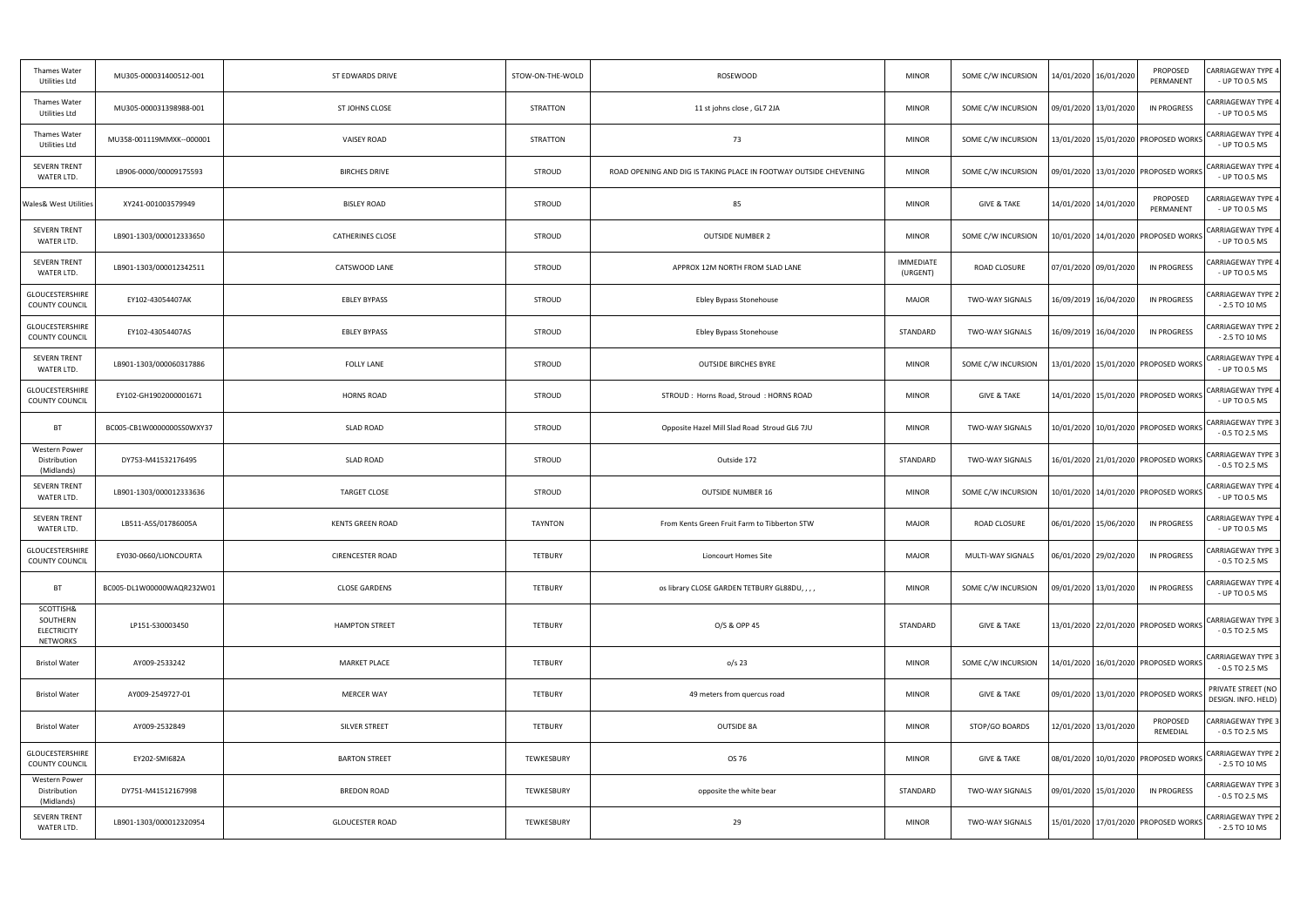| Thames Water<br>Utilities Ltd                                  | MU305-000031400512-001     | ST EDWARDS DRIVE        | STOW-ON-THE-WOLD | <b>ROSEWOOD</b>                                                   | <b>MINOR</b>          | SOME C/W INCURSION     | 14/01/2020 16/01/2020   | PROPOSED<br>PERMANENT                    | <b>CARRIAGEWAY TYPE 4</b><br>- UP TO 0.5 MS   |
|----------------------------------------------------------------|----------------------------|-------------------------|------------------|-------------------------------------------------------------------|-----------------------|------------------------|-------------------------|------------------------------------------|-----------------------------------------------|
| Thames Water<br>Utilities Ltd                                  | MU305-000031398988-001     | ST JOHNS CLOSE          | STRATTON         | 11 st johns close, GL7 2JA                                        | <b>MINOR</b>          | SOME C/W INCURSION     | 09/01/2020 13/01/2020   | IN PROGRESS                              | CARRIAGEWAY TYPE 4<br>- UP TO 0.5 MS          |
| Thames Water<br>Utilities Ltd                                  | MU358-001119MMXK--000001   | <b>VAISEY ROAD</b>      | STRATTON         | 73                                                                | <b>MINOR</b>          | SOME C/W INCURSION     |                         | 13/01/2020 15/01/2020 PROPOSED WORKS     | <b>CARRIAGEWAY TYPE 4</b><br>- UP TO 0.5 MS   |
| <b>SEVERN TRENT</b><br>WATER LTD.                              | LB906-0000/00009175593     | <b>BIRCHES DRIVE</b>    | STROUD           | ROAD OPENING AND DIG IS TAKING PLACE IN FOOTWAY OUTSIDE CHEVENING | <b>MINOR</b>          | SOME C/W INCURSION     |                         | 09/01/2020   13/01/2020   PROPOSED WORKS | <b>CARRIAGEWAY TYPE 4</b><br>- UP TO 0.5 MS   |
| <b>Wales&amp; West Utilities</b>                               | XY241-001003579949         | <b>BISLEY ROAD</b>      | STROUD           | 85                                                                | <b>MINOR</b>          | <b>GIVE &amp; TAKE</b> | 14/01/2020 14/01/2020   | PROPOSED<br>PERMANENT                    | CARRIAGEWAY TYPE 4<br>- UP TO 0.5 MS          |
| <b>SEVERN TRENT</b><br>WATER LTD.                              | LB901-1303/000012333650    | <b>CATHERINES CLOSE</b> | STROUD           | <b>OUTSIDE NUMBER 2</b>                                           | <b>MINOR</b>          | SOME C/W INCURSION     |                         | 10/01/2020   14/01/2020   PROPOSED WORKS | <b>CARRIAGEWAY TYPE 4</b><br>- UP TO 0.5 MS   |
| <b>SEVERN TRENT</b><br>WATER LTD.                              | LB901-1303/000012342511    | CATSWOOD LANE           | STROUD           | APPROX 12M NORTH FROM SLAD LANE                                   | IMMEDIATE<br>(URGENT) | ROAD CLOSURE           | 07/01/2020 09/01/2020   | <b>IN PROGRESS</b>                       | CARRIAGEWAY TYPE 4<br>- UP TO 0.5 MS          |
| GLOUCESTERSHIRE<br>COUNTY COUNCIL                              | EY102-43054407AK           | <b>EBLEY BYPASS</b>     | STROUD           | Ebley Bypass Stonehouse                                           | MAJOR                 | <b>TWO-WAY SIGNALS</b> | 16/09/2019 16/04/2020   | IN PROGRESS                              | CARRIAGEWAY TYPE 2<br>$-2.5$ TO 10 MS         |
| GLOUCESTERSHIRE<br><b>COUNTY COUNCIL</b>                       | EY102-43054407AS           | <b>EBLEY BYPASS</b>     | STROUD           | Ebley Bypass Stonehouse                                           | STANDARD              | <b>TWO-WAY SIGNALS</b> | 16/09/2019 16/04/2020   | <b>IN PROGRESS</b>                       | CARRIAGEWAY TYPE 2<br>$-2.5$ TO 10 MS         |
| <b>SEVERN TRENT</b><br>WATER LTD.                              | LB901-1303/000060317886    | <b>FOLLY LANE</b>       | STROUD           | <b>OUTSIDE BIRCHES BYRE</b>                                       | <b>MINOR</b>          | SOME C/W INCURSION     |                         | 13/01/2020   15/01/2020   PROPOSED WORKS | <b>CARRIAGEWAY TYPE 4</b><br>- UP TO 0.5 MS   |
| GLOUCESTERSHIRE<br><b>COUNTY COUNCIL</b>                       | EY102-GH1902000001671      | <b>HORNS ROAD</b>       | STROUD           | STROUD: Horns Road, Stroud: HORNS ROAD                            | <b>MINOR</b>          | <b>GIVE &amp; TAKE</b> |                         | 14/01/2020 15/01/2020 PROPOSED WORKS     | <b>CARRIAGEWAY TYPE 4</b><br>- UP TO 0.5 MS   |
| <b>BT</b>                                                      | BC005-CB1W00000000SS0WXY37 | <b>SLAD ROAD</b>        | STROUD           | Opposite Hazel Mill Slad Road Stroud GL6 7JU                      | <b>MINOR</b>          | TWO-WAY SIGNALS        |                         | 10/01/2020   10/01/2020   PROPOSED WORKS | CARRIAGEWAY TYPE 3<br>$-0.5$ TO 2.5 MS        |
| Western Power<br>Distribution<br>(Midlands)                    | DY753-M41532176495         | <b>SLAD ROAD</b>        | STROUD           | Outside 172                                                       | STANDARD              | <b>TWO-WAY SIGNALS</b> |                         | 16/01/2020 21/01/2020 PROPOSED WORKS     | <b>CARRIAGEWAY TYPE 3</b><br>$-0.5$ TO 2.5 MS |
| <b>SEVERN TRENT</b><br>WATER LTD.                              | LB901-1303/000012333636    | <b>TARGET CLOSE</b>     | STROUD           | OUTSIDE NUMBER 16                                                 | <b>MINOR</b>          | SOME C/W INCURSION     |                         | 10/01/2020 14/01/2020 PROPOSED WORKS     | <b>CARRIAGEWAY TYPE 4</b><br>- UP TO 0.5 MS   |
| <b>SEVERN TRENT</b><br>WATER LTD.                              | LB511-A5S/01786005A        | <b>KENTS GREEN ROAD</b> | <b>TAYNTON</b>   | From Kents Green Fruit Farm to Tibberton STW                      | <b>MAJOR</b>          | ROAD CLOSURE           | 06/01/2020 15/06/2020   | <b>IN PROGRESS</b>                       | CARRIAGEWAY TYPE 4<br>- UP TO 0.5 MS          |
| GLOUCESTERSHIRE<br><b>COUNTY COUNCIL</b>                       | EY030-0660/LIONCOURTA      | <b>CIRENCESTER ROAD</b> | TETBURY          | Lioncourt Homes Site                                              | <b>MAJOR</b>          | MULTI-WAY SIGNALS      | 06/01/2020 29/02/2020   | <b>IN PROGRESS</b>                       | <b>CARRIAGEWAY TYPE 3</b><br>$-0.5$ TO 2.5 MS |
| <b>BT</b>                                                      | BC005-DL1W00000WAQR232W01  | <b>CLOSE GARDENS</b>    | TETBURY          | os library CLOSE GARDEN TETBURY GL88DU,,,,                        | <b>MINOR</b>          | SOME C/W INCURSION     | 09/01/2020 13/01/2020   | <b>IN PROGRESS</b>                       | <b>CARRIAGEWAY TYPE 4</b><br>- UP TO 0.5 MS   |
| SCOTTISH&<br>SOUTHERN<br><b>ELECTRICITY</b><br><b>NETWORKS</b> | LP151-S30003450            | <b>HAMPTON STREET</b>   | TETBURY          | O/S & OPP 45                                                      | STANDARD              | <b>GIVE &amp; TAKE</b> |                         | 13/01/2020 22/01/2020 PROPOSED WORKS     | <b>CARRIAGEWAY TYPE 3</b><br>$-0.5$ TO 2.5 MS |
| <b>Bristol Water</b>                                           | AY009-2533242              | <b>MARKET PLACE</b>     | TETBURY          | $o/s$ 23                                                          | <b>MINOR</b>          | SOME C/W INCURSION     |                         | 14/01/2020 16/01/2020 PROPOSED WORKS     | <b>CARRIAGEWAY TYPE 3</b><br>$-0.5$ TO 2.5 MS |
| <b>Bristol Water</b>                                           | AY009-2549727-01           | <b>MERCER WAY</b>       | TETBURY          | 49 meters from quercus road                                       | <b>MINOR</b>          | <b>GIVE &amp; TAKE</b> |                         | 09/01/2020 13/01/2020 PROPOSED WORK      | PRIVATE STREET (NO<br>DESIGN. INFO. HELD)     |
| <b>Bristol Water</b>                                           | AY009-2532849              | SILVER STREET           | TETBURY          | <b>OUTSIDE 8A</b>                                                 | <b>MINOR</b>          | STOP/GO BOARDS         | 12/01/2020 13/01/2020   | PROPOSED<br>REMEDIAL                     | <b>CARRIAGEWAY TYPE 3</b><br>$-0.5$ TO 2.5 MS |
| GLOUCESTERSHIRE<br>COUNTY COUNCIL                              | EY202-SMI682A              | <b>BARTON STREET</b>    | TEWKESBURY       | OS 76                                                             | <b>MINOR</b>          | <b>GIVE &amp; TAKE</b> |                         | 08/01/2020 10/01/2020 PROPOSED WORKS     | <b>CARRIAGEWAY TYPE 2</b><br>$-2.5$ TO 10 MS  |
| Western Power<br>Distribution<br>(Midlands)                    | DY751-M41512167998         | <b>BREDON ROAD</b>      | TEWKESBURY       | opposite the white bear                                           | STANDARD              | <b>TWO-WAY SIGNALS</b> | 09/01/2020   15/01/2020 | <b>IN PROGRESS</b>                       | CARRIAGEWAY TYPE 3<br>$-0.5$ TO 2.5 MS        |
| <b>SEVERN TRENT</b><br>WATER LTD.                              | LB901-1303/000012320954    | <b>GLOUCESTER ROAD</b>  | TEWKESBURY       | 29                                                                | <b>MINOR</b>          | TWO-WAY SIGNALS        |                         | 15/01/2020 17/01/2020 PROPOSED WORKS     | <b>CARRIAGEWAY TYPE 2</b><br>$-2.5$ TO 10 MS  |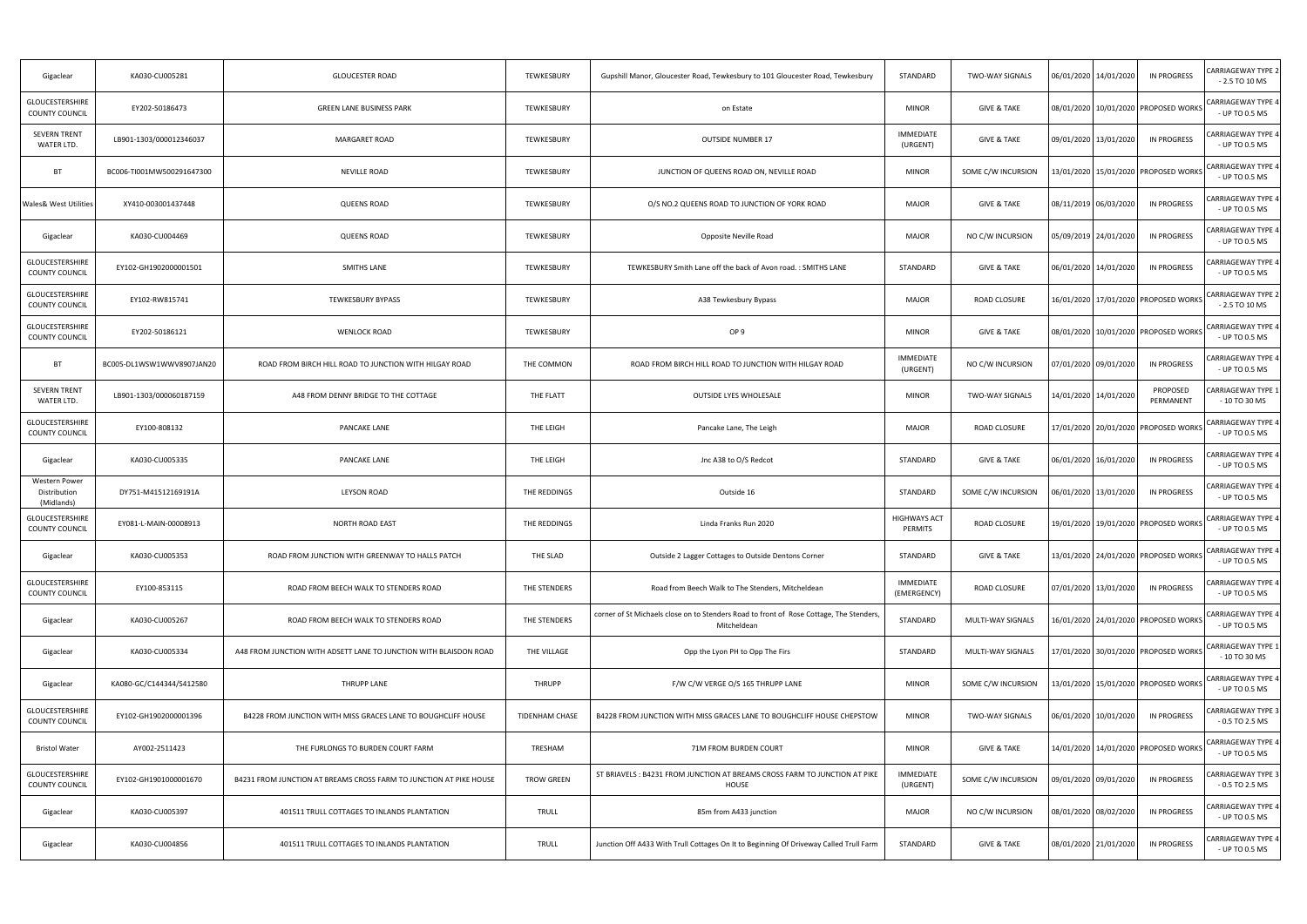| Gigaclear                                       | KA030-CU005281            | <b>GLOUCESTER ROAD</b>                                             | TEWKESBURY        | Gupshill Manor, Gloucester Road, Tewkesbury to 101 Gloucester Road, Tewkesbury                        | STANDARD                       | <b>TWO-WAY SIGNALS</b> | 06/01/2020 14/01/2020                    | IN PROGRESS           | <b>CARRIAGEWAY TYPE 2</b><br>$-2.5$ TO 10 MS |
|-------------------------------------------------|---------------------------|--------------------------------------------------------------------|-------------------|-------------------------------------------------------------------------------------------------------|--------------------------------|------------------------|------------------------------------------|-----------------------|----------------------------------------------|
| GLOUCESTERSHIRE<br><b>COUNTY COUNCIL</b>        | EY202-50186473            | GREEN LANE BUSINESS PARK                                           | TEWKESBURY        | on Estate                                                                                             | <b>MINOR</b>                   | <b>GIVE &amp; TAKE</b> | 08/01/2020 10/01/2020 PROPOSED WORKS     |                       | <b>CARRIAGEWAY TYPE 4</b><br>- UP TO 0.5 MS  |
| <b>SEVERN TRENT</b><br>WATER LTD.               | LB901-1303/000012346037   | MARGARET ROAD                                                      | TEWKESBURY        | <b>OUTSIDE NUMBER 17</b>                                                                              | <b>IMMEDIATE</b><br>(URGENT)   | <b>GIVE &amp; TAKE</b> | 09/01/2020 13/01/2020                    | IN PROGRESS           | <b>CARRIAGEWAY TYPE 4</b><br>- UP TO 0.5 MS  |
| <b>BT</b>                                       | BC006-TI001MW500291647300 | <b>NEVILLE ROAD</b>                                                | TEWKESBURY        | JUNCTION OF QUEENS ROAD ON, NEVILLE ROAD                                                              | <b>MINOR</b>                   | SOME C/W INCURSION     | 13/01/2020   15/01/2020   PROPOSED WORKS |                       | <b>CARRIAGEWAY TYPE 4</b><br>- UP TO 0.5 MS  |
| <b>Wales&amp; West Utilities</b>                | XY410-003001437448        | <b>QUEENS ROAD</b>                                                 | TEWKESBURY        | O/S NO.2 QUEENS ROAD TO JUNCTION OF YORK ROAD                                                         | <b>MAJOR</b>                   | <b>GIVE &amp; TAKE</b> | 08/11/2019 06/03/2020                    | IN PROGRESS           | CARRIAGEWAY TYPE 4<br>- UP TO 0.5 MS         |
| Gigaclear                                       | KA030-CU004469            | <b>QUEENS ROAD</b>                                                 | TEWKESBURY        | Opposite Neville Road                                                                                 | <b>MAJOR</b>                   | NO C/W INCURSION       | 05/09/2019 24/01/2020                    | <b>IN PROGRESS</b>    | CARRIAGEWAY TYPE 4<br>- UP TO 0.5 MS         |
| GLOUCESTERSHIRE<br><b>COUNTY COUNCIL</b>        | EY102-GH1902000001501     | <b>SMITHS LANE</b>                                                 | TEWKESBURY        | TEWKESBURY Smith Lane off the back of Avon road.: SMITHS LANE                                         | STANDARD                       | <b>GIVE &amp; TAKE</b> | 06/01/2020 14/01/2020                    | <b>IN PROGRESS</b>    | CARRIAGEWAY TYPE 4<br>- UP TO 0.5 MS         |
| <b>GLOUCESTERSHIRE</b><br><b>COUNTY COUNCIL</b> | EY102-RW815741            | <b>TEWKESBURY BYPASS</b>                                           | TEWKESBURY        | A38 Tewkesbury Bypass                                                                                 | <b>MAJOR</b>                   | ROAD CLOSURE           | 16/01/2020 17/01/2020 PROPOSED WORKS     |                       | <b>CARRIAGEWAY TYPE 2</b><br>$-2.5$ TO 10 MS |
| GLOUCESTERSHIRE<br><b>COUNTY COUNCIL</b>        | EY202-50186121            | <b>WENLOCK ROAD</b>                                                | TEWKESBURY        | OP <sub>9</sub>                                                                                       | <b>MINOR</b>                   | <b>GIVE &amp; TAKE</b> | 08/01/2020 10/01/2020 PROPOSED WORKS     |                       | <b>CARRIAGEWAY TYPE 4</b><br>- UP TO 0.5 MS  |
| <b>BT</b>                                       | BC005-DL1WSW1WWV8907JAN20 | ROAD FROM BIRCH HILL ROAD TO JUNCTION WITH HILGAY ROAD             | THE COMMON        | ROAD FROM BIRCH HILL ROAD TO JUNCTION WITH HILGAY ROAD                                                | <b>IMMEDIATE</b><br>(URGENT)   | NO C/W INCURSION       | 07/01/2020 09/01/2020                    | IN PROGRESS           | CARRIAGEWAY TYPE 4<br>- UP TO 0.5 MS         |
| <b>SEVERN TRENT</b><br>WATER LTD.               | LB901-1303/000060187159   | A48 FROM DENNY BRIDGE TO THE COTTAGE                               | THE FLATT         | OUTSIDE LYES WHOLESALE                                                                                | <b>MINOR</b>                   | <b>TWO-WAY SIGNALS</b> | 14/01/2020   14/01/2020                  | PROPOSED<br>PERMANENT | CARRIAGEWAY TYPE 1<br>$-10$ TO 30 MS         |
| GLOUCESTERSHIRE<br>COUNTY COUNCIL               | EY100-808132              | <b>PANCAKE LANE</b>                                                | THE LEIGH         | Pancake Lane, The Leigh                                                                               | <b>MAJOR</b>                   | ROAD CLOSURE           | 17/01/2020 20/01/2020 PROPOSED WORKS     |                       | CARRIAGEWAY TYPE 4<br>- UP TO 0.5 MS         |
| Gigaclear                                       | KA030-CU005335            | <b>PANCAKE LANE</b>                                                | THE LEIGH         | Jnc A38 to O/S Redcot                                                                                 | STANDARD                       | <b>GIVE &amp; TAKE</b> | 06/01/2020 16/01/2020                    | <b>IN PROGRESS</b>    | CARRIAGEWAY TYPE 4<br>- UP TO 0.5 MS         |
| Western Power<br>Distribution<br>(Midlands)     | DY751-M41512169191A       | <b>LEYSON ROAD</b>                                                 | THE REDDINGS      | Outside 16                                                                                            | STANDARD                       | SOME C/W INCURSION     | 06/01/2020 13/01/2020                    | IN PROGRESS           | CARRIAGEWAY TYPE 4<br>- UP TO 0.5 MS         |
| <b>GLOUCESTERSHIRE</b><br><b>COUNTY COUNCIL</b> | EY081-L-MAIN-00008913     | <b>NORTH ROAD EAST</b>                                             | THE REDDINGS      | Linda Franks Run 2020                                                                                 | <b>HIGHWAYS ACT</b><br>PERMITS | ROAD CLOSURE           | 19/01/2020 19/01/2020 PROPOSED WORKS     |                       | CARRIAGEWAY TYPE 4<br>- UP TO 0.5 MS         |
| Gigaclear                                       | KA030-CU005353            | ROAD FROM JUNCTION WITH GREENWAY TO HALLS PATCH                    | THE SLAD          | Outside 2 Lagger Cottages to Outside Dentons Corner                                                   | STANDARD                       | <b>GIVE &amp; TAKE</b> | 13/01/2020 24/01/2020 PROPOSED WORKS     |                       | CARRIAGEWAY TYPE 4<br>- UP TO 0.5 MS         |
| GLOUCESTERSHIRE<br>COUNTY COUNCIL               | EY100-853115              | ROAD FROM BEECH WALK TO STENDERS ROAD                              | THE STENDERS      | Road from Beech Walk to The Stenders, Mitcheldean                                                     | IMMEDIATE<br>(EMERGENCY)       | ROAD CLOSURE           | 07/01/2020 13/01/2020                    | <b>IN PROGRESS</b>    | CARRIAGEWAY TYPE 4<br>- UP TO 0.5 MS         |
| Gigaclear                                       | KA030-CU005267            | ROAD FROM BEECH WALK TO STENDERS ROAD                              | THE STENDERS      | corner of St Michaels close on to Stenders Road to front of Rose Cottage, The Stenders<br>Mitcheldean | STANDARD                       | MULTI-WAY SIGNALS      | 16/01/2020 24/01/2020 PROPOSED WORKS     |                       | CARRIAGEWAY TYPE 4<br>- UP TO 0.5 MS         |
| Gigaclear                                       | KA030-CU005334            | A48 FROM JUNCTION WITH ADSETT LANE TO JUNCTION WITH BLAISDON ROAD  | THE VILLAGE       | Opp the Lyon PH to Opp The Firs                                                                       | STANDARD                       | MULTI-WAY SIGNALS      | 17/01/2020 30/01/2020 PROPOSED WORKS     |                       | <b>CARRIAGEWAY TYPE:</b><br>- 10 TO 30 MS    |
| Gigaclear                                       | KA080-GC/C144344/S412580  | THRUPP LANE                                                        | THRUPP            | F/W C/W VERGE O/S 165 THRUPP LANE                                                                     | <b>MINOR</b>                   | SOME C/W INCURSION     | 13/01/2020   15/01/2020   PROPOSED WORKS |                       | CARRIAGEWAY TYPE 4<br>- UP TO 0.5 MS         |
| <b>GLOUCESTERSHIRE</b><br>COUNTY COUNCIL        | EY102-GH1902000001396     | B4228 FROM JUNCTION WITH MISS GRACES LANE TO BOUGHCLIFF HOUSE      | TIDENHAM CHASE    | B4228 FROM JUNCTION WITH MISS GRACES LANE TO BOUGHCLIFF HOUSE CHEPSTOW                                | <b>MINOR</b>                   | <b>TWO-WAY SIGNALS</b> | 06/01/2020 10/01/2020                    | IN PROGRESS           | CARRIAGEWAY TYPE 3<br>$-0.5$ TO 2.5 MS       |
| <b>Bristol Water</b>                            | AY002-2511423             | THE FURLONGS TO BURDEN COURT FARM                                  | TRESHAM           | 71M FROM BURDEN COURT                                                                                 | <b>MINOR</b>                   | <b>GIVE &amp; TAKE</b> | 14/01/2020 14/01/2020 PROPOSED WORKS     |                       | <b>CARRIAGEWAY TYPE 4</b><br>- UP TO 0.5 MS  |
| <b>GLOUCESTERSHIRE</b><br><b>COUNTY COUNCIL</b> | EY102-GH1901000001670     | B4231 FROM JUNCTION AT BREAMS CROSS FARM TO JUNCTION AT PIKE HOUSE | <b>TROW GREEN</b> | ST BRIAVELS : B4231 FROM JUNCTION AT BREAMS CROSS FARM TO JUNCTION AT PIKE<br>HOUSE                   | <b>IMMEDIATE</b><br>(URGENT)   | SOME C/W INCURSION     | 09/01/2020 09/01/2020                    | IN PROGRESS           | CARRIAGEWAY TYPE 3<br>$-0.5$ TO 2.5 MS       |
| Gigaclear                                       | KA030-CU005397            | 401511 TRULL COTTAGES TO INLANDS PLANTATION                        | TRULL             | 85m from A433 junction                                                                                | <b>MAJOR</b>                   | NO C/W INCURSION       | 08/01/2020 08/02/2020                    | <b>IN PROGRESS</b>    | CARRIAGEWAY TYPE 4<br>- UP TO 0.5 MS         |
| Gigaclear                                       | KA030-CU004856            | 401511 TRULL COTTAGES TO INLANDS PLANTATION                        | <b>TRULL</b>      | Junction Off A433 With Trull Cottages On It to Beginning Of Driveway Called Trull Farm                | STANDARD                       | <b>GIVE &amp; TAKE</b> | 08/01/2020 21/01/2020                    | IN PROGRESS           | CARRIAGEWAY TYPE 4<br>- UP TO 0.5 MS         |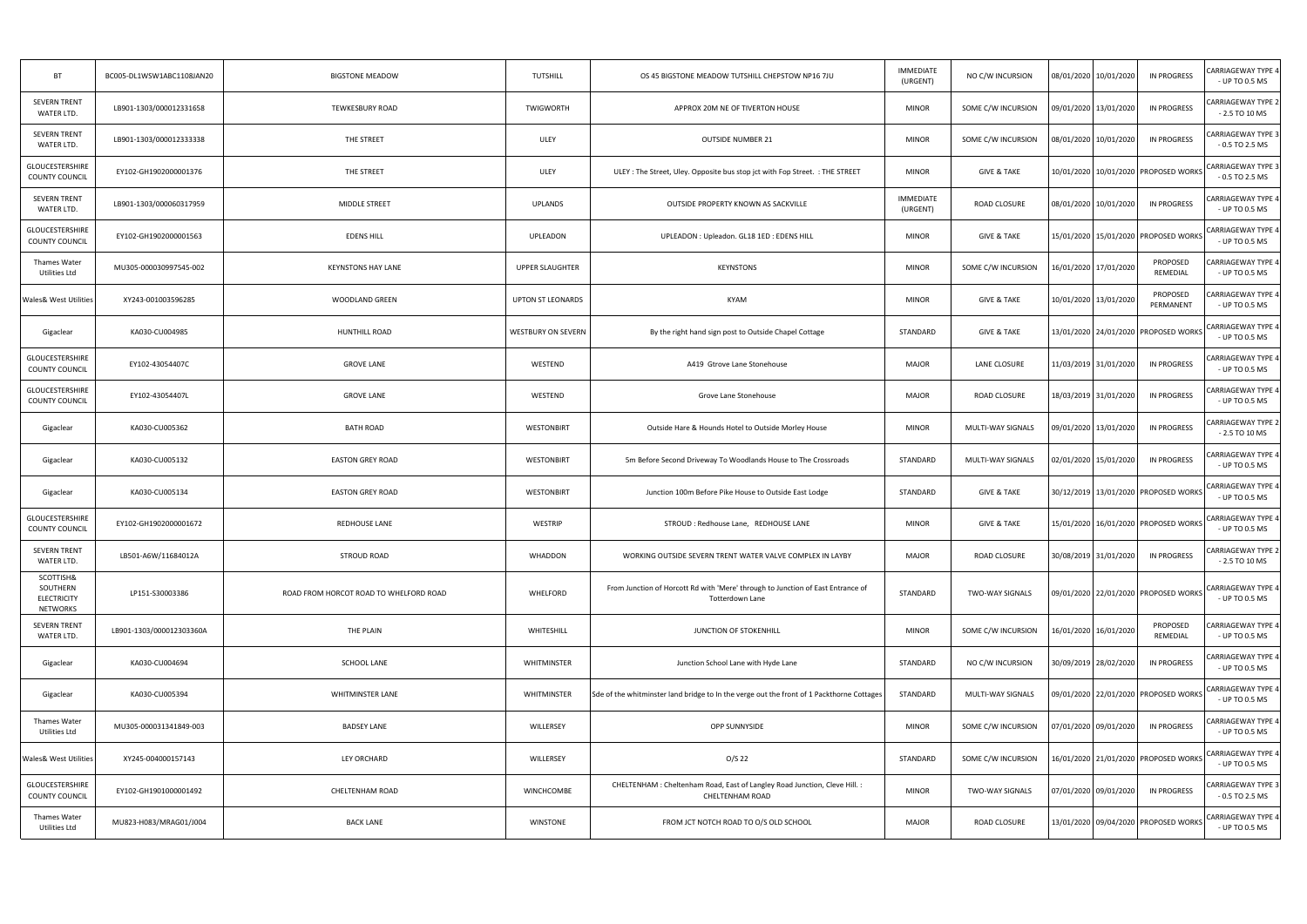| BT                                                             | BC005-DL1WSW1ABC1108JAN20 | <b>BIGSTONE MEADOW</b>                 | TUTSHILL                  | OS 45 BIGSTONE MEADOW TUTSHILL CHEPSTOW NP16 7JU                                                     | <b>IMMEDIATE</b><br>(URGENT) | NO C/W INCURSION       | 08/01/2020 10/01/2020 | <b>IN PROGRESS</b>                       | CARRIAGEWAY TYPE 4<br>- UP TO 0.5 MS         |
|----------------------------------------------------------------|---------------------------|----------------------------------------|---------------------------|------------------------------------------------------------------------------------------------------|------------------------------|------------------------|-----------------------|------------------------------------------|----------------------------------------------|
| SEVERN TRENT<br>WATER LTD.                                     | LB901-1303/000012331658   | <b>TEWKESBURY ROAD</b>                 | <b>TWIGWORTH</b>          | APPROX 20M NE OF TIVERTON HOUSE                                                                      | <b>MINOR</b>                 | SOME C/W INCURSION     | 09/01/2020 13/01/2020 | IN PROGRESS                              | CARRIAGEWAY TYPE 2<br>$-2.5$ TO 10 MS        |
| <b>SEVERN TRENT</b><br>WATER LTD.                              | LB901-1303/000012333338   | THE STREET                             | <b>ULEY</b>               | <b>OUTSIDE NUMBER 21</b>                                                                             | <b>MINOR</b>                 | SOME C/W INCURSION     | 08/01/2020 10/01/2020 | IN PROGRESS                              | CARRIAGEWAY TYPE 3<br>$-0.5$ TO 2.5 MS       |
| GLOUCESTERSHIRE<br>COUNTY COUNCIL                              | EY102-GH1902000001376     | THE STREET                             | ULEY                      | ULEY: The Street, Uley. Opposite bus stop jct with Fop Street.: THE STREET                           | <b>MINOR</b>                 | <b>GIVE &amp; TAKE</b> |                       | 10/01/2020 10/01/2020 PROPOSED WORKS     | CARRIAGEWAY TYPE 3<br>$-0.5$ TO 2.5 MS       |
| SEVERN TRENT<br>WATER LTD.                                     | LB901-1303/000060317959   | MIDDLE STREET                          | <b>UPLANDS</b>            | OUTSIDE PROPERTY KNOWN AS SACKVILLE                                                                  | IMMEDIATE<br>(URGENT)        | ROAD CLOSURE           | 08/01/2020 10/01/2020 | IN PROGRESS                              | CARRIAGEWAY TYPE 4<br>- UP TO 0.5 MS         |
| GLOUCESTERSHIRE<br><b>COUNTY COUNCIL</b>                       | EY102-GH1902000001563     | <b>EDENS HILL</b>                      | UPLEADON                  | UPLEADON : Upleadon. GL18 1ED : EDENS HILL                                                           | <b>MINOR</b>                 | <b>GIVE &amp; TAKE</b> |                       | 15/01/2020   15/01/2020   PROPOSED WORKS | <b>CARRIAGEWAY TYPE 4</b><br>- UP TO 0.5 MS  |
| Thames Water<br>Utilities Ltd                                  | MU305-000030997545-002    | <b>KEYNSTONS HAY LANE</b>              | UPPER SLAUGHTER           | KEYNSTONS                                                                                            | <b>MINOR</b>                 | SOME C/W INCURSION     | 16/01/2020 17/01/2020 | PROPOSED<br>REMEDIAL                     | CARRIAGEWAY TYPE 4<br>- UP TO 0.5 MS         |
| Wales& West Utilities                                          | XY243-001003596285        | WOODLAND GREEN                         | UPTON ST LEONARDS         | KYAM                                                                                                 | <b>MINOR</b>                 | <b>GIVE &amp; TAKE</b> | 10/01/2020 13/01/2020 | PROPOSED<br>PERMANENT                    | CARRIAGEWAY TYPE 4<br>- UP TO 0.5 MS         |
| Gigaclear                                                      | KA030-CU004985            | <b>HUNTHILL ROAD</b>                   | <b>WESTBURY ON SEVERN</b> | By the right hand sign post to Outside Chapel Cottage                                                | STANDARD                     | <b>GIVE &amp; TAKE</b> |                       | 13/01/2020 24/01/2020 PROPOSED WORKS     | CARRIAGEWAY TYPE 4<br>- UP TO 0.5 MS         |
| GLOUCESTERSHIRE<br><b>COUNTY COUNCIL</b>                       | EY102-43054407C           | <b>GROVE LANE</b>                      | WESTEND                   | A419 Gtrove Lane Stonehouse                                                                          | <b>MAJOR</b>                 | LANE CLOSURE           | 11/03/2019 31/01/2020 | IN PROGRESS                              | <b>CARRIAGEWAY TYPE 4</b><br>- UP TO 0.5 MS  |
| GLOUCESTERSHIRE<br>COUNTY COUNCIL                              | EY102-43054407L           | <b>GROVE LANE</b>                      | WESTEND                   | Grove Lane Stonehouse                                                                                | <b>MAJOR</b>                 | ROAD CLOSURE           | 18/03/2019 31/01/2020 | IN PROGRESS                              | CARRIAGEWAY TYPE 4<br>- UP TO 0.5 MS         |
| Gigaclear                                                      | KA030-CU005362            | <b>BATH ROAD</b>                       | WESTONBIRT                | Outside Hare & Hounds Hotel to Outside Morley House                                                  | <b>MINOR</b>                 | MULTI-WAY SIGNALS      | 09/01/2020 13/01/2020 | <b>IN PROGRESS</b>                       | CARRIAGEWAY TYPE 2<br>$-2.5$ TO 10 MS        |
| Gigaclear                                                      | KA030-CU005132            | <b>EASTON GREY ROAD</b>                | WESTONBIRT                | 5m Before Second Driveway To Woodlands House to The Crossroads                                       | STANDARD                     | MULTI-WAY SIGNALS      | 02/01/2020 15/01/2020 | <b>IN PROGRESS</b>                       | CARRIAGEWAY TYPE 4<br>- UP TO 0.5 MS         |
| Gigaclear                                                      | KA030-CU005134            | <b>EASTON GREY ROAD</b>                | WESTONBIRT                | Junction 100m Before Pike House to Outside East Lodge                                                | STANDARD                     | <b>GIVE &amp; TAKE</b> |                       | 30/12/2019 13/01/2020 PROPOSED WORKS     | CARRIAGEWAY TYPE 4<br>- UP TO 0.5 MS         |
| GLOUCESTERSHIRE<br><b>COUNTY COUNCIL</b>                       | EY102-GH1902000001672     | REDHOUSE LANE                          | WESTRIP                   | STROUD : Redhouse Lane, REDHOUSE LANE                                                                | <b>MINOR</b>                 | <b>GIVE &amp; TAKE</b> |                       | 15/01/2020 16/01/2020 PROPOSED WORKS     | <b>CARRIAGEWAY TYPE 4</b><br>- UP TO 0.5 MS  |
| <b>SEVERN TRENT</b><br>WATER LTD.                              | LB501-A6W/11684012A       | STROUD ROAD                            | <b>WHADDON</b>            | WORKING OUTSIDE SEVERN TRENT WATER VALVE COMPLEX IN LAYBY                                            | <b>MAJOR</b>                 | ROAD CLOSURE           | 30/08/2019 31/01/2020 | IN PROGRESS                              | <b>CARRIAGEWAY TYPE 2</b><br>$-2.5$ TO 10 MS |
| SCOTTISH&<br>SOUTHERN<br><b>ELECTRICITY</b><br><b>NETWORKS</b> | LP151-S30003386           | ROAD FROM HORCOT ROAD TO WHELFORD ROAD | WHELFORD                  | From Junction of Horcott Rd with 'Mere' through to Junction of East Entrance of<br>Totterdown Lane   | STANDARD                     | TWO-WAY SIGNALS        |                       | 09/01/2020 22/01/2020 PROPOSED WORKS     | CARRIAGEWAY TYPE 4<br>- UP TO 0.5 MS         |
| <b>SEVERN TRENT</b><br>WATER LTD.                              | LB901-1303/000012303360A  | THE PLAIN                              | WHITESHILL                | JUNCTION OF STOKENHILL                                                                               | <b>MINOR</b>                 | SOME C/W INCURSION     | 16/01/2020 16/01/2020 | PROPOSED<br>REMEDIAL                     | CARRIAGEWAY TYPE 4<br>- UP TO 0.5 MS         |
| Gigaclear                                                      | KA030-CU004694            | <b>SCHOOL LANE</b>                     | WHITMINSTER               | Junction School Lane with Hyde Lane                                                                  | STANDARD                     | NO C/W INCURSION       | 30/09/2019 28/02/2020 | <b>IN PROGRESS</b>                       | CARRIAGEWAY TYPE 4<br>- UP TO 0.5 MS         |
| Gigaclear                                                      | KA030-CU005394            | <b>WHITMINSTER LANE</b>                | WHITMINSTER               | Sde of the whitminster land bridge to In the verge out the front of 1 Packthorne Cottages            | STANDARD                     | MULTI-WAY SIGNALS      |                       | 09/01/2020 22/01/2020 PROPOSED WORKS     | <b>CARRIAGEWAY TYPE 4</b><br>- UP TO 0.5 MS  |
| Thames Water<br>Utilities Ltd                                  | MU305-000031341849-003    | <b>BADSEY LANE</b>                     | WILLERSEY                 | OPP SUNNYSIDE                                                                                        | <b>MINOR</b>                 | SOME C/W INCURSION     | 07/01/2020 09/01/2020 | <b>IN PROGRESS</b>                       | CARRIAGEWAY TYPE 4<br>- UP TO 0.5 MS         |
| Wales& West Utilities                                          | XY245-004000157143        | LEY ORCHARD                            | WILLERSEY                 | $O/S$ 22                                                                                             | STANDARD                     | SOME C/W INCURSION     |                       | 16/01/2020 21/01/2020 PROPOSED WORKS     | <b>CARRIAGEWAY TYPE 4</b><br>- UP TO 0.5 MS  |
| GLOUCESTERSHIRE<br>COUNTY COUNCIL                              | EY102-GH1901000001492     | CHELTENHAM ROAD                        | WINCHCOMBE                | CHELTENHAM : Cheltenham Road, East of Langley Road Junction, Cleve Hill. :<br><b>CHELTENHAM ROAD</b> | <b>MINOR</b>                 | TWO-WAY SIGNALS        | 07/01/2020 09/01/2020 | <b>IN PROGRESS</b>                       | CARRIAGEWAY TYPE 3<br>$-0.5$ TO 2.5 MS       |
| Thames Water<br>Utilities Ltd                                  | MU823-H083/MRAG01/J004    | <b>BACK LANE</b>                       | <b>WINSTONE</b>           | FROM JCT NOTCH ROAD TO O/S OLD SCHOOL                                                                | <b>MAJOR</b>                 | ROAD CLOSURE           |                       | 13/01/2020 09/04/2020 PROPOSED WORKS     | CARRIAGEWAY TYPE 4<br>- UP TO 0.5 MS         |